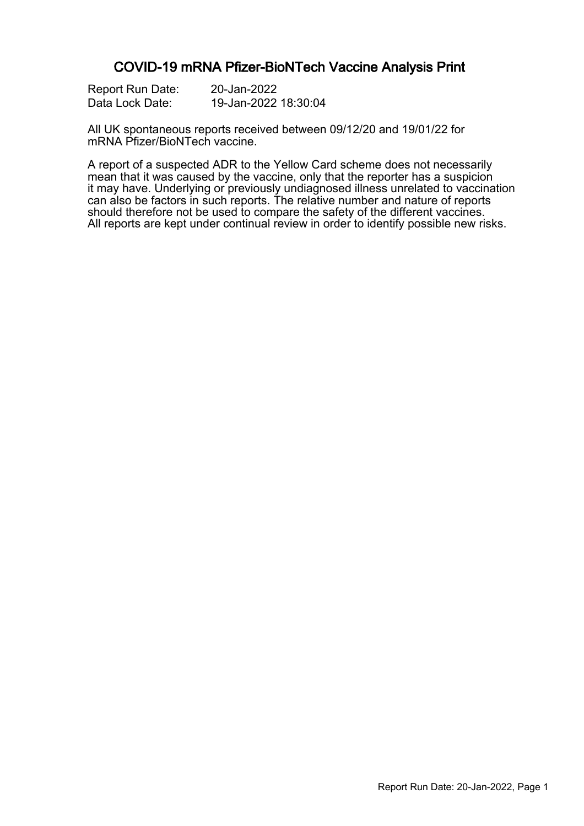### COVID-19 mRNA Pfizer-BioNTech Vaccine Analysis Print

| Report Run Date: | 20-Jan-2022          |
|------------------|----------------------|
| Data Lock Date:  | 19-Jan-2022 18:30:04 |

All UK spontaneous reports received between 09/12/20 and 19/01/22 for mRNA Pfizer/BioNTech vaccine.

A report of a suspected ADR to the Yellow Card scheme does not necessarily mean that it was caused by the vaccine, only that the reporter has a suspicion it may have. Underlying or previously undiagnosed illness unrelated to vaccination can also be factors in such reports. The relative number and nature of reports should therefore not be used to compare the safety of the different vaccines. All reports are kept under continual review in order to identify possible new risks.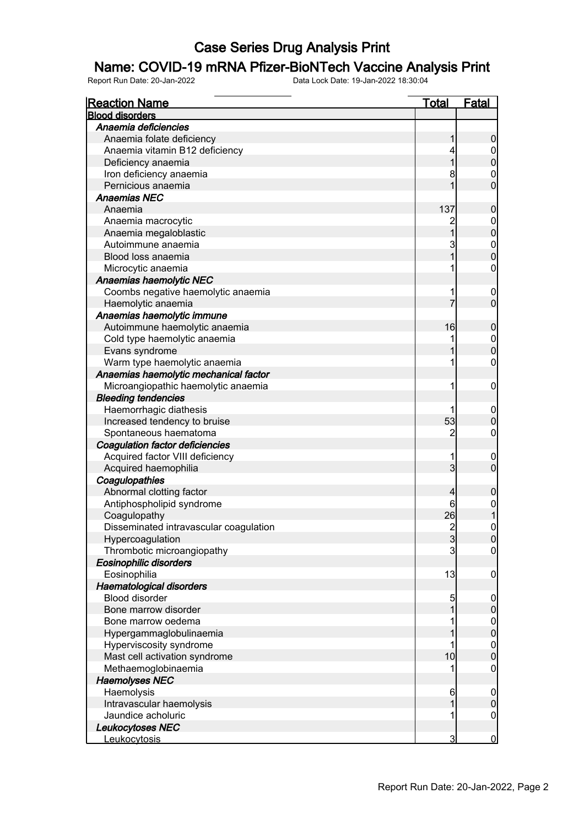### Name: COVID-19 mRNA Pfizer-BioNTech Vaccine Analysis Print

| <b>Reaction Name</b>                   | <u>Total</u>   | <b>Fatal</b>                       |
|----------------------------------------|----------------|------------------------------------|
| <b>Blood disorders</b>                 |                |                                    |
| Anaemia deficiencies                   |                |                                    |
| Anaemia folate deficiency              |                | $\mathbf 0$                        |
| Anaemia vitamin B12 deficiency         |                | $\boldsymbol{0}$                   |
| Deficiency anaemia                     |                | $\overline{0}$                     |
| Iron deficiency anaemia                | 8              | $\mathbf{0}$                       |
| Pernicious anaemia                     |                | $\overline{0}$                     |
| <b>Anaemias NEC</b>                    |                |                                    |
| Anaemia                                | 137            | $\boldsymbol{0}$                   |
| Anaemia macrocytic                     |                | $\mathbf{0}$                       |
| Anaemia megaloblastic                  |                | $\overline{0}$                     |
| Autoimmune anaemia                     | 3              |                                    |
| Blood loss anaemia                     | 1              | $0\atop 0$                         |
|                                        |                | 0                                  |
| Microcytic anaemia                     |                |                                    |
| Anaemias haemolytic NEC                |                |                                    |
| Coombs negative haemolytic anaemia     |                | $\boldsymbol{0}$<br>$\overline{0}$ |
| Haemolytic anaemia                     |                |                                    |
| Anaemias haemolytic immune             |                |                                    |
| Autoimmune haemolytic anaemia          | 16             | $\boldsymbol{0}$                   |
| Cold type haemolytic anaemia           |                | $\mathbf{0}$                       |
| Evans syndrome                         |                | $\overline{0}$                     |
| Warm type haemolytic anaemia           |                | 0                                  |
| Anaemias haemolytic mechanical factor  |                |                                    |
| Microangiopathic haemolytic anaemia    | 1              | $\mathbf 0$                        |
| <b>Bleeding tendencies</b>             |                |                                    |
| Haemorrhagic diathesis                 |                | $\boldsymbol{0}$                   |
| Increased tendency to bruise           | 53             | $\boldsymbol{0}$                   |
| Spontaneous haematoma                  | $\overline{c}$ | 0                                  |
| Coagulation factor deficiencies        |                |                                    |
| Acquired factor VIII deficiency        |                | $\boldsymbol{0}$                   |
| Acquired haemophilia                   | 3              | $\overline{0}$                     |
| Coagulopathies                         |                |                                    |
| Abnormal clotting factor               | 4              | $\boldsymbol{0}$                   |
| Antiphospholipid syndrome              | 6              | $\mathbf{0}$                       |
| Coagulopathy                           | 26             | $\mathbf 1$                        |
| Disseminated intravascular coagulation | $\overline{2}$ | $\mathbf 0$                        |
| Hypercoagulation                       | $\mathbf{3}$   | 0                                  |
| Thrombotic microangiopathy             | 3              | $\mathbf 0$                        |
| Eosinophilic disorders                 |                |                                    |
| Eosinophilia                           | 13             | $\mathbf 0$                        |
| Haematological disorders               |                |                                    |
| <b>Blood disorder</b>                  | 5              | $\mathbf 0$                        |
| Bone marrow disorder                   |                | $\pmb{0}$                          |
| Bone marrow oedema                     |                |                                    |
| Hypergammaglobulinaemia                |                | $0$<br>0                           |
| Hyperviscosity syndrome                |                | $\mathbf{0}$                       |
| Mast cell activation syndrome          | 10             | $\overline{0}$                     |
| Methaemoglobinaemia                    |                | $\boldsymbol{0}$                   |
| <b>Haemolyses NEC</b>                  |                |                                    |
| Haemolysis                             | 6              | $\mathbf 0$                        |
| Intravascular haemolysis               |                | $\mathbf 0$                        |
| Jaundice acholuric                     |                | $\mathbf 0$                        |
| Leukocytoses NEC                       |                |                                    |
| Leukocytosis                           | 3              | $\overline{0}$                     |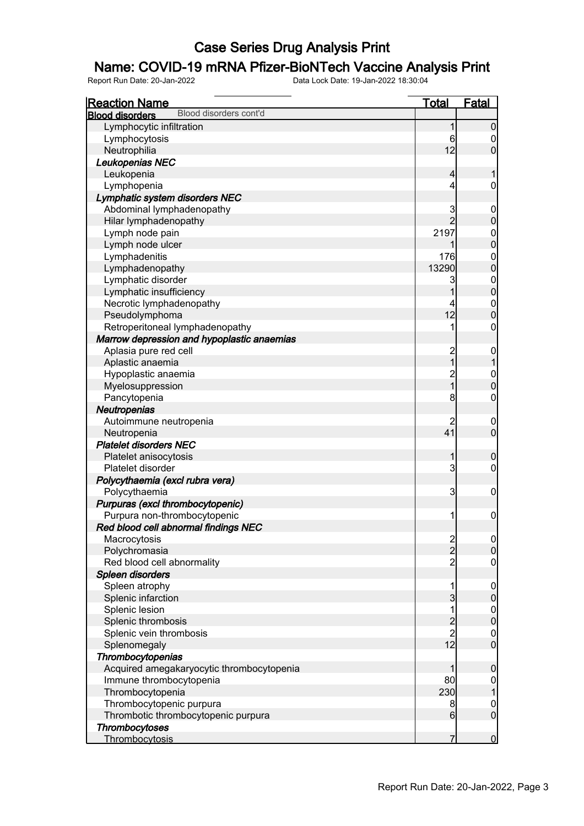### Name: COVID-19 mRNA Pfizer-BioNTech Vaccine Analysis Print

| <b>Reaction Name</b>                             | <u>Total</u>                                | <b>Fatal</b>                   |
|--------------------------------------------------|---------------------------------------------|--------------------------------|
| Blood disorders cont'd<br><b>Blood disorders</b> |                                             |                                |
| Lymphocytic infiltration                         | 1                                           | $\boldsymbol{0}$               |
| Lymphocytosis                                    | 6                                           | 0                              |
| Neutrophilia                                     | 12                                          | $\overline{0}$                 |
| Leukopenias NEC                                  |                                             |                                |
| Leukopenia                                       | $\overline{4}$                              | 1                              |
| Lymphopenia                                      | 4                                           | $\mathbf 0$                    |
| Lymphatic system disorders NEC                   |                                             |                                |
| Abdominal lymphadenopathy                        | 3                                           | $\mathbf 0$                    |
| Hilar lymphadenopathy                            | $\overline{2}$                              | $\mathbf 0$                    |
| Lymph node pain                                  | 2197                                        | $\boldsymbol{0}$               |
| Lymph node ulcer                                 | 1                                           | $\overline{0}$                 |
| Lymphadenitis                                    | 176                                         | $\mathbf{0}$                   |
| Lymphadenopathy                                  | 13290                                       | $\overline{0}$                 |
| Lymphatic disorder                               | 3                                           |                                |
| Lymphatic insufficiency                          | 1                                           | $0\atop 0$                     |
| Necrotic lymphadenopathy                         | 4                                           | $\mathbf{0}$                   |
| Pseudolymphoma                                   | 12                                          | $\overline{0}$                 |
| Retroperitoneal lymphadenopathy                  | 1                                           | $\boldsymbol{0}$               |
| Marrow depression and hypoplastic anaemias       |                                             |                                |
| Aplasia pure red cell                            |                                             | $\mathbf 0$                    |
| Aplastic anaemia                                 | 2<br>1                                      | $\overline{1}$                 |
| Hypoplastic anaemia                              |                                             |                                |
| Myelosuppression                                 | 2<br>1                                      | $\mathbf{0}$<br>$\overline{0}$ |
| Pancytopenia                                     | 8                                           | $\boldsymbol{0}$               |
|                                                  |                                             |                                |
| Neutropenias                                     |                                             |                                |
| Autoimmune neutropenia                           | $\overline{c}$<br>41                        | $\mathbf 0$<br>$\mathbf 0$     |
| Neutropenia                                      |                                             |                                |
| <b>Platelet disorders NEC</b>                    |                                             |                                |
| Platelet anisocytosis                            | 1                                           | $\mathbf 0$                    |
| Platelet disorder                                | 3                                           | 0                              |
| Polycythaemia (excl rubra vera)                  |                                             |                                |
| Polycythaemia                                    | 3                                           | $\mathbf 0$                    |
| Purpuras (excl thrombocytopenic)                 |                                             |                                |
| Purpura non-thrombocytopenic                     | 1                                           | $\boldsymbol{0}$               |
| Red blood cell abnormal findings NEC             |                                             |                                |
| Macrocytosis                                     | $\frac{2}{2}$                               | 0                              |
| Polychromasia                                    |                                             | $\mathbf 0$                    |
| Red blood cell abnormality                       | $\overline{2}$                              | $\boldsymbol{0}$               |
| Spleen disorders                                 |                                             |                                |
| Spleen atrophy                                   | 1                                           | $\mathbf 0$                    |
| Splenic infarction                               | 3                                           | $\pmb{0}$                      |
| Splenic lesion                                   | 1                                           | $0$<br>0                       |
| Splenic thrombosis                               | $\begin{array}{c} 2 \\ 2 \\ 12 \end{array}$ |                                |
| Splenic vein thrombosis                          |                                             | $\boldsymbol{0}$               |
| Splenomegaly                                     |                                             | $\overline{0}$                 |
| Thrombocytopenias                                |                                             |                                |
| Acquired amegakaryocytic thrombocytopenia        | 1                                           | $\boldsymbol{0}$               |
| Immune thrombocytopenia                          | 80                                          | $\overline{0}$                 |
| Thrombocytopenia                                 | 230                                         | $\mathbf{1}$                   |
| Thrombocytopenic purpura                         | 8                                           | $\mathbf{0}$                   |
| Thrombotic thrombocytopenic purpura              | 6                                           | $\mathbf 0$                    |
| Thrombocytoses                                   |                                             |                                |
| Thrombocytosis                                   | 7                                           | $\overline{0}$                 |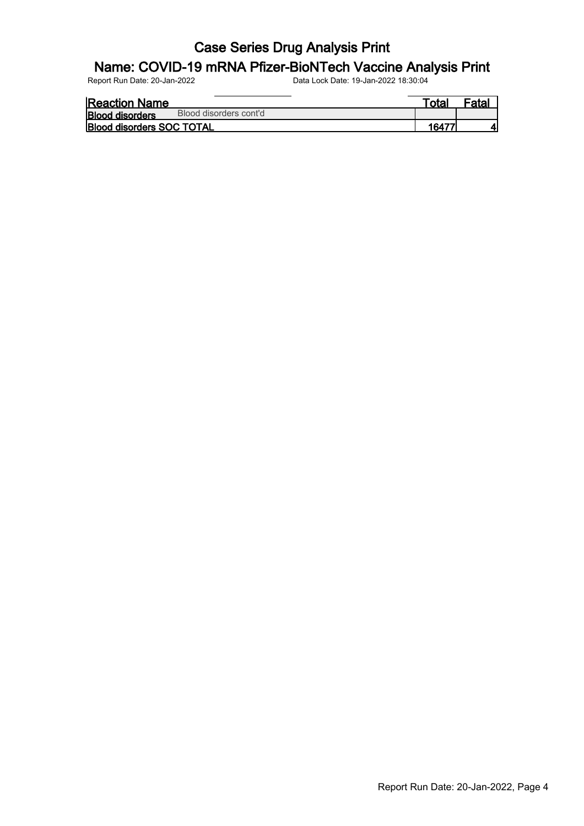### Name: COVID-19 mRNA Pfizer-BioNTech Vaccine Analysis Print

| <b>Reaction Name</b>             |                        | ™ota⊦ | <sup>=</sup> atal |
|----------------------------------|------------------------|-------|-------------------|
| <b>Blood disorders</b>           | Blood disorders cont'd |       |                   |
| <b>Blood disorders SOC TOTAL</b> |                        | 16477 |                   |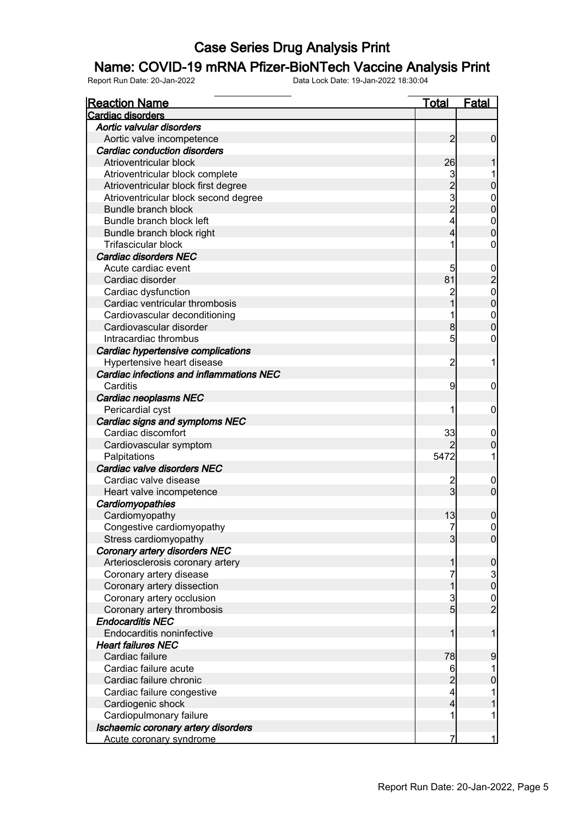### Name: COVID-19 mRNA Pfizer-BioNTech Vaccine Analysis Print

| <b>Reaction Name</b>                     | <b>Total</b>   | <b>Fatal</b>                                   |
|------------------------------------------|----------------|------------------------------------------------|
| Cardiac disorders                        |                |                                                |
| Aortic valvular disorders                |                |                                                |
| Aortic valve incompetence                | $\overline{2}$ | $\mathbf 0$                                    |
| Cardiac conduction disorders             |                |                                                |
| Atrioventricular block                   | 26             |                                                |
| Atrioventricular block complete          | 3              |                                                |
| Atrioventricular block first degree      |                | $\mathbf 0$                                    |
| Atrioventricular block second degree     | $\frac{2}{3}$  | $\mathbf{0}$                                   |
| Bundle branch block                      |                | $\mathbf 0$                                    |
| Bundle branch block left                 | 4              | $\mathbf{0}$                                   |
| Bundle branch block right                | 4              | $\overline{0}$                                 |
| <b>Trifascicular block</b>               | 1              | 0                                              |
| <b>Cardiac disorders NEC</b>             |                |                                                |
| Acute cardiac event                      | 5              |                                                |
| Cardiac disorder                         | 81             | 0<br>0<br>0<br>0                               |
| Cardiac dysfunction                      |                |                                                |
| Cardiac ventricular thrombosis           |                |                                                |
| Cardiovascular deconditioning            |                | $\mathbf{0}$                                   |
| Cardiovascular disorder                  | 8              | $\overline{0}$                                 |
| Intracardiac thrombus                    | 5              | 0                                              |
| Cardiac hypertensive complications       |                |                                                |
| Hypertensive heart disease               | $\overline{c}$ | 1                                              |
| Cardiac infections and inflammations NEC |                |                                                |
| Carditis                                 | 9              | $\mathbf 0$                                    |
| Cardiac neoplasms NEC                    |                |                                                |
| Pericardial cyst                         | 1              | $\mathbf 0$                                    |
| Cardiac signs and symptoms NEC           |                |                                                |
| Cardiac discomfort                       | 33             | $\boldsymbol{0}$                               |
| Cardiovascular symptom                   |                | $\mathbf 0$                                    |
| Palpitations                             | 5472           | 1                                              |
| Cardiac valve disorders NEC              |                |                                                |
| Cardiac valve disease                    | 2              | $\boldsymbol{0}$                               |
| Heart valve incompetence                 | 3              | $\mathbf 0$                                    |
| Cardiomyopathies                         |                |                                                |
| Cardiomyopathy                           | 13             | 0                                              |
| Congestive cardiomyopathy                | 7              | $\mathbf 0$                                    |
| Stress cardiomyopathy                    | 3              | 0                                              |
| Coronary artery disorders NEC            |                |                                                |
| Arteriosclerosis coronary artery         | 1              | $\boldsymbol{0}$                               |
| Coronary artery disease                  |                |                                                |
| Coronary artery dissection               | 1              | $\begin{smallmatrix} 3 \\ 0 \end{smallmatrix}$ |
| Coronary artery occlusion                | 3              |                                                |
| Coronary artery thrombosis               | $\overline{5}$ | $\frac{0}{2}$                                  |
| <b>Endocarditis NEC</b>                  |                |                                                |
| Endocarditis noninfective                | 1              | 1                                              |
| <b>Heart failures NEC</b>                |                |                                                |
| Cardiac failure                          | 78             | 9                                              |
| Cardiac failure acute                    | 6              | 1                                              |
| Cardiac failure chronic                  | $\overline{c}$ | $\mathbf 0$                                    |
| Cardiac failure congestive               | 4              | 1                                              |
| Cardiogenic shock                        | 4              | 1                                              |
| Cardiopulmonary failure                  | 1              | 1                                              |
| Ischaemic coronary artery disorders      |                |                                                |
| Acute coronary syndrome                  | 7              | $\mathbf{1}$                                   |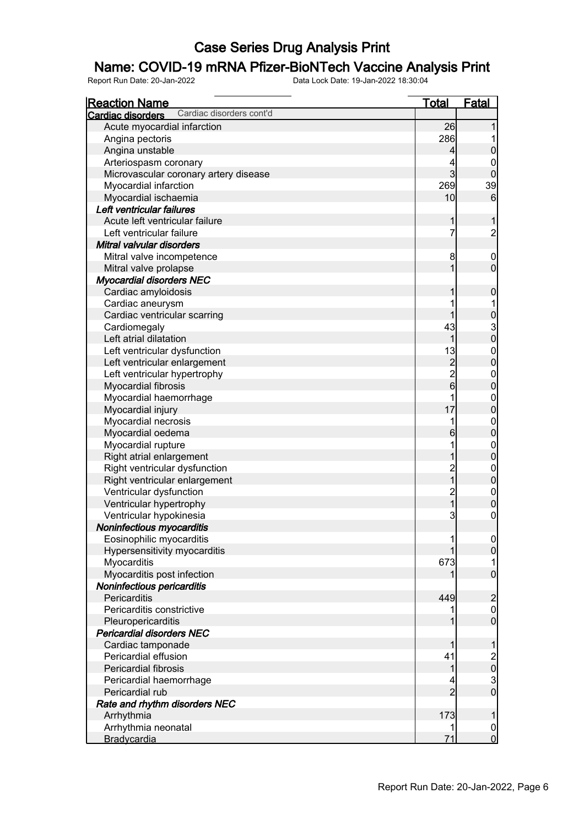### Name: COVID-19 mRNA Pfizer-BioNTech Vaccine Analysis Print

| <b>Reaction Name</b>                                 | <u>Total</u>   | Fatal                                          |
|------------------------------------------------------|----------------|------------------------------------------------|
| Cardiac disorders cont'd<br><b>Cardiac disorders</b> |                |                                                |
| Acute myocardial infarction                          | 26             |                                                |
| Angina pectoris                                      | 286            |                                                |
| Angina unstable                                      | 4              | $\mathbf 0$                                    |
| Arteriospasm coronary                                | 4              | 0                                              |
| Microvascular coronary artery disease                | $\overline{3}$ | $\overline{0}$                                 |
| Myocardial infarction                                | 269            | 39                                             |
| Myocardial ischaemia                                 | 10             | $6\phantom{1}6$                                |
| Left ventricular failures                            |                |                                                |
| Acute left ventricular failure                       | 1              |                                                |
| Left ventricular failure                             | 7              | $\overline{c}$                                 |
| Mitral valvular disorders                            |                |                                                |
| Mitral valve incompetence                            | 8              | $\mathbf 0$                                    |
| Mitral valve prolapse                                | 1              | $\mathbf 0$                                    |
| <b>Myocardial disorders NEC</b>                      |                |                                                |
| Cardiac amyloidosis                                  | 1              | $\pmb{0}$                                      |
| Cardiac aneurysm                                     |                |                                                |
| Cardiac ventricular scarring                         | 1              | $\mathbf 0$                                    |
| Cardiomegaly                                         | 43             |                                                |
| Left atrial dilatation                               | 1              | $\begin{smallmatrix} 3 \\ 0 \end{smallmatrix}$ |
| Left ventricular dysfunction                         | 13             |                                                |
| Left ventricular enlargement                         | $\overline{c}$ | $\begin{matrix} 0 \\ 0 \end{matrix}$           |
| Left ventricular hypertrophy                         |                |                                                |
|                                                      | $\frac{2}{6}$  | $\boldsymbol{0}$<br>$\overline{0}$             |
| Myocardial fibrosis                                  |                |                                                |
| Myocardial haemorrhage                               | 1              | $\boldsymbol{0}$                               |
| Myocardial injury                                    | 17             | $\mathbf 0$                                    |
| Myocardial necrosis                                  | 1              | $\boldsymbol{0}$                               |
| Myocardial oedema                                    | 6              | $\mathbf 0$                                    |
| Myocardial rupture                                   | 1              | $\boldsymbol{0}$                               |
| Right atrial enlargement                             | 1              | $\mathbf 0$                                    |
| Right ventricular dysfunction                        | $\frac{2}{1}$  | $\boldsymbol{0}$                               |
| Right ventricular enlargement                        |                | $\mathbf 0$                                    |
| Ventricular dysfunction                              | $\frac{2}{1}$  | $\boldsymbol{0}$                               |
| Ventricular hypertrophy                              |                | $\mathbf 0$                                    |
| Ventricular hypokinesia                              | 3              | $\boldsymbol{0}$                               |
| Noninfectious myocarditis                            |                |                                                |
| Eosinophilic myocarditis                             |                | 0                                              |
| Hypersensitivity myocarditis                         |                | $\overline{0}$                                 |
| Myocarditis                                          | 673            |                                                |
| Myocarditis post infection                           |                | $\overline{0}$                                 |
| Noninfectious pericarditis                           |                |                                                |
| Pericarditis                                         | 449            | $\overline{c}$                                 |
| Pericarditis constrictive                            |                | $\boldsymbol{0}$                               |
| Pleuropericarditis                                   |                | $\overline{0}$                                 |
| <b>Pericardial disorders NEC</b>                     |                |                                                |
| Cardiac tamponade                                    | 1              | 1                                              |
| Pericardial effusion                                 | 41             | $\begin{matrix} 2 \\ 0 \end{matrix}$           |
| Pericardial fibrosis                                 | 1              |                                                |
| Pericardial haemorrhage                              | 4              | $\frac{3}{0}$                                  |
| Pericardial rub                                      | $\overline{2}$ |                                                |
| Rate and rhythm disorders NEC                        |                |                                                |
| Arrhythmia                                           | 173            | 1                                              |
| Arrhythmia neonatal                                  |                | $\overline{0}$                                 |
| Bradycardia                                          | 71             | $\overline{0}$                                 |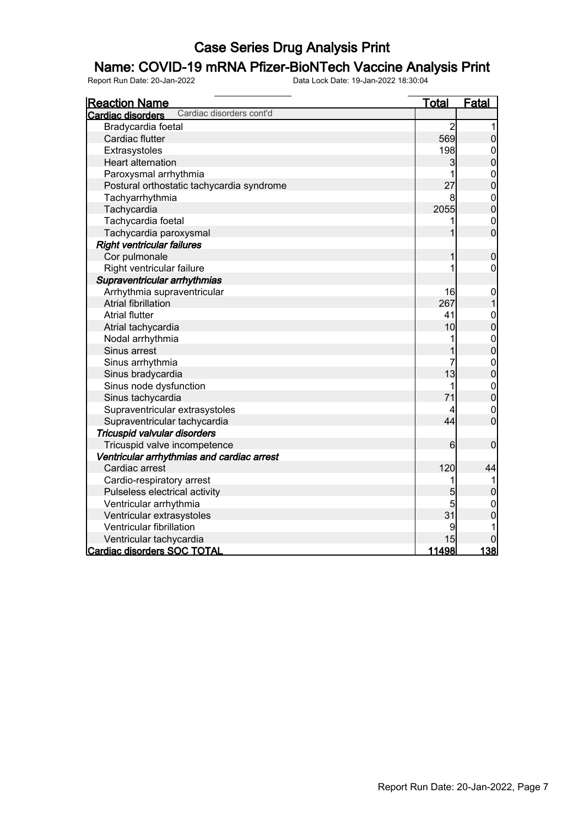### Name: COVID-19 mRNA Pfizer-BioNTech Vaccine Analysis Print

| <b>Reaction Name</b>                                 | <u>Total</u>   | Fatal                            |
|------------------------------------------------------|----------------|----------------------------------|
| Cardiac disorders cont'd<br><b>Cardiac disorders</b> |                |                                  |
| Bradycardia foetal                                   | $\overline{2}$ |                                  |
| Cardiac flutter                                      | 569            | 0                                |
| Extrasystoles                                        | 198            | $\boldsymbol{0}$                 |
| <b>Heart alternation</b>                             | 3              | $\overline{0}$                   |
| Paroxysmal arrhythmia                                | 1              |                                  |
| Postural orthostatic tachycardia syndrome            | 27             | $0\atop 0$                       |
| Tachyarrhythmia                                      | 8              |                                  |
| Tachycardia                                          | 2055           | $\begin{matrix}0\\0\end{matrix}$ |
| Tachycardia foetal                                   | 1              | $\mathbf{0}$                     |
| Tachycardia paroxysmal                               | 1              | $\overline{0}$                   |
| <b>Right ventricular failures</b>                    |                |                                  |
| Cor pulmonale                                        | 1              | $\mathbf 0$                      |
| Right ventricular failure                            | 1              | 0                                |
| Supraventricular arrhythmias                         |                |                                  |
| Arrhythmia supraventricular                          | 16             | $\mathbf 0$                      |
| <b>Atrial fibrillation</b>                           | 267            | $\overline{1}$                   |
| <b>Atrial flutter</b>                                | 41             | $\mathbf{0}$                     |
| Atrial tachycardia                                   | 10             | $\overline{0}$                   |
| Nodal arrhythmia                                     | 1              |                                  |
| Sinus arrest                                         |                | $0\atop 0$                       |
| Sinus arrhythmia                                     | 7              | $\begin{matrix}0\\0\end{matrix}$ |
| Sinus bradycardia                                    | 13             |                                  |
| Sinus node dysfunction                               | 1              | $\begin{matrix}0\\0\end{matrix}$ |
| Sinus tachycardia                                    | 71             |                                  |
| Supraventricular extrasystoles                       | 4              | $\mathbf{0}$                     |
| Supraventricular tachycardia                         | 44             | $\overline{0}$                   |
| Tricuspid valvular disorders                         |                |                                  |
| Tricuspid valve incompetence                         | 6              | $\mathbf 0$                      |
| Ventricular arrhythmias and cardiac arrest           |                |                                  |
| Cardiac arrest                                       | 120            | 44                               |
| Cardio-respiratory arrest                            | 1              | 1                                |
| Pulseless electrical activity                        | 5              | 0                                |
| Ventricular arrhythmia                               | 5              | $\mathbf{0}$                     |
| Ventricular extrasystoles                            | 31             | $\overline{0}$                   |
| Ventricular fibrillation                             | 9              |                                  |
| Ventricular tachycardia                              | 15             | 0                                |
| <b>Cardiac disorders SOC TOTAL</b>                   | 11498          | 138                              |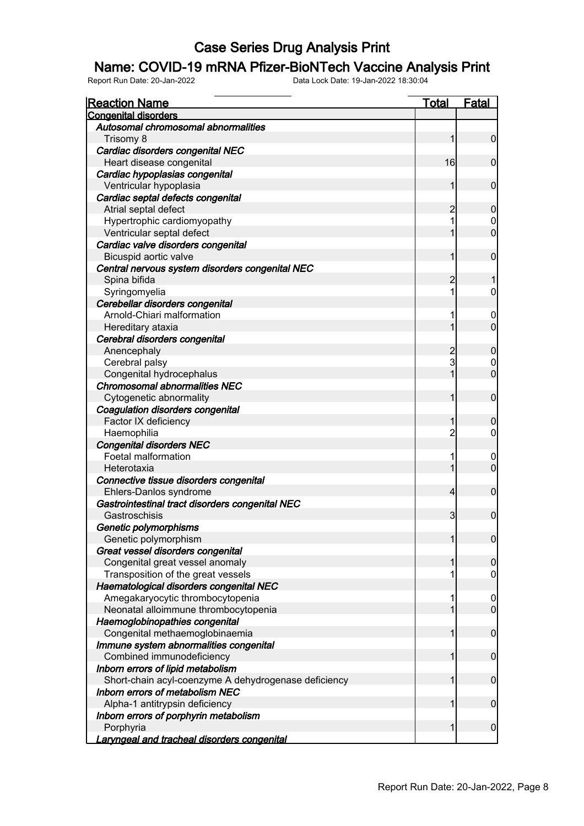#### Name: COVID-19 mRNA Pfizer-BioNTech Vaccine Analysis Print

| <b>Reaction Name</b>                                 | <b>Total</b>   | <b>Fatal</b>     |
|------------------------------------------------------|----------------|------------------|
| <b>Congenital disorders</b>                          |                |                  |
| Autosomal chromosomal abnormalities                  |                |                  |
| Trisomy 8                                            | 1              | $\mathbf 0$      |
| Cardiac disorders congenital NEC                     |                |                  |
| Heart disease congenital                             | 16             | $\mathbf 0$      |
| Cardiac hypoplasias congenital                       |                |                  |
| Ventricular hypoplasia                               | 1              | $\mathbf 0$      |
| Cardiac septal defects congenital                    |                |                  |
| Atrial septal defect                                 | $\overline{c}$ | $\mathbf 0$      |
| Hypertrophic cardiomyopathy                          |                | 0                |
| Ventricular septal defect                            |                | $\mathbf 0$      |
| Cardiac valve disorders congenital                   |                |                  |
| Bicuspid aortic valve                                | 1              | $\mathbf 0$      |
| Central nervous system disorders congenital NEC      |                |                  |
| Spina bifida                                         | $\overline{c}$ |                  |
| Syringomyelia                                        | 1              | $\boldsymbol{0}$ |
| Cerebellar disorders congenital                      |                |                  |
| Arnold-Chiari malformation                           |                | 0                |
| Hereditary ataxia                                    | 1              | $\mathbf 0$      |
| Cerebral disorders congenital                        |                |                  |
| Anencephaly                                          | $\overline{c}$ | $\mathbf 0$      |
| Cerebral palsy                                       | 3              | 0                |
| Congenital hydrocephalus                             | 1              | $\mathbf 0$      |
| <b>Chromosomal abnormalities NEC</b>                 |                |                  |
| Cytogenetic abnormality                              | 1              | $\mathbf 0$      |
| Coagulation disorders congenital                     |                |                  |
| Factor IX deficiency                                 | 1              | $\mathbf 0$      |
| Haemophilia                                          | 2              | 0                |
| <b>Congenital disorders NEC</b>                      |                |                  |
| Foetal malformation                                  |                | $\overline{0}$   |
| Heterotaxia                                          | 1              | $\mathbf 0$      |
| Connective tissue disorders congenital               |                |                  |
| Ehlers-Danlos syndrome                               | 4              | $\mathbf 0$      |
| Gastrointestinal tract disorders congenital NEC      |                |                  |
| Gastroschisis                                        | $\mathbf{3}$   | $\mathbf 0$      |
| Genetic polymorphisms                                |                |                  |
| Genetic polymorphism                                 | 1              | $\overline{0}$   |
| Great vessel disorders congenital                    |                |                  |
| Congenital great vessel anomaly                      |                | $\mathbf 0$      |
| Transposition of the great vessels                   |                | $\mathbf 0$      |
| Haematological disorders congenital NEC              |                |                  |
| Amegakaryocytic thrombocytopenia                     | 1              | $\overline{0}$   |
| Neonatal alloimmune thrombocytopenia                 |                | $\mathbf 0$      |
| Haemoglobinopathies congenital                       |                |                  |
| Congenital methaemoglobinaemia                       | 1              | $\mathbf 0$      |
| Immune system abnormalities congenital               |                |                  |
| Combined immunodeficiency                            | 1              | $\boldsymbol{0}$ |
| Inborn errors of lipid metabolism                    |                |                  |
| Short-chain acyl-coenzyme A dehydrogenase deficiency | 1              | $\mathbf 0$      |
| <b>Inborn errors of metabolism NEC</b>               |                |                  |
| Alpha-1 antitrypsin deficiency                       | 1              | $\mathbf 0$      |
| Inborn errors of porphyrin metabolism                |                |                  |
| Porphyria                                            | 1              | $\mathbf 0$      |
| <u>Laryngeal and tracheal disorders congenital</u>   |                |                  |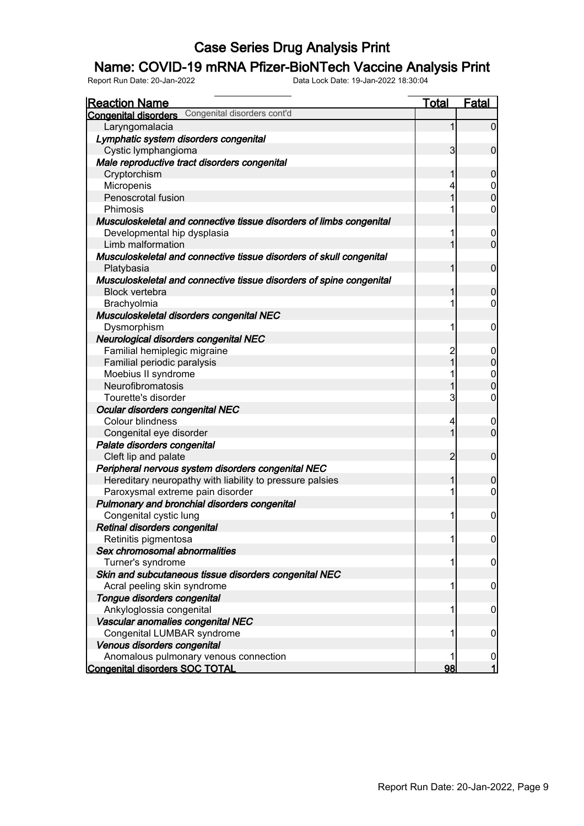### Name: COVID-19 mRNA Pfizer-BioNTech Vaccine Analysis Print

| <b>Reaction Name</b><br><b>Congenital disorders</b> Congenital disorders cont'd | <u>Total</u>   | Fatal               |
|---------------------------------------------------------------------------------|----------------|---------------------|
| Laryngomalacia                                                                  | 1              | $\overline{0}$      |
| Lymphatic system disorders congenital                                           |                |                     |
| Cystic lymphangioma                                                             | 3              | $\overline{0}$      |
| Male reproductive tract disorders congenital                                    |                |                     |
|                                                                                 |                |                     |
| Cryptorchism                                                                    | 1              | $\overline{0}$      |
| Micropenis                                                                      | 4              | 0<br>$\overline{0}$ |
| Penoscrotal fusion                                                              | $\overline{1}$ |                     |
| Phimosis                                                                        |                | 0                   |
| Musculoskeletal and connective tissue disorders of limbs congenital             |                |                     |
| Developmental hip dysplasia                                                     |                | $\mathbf 0$         |
| Limb malformation                                                               | 1              | $\overline{0}$      |
| Musculoskeletal and connective tissue disorders of skull congenital             |                |                     |
| Platybasia                                                                      | 1              | $\mathbf 0$         |
| Musculoskeletal and connective tissue disorders of spine congenital             |                |                     |
| <b>Block vertebra</b>                                                           | 1              | $\mathbf 0$         |
| Brachyolmia                                                                     |                | 0                   |
| Musculoskeletal disorders congenital NEC                                        |                |                     |
| Dysmorphism                                                                     | 1              | $\mathbf 0$         |
| Neurological disorders congenital NEC                                           |                |                     |
| Familial hemiplegic migraine                                                    | 2              | $\boldsymbol{0}$    |
| Familial periodic paralysis                                                     | $\overline{1}$ | $\overline{0}$      |
| Moebius II syndrome                                                             | 1              | $\mathbf 0$         |
| Neurofibromatosis                                                               | $\overline{1}$ | $\overline{0}$      |
| Tourette's disorder                                                             | 3              | 0                   |
| Ocular disorders congenital NEC                                                 |                |                     |
| Colour blindness                                                                | 4              | 0                   |
| Congenital eye disorder                                                         | 1              | $\overline{0}$      |
| Palate disorders congenital                                                     |                |                     |
| Cleft lip and palate                                                            | $\overline{2}$ | $\mathbf 0$         |
| Peripheral nervous system disorders congenital NEC                              |                |                     |
| Hereditary neuropathy with liability to pressure palsies                        | 1              | $\mathbf 0$         |
| Paroxysmal extreme pain disorder                                                |                | 0                   |
| Pulmonary and bronchial disorders congenital                                    |                |                     |
| Congenital cystic lung                                                          |                | $\mathbf 0$         |
| Retinal disorders congenital                                                    |                |                     |
| Retinitis pigmentosa                                                            |                | 0                   |
| Sex chromosomal abnormalities                                                   |                |                     |
|                                                                                 |                |                     |
| Turner's syndrome                                                               |                | 0                   |
| Skin and subcutaneous tissue disorders congenital NEC                           |                |                     |
| Acral peeling skin syndrome                                                     |                | $\mathbf 0$         |
| Tongue disorders congenital                                                     |                |                     |
| Ankyloglossia congenital                                                        |                | 0                   |
| Vascular anomalies congenital NEC                                               |                |                     |
| Congenital LUMBAR syndrome                                                      |                | 0                   |
| Venous disorders congenital                                                     |                |                     |
| Anomalous pulmonary venous connection                                           |                | 0                   |
| <b>Congenital disorders SOC TOTAL</b>                                           | 98             | 1                   |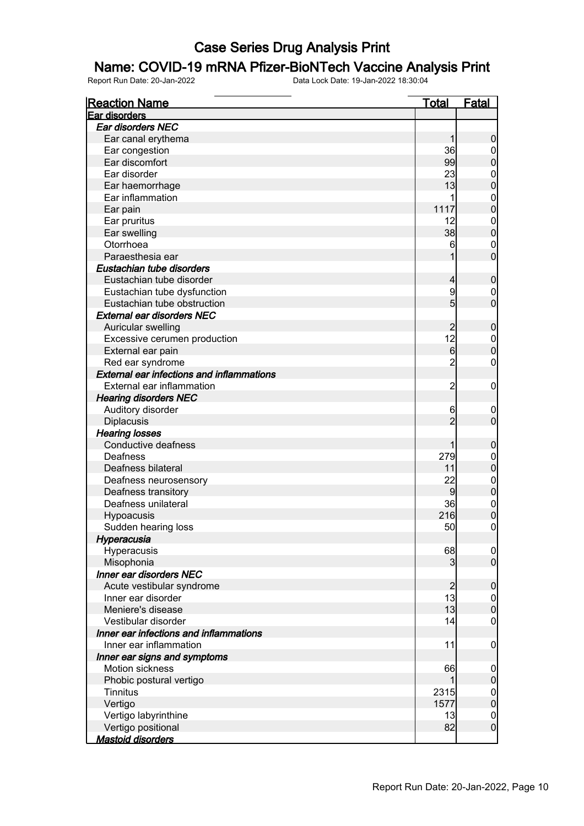### Name: COVID-19 mRNA Pfizer-BioNTech Vaccine Analysis Print

| <b>Reaction Name</b>                             | <u>Total</u>         | <u>Fatal</u>                   |
|--------------------------------------------------|----------------------|--------------------------------|
| Ear disorders                                    |                      |                                |
| Ear disorders NEC                                |                      |                                |
| Ear canal erythema                               | 1                    | $\boldsymbol{0}$               |
| Ear congestion                                   | 36                   | $\overline{0}$                 |
| Ear discomfort                                   | 99                   | $\overline{0}$                 |
| Ear disorder                                     | 23                   | $\boldsymbol{0}$               |
| Ear haemorrhage                                  | 13                   | $\overline{0}$                 |
| Ear inflammation                                 | 1                    | $\mathbf{0}$                   |
| Ear pain                                         | 1117                 | $\overline{0}$                 |
| Ear pruritus                                     | 12                   | $\mathbf{0}$                   |
| Ear swelling                                     | 38                   | $\overline{0}$                 |
| Otorrhoea                                        | 6                    | $\mathbf 0$                    |
| Paraesthesia ear                                 |                      | $\overline{0}$                 |
| Eustachian tube disorders                        |                      |                                |
| Eustachian tube disorder                         | 4                    | $\boldsymbol{0}$               |
| Eustachian tube dysfunction                      | 9                    | $\mathbf 0$                    |
| Eustachian tube obstruction                      | $5\overline{)}$      | $\overline{0}$                 |
| <b>External ear disorders NEC</b>                |                      |                                |
| Auricular swelling                               | $\overline{c}$       | $\mathbf 0$                    |
| Excessive cerumen production                     | 12                   | $\mathbf 0$                    |
| External ear pain                                | $6 \overline{}$      | $\overline{0}$                 |
| Red ear syndrome                                 | $\overline{c}$       | 0                              |
| <b>External ear infections and inflammations</b> |                      |                                |
| External ear inflammation                        | $\overline{c}$       | $\boldsymbol{0}$               |
| <b>Hearing disorders NEC</b>                     |                      |                                |
| Auditory disorder                                | 6                    | $\mathbf 0$                    |
| Diplacusis                                       | $\overline{2}$       | $\overline{0}$                 |
| <b>Hearing losses</b>                            |                      |                                |
| Conductive deafness                              | 1                    | $\mathbf 0$                    |
| Deafness                                         | 279                  |                                |
| Deafness bilateral                               | 11                   | $\mathbf 0$<br>$\mathbf 0$     |
|                                                  |                      |                                |
| Deafness neurosensory                            | 22<br>$\overline{9}$ | $\mathbf{0}$<br>$\overline{0}$ |
| Deafness transitory                              |                      |                                |
| Deafness unilateral                              | 36                   | $\mathbf{0}$<br>$\overline{0}$ |
| Hypoacusis                                       | 216                  |                                |
| Sudden hearing loss                              | 50                   | $\overline{0}$                 |
| Hyperacusia                                      |                      |                                |
| Hyperacusis                                      | 68                   | 0                              |
| Misophonia                                       | 3                    | $\overline{0}$                 |
| Inner ear disorders NEC                          |                      |                                |
| Acute vestibular syndrome                        | $\overline{2}$       | $\mathbf 0$                    |
| Inner ear disorder                               | 13                   | $\mathbf 0$                    |
| Meniere's disease                                | 13                   | $\overline{0}$                 |
| Vestibular disorder                              | 14                   | $\mathbf 0$                    |
| Inner ear infections and inflammations           |                      |                                |
| Inner ear inflammation                           | 11                   | $\mathbf 0$                    |
| Inner ear signs and symptoms                     |                      |                                |
| Motion sickness                                  | 66                   | $\mathbf 0$                    |
| Phobic postural vertigo                          | 1                    | $\pmb{0}$                      |
| <b>Tinnitus</b>                                  | 2315                 | $\boldsymbol{0}$               |
| Vertigo                                          | 1577                 | $\overline{0}$                 |
| Vertigo labyrinthine                             | 13                   | $\boldsymbol{0}$               |
| Vertigo positional                               | 82                   | $\overline{0}$                 |
| <b>Mastoid disorders</b>                         |                      |                                |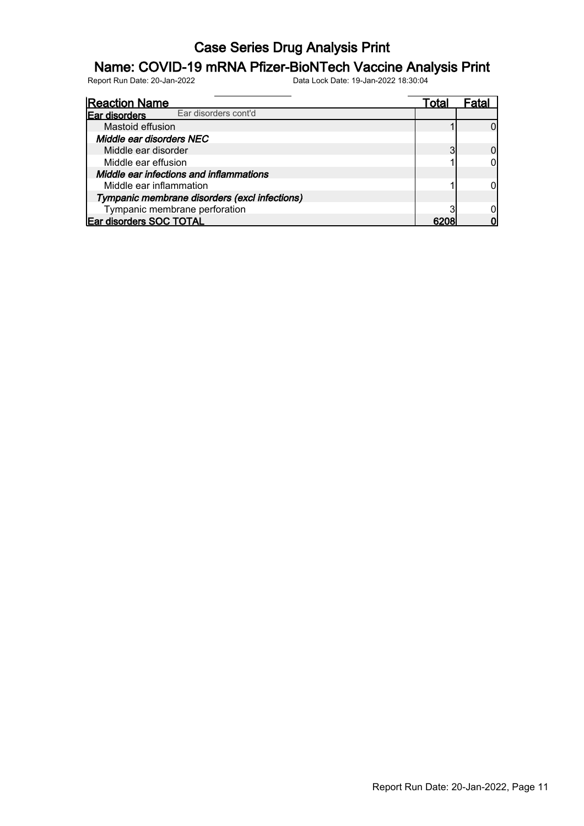### Name: COVID-19 mRNA Pfizer-BioNTech Vaccine Analysis Print

| <b>Reaction Name</b>                          | Total |  |
|-----------------------------------------------|-------|--|
| Ear disorders cont'd<br>Ear disorders         |       |  |
| Mastoid effusion                              |       |  |
| Middle ear disorders NEC                      |       |  |
| Middle ear disorder                           |       |  |
| Middle ear effusion                           |       |  |
| Middle ear infections and inflammations       |       |  |
| Middle ear inflammation                       |       |  |
| Tympanic membrane disorders (excl infections) |       |  |
| Tympanic membrane perforation                 |       |  |
| Ear disorders SOC TOTAL                       |       |  |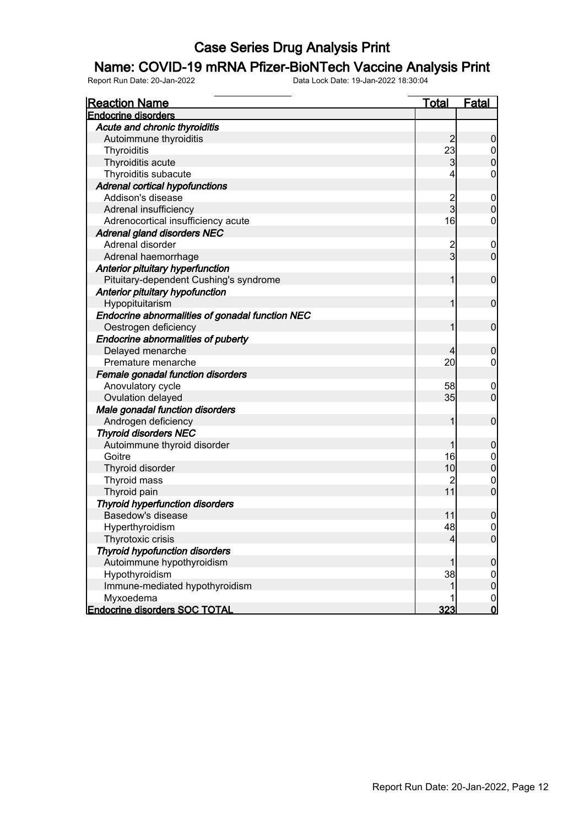#### Name: COVID-19 mRNA Pfizer-BioNTech Vaccine Analysis Print

| <b>Reaction Name</b>                            | <b>Total</b>   | <b>Fatal</b>     |
|-------------------------------------------------|----------------|------------------|
| <b>Endocrine disorders</b>                      |                |                  |
| Acute and chronic thyroiditis                   |                |                  |
| Autoimmune thyroiditis                          | $\overline{c}$ | $\boldsymbol{0}$ |
| Thyroiditis                                     | 23             | $\overline{0}$   |
| Thyroiditis acute                               | $\mathbf{3}$   | $\pmb{0}$        |
| Thyroiditis subacute                            | 4              | $\mathbf 0$      |
| <b>Adrenal cortical hypofunctions</b>           |                |                  |
| Addison's disease                               |                | $\mathbf 0$      |
| Adrenal insufficiency                           | 2<br>3         | $\mathbf 0$      |
| Adrenocortical insufficiency acute              | 16             | $\boldsymbol{0}$ |
| <b>Adrenal gland disorders NEC</b>              |                |                  |
| Adrenal disorder                                | $\overline{c}$ | $\mathbf 0$      |
| Adrenal haemorrhage                             | $\overline{3}$ | $\mathbf 0$      |
| Anterior pituitary hyperfunction                |                |                  |
| Pituitary-dependent Cushing's syndrome          | 1              | $\boldsymbol{0}$ |
| Anterior pituitary hypofunction                 |                |                  |
| Hypopituitarism                                 | 1              | $\boldsymbol{0}$ |
| Endocrine abnormalities of gonadal function NEC |                |                  |
| Oestrogen deficiency                            | 1              | $\boldsymbol{0}$ |
| Endocrine abnormalities of puberty              |                |                  |
| Delayed menarche                                | 4              | $\boldsymbol{0}$ |
| Premature menarche                              | 20             | $\overline{0}$   |
| Female gonadal function disorders               |                |                  |
| Anovulatory cycle                               | 58             | $\mathbf 0$      |
| Ovulation delayed                               | 35             | $\overline{0}$   |
| Male gonadal function disorders                 |                |                  |
| Androgen deficiency                             | 1              | $\boldsymbol{0}$ |
| <b>Thyroid disorders NEC</b>                    |                |                  |
| Autoimmune thyroid disorder                     | 1              | $\boldsymbol{0}$ |
| Goitre                                          | 16             | $\mathbf 0$      |
| Thyroid disorder                                | 10             | $\pmb{0}$        |
| Thyroid mass                                    | 2              | $\mathbf 0$      |
| Thyroid pain                                    | 11             | $\mathbf 0$      |
| <b>Thyroid hyperfunction disorders</b>          |                |                  |
| Basedow's disease                               | 11             | $\mathbf 0$      |
| Hyperthyroidism                                 | 48             | $\mathbf 0$      |
| Thyrotoxic crisis                               | $\overline{4}$ | $\overline{0}$   |
| <b>Thyroid hypofunction disorders</b>           |                |                  |
| Autoimmune hypothyroidism                       |                | $\boldsymbol{0}$ |
| Hypothyroidism                                  | 38             | $\overline{0}$   |
| Immune-mediated hypothyroidism                  | 1              | $\pmb{0}$        |
| Myxoedema                                       |                | $\mathbf 0$      |
| <b>Endocrine disorders SOC TOTAL</b>            | 323            | $\mathsf{O}$     |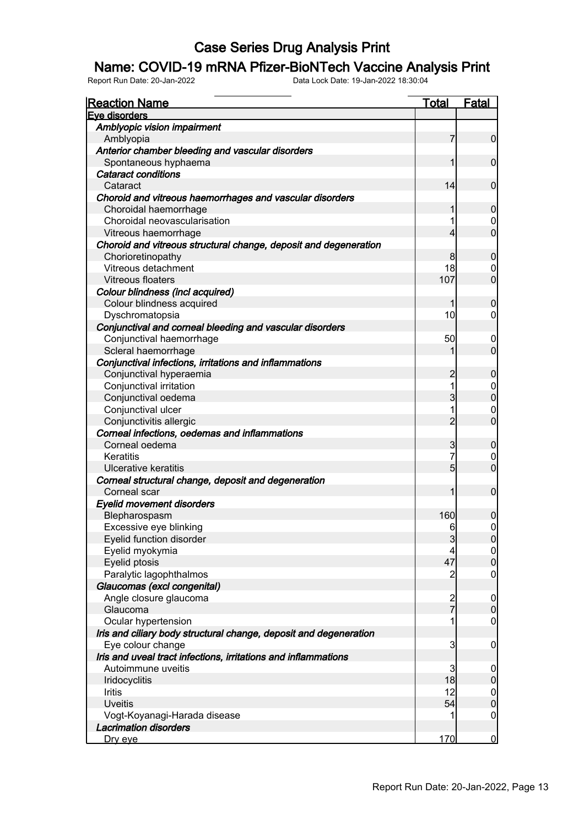#### Name: COVID-19 mRNA Pfizer-BioNTech Vaccine Analysis Print

| <u>Reaction Name</u>                                              | <u>Total</u>    | <b>Fatal</b>                |
|-------------------------------------------------------------------|-----------------|-----------------------------|
| Eve disorders                                                     |                 |                             |
| Amblyopic vision impairment                                       |                 |                             |
| Amblyopia                                                         | 7               | $\overline{0}$              |
| Anterior chamber bleeding and vascular disorders                  |                 |                             |
| Spontaneous hyphaema                                              | 1               | $\mathbf 0$                 |
| <b>Cataract conditions</b>                                        |                 |                             |
| Cataract                                                          | 14              | $\mathbf 0$                 |
| Choroid and vitreous haemorrhages and vascular disorders          |                 |                             |
| Choroidal haemorrhage                                             | 1               | $\mathbf 0$                 |
| Choroidal neovascularisation                                      | 1               | 0                           |
| Vitreous haemorrhage                                              | 4               | $\overline{0}$              |
| Choroid and vitreous structural change, deposit and degeneration  |                 |                             |
| Chorioretinopathy                                                 | 8               | $\mathbf 0$                 |
| Vitreous detachment                                               | 18              | 0                           |
| <b>Vitreous floaters</b>                                          | 107             | $\overline{0}$              |
| Colour blindness (incl acquired)                                  |                 |                             |
| Colour blindness acquired                                         | 1               | $\mathbf 0$                 |
| Dyschromatopsia                                                   | 10              | $\overline{0}$              |
| Conjunctival and corneal bleeding and vascular disorders          |                 |                             |
| Conjunctival haemorrhage                                          | 50              | $\mathbf 0$                 |
| Scleral haemorrhage                                               |                 | $\overline{0}$              |
| Conjunctival infections, irritations and inflammations            |                 |                             |
| Conjunctival hyperaemia                                           | $\overline{c}$  | $\mathbf 0$                 |
| Conjunctival irritation                                           | 1               | $\mathbf 0$                 |
| Conjunctival oedema                                               | 3               | $\mathbf 0$                 |
| Conjunctival ulcer                                                | 1               | $\mathbf 0$                 |
| Conjunctivitis allergic                                           | $\overline{2}$  | $\overline{0}$              |
| Corneal infections, oedemas and inflammations                     |                 |                             |
| Corneal oedema                                                    | 3               | $\mathbf 0$                 |
| Keratitis                                                         | 7               | $\mathbf 0$                 |
| Ulcerative keratitis                                              | $5\overline{)}$ | $\overline{0}$              |
| Corneal structural change, deposit and degeneration               |                 |                             |
| Corneal scar                                                      | 1               | $\mathbf 0$                 |
| <b>Eyelid movement disorders</b>                                  |                 |                             |
| Blepharospasm                                                     | 160             | $\boldsymbol{0}$            |
| Excessive eye blinking                                            | 6               | $\mathbf 0$                 |
| Eyelid function disorder                                          | $\mathbf{3}$    | 0                           |
| Eyelid myokymia                                                   | 4               | 0                           |
| Eyelid ptosis                                                     | 47              | $\mathbf 0$                 |
| Paralytic lagophthalmos                                           | $\overline{c}$  | $\mathbf 0$                 |
| Glaucomas (excl congenital)                                       |                 |                             |
| Angle closure glaucoma                                            |                 |                             |
| Glaucoma                                                          | $\frac{2}{7}$   | $\overline{0}$<br>$\pmb{0}$ |
|                                                                   | 1               |                             |
| Ocular hypertension                                               |                 | $\mathbf 0$                 |
| Iris and ciliary body structural change, deposit and degeneration |                 |                             |
| Eye colour change                                                 | $\mathbf{3}$    | $\mathbf 0$                 |
| Iris and uveal tract infections, irritations and inflammations    |                 |                             |
| Autoimmune uveitis                                                | 3               | $\mathbf 0$                 |
| Iridocyclitis                                                     | 18              | $\pmb{0}$                   |
| Iritis                                                            | 12              | $\overline{0}$              |
| <b>Uveitis</b>                                                    | 54              | $\boldsymbol{0}$            |
| Vogt-Koyanagi-Harada disease                                      |                 | $\mathbf 0$                 |
| <b>Lacrimation disorders</b>                                      |                 |                             |
| <u>Dry eye</u>                                                    | 170             | $\overline{0}$              |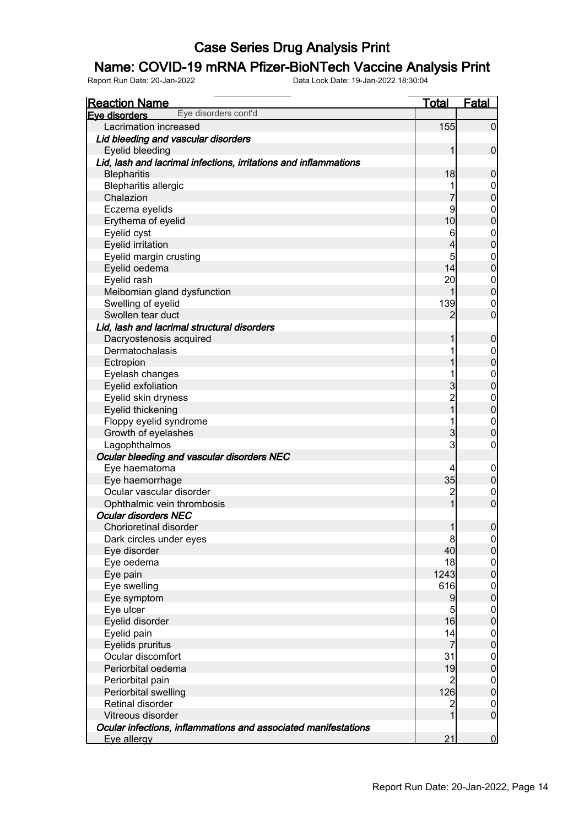### Name: COVID-19 mRNA Pfizer-BioNTech Vaccine Analysis Print

| <b>Reaction Name</b>                                             | <u>Total</u>            | Fatal            |
|------------------------------------------------------------------|-------------------------|------------------|
| Eye disorders cont'd<br>Eve disorders                            |                         |                  |
| Lacrimation increased                                            | 155                     | $\overline{0}$   |
| Lid bleeding and vascular disorders                              |                         |                  |
| Eyelid bleeding                                                  | 1                       | $\mathbf 0$      |
| Lid, lash and lacrimal infections, irritations and inflammations |                         |                  |
| <b>Blepharitis</b>                                               | 18                      | $\boldsymbol{0}$ |
| <b>Blepharitis allergic</b>                                      |                         | $\mathbf 0$      |
| Chalazion                                                        |                         | $\overline{0}$   |
| Eczema eyelids                                                   | 9                       | $\boldsymbol{0}$ |
| Erythema of eyelid                                               | 10                      | $\mathbf 0$      |
| Eyelid cyst                                                      | 6                       | $\boldsymbol{0}$ |
| <b>Eyelid irritation</b>                                         | 4                       | $\mathbf 0$      |
| Eyelid margin crusting                                           | 5                       | $\boldsymbol{0}$ |
| Eyelid oedema                                                    | 14                      | $\overline{0}$   |
| Eyelid rash                                                      | 20                      | $\mathbf 0$      |
| Meibomian gland dysfunction                                      | 1                       | $\pmb{0}$        |
| Swelling of eyelid                                               | 139                     | $\mathbf 0$      |
| Swollen tear duct                                                | 2                       | $\mathbf 0$      |
| Lid, lash and lacrimal structural disorders                      |                         |                  |
| Dacryostenosis acquired                                          | 1                       | $\boldsymbol{0}$ |
| Dermatochalasis                                                  |                         | $\boldsymbol{0}$ |
| Ectropion                                                        |                         | $\overline{0}$   |
| Eyelash changes                                                  |                         | $\boldsymbol{0}$ |
| Eyelid exfoliation                                               | $\overline{3}$          | $\overline{0}$   |
| Eyelid skin dryness                                              | $\overline{\mathbf{c}}$ | $\boldsymbol{0}$ |
| Eyelid thickening                                                | $\overline{1}$          | $\mathbf 0$      |
| Floppy eyelid syndrome                                           |                         | $\boldsymbol{0}$ |
| Growth of eyelashes                                              | 3                       | $\mathbf 0$      |
| Lagophthalmos                                                    | 3                       | 0                |
| Ocular bleeding and vascular disorders NEC                       |                         |                  |
| Eye haematoma                                                    | 4                       | $\mathbf 0$      |
| Eye haemorrhage                                                  | 35                      | $\mathbf 0$      |
| Ocular vascular disorder                                         | $\overline{\mathbf{c}}$ | $\mathbf 0$      |
| Ophthalmic vein thrombosis                                       | 1                       | $\boldsymbol{0}$ |
| <b>Ocular disorders NEC</b>                                      |                         |                  |
| Chorioretinal disorder                                           | $\mathbf{1}$            | $\boldsymbol{0}$ |
| Dark circles under eyes                                          | 8                       | 0                |
| Eye disorder                                                     | 40                      | 0                |
| Eye oedema                                                       | 18                      | $\overline{0}$   |
| Eye pain                                                         | 1243                    | $\overline{0}$   |
| Eye swelling                                                     | 616                     | $\overline{0}$   |
| Eye symptom                                                      | $\overline{9}$          | $\overline{0}$   |
| Eye ulcer                                                        | 5                       | $\overline{0}$   |
| Eyelid disorder                                                  | 16                      | $\overline{0}$   |
| Eyelid pain                                                      | 14                      | $\boldsymbol{0}$ |
| Eyelids pruritus                                                 | $\overline{7}$          | $\overline{0}$   |
| Ocular discomfort                                                | 31                      | $\boldsymbol{0}$ |
| Periorbital oedema                                               | 19                      | $\overline{0}$   |
| Periorbital pain                                                 | $\overline{c}$          | $\boldsymbol{0}$ |
| Periorbital swelling                                             | 126                     | $\overline{0}$   |
| Retinal disorder                                                 | $\overline{\mathbf{c}}$ | $\mathbf 0$      |
| Vitreous disorder                                                | 1                       | $\overline{0}$   |
| Ocular infections, inflammations and associated manifestations   |                         |                  |
| Eye allergy                                                      | 21                      | $\overline{0}$   |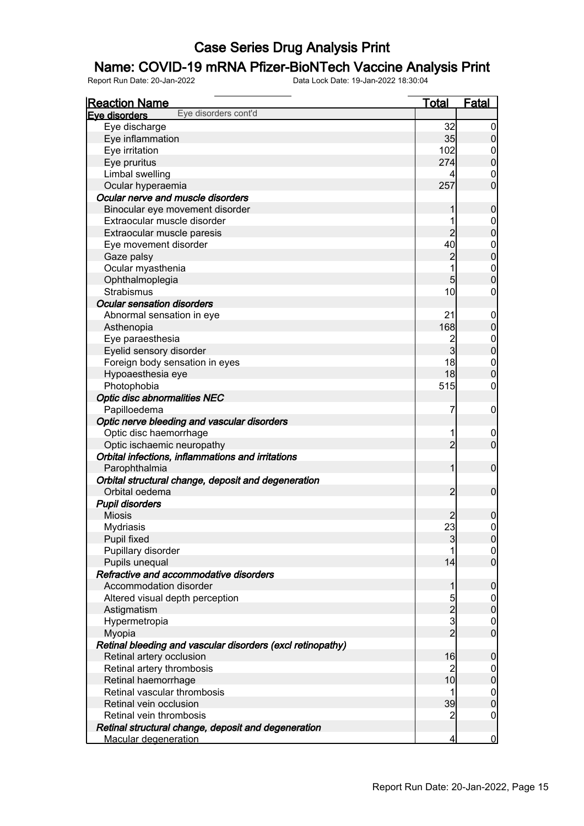### Name: COVID-19 mRNA Pfizer-BioNTech Vaccine Analysis Print

| <b>Reaction Name</b>                                                  | <b>Total</b>   | <b>Fatal</b>                         |
|-----------------------------------------------------------------------|----------------|--------------------------------------|
| Eye disorders cont'd<br>Eve disorders                                 |                |                                      |
| Eye discharge                                                         | 32             | $\overline{0}$                       |
| Eye inflammation                                                      | 35             | $\overline{0}$                       |
| Eye irritation                                                        | 102            | $\mathbf 0$                          |
| Eye pruritus                                                          | 274            | $\pmb{0}$                            |
| Limbal swelling                                                       | 4              | $\mathbf 0$                          |
| Ocular hyperaemia                                                     | 257            | $\overline{0}$                       |
| Ocular nerve and muscle disorders                                     |                |                                      |
| Binocular eye movement disorder                                       | 1              | $\boldsymbol{0}$                     |
| Extraocular muscle disorder                                           | 1              | $\boldsymbol{0}$                     |
| Extraocular muscle paresis                                            | $\overline{c}$ | $\mathbf 0$                          |
| Eye movement disorder                                                 | 40             |                                      |
| Gaze palsy                                                            | $\overline{c}$ | $0$ 0                                |
| Ocular myasthenia                                                     | 1              |                                      |
| Ophthalmoplegia                                                       | 5              | $\begin{matrix} 0 \\ 0 \end{matrix}$ |
| <b>Strabismus</b>                                                     | 10             | $\boldsymbol{0}$                     |
| <b>Ocular sensation disorders</b>                                     |                |                                      |
| Abnormal sensation in eye                                             | 21             | $\mathbf 0$                          |
| Asthenopia                                                            | 168            | $\pmb{0}$                            |
| Eye paraesthesia                                                      | $\overline{c}$ | $\overline{0}$                       |
| Eyelid sensory disorder                                               | $\overline{3}$ | $\overline{0}$                       |
| Foreign body sensation in eyes                                        | 18             | $\boldsymbol{0}$                     |
| Hypoaesthesia eye                                                     | 18             | $\overline{0}$                       |
| Photophobia                                                           | 515            | $\boldsymbol{0}$                     |
| <b>Optic disc abnormalities NEC</b>                                   |                |                                      |
| Papilloedema                                                          | 7              | $\mathbf 0$                          |
| Optic nerve bleeding and vascular disorders                           |                |                                      |
| Optic disc haemorrhage                                                | 1              |                                      |
| Optic ischaemic neuropathy                                            | $\overline{2}$ | $\mathbf 0$<br>$\mathbf 0$           |
|                                                                       |                |                                      |
| Orbital infections, inflammations and irritations                     | 1              | $\boldsymbol{0}$                     |
| Parophthalmia                                                         |                |                                      |
| Orbital structural change, deposit and degeneration<br>Orbital oedema | $\overline{2}$ |                                      |
|                                                                       |                | $\boldsymbol{0}$                     |
| <b>Pupil disorders</b>                                                |                |                                      |
| <b>Miosis</b>                                                         | 2              | $\boldsymbol{0}$                     |
| Mydriasis                                                             | 23             | $\mathsf{O}\xspace$                  |
| Pupil fixed                                                           | 3              | 0                                    |
| Pupillary disorder                                                    |                | $\overline{0}$                       |
| Pupils unequal                                                        | 14             | $\overline{0}$                       |
| Refractive and accommodative disorders                                |                |                                      |
| Accommodation disorder                                                | 1              | $\boldsymbol{0}$                     |
| Altered visual depth perception                                       | 5              | $\overline{0}$                       |
| Astigmatism                                                           | $\frac{2}{3}$  | $\pmb{0}$                            |
| Hypermetropia                                                         |                | $\boldsymbol{0}$                     |
| Myopia                                                                | $\overline{2}$ | $\mathbf 0$                          |
| Retinal bleeding and vascular disorders (excl retinopathy)            |                |                                      |
| Retinal artery occlusion                                              | 16             | $\boldsymbol{0}$                     |
| Retinal artery thrombosis                                             | 2              | $\overline{0}$                       |
| Retinal haemorrhage                                                   | 10             | $\pmb{0}$                            |
| Retinal vascular thrombosis                                           | 1              | $\boldsymbol{0}$                     |
| Retinal vein occlusion                                                | 39             | $\mathbf 0$                          |
| Retinal vein thrombosis                                               | 2              | $\mathbf 0$                          |
| Retinal structural change, deposit and degeneration                   |                |                                      |
| <b>Macular degeneration</b>                                           | $\overline{4}$ | $\bf{0}$                             |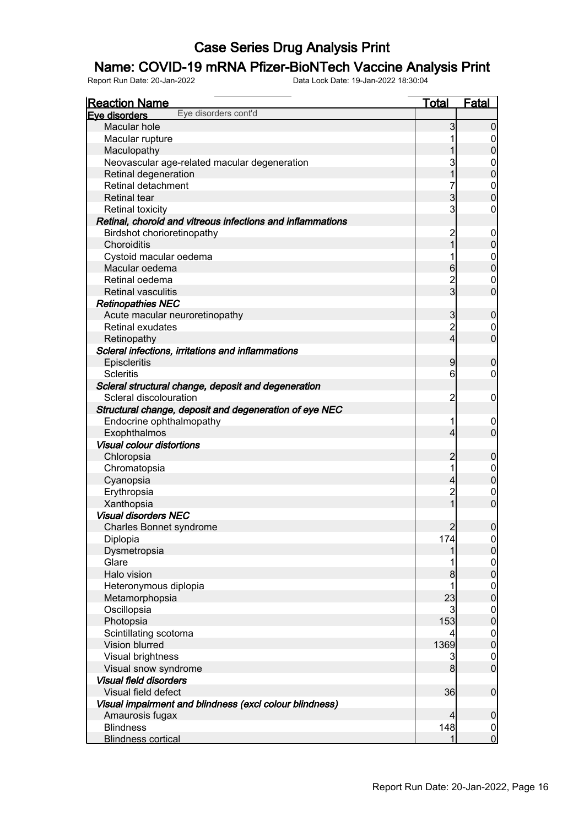### Name: COVID-19 mRNA Pfizer-BioNTech Vaccine Analysis Print

| Eve disorders<br>Macular hole<br>3<br>Macular rupture<br>1<br>Maculopathy<br>3<br>Neovascular age-related macular degeneration<br>$\mathbf 0$<br>$\overline{0}$<br>1<br>Retinal degeneration<br>Retinal detachment<br>7<br>$\mathbf{0}$<br>$\overline{3}$<br>$\overline{0}$<br><b>Retinal tear</b><br>3<br>$\boldsymbol{0}$<br><b>Retinal toxicity</b><br>Retinal, choroid and vitreous infections and inflammations<br>Birdshot chorioretinopathy<br>$\overline{c}$<br>$\mathbf 0$<br>$\overline{1}$<br>$\pmb{0}$<br>Choroiditis<br>Cystoid macular oedema<br>1<br>$\overline{0}$<br>$\mathbf 0$<br>6<br>Macular oedema<br>$\frac{2}{3}$<br>Retinal oedema<br>$\boldsymbol{0}$<br><b>Retinal vasculitis</b><br><b>Retinopathies NEC</b><br>Acute macular neuroretinopathy<br>$\mathbf{3}$<br>$\boldsymbol{0}$<br>$\overline{c}$<br><b>Retinal exudates</b><br>$\mathbf 0$<br>$\overline{4}$<br>$\overline{0}$<br>Retinopathy<br>Scleral infections, irritations and inflammations<br>Episcleritis<br>$\overline{9}$<br>$\boldsymbol{0}$<br><b>Scleritis</b><br>6<br>$\mathbf 0$<br>Scleral structural change, deposit and degeneration<br>$\overline{2}$<br>Scleral discolouration<br>$\mathbf 0$<br>Structural change, deposit and degeneration of eye NEC<br>Endocrine ophthalmopathy<br>1<br>$\boldsymbol{0}$<br>$\overline{0}$<br>$\overline{4}$<br>Exophthalmos<br><b>Visual colour distortions</b><br>Chloropsia<br>$\overline{c}$<br>$\boldsymbol{0}$<br>1<br>Chromatopsia<br>$\overline{0}$<br>$\mathbf 0$<br>Cyanopsia<br>$\overline{4}$<br>$\overline{c}$<br>Erythropsia<br>$\mathbf 0$<br>$\overline{1}$<br>$\mathbf 0$<br>Xanthopsia<br><b>Visual disorders NEC</b><br>$\overline{2}$<br>$\boldsymbol{0}$<br><b>Charles Bonnet syndrome</b><br>Diplopia<br>174<br> 0 <br>$\overline{0}$<br>Dysmetropsia<br>Glare<br>$\boldsymbol{0}$<br>$\overline{0}$<br>Halo vision<br>8<br>Heteronymous diplopia<br>1<br>$\boldsymbol{0}$<br>$\mathbf 0$<br>Metamorphopsia<br>23<br>Oscillopsia<br>3<br>$\boldsymbol{0}$<br>$\mathbf 0$<br>Photopsia<br>153<br>Scintillating scotoma<br>$\boldsymbol{0}$<br>4<br>$\mathbf 0$<br>Vision blurred<br>1369<br>Visual brightness<br>3<br>$\boldsymbol{0}$<br>$\mathbf 0$<br>Visual snow syndrome<br>8 | <b>Reaction Name</b> | <b>Total</b> | <b>Fatal</b>                     |
|--------------------------------------------------------------------------------------------------------------------------------------------------------------------------------------------------------------------------------------------------------------------------------------------------------------------------------------------------------------------------------------------------------------------------------------------------------------------------------------------------------------------------------------------------------------------------------------------------------------------------------------------------------------------------------------------------------------------------------------------------------------------------------------------------------------------------------------------------------------------------------------------------------------------------------------------------------------------------------------------------------------------------------------------------------------------------------------------------------------------------------------------------------------------------------------------------------------------------------------------------------------------------------------------------------------------------------------------------------------------------------------------------------------------------------------------------------------------------------------------------------------------------------------------------------------------------------------------------------------------------------------------------------------------------------------------------------------------------------------------------------------------------------------------------------------------------------------------------------------------------------------------------------------------------------------------------------------------------------------------------------------------------------------------------------------------------------------------------------------------------------------------------------------------------------------------------------------------------------------------------|----------------------|--------------|----------------------------------|
|                                                                                                                                                                                                                                                                                                                                                                                                                                                                                                                                                                                                                                                                                                                                                                                                                                                                                                                                                                                                                                                                                                                                                                                                                                                                                                                                                                                                                                                                                                                                                                                                                                                                                                                                                                                                                                                                                                                                                                                                                                                                                                                                                                                                                                                  | Eye disorders cont'd |              |                                  |
|                                                                                                                                                                                                                                                                                                                                                                                                                                                                                                                                                                                                                                                                                                                                                                                                                                                                                                                                                                                                                                                                                                                                                                                                                                                                                                                                                                                                                                                                                                                                                                                                                                                                                                                                                                                                                                                                                                                                                                                                                                                                                                                                                                                                                                                  |                      |              | $\mathbf 0$                      |
|                                                                                                                                                                                                                                                                                                                                                                                                                                                                                                                                                                                                                                                                                                                                                                                                                                                                                                                                                                                                                                                                                                                                                                                                                                                                                                                                                                                                                                                                                                                                                                                                                                                                                                                                                                                                                                                                                                                                                                                                                                                                                                                                                                                                                                                  |                      |              | $\overline{0}$                   |
|                                                                                                                                                                                                                                                                                                                                                                                                                                                                                                                                                                                                                                                                                                                                                                                                                                                                                                                                                                                                                                                                                                                                                                                                                                                                                                                                                                                                                                                                                                                                                                                                                                                                                                                                                                                                                                                                                                                                                                                                                                                                                                                                                                                                                                                  |                      |              | $\mathbf 0$                      |
|                                                                                                                                                                                                                                                                                                                                                                                                                                                                                                                                                                                                                                                                                                                                                                                                                                                                                                                                                                                                                                                                                                                                                                                                                                                                                                                                                                                                                                                                                                                                                                                                                                                                                                                                                                                                                                                                                                                                                                                                                                                                                                                                                                                                                                                  |                      |              |                                  |
|                                                                                                                                                                                                                                                                                                                                                                                                                                                                                                                                                                                                                                                                                                                                                                                                                                                                                                                                                                                                                                                                                                                                                                                                                                                                                                                                                                                                                                                                                                                                                                                                                                                                                                                                                                                                                                                                                                                                                                                                                                                                                                                                                                                                                                                  |                      |              |                                  |
|                                                                                                                                                                                                                                                                                                                                                                                                                                                                                                                                                                                                                                                                                                                                                                                                                                                                                                                                                                                                                                                                                                                                                                                                                                                                                                                                                                                                                                                                                                                                                                                                                                                                                                                                                                                                                                                                                                                                                                                                                                                                                                                                                                                                                                                  |                      |              |                                  |
|                                                                                                                                                                                                                                                                                                                                                                                                                                                                                                                                                                                                                                                                                                                                                                                                                                                                                                                                                                                                                                                                                                                                                                                                                                                                                                                                                                                                                                                                                                                                                                                                                                                                                                                                                                                                                                                                                                                                                                                                                                                                                                                                                                                                                                                  |                      |              |                                  |
|                                                                                                                                                                                                                                                                                                                                                                                                                                                                                                                                                                                                                                                                                                                                                                                                                                                                                                                                                                                                                                                                                                                                                                                                                                                                                                                                                                                                                                                                                                                                                                                                                                                                                                                                                                                                                                                                                                                                                                                                                                                                                                                                                                                                                                                  |                      |              |                                  |
|                                                                                                                                                                                                                                                                                                                                                                                                                                                                                                                                                                                                                                                                                                                                                                                                                                                                                                                                                                                                                                                                                                                                                                                                                                                                                                                                                                                                                                                                                                                                                                                                                                                                                                                                                                                                                                                                                                                                                                                                                                                                                                                                                                                                                                                  |                      |              |                                  |
|                                                                                                                                                                                                                                                                                                                                                                                                                                                                                                                                                                                                                                                                                                                                                                                                                                                                                                                                                                                                                                                                                                                                                                                                                                                                                                                                                                                                                                                                                                                                                                                                                                                                                                                                                                                                                                                                                                                                                                                                                                                                                                                                                                                                                                                  |                      |              |                                  |
|                                                                                                                                                                                                                                                                                                                                                                                                                                                                                                                                                                                                                                                                                                                                                                                                                                                                                                                                                                                                                                                                                                                                                                                                                                                                                                                                                                                                                                                                                                                                                                                                                                                                                                                                                                                                                                                                                                                                                                                                                                                                                                                                                                                                                                                  |                      |              |                                  |
|                                                                                                                                                                                                                                                                                                                                                                                                                                                                                                                                                                                                                                                                                                                                                                                                                                                                                                                                                                                                                                                                                                                                                                                                                                                                                                                                                                                                                                                                                                                                                                                                                                                                                                                                                                                                                                                                                                                                                                                                                                                                                                                                                                                                                                                  |                      |              |                                  |
|                                                                                                                                                                                                                                                                                                                                                                                                                                                                                                                                                                                                                                                                                                                                                                                                                                                                                                                                                                                                                                                                                                                                                                                                                                                                                                                                                                                                                                                                                                                                                                                                                                                                                                                                                                                                                                                                                                                                                                                                                                                                                                                                                                                                                                                  |                      |              |                                  |
|                                                                                                                                                                                                                                                                                                                                                                                                                                                                                                                                                                                                                                                                                                                                                                                                                                                                                                                                                                                                                                                                                                                                                                                                                                                                                                                                                                                                                                                                                                                                                                                                                                                                                                                                                                                                                                                                                                                                                                                                                                                                                                                                                                                                                                                  |                      |              |                                  |
|                                                                                                                                                                                                                                                                                                                                                                                                                                                                                                                                                                                                                                                                                                                                                                                                                                                                                                                                                                                                                                                                                                                                                                                                                                                                                                                                                                                                                                                                                                                                                                                                                                                                                                                                                                                                                                                                                                                                                                                                                                                                                                                                                                                                                                                  |                      |              | $\overline{0}$                   |
|                                                                                                                                                                                                                                                                                                                                                                                                                                                                                                                                                                                                                                                                                                                                                                                                                                                                                                                                                                                                                                                                                                                                                                                                                                                                                                                                                                                                                                                                                                                                                                                                                                                                                                                                                                                                                                                                                                                                                                                                                                                                                                                                                                                                                                                  |                      |              |                                  |
|                                                                                                                                                                                                                                                                                                                                                                                                                                                                                                                                                                                                                                                                                                                                                                                                                                                                                                                                                                                                                                                                                                                                                                                                                                                                                                                                                                                                                                                                                                                                                                                                                                                                                                                                                                                                                                                                                                                                                                                                                                                                                                                                                                                                                                                  |                      |              |                                  |
|                                                                                                                                                                                                                                                                                                                                                                                                                                                                                                                                                                                                                                                                                                                                                                                                                                                                                                                                                                                                                                                                                                                                                                                                                                                                                                                                                                                                                                                                                                                                                                                                                                                                                                                                                                                                                                                                                                                                                                                                                                                                                                                                                                                                                                                  |                      |              |                                  |
|                                                                                                                                                                                                                                                                                                                                                                                                                                                                                                                                                                                                                                                                                                                                                                                                                                                                                                                                                                                                                                                                                                                                                                                                                                                                                                                                                                                                                                                                                                                                                                                                                                                                                                                                                                                                                                                                                                                                                                                                                                                                                                                                                                                                                                                  |                      |              |                                  |
|                                                                                                                                                                                                                                                                                                                                                                                                                                                                                                                                                                                                                                                                                                                                                                                                                                                                                                                                                                                                                                                                                                                                                                                                                                                                                                                                                                                                                                                                                                                                                                                                                                                                                                                                                                                                                                                                                                                                                                                                                                                                                                                                                                                                                                                  |                      |              |                                  |
|                                                                                                                                                                                                                                                                                                                                                                                                                                                                                                                                                                                                                                                                                                                                                                                                                                                                                                                                                                                                                                                                                                                                                                                                                                                                                                                                                                                                                                                                                                                                                                                                                                                                                                                                                                                                                                                                                                                                                                                                                                                                                                                                                                                                                                                  |                      |              |                                  |
|                                                                                                                                                                                                                                                                                                                                                                                                                                                                                                                                                                                                                                                                                                                                                                                                                                                                                                                                                                                                                                                                                                                                                                                                                                                                                                                                                                                                                                                                                                                                                                                                                                                                                                                                                                                                                                                                                                                                                                                                                                                                                                                                                                                                                                                  |                      |              |                                  |
|                                                                                                                                                                                                                                                                                                                                                                                                                                                                                                                                                                                                                                                                                                                                                                                                                                                                                                                                                                                                                                                                                                                                                                                                                                                                                                                                                                                                                                                                                                                                                                                                                                                                                                                                                                                                                                                                                                                                                                                                                                                                                                                                                                                                                                                  |                      |              |                                  |
|                                                                                                                                                                                                                                                                                                                                                                                                                                                                                                                                                                                                                                                                                                                                                                                                                                                                                                                                                                                                                                                                                                                                                                                                                                                                                                                                                                                                                                                                                                                                                                                                                                                                                                                                                                                                                                                                                                                                                                                                                                                                                                                                                                                                                                                  |                      |              |                                  |
|                                                                                                                                                                                                                                                                                                                                                                                                                                                                                                                                                                                                                                                                                                                                                                                                                                                                                                                                                                                                                                                                                                                                                                                                                                                                                                                                                                                                                                                                                                                                                                                                                                                                                                                                                                                                                                                                                                                                                                                                                                                                                                                                                                                                                                                  |                      |              |                                  |
|                                                                                                                                                                                                                                                                                                                                                                                                                                                                                                                                                                                                                                                                                                                                                                                                                                                                                                                                                                                                                                                                                                                                                                                                                                                                                                                                                                                                                                                                                                                                                                                                                                                                                                                                                                                                                                                                                                                                                                                                                                                                                                                                                                                                                                                  |                      |              |                                  |
|                                                                                                                                                                                                                                                                                                                                                                                                                                                                                                                                                                                                                                                                                                                                                                                                                                                                                                                                                                                                                                                                                                                                                                                                                                                                                                                                                                                                                                                                                                                                                                                                                                                                                                                                                                                                                                                                                                                                                                                                                                                                                                                                                                                                                                                  |                      |              |                                  |
|                                                                                                                                                                                                                                                                                                                                                                                                                                                                                                                                                                                                                                                                                                                                                                                                                                                                                                                                                                                                                                                                                                                                                                                                                                                                                                                                                                                                                                                                                                                                                                                                                                                                                                                                                                                                                                                                                                                                                                                                                                                                                                                                                                                                                                                  |                      |              |                                  |
|                                                                                                                                                                                                                                                                                                                                                                                                                                                                                                                                                                                                                                                                                                                                                                                                                                                                                                                                                                                                                                                                                                                                                                                                                                                                                                                                                                                                                                                                                                                                                                                                                                                                                                                                                                                                                                                                                                                                                                                                                                                                                                                                                                                                                                                  |                      |              |                                  |
|                                                                                                                                                                                                                                                                                                                                                                                                                                                                                                                                                                                                                                                                                                                                                                                                                                                                                                                                                                                                                                                                                                                                                                                                                                                                                                                                                                                                                                                                                                                                                                                                                                                                                                                                                                                                                                                                                                                                                                                                                                                                                                                                                                                                                                                  |                      |              |                                  |
|                                                                                                                                                                                                                                                                                                                                                                                                                                                                                                                                                                                                                                                                                                                                                                                                                                                                                                                                                                                                                                                                                                                                                                                                                                                                                                                                                                                                                                                                                                                                                                                                                                                                                                                                                                                                                                                                                                                                                                                                                                                                                                                                                                                                                                                  |                      |              |                                  |
|                                                                                                                                                                                                                                                                                                                                                                                                                                                                                                                                                                                                                                                                                                                                                                                                                                                                                                                                                                                                                                                                                                                                                                                                                                                                                                                                                                                                                                                                                                                                                                                                                                                                                                                                                                                                                                                                                                                                                                                                                                                                                                                                                                                                                                                  |                      |              |                                  |
|                                                                                                                                                                                                                                                                                                                                                                                                                                                                                                                                                                                                                                                                                                                                                                                                                                                                                                                                                                                                                                                                                                                                                                                                                                                                                                                                                                                                                                                                                                                                                                                                                                                                                                                                                                                                                                                                                                                                                                                                                                                                                                                                                                                                                                                  |                      |              |                                  |
|                                                                                                                                                                                                                                                                                                                                                                                                                                                                                                                                                                                                                                                                                                                                                                                                                                                                                                                                                                                                                                                                                                                                                                                                                                                                                                                                                                                                                                                                                                                                                                                                                                                                                                                                                                                                                                                                                                                                                                                                                                                                                                                                                                                                                                                  |                      |              |                                  |
|                                                                                                                                                                                                                                                                                                                                                                                                                                                                                                                                                                                                                                                                                                                                                                                                                                                                                                                                                                                                                                                                                                                                                                                                                                                                                                                                                                                                                                                                                                                                                                                                                                                                                                                                                                                                                                                                                                                                                                                                                                                                                                                                                                                                                                                  |                      |              |                                  |
|                                                                                                                                                                                                                                                                                                                                                                                                                                                                                                                                                                                                                                                                                                                                                                                                                                                                                                                                                                                                                                                                                                                                                                                                                                                                                                                                                                                                                                                                                                                                                                                                                                                                                                                                                                                                                                                                                                                                                                                                                                                                                                                                                                                                                                                  |                      |              |                                  |
|                                                                                                                                                                                                                                                                                                                                                                                                                                                                                                                                                                                                                                                                                                                                                                                                                                                                                                                                                                                                                                                                                                                                                                                                                                                                                                                                                                                                                                                                                                                                                                                                                                                                                                                                                                                                                                                                                                                                                                                                                                                                                                                                                                                                                                                  |                      |              |                                  |
|                                                                                                                                                                                                                                                                                                                                                                                                                                                                                                                                                                                                                                                                                                                                                                                                                                                                                                                                                                                                                                                                                                                                                                                                                                                                                                                                                                                                                                                                                                                                                                                                                                                                                                                                                                                                                                                                                                                                                                                                                                                                                                                                                                                                                                                  |                      |              |                                  |
|                                                                                                                                                                                                                                                                                                                                                                                                                                                                                                                                                                                                                                                                                                                                                                                                                                                                                                                                                                                                                                                                                                                                                                                                                                                                                                                                                                                                                                                                                                                                                                                                                                                                                                                                                                                                                                                                                                                                                                                                                                                                                                                                                                                                                                                  |                      |              |                                  |
|                                                                                                                                                                                                                                                                                                                                                                                                                                                                                                                                                                                                                                                                                                                                                                                                                                                                                                                                                                                                                                                                                                                                                                                                                                                                                                                                                                                                                                                                                                                                                                                                                                                                                                                                                                                                                                                                                                                                                                                                                                                                                                                                                                                                                                                  |                      |              |                                  |
|                                                                                                                                                                                                                                                                                                                                                                                                                                                                                                                                                                                                                                                                                                                                                                                                                                                                                                                                                                                                                                                                                                                                                                                                                                                                                                                                                                                                                                                                                                                                                                                                                                                                                                                                                                                                                                                                                                                                                                                                                                                                                                                                                                                                                                                  |                      |              |                                  |
|                                                                                                                                                                                                                                                                                                                                                                                                                                                                                                                                                                                                                                                                                                                                                                                                                                                                                                                                                                                                                                                                                                                                                                                                                                                                                                                                                                                                                                                                                                                                                                                                                                                                                                                                                                                                                                                                                                                                                                                                                                                                                                                                                                                                                                                  |                      |              |                                  |
|                                                                                                                                                                                                                                                                                                                                                                                                                                                                                                                                                                                                                                                                                                                                                                                                                                                                                                                                                                                                                                                                                                                                                                                                                                                                                                                                                                                                                                                                                                                                                                                                                                                                                                                                                                                                                                                                                                                                                                                                                                                                                                                                                                                                                                                  |                      |              |                                  |
|                                                                                                                                                                                                                                                                                                                                                                                                                                                                                                                                                                                                                                                                                                                                                                                                                                                                                                                                                                                                                                                                                                                                                                                                                                                                                                                                                                                                                                                                                                                                                                                                                                                                                                                                                                                                                                                                                                                                                                                                                                                                                                                                                                                                                                                  |                      |              |                                  |
|                                                                                                                                                                                                                                                                                                                                                                                                                                                                                                                                                                                                                                                                                                                                                                                                                                                                                                                                                                                                                                                                                                                                                                                                                                                                                                                                                                                                                                                                                                                                                                                                                                                                                                                                                                                                                                                                                                                                                                                                                                                                                                                                                                                                                                                  |                      |              |                                  |
|                                                                                                                                                                                                                                                                                                                                                                                                                                                                                                                                                                                                                                                                                                                                                                                                                                                                                                                                                                                                                                                                                                                                                                                                                                                                                                                                                                                                                                                                                                                                                                                                                                                                                                                                                                                                                                                                                                                                                                                                                                                                                                                                                                                                                                                  |                      |              |                                  |
|                                                                                                                                                                                                                                                                                                                                                                                                                                                                                                                                                                                                                                                                                                                                                                                                                                                                                                                                                                                                                                                                                                                                                                                                                                                                                                                                                                                                                                                                                                                                                                                                                                                                                                                                                                                                                                                                                                                                                                                                                                                                                                                                                                                                                                                  |                      |              |                                  |
| <b>Visual field disorders</b>                                                                                                                                                                                                                                                                                                                                                                                                                                                                                                                                                                                                                                                                                                                                                                                                                                                                                                                                                                                                                                                                                                                                                                                                                                                                                                                                                                                                                                                                                                                                                                                                                                                                                                                                                                                                                                                                                                                                                                                                                                                                                                                                                                                                                    |                      |              |                                  |
| 36<br>Visual field defect                                                                                                                                                                                                                                                                                                                                                                                                                                                                                                                                                                                                                                                                                                                                                                                                                                                                                                                                                                                                                                                                                                                                                                                                                                                                                                                                                                                                                                                                                                                                                                                                                                                                                                                                                                                                                                                                                                                                                                                                                                                                                                                                                                                                                        |                      |              | $\boldsymbol{0}$                 |
|                                                                                                                                                                                                                                                                                                                                                                                                                                                                                                                                                                                                                                                                                                                                                                                                                                                                                                                                                                                                                                                                                                                                                                                                                                                                                                                                                                                                                                                                                                                                                                                                                                                                                                                                                                                                                                                                                                                                                                                                                                                                                                                                                                                                                                                  |                      |              |                                  |
| Visual impairment and blindness (excl colour blindness)<br>Amaurosis fugax<br>$\overline{4}$                                                                                                                                                                                                                                                                                                                                                                                                                                                                                                                                                                                                                                                                                                                                                                                                                                                                                                                                                                                                                                                                                                                                                                                                                                                                                                                                                                                                                                                                                                                                                                                                                                                                                                                                                                                                                                                                                                                                                                                                                                                                                                                                                     |                      |              |                                  |
| 148<br><b>Blindness</b>                                                                                                                                                                                                                                                                                                                                                                                                                                                                                                                                                                                                                                                                                                                                                                                                                                                                                                                                                                                                                                                                                                                                                                                                                                                                                                                                                                                                                                                                                                                                                                                                                                                                                                                                                                                                                                                                                                                                                                                                                                                                                                                                                                                                                          |                      |              | $\boldsymbol{0}$                 |
| <b>Blindness cortical</b><br>1                                                                                                                                                                                                                                                                                                                                                                                                                                                                                                                                                                                                                                                                                                                                                                                                                                                                                                                                                                                                                                                                                                                                                                                                                                                                                                                                                                                                                                                                                                                                                                                                                                                                                                                                                                                                                                                                                                                                                                                                                                                                                                                                                                                                                   |                      |              | $\overline{0}$<br>$\overline{0}$ |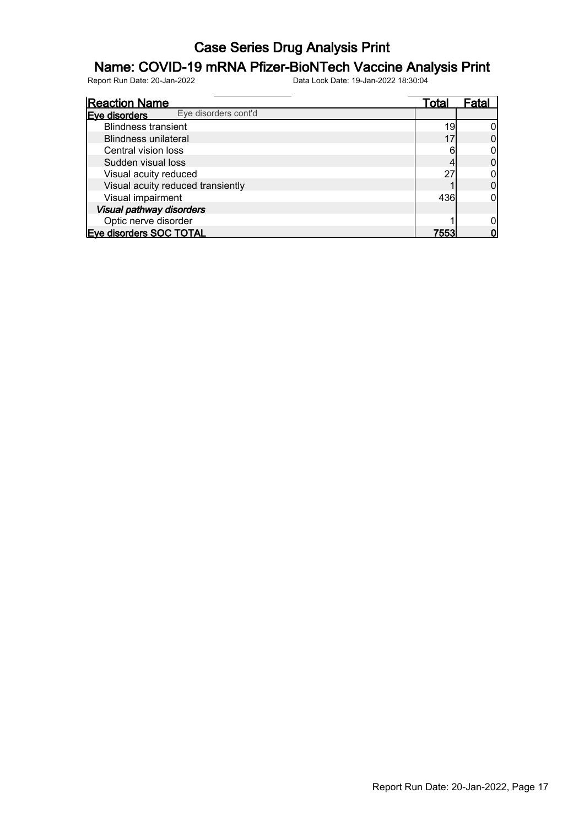### Name: COVID-19 mRNA Pfizer-BioNTech Vaccine Analysis Print

| <b>Reaction Name</b>                  | Total | ⊦ata |
|---------------------------------------|-------|------|
| Eye disorders cont'd<br>Eve disorders |       |      |
| <b>Blindness transient</b>            | 19    |      |
| <b>Blindness unilateral</b>           |       |      |
| Central vision loss                   |       |      |
| Sudden visual loss                    |       |      |
| Visual acuity reduced                 | 27    |      |
| Visual acuity reduced transiently     |       |      |
| Visual impairment                     | 436   |      |
| Visual pathway disorders              |       |      |
| Optic nerve disorder                  |       |      |
| <b>Eve disorders SOC TOTAL</b>        | 7553  |      |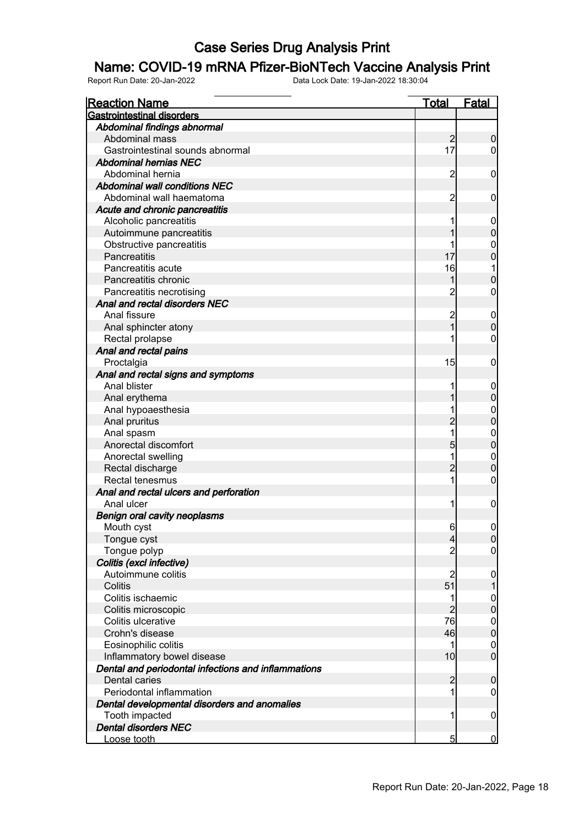### Name: COVID-19 mRNA Pfizer-BioNTech Vaccine Analysis Print

| <b>Reaction Name</b>                                | Total          | <b>Fatal</b>                     |
|-----------------------------------------------------|----------------|----------------------------------|
| <b>Gastrointestinal disorders</b>                   |                |                                  |
| Abdominal findings abnormal                         |                |                                  |
| Abdominal mass                                      | $\overline{2}$ | $\mathbf 0$                      |
| Gastrointestinal sounds abnormal                    | 17             | $\overline{0}$                   |
| <b>Abdominal hernias NEC</b>                        |                |                                  |
| Abdominal hernia                                    | $\overline{c}$ | $\mathbf 0$                      |
| <b>Abdominal wall conditions NEC</b>                |                |                                  |
| Abdominal wall haematoma                            | $\overline{c}$ | $\mathbf 0$                      |
| Acute and chronic pancreatitis                      |                |                                  |
| Alcoholic pancreatitis                              |                | $\mathbf 0$                      |
| Autoimmune pancreatitis                             |                | $\mathbf 0$                      |
| Obstructive pancreatitis                            |                | $\mathbf{0}$                     |
| Pancreatitis                                        | 17             | $\overline{0}$                   |
| Pancreatitis acute                                  | 16             |                                  |
| Pancreatitis chronic                                | 1              | $\mathbf 0$                      |
| Pancreatitis necrotising                            | 2              | $\mathbf 0$                      |
| Anal and rectal disorders NEC                       |                |                                  |
| Anal fissure                                        | $\overline{c}$ | $\mathbf 0$                      |
| Anal sphincter atony                                | 1              | $\pmb{0}$                        |
| Rectal prolapse                                     |                | $\pmb{0}$                        |
| Anal and rectal pains                               |                |                                  |
| Proctalgia                                          | 15             | $\boldsymbol{0}$                 |
| Anal and rectal signs and symptoms                  |                |                                  |
| Anal blister                                        |                | $\mathbf 0$                      |
| Anal erythema                                       |                | $\mathbf 0$                      |
| Anal hypoaesthesia                                  |                |                                  |
| Anal pruritus                                       | $\overline{c}$ | $0$<br>0                         |
| Anal spasm                                          | 1              |                                  |
| Anorectal discomfort                                | 5              | $0\atop 0$                       |
| Anorectal swelling                                  | 1              |                                  |
| Rectal discharge                                    | $\overline{2}$ | $\begin{matrix}0\\0\end{matrix}$ |
| Rectal tenesmus                                     | 1              | $\pmb{0}$                        |
| Anal and rectal ulcers and perforation              |                |                                  |
| Anal ulcer                                          | 1              | $\boldsymbol{0}$                 |
| <b>Benign oral cavity neoplasms</b>                 |                |                                  |
| Mouth cyst                                          | $6 \,$         | $\overline{0}$                   |
| Tongue cyst                                         | 4              | 0                                |
| Tongue polyp                                        | $\overline{2}$ | $\overline{0}$                   |
| Colitis (excl infective)                            |                |                                  |
| Autoimmune colitis                                  | $\overline{c}$ | $\mathbf 0$                      |
| Colitis                                             | 51             |                                  |
| Colitis ischaemic                                   | 1              | $\boldsymbol{0}$                 |
| Colitis microscopic                                 | $\overline{2}$ | $\overline{0}$                   |
| Colitis ulcerative                                  | 76             | $\boldsymbol{0}$                 |
| Crohn's disease                                     | 46             | $\overline{0}$                   |
| Eosinophilic colitis                                | 1              | $\mathbf 0$                      |
| Inflammatory bowel disease                          | 10             | $\overline{0}$                   |
| Dental and periodontal infections and inflammations |                |                                  |
| Dental caries                                       | $\overline{2}$ | $\boldsymbol{0}$                 |
| Periodontal inflammation                            | 1              | $\mathbf 0$                      |
| Dental developmental disorders and anomalies        |                |                                  |
| Tooth impacted                                      | 1              | $\mathbf 0$                      |
| <b>Dental disorders NEC</b>                         |                |                                  |
| Loose tooth                                         | 5              | $\overline{0}$                   |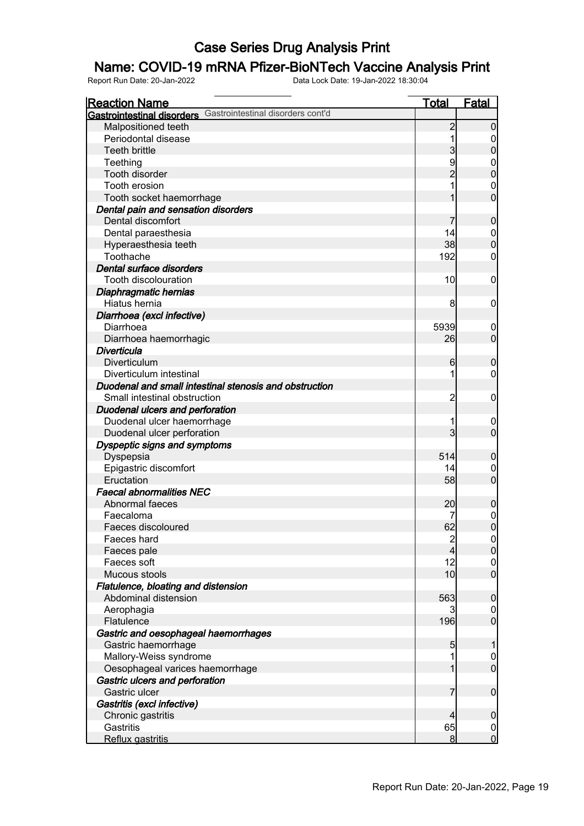### Name: COVID-19 mRNA Pfizer-BioNTech Vaccine Analysis Print

| <b>Reaction Name</b>                                         | <u>Total</u>            | <b>Fatal</b>                  |
|--------------------------------------------------------------|-------------------------|-------------------------------|
| Gastrointestinal disorders Gastrointestinal disorders cont'd |                         |                               |
| Malpositioned teeth                                          | $\overline{2}$          | 0                             |
| Periodontal disease                                          |                         | 0                             |
| <b>Teeth brittle</b>                                         | 3                       | $\mathbf 0$                   |
| Teething                                                     | 9                       | $\mathbf 0$                   |
| Tooth disorder                                               | $\overline{2}$          | $\overline{0}$                |
| Tooth erosion                                                |                         | 0                             |
| Tooth socket haemorrhage                                     |                         | $\overline{0}$                |
| Dental pain and sensation disorders                          |                         |                               |
| Dental discomfort                                            |                         | $\boldsymbol{0}$              |
| Dental paraesthesia                                          | 14                      | $\mathbf 0$                   |
| Hyperaesthesia teeth                                         | 38                      | $\mathbf 0$                   |
| Toothache                                                    | 192                     | 0                             |
| Dental surface disorders                                     |                         |                               |
| Tooth discolouration                                         | 10                      | $\mathbf 0$                   |
| Diaphragmatic hernias                                        |                         |                               |
| Hiatus hernia                                                | 8                       | $\mathbf 0$                   |
| Diarrhoea (excl infective)                                   |                         |                               |
| Diarrhoea                                                    | 5939                    |                               |
| Diarrhoea haemorrhagic                                       | 26                      | $\mathbf 0$<br>$\overline{0}$ |
| <b>Diverticula</b>                                           |                         |                               |
| Diverticulum                                                 | 6                       |                               |
| Diverticulum intestinal                                      |                         | $\mathbf 0$<br>0              |
| Duodenal and small intestinal stenosis and obstruction       |                         |                               |
|                                                              |                         |                               |
| Small intestinal obstruction                                 | 2                       | $\mathbf 0$                   |
| Duodenal ulcers and perforation                              |                         |                               |
| Duodenal ulcer haemorrhage                                   | 3                       | $\mathbf 0$<br>$\overline{0}$ |
| Duodenal ulcer perforation                                   |                         |                               |
| Dyspeptic signs and symptoms                                 |                         |                               |
| Dyspepsia                                                    | 514                     | $\mathbf 0$                   |
| Epigastric discomfort                                        | 14                      | 0<br>$\overline{0}$           |
| Eructation<br><b>Faecal abnormalities NEC</b>                | 58                      |                               |
|                                                              |                         |                               |
| Abnormal faeces                                              | 20                      | $\boldsymbol{0}$              |
| Faecaloma                                                    |                         | $\mathbf 0$                   |
| Faeces discoloured                                           | 62                      | $\overline{0}$                |
| Faeces hard                                                  | $\overline{\mathbf{c}}$ | 0                             |
| Faeces pale                                                  | 4                       | $\overline{0}$                |
| Faeces soft                                                  | 12                      | $\overline{0}$                |
| Mucous stools                                                | 10                      | $\overline{0}$                |
| Flatulence, bloating and distension                          |                         |                               |
| Abdominal distension                                         | 563                     | $\boldsymbol{0}$              |
| Aerophagia                                                   | 3                       | $\overline{0}$                |
| Flatulence                                                   | 196                     | $\overline{0}$                |
| Gastric and oesophageal haemorrhages                         |                         |                               |
| Gastric haemorrhage                                          | 5                       | 1                             |
| Mallory-Weiss syndrome                                       |                         | $\mathbf 0$                   |
| Oesophageal varices haemorrhage                              |                         | $\overline{0}$                |
| Gastric ulcers and perforation                               |                         |                               |
| Gastric ulcer                                                | 7                       | $\boldsymbol{0}$              |
| Gastritis (excl infective)                                   |                         |                               |
| Chronic gastritis                                            | 4                       | $\boldsymbol{0}$              |
| Gastritis                                                    | 65                      | $\overline{0}$                |
| Reflux gastritis                                             | 8                       | $\overline{0}$                |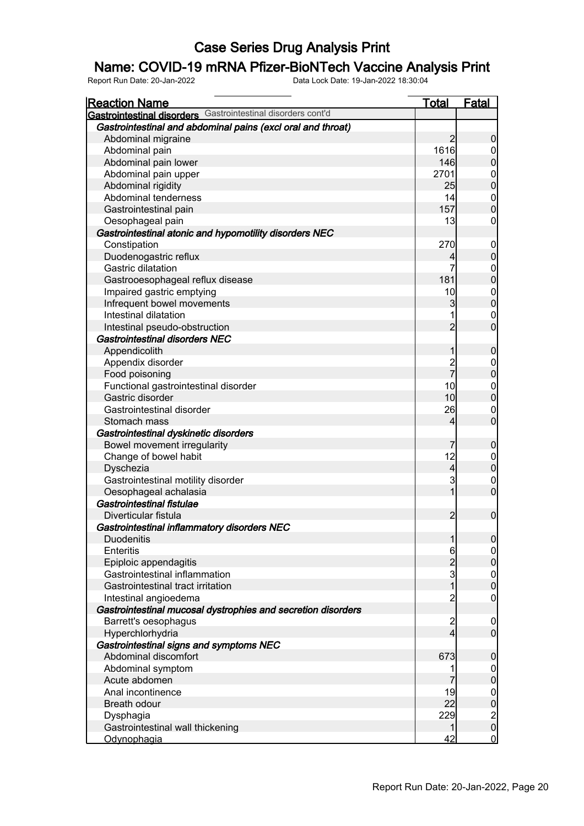### Name: COVID-19 mRNA Pfizer-BioNTech Vaccine Analysis Print

| <b>Reaction Name</b>                                         | <b>Total</b>             | <b>Fatal</b>                           |
|--------------------------------------------------------------|--------------------------|----------------------------------------|
| Gastrointestinal disorders Gastrointestinal disorders cont'd |                          |                                        |
| Gastrointestinal and abdominal pains (excl oral and throat)  |                          |                                        |
| Abdominal migraine                                           | $\overline{2}$           | $\boldsymbol{0}$                       |
| Abdominal pain                                               | 1616                     | $\overline{0}$                         |
| Abdominal pain lower                                         | 146                      | $\mathbf 0$                            |
| Abdominal pain upper                                         | 2701                     | $\boldsymbol{0}$                       |
| Abdominal rigidity                                           | 25                       | $\overline{0}$                         |
| Abdominal tenderness                                         | 14                       | $\boldsymbol{0}$                       |
| Gastrointestinal pain                                        | 157                      | $\overline{0}$                         |
| Oesophageal pain                                             | 13                       | $\mathbf 0$                            |
| Gastrointestinal atonic and hypomotility disorders NEC       |                          |                                        |
| Constipation                                                 | 270                      | $\overline{0}$                         |
| Duodenogastric reflux                                        | 4                        | $\mathbf 0$                            |
| Gastric dilatation                                           | 7                        | $\boldsymbol{0}$                       |
| Gastrooesophageal reflux disease                             | 181                      | $\overline{0}$                         |
| Impaired gastric emptying                                    | 10                       |                                        |
| Infrequent bowel movements                                   | 3                        | $0$<br>0                               |
| Intestinal dilatation                                        |                          | $\mathbf 0$                            |
| Intestinal pseudo-obstruction                                | $\overline{2}$           | $\overline{0}$                         |
| <b>Gastrointestinal disorders NEC</b>                        |                          |                                        |
| Appendicolith                                                | 1                        | $\mathbf 0$                            |
| Appendix disorder                                            |                          |                                        |
|                                                              | $\frac{2}{7}$            | $\overline{0}$<br>$\overline{0}$       |
| Food poisoning                                               | 10                       |                                        |
| Functional gastrointestinal disorder<br>Gastric disorder     | 10                       | $\boldsymbol{0}$<br>$\overline{0}$     |
|                                                              |                          |                                        |
| Gastrointestinal disorder                                    | 26                       | $\mathbf 0$                            |
| Stomach mass                                                 | 4                        | $\mathbf 0$                            |
| Gastrointestinal dyskinetic disorders                        |                          |                                        |
| Bowel movement irregularity                                  | 7                        | $\mathbf 0$                            |
| Change of bowel habit                                        | 12                       | $\overline{0}$                         |
| Dyschezia                                                    | $\overline{\mathcal{L}}$ | $\mathbf 0$                            |
| Gastrointestinal motility disorder                           | 3                        | $\overline{0}$                         |
| Oesophageal achalasia                                        | 1                        | $\overline{0}$                         |
| Gastrointestinal fistulae                                    |                          |                                        |
| Diverticular fistula                                         | $\overline{c}$           | $\boldsymbol{0}$                       |
| Gastrointestinal inflammatory disorders NEC                  |                          |                                        |
| <b>Duodenitis</b>                                            | 1                        | 0                                      |
| Enteritis                                                    | 6                        | 0                                      |
| Epiploic appendagitis                                        | $\overline{c}$           | $\overline{0}$                         |
| Gastrointestinal inflammation                                | 3                        | $\begin{matrix} 0 \\ 0 \end{matrix}$   |
| Gastrointestinal tract irritation                            | $\overline{1}$           |                                        |
| Intestinal angioedema                                        | $\overline{c}$           | $\overline{0}$                         |
| Gastrointestinal mucosal dystrophies and secretion disorders |                          |                                        |
| Barrett's oesophagus                                         | $\overline{\mathbf{c}}$  | $\boldsymbol{0}$                       |
| Hyperchlorhydria                                             | 4                        | $\boldsymbol{0}$                       |
| Gastrointestinal signs and symptoms NEC                      |                          |                                        |
| Abdominal discomfort                                         | 673                      | $\pmb{0}$                              |
| Abdominal symptom                                            |                          | $\boldsymbol{0}$                       |
| Acute abdomen                                                | 7                        | $\overline{0}$                         |
| Anal incontinence                                            | 19                       |                                        |
| Breath odour                                                 | 22                       | $0$<br>0                               |
| Dysphagia                                                    | 229                      |                                        |
| Gastrointestinal wall thickening                             | 1                        | $\begin{bmatrix} 2 \\ 0 \end{bmatrix}$ |
| <u>Odynophagia</u>                                           | 42                       | $\overline{0}$                         |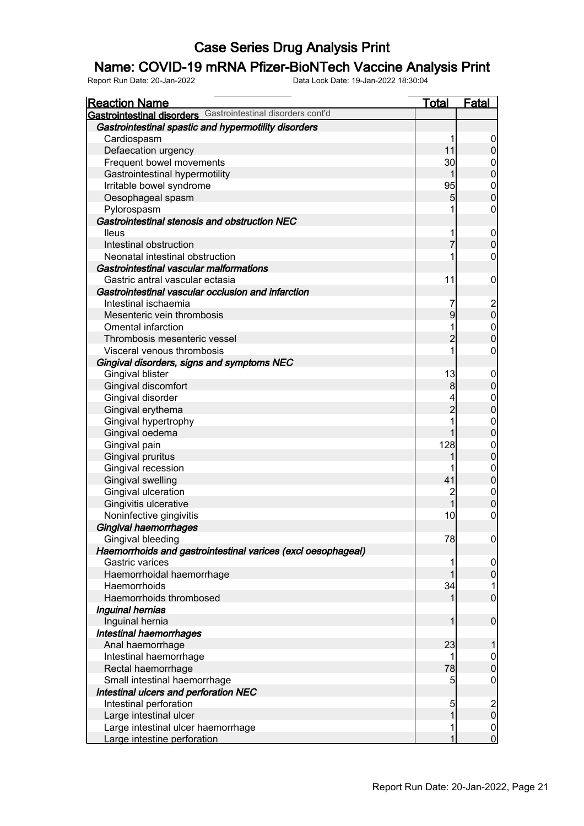### Name: COVID-19 mRNA Pfizer-BioNTech Vaccine Analysis Print

| <b>Reaction Name</b>                                         | <b>Total</b>   | <b>Fatal</b>                         |
|--------------------------------------------------------------|----------------|--------------------------------------|
| Gastrointestinal disorders Gastrointestinal disorders cont'd |                |                                      |
| Gastrointestinal spastic and hypermotility disorders         |                |                                      |
| Cardiospasm                                                  | 1              | $\overline{0}$                       |
| Defaecation urgency                                          | 11             | $\boldsymbol{0}$                     |
| Frequent bowel movements                                     | 30             |                                      |
| Gastrointestinal hypermotility                               | 1              | $0$<br>0                             |
| Irritable bowel syndrome                                     | 95             |                                      |
| Oesophageal spasm                                            | 5              | $\begin{matrix} 0 \\ 0 \end{matrix}$ |
| Pylorospasm                                                  | 1              | $\boldsymbol{0}$                     |
| Gastrointestinal stenosis and obstruction NEC                |                |                                      |
| lleus                                                        | 1              |                                      |
| Intestinal obstruction                                       | 7              | $0\atop 0$                           |
| Neonatal intestinal obstruction                              | 1              | $\mathbf 0$                          |
| Gastrointestinal vascular malformations                      |                |                                      |
| Gastric antral vascular ectasia                              | 11             | $\mathbf 0$                          |
| Gastrointestinal vascular occlusion and infarction           |                |                                      |
| Intestinal ischaemia                                         | 7              |                                      |
| Mesenteric vein thrombosis                                   | 9              | $\begin{matrix} 2 \\ 0 \end{matrix}$ |
| <b>Omental infarction</b>                                    | 1              |                                      |
| Thrombosis mesenteric vessel                                 | $\overline{2}$ | $\begin{matrix}0\\0\end{matrix}$     |
| Visceral venous thrombosis                                   | 1              | $\boldsymbol{0}$                     |
| Gingival disorders, signs and symptoms NEC                   |                |                                      |
| Gingival blister                                             | 13             |                                      |
| Gingival discomfort                                          | 8              | $0\atop 0$                           |
| Gingival disorder                                            |                |                                      |
| Gingival erythema                                            | $\overline{c}$ | $0$<br>0                             |
| Gingival hypertrophy                                         | 1              |                                      |
| Gingival oedema                                              | 1              | $\begin{matrix}0\\0\end{matrix}$     |
| Gingival pain                                                | 128            |                                      |
| Gingival pruritus                                            | 1              | $0$<br>0                             |
| Gingival recession                                           |                |                                      |
| <b>Gingival swelling</b>                                     | 41             | $0$<br>0                             |
| Gingival ulceration                                          | $\overline{c}$ |                                      |
| Gingivitis ulcerative                                        | $\overline{1}$ | $\begin{matrix}0\\0\end{matrix}$     |
| Noninfective gingivitis                                      | 10             | $\overline{0}$                       |
| Gingival haemorrhages                                        |                |                                      |
| Gingival bleeding                                            | 78             | 0                                    |
| Haemorrhoids and gastrointestinal varices (excl oesophageal) |                |                                      |
| Gastric varices                                              | 1              | $\overline{0}$                       |
| Haemorrhoidal haemorrhage                                    | 1              | $\mathbf 0$                          |
| Haemorrhoids                                                 | 34             | 1                                    |
| Haemorrhoids thrombosed                                      | 1              | $\overline{0}$                       |
| Inguinal hernias                                             |                |                                      |
| Inguinal hernia                                              | 1              | $\pmb{0}$                            |
| Intestinal haemorrhages                                      |                |                                      |
| Anal haemorrhage                                             | 23             | 1                                    |
| Intestinal haemorrhage                                       | 1              | $\mathbf 0$                          |
| Rectal haemorrhage                                           | 78             | $\mathbf 0$                          |
| Small intestinal haemorrhage                                 | 5              | $\boldsymbol{0}$                     |
| Intestinal ulcers and perforation NEC                        |                |                                      |
| Intestinal perforation                                       | 5              |                                      |
| Large intestinal ulcer                                       | 1              | $\begin{matrix} 2 \\ 0 \end{matrix}$ |
| Large intestinal ulcer haemorrhage                           | 1              |                                      |
| Large intestine perforation                                  | 1              | $\begin{matrix} 0 \\ 0 \end{matrix}$ |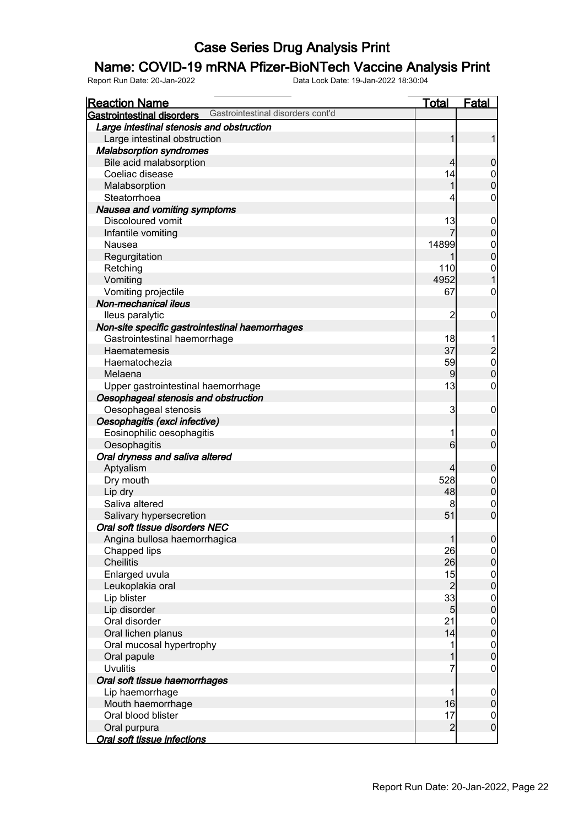### Name: COVID-19 mRNA Pfizer-BioNTech Vaccine Analysis Print

| <u>Reaction Name</u>                            |                                   | <b>Total</b>   | <b>Fatal</b>                               |
|-------------------------------------------------|-----------------------------------|----------------|--------------------------------------------|
| Gastrointestinal disorders                      | Gastrointestinal disorders cont'd |                |                                            |
| Large intestinal stenosis and obstruction       |                                   |                |                                            |
| Large intestinal obstruction                    |                                   | 1              | 1                                          |
| <b>Malabsorption syndromes</b>                  |                                   |                |                                            |
| Bile acid malabsorption                         |                                   | $\overline{4}$ | $\mathbf 0$                                |
| Coeliac disease                                 |                                   | 14             |                                            |
| Malabsorption                                   |                                   | 1              | $0$<br>0                                   |
| Steatorrhoea                                    |                                   | 4              | $\mathbf 0$                                |
| Nausea and vomiting symptoms                    |                                   |                |                                            |
| Discoloured vomit                               |                                   | 13             | $\boldsymbol{0}$                           |
| Infantile vomiting                              |                                   |                | $\overline{0}$                             |
| Nausea                                          |                                   | 14899          |                                            |
| Regurgitation                                   |                                   |                | $\begin{matrix} 0 \\ 0 \end{matrix}$       |
| Retching                                        |                                   | 110            |                                            |
| Vomiting                                        |                                   | 4952           | $\begin{matrix} 0 \\ 1 \end{matrix}$       |
| Vomiting projectile                             |                                   | 67             | $\mathbf 0$                                |
| Non-mechanical ileus                            |                                   |                |                                            |
| lleus paralytic                                 |                                   | $\overline{c}$ | $\boldsymbol{0}$                           |
| Non-site specific gastrointestinal haemorrhages |                                   |                |                                            |
| Gastrointestinal haemorrhage                    |                                   | 18             |                                            |
| Haematemesis                                    |                                   | 37             |                                            |
| Haematochezia                                   |                                   | 59             | $\begin{array}{c} 2 \\ 0 \\ 0 \end{array}$ |
| Melaena                                         |                                   | $\overline{9}$ |                                            |
| Upper gastrointestinal haemorrhage              |                                   | 13             | $\mathbf 0$                                |
| Oesophageal stenosis and obstruction            |                                   |                |                                            |
| Oesophageal stenosis                            |                                   | 3              | $\boldsymbol{0}$                           |
| Oesophagitis (excl infective)                   |                                   |                |                                            |
| Eosinophilic oesophagitis                       |                                   | 1              | $\mathbf 0$                                |
| Oesophagitis                                    |                                   | 6              | $\overline{0}$                             |
| Oral dryness and saliva altered                 |                                   |                |                                            |
| Aptyalism                                       |                                   | 4              | $\mathbf 0$                                |
| Dry mouth                                       |                                   | 528            | $\overline{0}$                             |
| Lip dry                                         |                                   | 48             | $\mathbf 0$                                |
| Saliva altered                                  |                                   | 8              | $\mathbf{0}$                               |
| Salivary hypersecretion                         |                                   | 51             | $\overline{0}$                             |
| Oral soft tissue disorders NEC                  |                                   |                |                                            |
| Angina bullosa haemorrhagica                    |                                   | $\mathbf{1}$   | 0                                          |
| Chapped lips                                    |                                   | 26             | 이                                          |
| <b>Cheilitis</b>                                |                                   | 26             | $\overline{0}$                             |
| Enlarged uvula                                  |                                   | 15             | $\overline{0}$                             |
| Leukoplakia oral                                |                                   | $\overline{c}$ | $\mathbf 0$                                |
| Lip blister                                     |                                   | 33             | $\overline{0}$                             |
| Lip disorder                                    |                                   | $\overline{5}$ | $\mathbf 0$                                |
| Oral disorder                                   |                                   | 21             | $\overline{0}$                             |
| Oral lichen planus                              |                                   | 14             | $\mathbf 0$                                |
| Oral mucosal hypertrophy                        |                                   | 1              | $\boldsymbol{0}$                           |
| Oral papule                                     |                                   | 1              | $\mathbf 0$                                |
| <b>Uvulitis</b>                                 |                                   | 7              | $\mathbf 0$                                |
| Oral soft tissue haemorrhages                   |                                   |                |                                            |
| Lip haemorrhage                                 |                                   | 1              | $\boldsymbol{0}$                           |
| Mouth haemorrhage                               |                                   | 16             | $\mathbf 0$                                |
| Oral blood blister                              |                                   | 17             | $\overline{0}$                             |
| Oral purpura                                    |                                   | $\overline{c}$ | $\overline{0}$                             |
| <b>Oral soft tissue infections</b>              |                                   |                |                                            |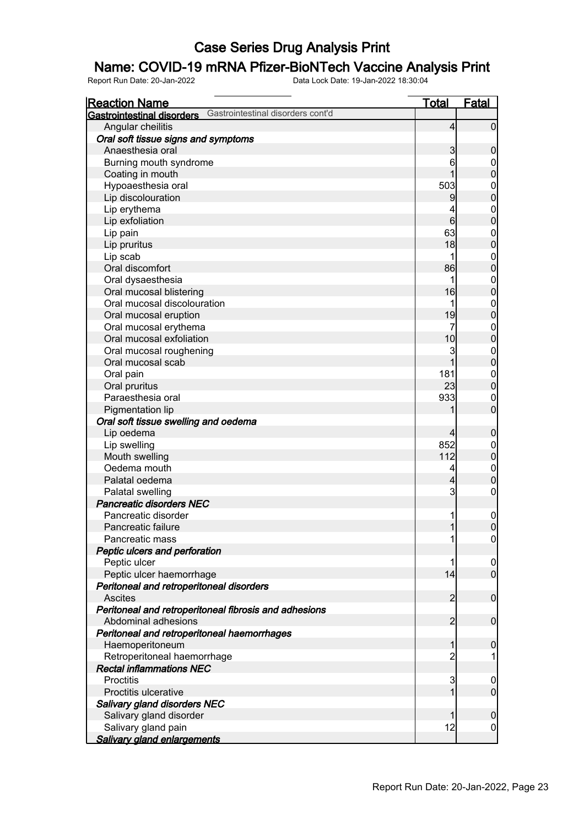### Name: COVID-19 mRNA Pfizer-BioNTech Vaccine Analysis Print

| <b>Reaction Name</b>                                                   | <b>Total</b>   | <b>Fatal</b>     |
|------------------------------------------------------------------------|----------------|------------------|
| Gastrointestinal disorders cont'd<br><b>Gastrointestinal disorders</b> |                |                  |
| Angular cheilitis                                                      | $\overline{4}$ | $\overline{0}$   |
| Oral soft tissue signs and symptoms                                    |                |                  |
| Anaesthesia oral                                                       | 3              | $\boldsymbol{0}$ |
| Burning mouth syndrome                                                 | 6              | 0                |
| Coating in mouth                                                       |                | $\boldsymbol{0}$ |
| Hypoaesthesia oral                                                     | 503            | 0                |
| Lip discolouration                                                     | 9              | $\mathbf 0$      |
| Lip erythema                                                           | 4              | $\mathbf 0$      |
| Lip exfoliation                                                        | 6              | $\mathbf 0$      |
| Lip pain                                                               | 63             | $\boldsymbol{0}$ |
| Lip pruritus                                                           | 18             | $\mathbf 0$      |
| Lip scab                                                               |                | $\boldsymbol{0}$ |
| Oral discomfort                                                        | 86             | $\mathbf 0$      |
| Oral dysaesthesia                                                      | 1              | $\mathbf 0$      |
| Oral mucosal blistering                                                | 16             | $\mathbf 0$      |
| Oral mucosal discolouration                                            | 1              | $\mathbf 0$      |
| Oral mucosal eruption                                                  | 19             | $\mathbf 0$      |
| Oral mucosal erythema                                                  | 7              | $\mathbf 0$      |
| Oral mucosal exfoliation                                               | 10             | $\mathbf 0$      |
| Oral mucosal roughening                                                | 3              | $\mathbf 0$      |
| Oral mucosal scab                                                      | 1              | $\mathbf 0$      |
| Oral pain                                                              | 181            | $\mathbf 0$      |
| Oral pruritus                                                          | 23             | $\mathbf 0$      |
| Paraesthesia oral                                                      | 933            | 0                |
| Pigmentation lip                                                       |                | $\mathbf 0$      |
| Oral soft tissue swelling and oedema                                   |                |                  |
| Lip oedema                                                             | $\overline{4}$ | $\mathbf 0$      |
| Lip swelling                                                           | 852            | 0                |
| Mouth swelling                                                         | 112            | $\mathbf 0$      |
| Oedema mouth                                                           | 4              | $\mathbf 0$      |
| Palatal oedema                                                         | 4              | $\mathbf 0$      |
| Palatal swelling                                                       | 3              | $\mathbf 0$      |
| Pancreatic disorders NEC                                               |                |                  |
| Pancreatic disorder                                                    |                | $\boldsymbol{0}$ |
| Pancreatic failure                                                     | 1              | $\mathbf 0$      |
| Pancreatic mass                                                        | 1              | 0                |
| Peptic ulcers and perforation                                          |                |                  |
| Peptic ulcer                                                           |                | 0                |
| Peptic ulcer haemorrhage                                               | 14             | $\overline{0}$   |
| Peritoneal and retroperitoneal disorders                               |                |                  |
| <b>Ascites</b>                                                         | $\overline{2}$ | $\mathbf 0$      |
| Peritoneal and retroperitoneal fibrosis and adhesions                  |                |                  |
| Abdominal adhesions                                                    | $\overline{2}$ | $\boldsymbol{0}$ |
| Peritoneal and retroperitoneal haemorrhages                            |                |                  |
| Haemoperitoneum                                                        | 1              | $\mathbf 0$      |
| Retroperitoneal haemorrhage                                            | $\overline{c}$ |                  |
| <b>Rectal inflammations NEC</b>                                        |                |                  |
| <b>Proctitis</b>                                                       | 3              | $\boldsymbol{0}$ |
| Proctitis ulcerative                                                   | 1              | $\overline{0}$   |
| Salivary gland disorders NEC                                           |                |                  |
| Salivary gland disorder                                                | 1              | $\mathbf 0$      |
| Salivary gland pain                                                    | 12             | $\boldsymbol{0}$ |
| <b>Salivary gland enlargements</b>                                     |                |                  |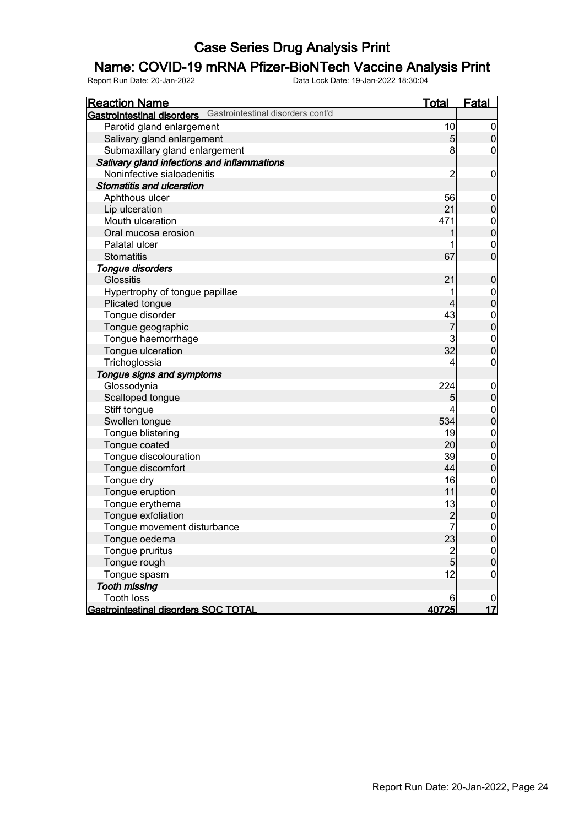### Name: COVID-19 mRNA Pfizer-BioNTech Vaccine Analysis Print

| <u>Reaction Name</u>                        |                                   | <u>Total</u>    | <b>Fatal</b>     |
|---------------------------------------------|-----------------------------------|-----------------|------------------|
| Gastrointestinal disorders                  | Gastrointestinal disorders cont'd |                 |                  |
| Parotid gland enlargement                   |                                   | 10              | $\overline{0}$   |
| Salivary gland enlargement                  |                                   | $5\overline{)}$ | $\overline{0}$   |
| Submaxillary gland enlargement              |                                   | 8               | 0                |
| Salivary gland infections and inflammations |                                   |                 |                  |
| Noninfective sialoadenitis                  |                                   | $\overline{c}$  | $\mathbf 0$      |
| <b>Stomatitis and ulceration</b>            |                                   |                 |                  |
| Aphthous ulcer                              |                                   | 56              | $\mathbf 0$      |
| Lip ulceration                              |                                   | 21              | $\pmb{0}$        |
| Mouth ulceration                            |                                   | 471             | $\boldsymbol{0}$ |
| Oral mucosa erosion                         |                                   |                 | $\overline{0}$   |
| Palatal ulcer                               |                                   |                 | $\mathbf 0$      |
| <b>Stomatitis</b>                           |                                   | 67              | $\overline{0}$   |
| <b>Tongue disorders</b>                     |                                   |                 |                  |
| <b>Glossitis</b>                            |                                   | 21              | $\boldsymbol{0}$ |
| Hypertrophy of tongue papillae              |                                   | 1               | $\mathbf{0}$     |
| Plicated tongue                             |                                   | 4               | $\overline{0}$   |
| Tongue disorder                             |                                   | 43              |                  |
| Tongue geographic                           |                                   | 7               | $0$<br>0         |
| Tongue haemorrhage                          |                                   | 3               | $\boldsymbol{0}$ |
| Tongue ulceration                           |                                   | 32              | $\overline{0}$   |
| Trichoglossia                               |                                   | 4               | 0                |
| Tongue signs and symptoms                   |                                   |                 |                  |
| Glossodynia                                 |                                   | 224             | $\mathbf 0$      |
| Scalloped tongue                            |                                   | 5               | $\overline{0}$   |
| Stiff tongue                                |                                   | 4               | $\boldsymbol{0}$ |
| Swollen tongue                              |                                   | 534             | $\overline{0}$   |
| Tongue blistering                           |                                   | 19              | $\boldsymbol{0}$ |
| Tongue coated                               |                                   | 20              | $\overline{0}$   |
| Tongue discolouration                       |                                   | 39              | $\boldsymbol{0}$ |
| Tongue discomfort                           |                                   | 44              | $\overline{0}$   |
| Tongue dry                                  |                                   | 16              | $\boldsymbol{0}$ |
| Tongue eruption                             |                                   | 11              | $\overline{0}$   |
| Tongue erythema                             |                                   | 13              | $\boldsymbol{0}$ |
| Tongue exfoliation                          |                                   | $\overline{c}$  | $\overline{0}$   |
| Tongue movement disturbance                 |                                   | $\mathbf{z}$    | $\boldsymbol{0}$ |
| Tongue oedema                               |                                   | 23              | 0                |
| Tongue pruritus                             |                                   | $\overline{2}$  | $\overline{0}$   |
| Tongue rough                                |                                   | $\overline{5}$  | $\mathbf 0$      |
| Tongue spasm                                |                                   | 12              | $\mathbf 0$      |
| <b>Tooth missing</b>                        |                                   |                 |                  |
| <b>Tooth loss</b>                           |                                   | 6               | $\overline{0}$   |
| Gastrointestinal disorders SOC TOTAL        |                                   | 40725           | 17               |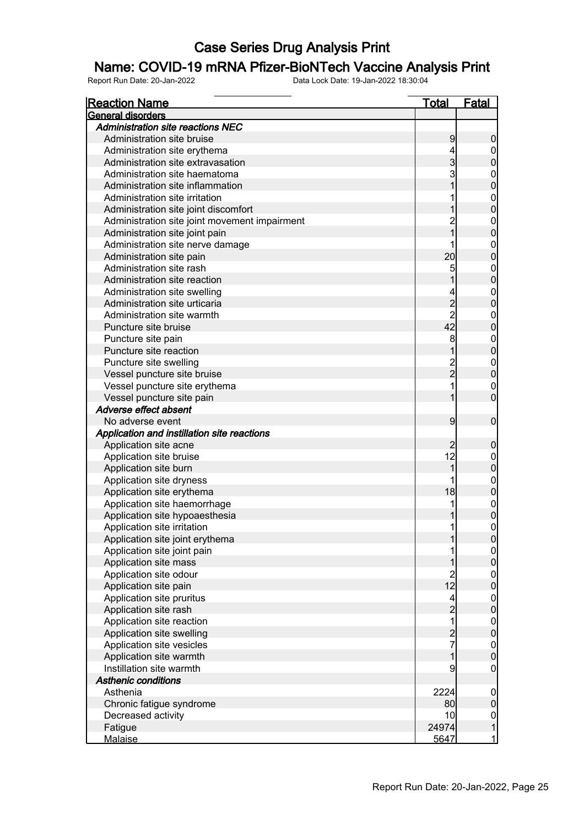### Name: COVID-19 mRNA Pfizer-BioNTech Vaccine Analysis Print

| <u>Reaction Name</u>                                           | <u>Total</u>                                | <b>Fatal</b>                         |
|----------------------------------------------------------------|---------------------------------------------|--------------------------------------|
| <b>General disorders</b>                                       |                                             |                                      |
| <b>Administration site reactions NEC</b>                       |                                             |                                      |
| Administration site bruise                                     | 9                                           | $\boldsymbol{0}$                     |
| Administration site erythema                                   | 4                                           | $\overline{0}$                       |
| Administration site extravasation                              | 3                                           | $\mathbf 0$                          |
| Administration site haematoma                                  | 3                                           | $\boldsymbol{0}$                     |
| Administration site inflammation                               |                                             | $\overline{0}$                       |
| Administration site irritation                                 |                                             |                                      |
| Administration site joint discomfort                           |                                             | $\begin{matrix} 0 \\ 0 \end{matrix}$ |
| Administration site joint movement impairment                  |                                             | $\boldsymbol{0}$                     |
| Administration site joint pain                                 |                                             | $\overline{0}$                       |
| Administration site nerve damage                               |                                             | $\boldsymbol{0}$                     |
| Administration site pain                                       | 20                                          | $\overline{0}$                       |
| Administration site rash                                       | 5                                           | $\boldsymbol{0}$                     |
| Administration site reaction                                   |                                             | $\overline{0}$                       |
| Administration site swelling                                   |                                             | $\boldsymbol{0}$                     |
| Administration site urticaria                                  |                                             | $\overline{0}$                       |
| Administration site warmth                                     | $\begin{array}{c} 2 \\ 2 \\ 42 \end{array}$ | $\boldsymbol{0}$                     |
| Puncture site bruise                                           |                                             | $\overline{0}$                       |
| Puncture site pain                                             | 8                                           |                                      |
| Puncture site reaction                                         |                                             | $0\atop 0$                           |
| Puncture site swelling                                         |                                             | $\boldsymbol{0}$                     |
| Vessel puncture site bruise                                    | 2<br>2                                      | $\overline{0}$                       |
| Vessel puncture site erythema                                  |                                             | $\mathbf 0$                          |
| Vessel puncture site pain                                      |                                             | $\overline{0}$                       |
| Adverse effect absent                                          |                                             |                                      |
| No adverse event                                               | 9                                           | $\boldsymbol{0}$                     |
| Application and instillation site reactions                    |                                             |                                      |
| Application site acne                                          | $\overline{c}$                              | $\boldsymbol{0}$                     |
| Application site bruise                                        | 12                                          | $\mathbf 0$                          |
| Application site burn                                          | 1                                           | $\mathbf 0$                          |
| Application site dryness                                       |                                             |                                      |
| Application site erythema                                      | 18                                          | $0\atop 0$                           |
| Application site haemorrhage                                   | 1                                           |                                      |
| Application site hypoaesthesia                                 |                                             | $0\atop 0$                           |
| Application site irritation                                    | 11                                          | $\mathbf 0$                          |
|                                                                | 1                                           |                                      |
| Application site joint erythema<br>Application site joint pain |                                             | 0                                    |
|                                                                |                                             | 0 <br>$\overline{0}$                 |
| Application site mass                                          |                                             |                                      |
| Application site odour                                         | $\begin{array}{c} 2 \\ 12 \end{array}$      | $\begin{matrix} 0 \\ 0 \end{matrix}$ |
| Application site pain                                          |                                             |                                      |
| Application site pruritus                                      | 4                                           | $\begin{matrix} 0 \\ 0 \end{matrix}$ |
| Application site rash                                          | $\overline{a}$<br>1                         |                                      |
| Application site reaction                                      |                                             | $\begin{matrix} 0 \\ 0 \end{matrix}$ |
| Application site swelling                                      | $\frac{2}{7}$                               |                                      |
| Application site vesicles                                      |                                             | $0\atop 0$                           |
| Application site warmth                                        | 1                                           |                                      |
| Instillation site warmth                                       | 9                                           | $\overline{0}$                       |
| <b>Asthenic conditions</b>                                     |                                             |                                      |
| Asthenia                                                       | 2224                                        | $\overline{0}$                       |
| Chronic fatigue syndrome                                       | 80                                          | $\mathbf 0$                          |
| Decreased activity                                             | 10                                          | $\overline{0}$                       |
| Fatigue                                                        | 24974                                       | $\mathbf{1}$                         |
| Malaise                                                        | 5647                                        | $\mathbf{1}$                         |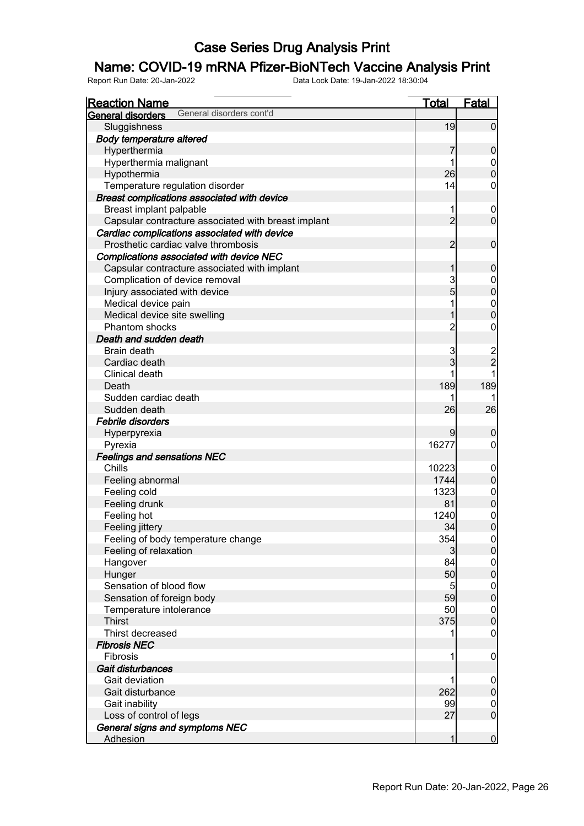### Name: COVID-19 mRNA Pfizer-BioNTech Vaccine Analysis Print

| <b>Reaction Name</b>                                | <u>Total</u>   | Fatal                                |
|-----------------------------------------------------|----------------|--------------------------------------|
| General disorders cont'd<br>General disorders       |                |                                      |
| Sluggishness                                        | 19             | $\overline{0}$                       |
| <b>Body temperature altered</b>                     |                |                                      |
| Hyperthermia                                        | 7              | $\boldsymbol{0}$                     |
| Hyperthermia malignant                              | 1              | $\overline{0}$                       |
| Hypothermia                                         | 26             | $\overline{0}$                       |
| Temperature regulation disorder                     | 14             | $\mathbf 0$                          |
| Breast complications associated with device         |                |                                      |
| Breast implant palpable                             | 1              | $\mathbf 0$                          |
| Capsular contracture associated with breast implant | $\overline{2}$ | $\mathbf 0$                          |
| Cardiac complications associated with device        |                |                                      |
| Prosthetic cardiac valve thrombosis                 | $\overline{2}$ | $\boldsymbol{0}$                     |
| Complications associated with device NEC            |                |                                      |
| Capsular contracture associated with implant        | 1              | $\boldsymbol{0}$                     |
| Complication of device removal                      | 3              | $\mathbf 0$                          |
| Injury associated with device                       | 5              | $\mathbf{0}$                         |
| Medical device pain                                 | 1              |                                      |
| Medical device site swelling                        | 1              | $0\atop 0$                           |
| <b>Phantom shocks</b>                               | $\overline{c}$ | $\mathbf 0$                          |
| Death and sudden death                              |                |                                      |
| Brain death                                         | 3              |                                      |
| Cardiac death                                       | 3              | $\frac{2}{2}$                        |
| Clinical death                                      |                |                                      |
| Death                                               | 189            | 189                                  |
| Sudden cardiac death                                | 1              |                                      |
| Sudden death                                        | 26             | 26                                   |
| Febrile disorders                                   |                |                                      |
| Hyperpyrexia                                        | 9              | $\boldsymbol{0}$                     |
| Pyrexia                                             | 16277          | $\overline{0}$                       |
| <b>Feelings and sensations NEC</b>                  |                |                                      |
| Chills                                              | 10223          | $\mathbf 0$                          |
| Feeling abnormal                                    | 1744           | $\pmb{0}$                            |
| Feeling cold                                        | 1323           | $\boldsymbol{0}$                     |
| Feeling drunk                                       | 81             | $\mathbf 0$                          |
| Feeling hot                                         | 1240           |                                      |
| Feeling jittery                                     | 34             | $\begin{matrix} 0 \\ 0 \end{matrix}$ |
| Feeling of body temperature change                  | 354            | $\Omega$                             |
| Feeling of relaxation                               | $\mathbf{3}$   | 0                                    |
| Hangover                                            | 84             | $\overline{0}$                       |
| Hunger                                              | 50             | $\mathbf 0$                          |
| Sensation of blood flow                             | 5              | $\boldsymbol{0}$                     |
| Sensation of foreign body                           | 59             | $\mathbf 0$                          |
| Temperature intolerance                             | 50             | $\boldsymbol{0}$                     |
| <b>Thirst</b>                                       | 375            | $\mathbf 0$                          |
| Thirst decreased                                    |                | $\mathbf 0$                          |
| <b>Fibrosis NEC</b>                                 |                |                                      |
| Fibrosis                                            | 1              | $\mathbf 0$                          |
| Gait disturbances                                   |                |                                      |
| Gait deviation                                      | 1              | $\mathbf 0$                          |
| Gait disturbance                                    | 262            | $\pmb{0}$                            |
| Gait inability                                      | 99             | $\mathbf 0$                          |
| Loss of control of legs                             | 27             | $\boldsymbol{0}$                     |
| General signs and symptoms NEC                      |                |                                      |
| <b>Adhesion</b>                                     | 1              | $\mathbf 0$                          |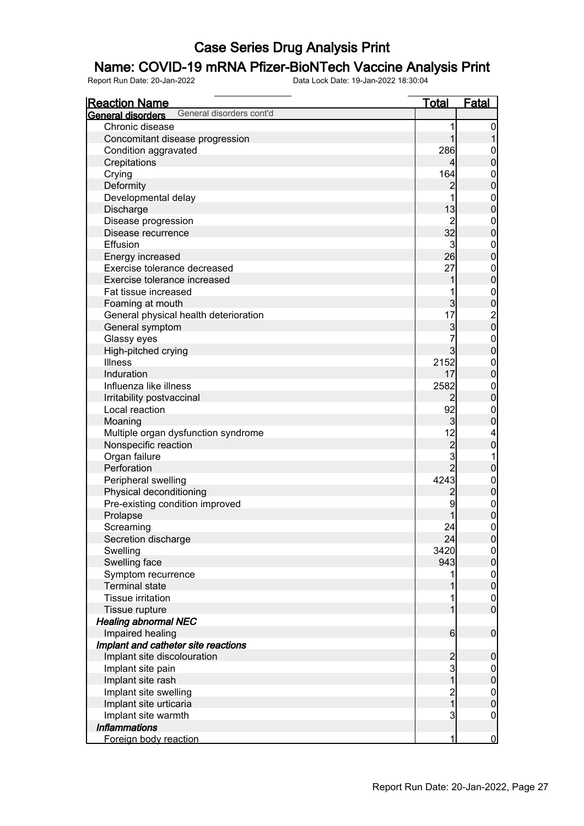### Name: COVID-19 mRNA Pfizer-BioNTech Vaccine Analysis Print

| <b>Reaction Name</b>                          | <b>Total</b>   | <b>Fatal</b>                         |
|-----------------------------------------------|----------------|--------------------------------------|
| General disorders cont'd<br>General disorders |                |                                      |
| Chronic disease                               | 1              | 0                                    |
| Concomitant disease progression               | 1              |                                      |
| Condition aggravated                          | 286            | 0                                    |
| Crepitations                                  | 4              | $\mathbf 0$                          |
| Crying                                        | 164            | $\mathbf{0}$                         |
| Deformity                                     | $\overline{2}$ | $\mathbf 0$                          |
| Developmental delay                           | 1              | $\mathbf{0}$                         |
| Discharge                                     | 13             | $\mathbf 0$                          |
| Disease progression                           | $\overline{c}$ | $\mathbf{0}$                         |
| Disease recurrence                            | 32             | $\mathbf 0$                          |
| Effusion                                      | 3              | $\mathbf{0}$                         |
| Energy increased                              | 26             | $\mathbf 0$                          |
| Exercise tolerance decreased                  | 27             | $\boldsymbol{0}$                     |
| Exercise tolerance increased                  | 1              | $\mathbf 0$                          |
| Fat tissue increased                          | 1              |                                      |
|                                               | $\overline{3}$ | $\mathbf{0}$<br>$\overline{0}$       |
| Foaming at mouth                              | 17             |                                      |
| General physical health deterioration         |                | $\begin{matrix} 2 \\ 0 \end{matrix}$ |
| General symptom                               | 3<br>7         |                                      |
| Glassy eyes                                   |                | $\mathbf{0}$                         |
| High-pitched crying                           | $\overline{3}$ | $\mathbf 0$                          |
| <b>Illness</b>                                | 2152           | $\boldsymbol{0}$                     |
| Induration                                    | 17             | $\mathbf 0$                          |
| Influenza like illness                        | 2582           | $\mathbf{0}$                         |
| Irritability postvaccinal                     | $\overline{2}$ | $\mathbf 0$                          |
| Local reaction                                | 92             | $\mathbf 0$                          |
| Moaning                                       | $\overline{3}$ | $\mathbf 0$                          |
| Multiple organ dysfunction syndrome           | 12             | 4                                    |
| Nonspecific reaction                          | $\overline{c}$ | $\mathbf 0$                          |
| Organ failure                                 | 3              | 1                                    |
| Perforation                                   | $\overline{2}$ | $\pmb{0}$                            |
| Peripheral swelling                           | 4243           | $\boldsymbol{0}$                     |
| Physical deconditioning                       | $\overline{c}$ | $\pmb{0}$                            |
| Pre-existing condition improved               | 9              | $\boldsymbol{0}$                     |
| Prolapse                                      |                | $\overline{0}$                       |
| Screaming                                     | 24             | $\mathbf 0$                          |
| Secretion discharge                           | 24             | 0                                    |
| Swelling                                      | 3420           | $\overline{0}$                       |
| Swelling face                                 | 943            | $\mathbf 0$                          |
| Symptom recurrence                            | 1              |                                      |
| <b>Terminal state</b>                         |                | $0$<br>0                             |
| <b>Tissue irritation</b>                      |                | $\overline{0}$                       |
| Tissue rupture                                | 1              | $\overline{0}$                       |
| <b>Healing abnormal NEC</b>                   |                |                                      |
| Impaired healing                              | 6              | $\boldsymbol{0}$                     |
| Implant and catheter site reactions           |                |                                      |
| Implant site discolouration                   | $\overline{c}$ | $\mathbf 0$                          |
| Implant site pain                             | 3              | $\overline{0}$                       |
| Implant site rash                             | $\mathbf 1$    | $\pmb{0}$                            |
| Implant site swelling                         |                | $\boldsymbol{0}$                     |
| Implant site urticaria                        | $\frac{2}{1}$  | $\mathbf 0$                          |
| Implant site warmth                           | 3              | $\overline{0}$                       |
| <b>Inflammations</b>                          |                |                                      |
| Foreign body reaction                         | 1              | $\overline{0}$                       |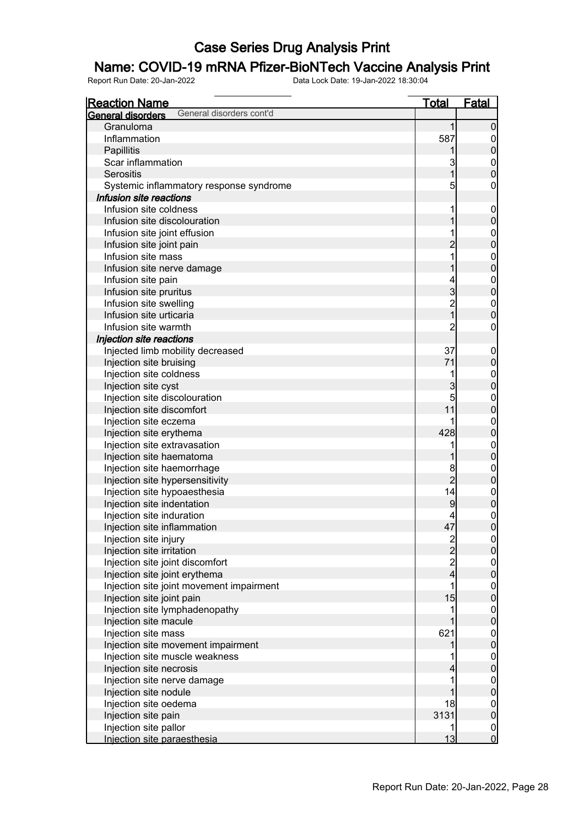### Name: COVID-19 mRNA Pfizer-BioNTech Vaccine Analysis Print

| <u>Reaction Name</u>                          | <u>Total</u>   | <b>Fatal</b>                         |
|-----------------------------------------------|----------------|--------------------------------------|
| General disorders cont'd<br>General disorders |                |                                      |
| Granuloma                                     | 1              | $\boldsymbol{0}$                     |
| Inflammation                                  | 587            | $\boldsymbol{0}$                     |
| Papillitis                                    |                | $\pmb{0}$                            |
| Scar inflammation                             | 3              | $\mathbf 0$                          |
| Serositis                                     | 1              | $\overline{0}$                       |
| Systemic inflammatory response syndrome       | 5              | 0                                    |
| Infusion site reactions                       |                |                                      |
| Infusion site coldness                        | 1              | $\mathbf 0$                          |
| Infusion site discolouration                  |                | $\pmb{0}$                            |
| Infusion site joint effusion                  |                | $\boldsymbol{0}$                     |
| Infusion site joint pain                      | $\overline{2}$ | $\mathbf 0$                          |
| Infusion site mass                            |                | $\boldsymbol{0}$                     |
| Infusion site nerve damage                    |                | $\overline{0}$                       |
| Infusion site pain                            | 4              | $\mathbf{0}$                         |
| Infusion site pruritus                        | 3              | $\mathbf 0$                          |
| Infusion site swelling                        |                | $\boldsymbol{0}$                     |
| Infusion site urticaria                       | 2<br>1         | $\mathbf 0$                          |
| Infusion site warmth                          | 2              | 0                                    |
| Injection site reactions                      |                |                                      |
| Injected limb mobility decreased              | 37             | $\mathbf 0$                          |
| Injection site bruising                       | 71             | $\pmb{0}$                            |
| Injection site coldness                       | 1              | $\boldsymbol{0}$                     |
| Injection site cyst                           | 3              | $\mathbf 0$                          |
| Injection site discolouration                 | 5              | $\mathbf{0}$                         |
| Injection site discomfort                     | 11             | $\mathbf 0$                          |
| Injection site eczema                         |                | $\mathbf{0}$                         |
| Injection site erythema                       | 428            | $\pmb{0}$                            |
| Injection site extravasation                  |                | $\mathbf{0}$                         |
| Injection site haematoma                      |                | $\mathbf 0$                          |
| Injection site haemorrhage                    | 8              | $\mathbf 0$                          |
| Injection site hypersensitivity               | $\overline{2}$ | $\pmb{0}$                            |
| Injection site hypoaesthesia                  | 14             | $\boldsymbol{0}$                     |
| Injection site indentation                    | 9              | $\mathbf 0$                          |
| Injection site induration                     |                | $\mathbf 0$                          |
| Injection site inflammation                   | 47             | $\overline{0}$                       |
| Injection site injury                         |                |                                      |
| Injection site irritation                     | $\frac{2}{2}$  | $\Omega$<br>$\overline{0}$           |
| Injection site joint discomfort               |                |                                      |
| Injection site joint erythema                 | 2<br>4         | $0\atop 0$                           |
| Injection site joint movement impairment      | 1              |                                      |
| Injection site joint pain                     | 15             | $0\atop 0$                           |
| Injection site lymphadenopathy                |                |                                      |
| Injection site macule                         |                | $0\atop 0$                           |
| Injection site mass                           | 621            |                                      |
| Injection site movement impairment            |                | $0\atop 0$                           |
| Injection site muscle weakness                |                |                                      |
|                                               |                | $0\atop 0$                           |
| Injection site necrosis                       | 4              |                                      |
| Injection site nerve damage                   |                | $\begin{matrix} 0 \\ 0 \end{matrix}$ |
| Injection site nodule                         |                |                                      |
| Injection site oedema                         | 18             | $\mathbf 0$                          |
| Injection site pain                           | 3131           | $\overline{0}$                       |
| Injection site pallor                         |                | $\overline{0}$                       |
| Injection site paraesthesia                   | 13             | $\overline{0}$                       |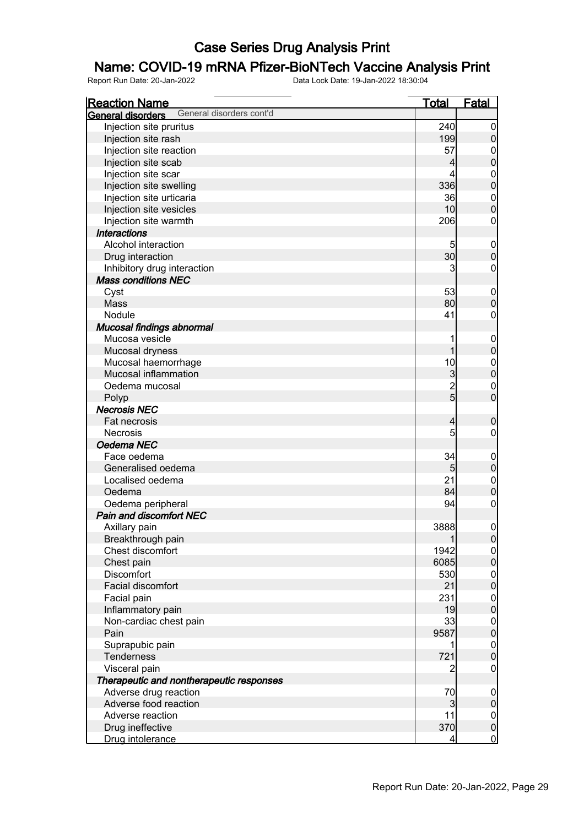### Name: COVID-19 mRNA Pfizer-BioNTech Vaccine Analysis Print

| <u>Total</u><br><b>Fatal</b><br><b>Reaction Name</b><br>General disorders cont'd<br>General disorders<br>240<br>Injection site pruritus<br>$\overline{0}$<br>199<br>$\pmb{0}$<br>Injection site rash<br>Injection site reaction<br>57<br>$\mathbf 0$<br>$\overline{0}$<br>Injection site scab<br>4<br>Injection site scar<br>4<br>$\boldsymbol{0}$<br>$\overline{0}$<br>Injection site swelling<br>336<br>Injection site urticaria<br>36<br>$\mathbf{0}$<br>$\mathbf 0$<br>Injection site vesicles<br>10<br>Injection site warmth<br>206<br>$\boldsymbol{0}$<br><b>Interactions</b><br>Alcohol interaction<br>5<br>$\mathbf 0$<br>30 <sub>l</sub><br>$\mathbf 0$<br>Drug interaction<br>3<br>Inhibitory drug interaction<br>$\boldsymbol{0}$<br><b>Mass conditions NEC</b><br>53<br>Cyst<br>$\mathbf 0$<br>$\mathbf 0$<br>80<br><b>Mass</b><br>41<br>Nodule<br>$\boldsymbol{0}$<br>Mucosal findings abnormal<br>Mucosa vesicle<br>$\mathbf 0$<br>$\mathbf 0$<br>1<br>Mucosal dryness<br>Mucosal haemorrhage<br>10<br>$\boldsymbol{0}$<br>$\mathbf 0$<br>Mucosal inflammation<br>$\mathbf{3}$<br>$\overline{c}$<br>Oedema mucosal<br>$\boldsymbol{0}$<br>$\overline{5}$<br>$\overline{0}$<br>Polyp<br><b>Necrosis NEC</b><br>Fat necrosis<br>$\overline{4}$<br>$\boldsymbol{0}$<br>5<br>$\mathbf 0$<br><b>Necrosis</b><br>Oedema NEC<br>34<br>Face oedema<br>$\mathbf 0$<br>$\pmb{0}$<br>Generalised oedema<br>5 <sub>5</sub> |
|------------------------------------------------------------------------------------------------------------------------------------------------------------------------------------------------------------------------------------------------------------------------------------------------------------------------------------------------------------------------------------------------------------------------------------------------------------------------------------------------------------------------------------------------------------------------------------------------------------------------------------------------------------------------------------------------------------------------------------------------------------------------------------------------------------------------------------------------------------------------------------------------------------------------------------------------------------------------------------------------------------------------------------------------------------------------------------------------------------------------------------------------------------------------------------------------------------------------------------------------------------------------------------------------------------------------------------------------------------------------------------------------------------------------------|
|                                                                                                                                                                                                                                                                                                                                                                                                                                                                                                                                                                                                                                                                                                                                                                                                                                                                                                                                                                                                                                                                                                                                                                                                                                                                                                                                                                                                                              |
|                                                                                                                                                                                                                                                                                                                                                                                                                                                                                                                                                                                                                                                                                                                                                                                                                                                                                                                                                                                                                                                                                                                                                                                                                                                                                                                                                                                                                              |
|                                                                                                                                                                                                                                                                                                                                                                                                                                                                                                                                                                                                                                                                                                                                                                                                                                                                                                                                                                                                                                                                                                                                                                                                                                                                                                                                                                                                                              |
|                                                                                                                                                                                                                                                                                                                                                                                                                                                                                                                                                                                                                                                                                                                                                                                                                                                                                                                                                                                                                                                                                                                                                                                                                                                                                                                                                                                                                              |
|                                                                                                                                                                                                                                                                                                                                                                                                                                                                                                                                                                                                                                                                                                                                                                                                                                                                                                                                                                                                                                                                                                                                                                                                                                                                                                                                                                                                                              |
|                                                                                                                                                                                                                                                                                                                                                                                                                                                                                                                                                                                                                                                                                                                                                                                                                                                                                                                                                                                                                                                                                                                                                                                                                                                                                                                                                                                                                              |
|                                                                                                                                                                                                                                                                                                                                                                                                                                                                                                                                                                                                                                                                                                                                                                                                                                                                                                                                                                                                                                                                                                                                                                                                                                                                                                                                                                                                                              |
|                                                                                                                                                                                                                                                                                                                                                                                                                                                                                                                                                                                                                                                                                                                                                                                                                                                                                                                                                                                                                                                                                                                                                                                                                                                                                                                                                                                                                              |
|                                                                                                                                                                                                                                                                                                                                                                                                                                                                                                                                                                                                                                                                                                                                                                                                                                                                                                                                                                                                                                                                                                                                                                                                                                                                                                                                                                                                                              |
|                                                                                                                                                                                                                                                                                                                                                                                                                                                                                                                                                                                                                                                                                                                                                                                                                                                                                                                                                                                                                                                                                                                                                                                                                                                                                                                                                                                                                              |
|                                                                                                                                                                                                                                                                                                                                                                                                                                                                                                                                                                                                                                                                                                                                                                                                                                                                                                                                                                                                                                                                                                                                                                                                                                                                                                                                                                                                                              |
|                                                                                                                                                                                                                                                                                                                                                                                                                                                                                                                                                                                                                                                                                                                                                                                                                                                                                                                                                                                                                                                                                                                                                                                                                                                                                                                                                                                                                              |
|                                                                                                                                                                                                                                                                                                                                                                                                                                                                                                                                                                                                                                                                                                                                                                                                                                                                                                                                                                                                                                                                                                                                                                                                                                                                                                                                                                                                                              |
|                                                                                                                                                                                                                                                                                                                                                                                                                                                                                                                                                                                                                                                                                                                                                                                                                                                                                                                                                                                                                                                                                                                                                                                                                                                                                                                                                                                                                              |
|                                                                                                                                                                                                                                                                                                                                                                                                                                                                                                                                                                                                                                                                                                                                                                                                                                                                                                                                                                                                                                                                                                                                                                                                                                                                                                                                                                                                                              |
|                                                                                                                                                                                                                                                                                                                                                                                                                                                                                                                                                                                                                                                                                                                                                                                                                                                                                                                                                                                                                                                                                                                                                                                                                                                                                                                                                                                                                              |
|                                                                                                                                                                                                                                                                                                                                                                                                                                                                                                                                                                                                                                                                                                                                                                                                                                                                                                                                                                                                                                                                                                                                                                                                                                                                                                                                                                                                                              |
|                                                                                                                                                                                                                                                                                                                                                                                                                                                                                                                                                                                                                                                                                                                                                                                                                                                                                                                                                                                                                                                                                                                                                                                                                                                                                                                                                                                                                              |
|                                                                                                                                                                                                                                                                                                                                                                                                                                                                                                                                                                                                                                                                                                                                                                                                                                                                                                                                                                                                                                                                                                                                                                                                                                                                                                                                                                                                                              |
|                                                                                                                                                                                                                                                                                                                                                                                                                                                                                                                                                                                                                                                                                                                                                                                                                                                                                                                                                                                                                                                                                                                                                                                                                                                                                                                                                                                                                              |
|                                                                                                                                                                                                                                                                                                                                                                                                                                                                                                                                                                                                                                                                                                                                                                                                                                                                                                                                                                                                                                                                                                                                                                                                                                                                                                                                                                                                                              |
|                                                                                                                                                                                                                                                                                                                                                                                                                                                                                                                                                                                                                                                                                                                                                                                                                                                                                                                                                                                                                                                                                                                                                                                                                                                                                                                                                                                                                              |
|                                                                                                                                                                                                                                                                                                                                                                                                                                                                                                                                                                                                                                                                                                                                                                                                                                                                                                                                                                                                                                                                                                                                                                                                                                                                                                                                                                                                                              |
|                                                                                                                                                                                                                                                                                                                                                                                                                                                                                                                                                                                                                                                                                                                                                                                                                                                                                                                                                                                                                                                                                                                                                                                                                                                                                                                                                                                                                              |
|                                                                                                                                                                                                                                                                                                                                                                                                                                                                                                                                                                                                                                                                                                                                                                                                                                                                                                                                                                                                                                                                                                                                                                                                                                                                                                                                                                                                                              |
|                                                                                                                                                                                                                                                                                                                                                                                                                                                                                                                                                                                                                                                                                                                                                                                                                                                                                                                                                                                                                                                                                                                                                                                                                                                                                                                                                                                                                              |
|                                                                                                                                                                                                                                                                                                                                                                                                                                                                                                                                                                                                                                                                                                                                                                                                                                                                                                                                                                                                                                                                                                                                                                                                                                                                                                                                                                                                                              |
|                                                                                                                                                                                                                                                                                                                                                                                                                                                                                                                                                                                                                                                                                                                                                                                                                                                                                                                                                                                                                                                                                                                                                                                                                                                                                                                                                                                                                              |
|                                                                                                                                                                                                                                                                                                                                                                                                                                                                                                                                                                                                                                                                                                                                                                                                                                                                                                                                                                                                                                                                                                                                                                                                                                                                                                                                                                                                                              |
|                                                                                                                                                                                                                                                                                                                                                                                                                                                                                                                                                                                                                                                                                                                                                                                                                                                                                                                                                                                                                                                                                                                                                                                                                                                                                                                                                                                                                              |
|                                                                                                                                                                                                                                                                                                                                                                                                                                                                                                                                                                                                                                                                                                                                                                                                                                                                                                                                                                                                                                                                                                                                                                                                                                                                                                                                                                                                                              |
|                                                                                                                                                                                                                                                                                                                                                                                                                                                                                                                                                                                                                                                                                                                                                                                                                                                                                                                                                                                                                                                                                                                                                                                                                                                                                                                                                                                                                              |
| 21<br>Localised oedema<br>$\mathbf{0}$                                                                                                                                                                                                                                                                                                                                                                                                                                                                                                                                                                                                                                                                                                                                                                                                                                                                                                                                                                                                                                                                                                                                                                                                                                                                                                                                                                                       |
| $\mathbf 0$<br>84<br>Oedema                                                                                                                                                                                                                                                                                                                                                                                                                                                                                                                                                                                                                                                                                                                                                                                                                                                                                                                                                                                                                                                                                                                                                                                                                                                                                                                                                                                                  |
| Oedema peripheral<br>94<br>$\mathbf 0$                                                                                                                                                                                                                                                                                                                                                                                                                                                                                                                                                                                                                                                                                                                                                                                                                                                                                                                                                                                                                                                                                                                                                                                                                                                                                                                                                                                       |
| <b>Pain and discomfort NEC</b>                                                                                                                                                                                                                                                                                                                                                                                                                                                                                                                                                                                                                                                                                                                                                                                                                                                                                                                                                                                                                                                                                                                                                                                                                                                                                                                                                                                               |
| 3888<br>$\boldsymbol{0}$<br>Axillary pain                                                                                                                                                                                                                                                                                                                                                                                                                                                                                                                                                                                                                                                                                                                                                                                                                                                                                                                                                                                                                                                                                                                                                                                                                                                                                                                                                                                    |
| Breakthrough pain<br>$\mathbf{1}$<br> 0                                                                                                                                                                                                                                                                                                                                                                                                                                                                                                                                                                                                                                                                                                                                                                                                                                                                                                                                                                                                                                                                                                                                                                                                                                                                                                                                                                                      |
| Chest discomfort<br>1942<br>$\overline{0}$                                                                                                                                                                                                                                                                                                                                                                                                                                                                                                                                                                                                                                                                                                                                                                                                                                                                                                                                                                                                                                                                                                                                                                                                                                                                                                                                                                                   |
| $\boldsymbol{0}$<br>Chest pain<br>6085                                                                                                                                                                                                                                                                                                                                                                                                                                                                                                                                                                                                                                                                                                                                                                                                                                                                                                                                                                                                                                                                                                                                                                                                                                                                                                                                                                                       |
| Discomfort<br>530                                                                                                                                                                                                                                                                                                                                                                                                                                                                                                                                                                                                                                                                                                                                                                                                                                                                                                                                                                                                                                                                                                                                                                                                                                                                                                                                                                                                            |
| $0\atop 0$<br>Facial discomfort<br>21                                                                                                                                                                                                                                                                                                                                                                                                                                                                                                                                                                                                                                                                                                                                                                                                                                                                                                                                                                                                                                                                                                                                                                                                                                                                                                                                                                                        |
| 231<br>Facial pain<br>$\boldsymbol{0}$                                                                                                                                                                                                                                                                                                                                                                                                                                                                                                                                                                                                                                                                                                                                                                                                                                                                                                                                                                                                                                                                                                                                                                                                                                                                                                                                                                                       |
| $\overline{0}$<br>Inflammatory pain<br>19                                                                                                                                                                                                                                                                                                                                                                                                                                                                                                                                                                                                                                                                                                                                                                                                                                                                                                                                                                                                                                                                                                                                                                                                                                                                                                                                                                                    |
| Non-cardiac chest pain<br>33<br>$\boldsymbol{0}$                                                                                                                                                                                                                                                                                                                                                                                                                                                                                                                                                                                                                                                                                                                                                                                                                                                                                                                                                                                                                                                                                                                                                                                                                                                                                                                                                                             |
| $\mathbf 0$<br>Pain<br>9587                                                                                                                                                                                                                                                                                                                                                                                                                                                                                                                                                                                                                                                                                                                                                                                                                                                                                                                                                                                                                                                                                                                                                                                                                                                                                                                                                                                                  |
| Suprapubic pain<br>$\boldsymbol{0}$<br>1                                                                                                                                                                                                                                                                                                                                                                                                                                                                                                                                                                                                                                                                                                                                                                                                                                                                                                                                                                                                                                                                                                                                                                                                                                                                                                                                                                                     |
| $\mathbf 0$<br><b>Tenderness</b><br>721                                                                                                                                                                                                                                                                                                                                                                                                                                                                                                                                                                                                                                                                                                                                                                                                                                                                                                                                                                                                                                                                                                                                                                                                                                                                                                                                                                                      |
| $\mathbf 0$<br>Visceral pain<br>2                                                                                                                                                                                                                                                                                                                                                                                                                                                                                                                                                                                                                                                                                                                                                                                                                                                                                                                                                                                                                                                                                                                                                                                                                                                                                                                                                                                            |
| Therapeutic and nontherapeutic responses                                                                                                                                                                                                                                                                                                                                                                                                                                                                                                                                                                                                                                                                                                                                                                                                                                                                                                                                                                                                                                                                                                                                                                                                                                                                                                                                                                                     |
| Adverse drug reaction<br>70                                                                                                                                                                                                                                                                                                                                                                                                                                                                                                                                                                                                                                                                                                                                                                                                                                                                                                                                                                                                                                                                                                                                                                                                                                                                                                                                                                                                  |
| $\mathbf 0$<br>Adverse food reaction<br>$\mathbf{3}$                                                                                                                                                                                                                                                                                                                                                                                                                                                                                                                                                                                                                                                                                                                                                                                                                                                                                                                                                                                                                                                                                                                                                                                                                                                                                                                                                                         |
| $\pmb{0}$<br>Adverse reaction<br>11                                                                                                                                                                                                                                                                                                                                                                                                                                                                                                                                                                                                                                                                                                                                                                                                                                                                                                                                                                                                                                                                                                                                                                                                                                                                                                                                                                                          |
| $\boldsymbol{0}$<br>370                                                                                                                                                                                                                                                                                                                                                                                                                                                                                                                                                                                                                                                                                                                                                                                                                                                                                                                                                                                                                                                                                                                                                                                                                                                                                                                                                                                                      |
| $\mathbf 0$<br>Drug ineffective<br>$\overline{0}$<br>Drug intolerance<br>$\vert 4 \vert$                                                                                                                                                                                                                                                                                                                                                                                                                                                                                                                                                                                                                                                                                                                                                                                                                                                                                                                                                                                                                                                                                                                                                                                                                                                                                                                                     |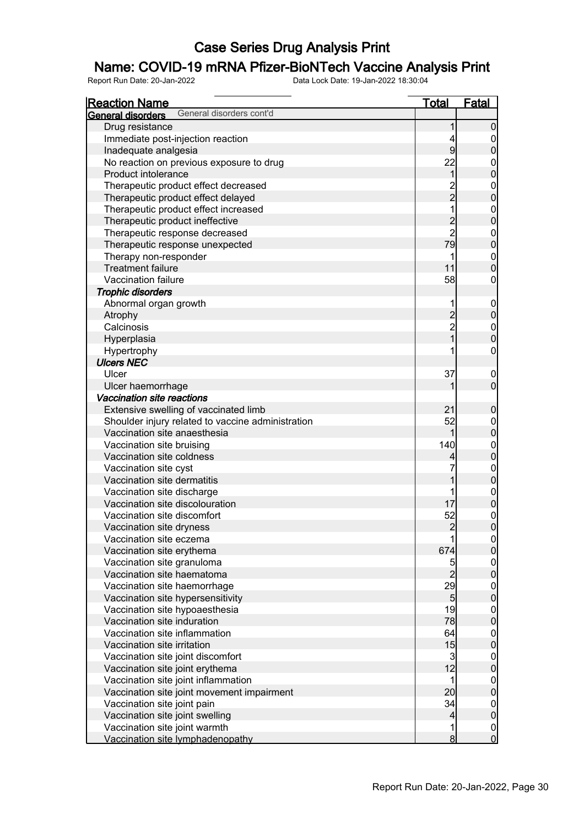### Name: COVID-19 mRNA Pfizer-BioNTech Vaccine Analysis Print

| <b>Reaction Name</b>                                 | <u>Total</u>             | <b>Fatal</b>                           |
|------------------------------------------------------|--------------------------|----------------------------------------|
| General disorders cont'd<br><b>General disorders</b> |                          |                                        |
| Drug resistance                                      | 1                        | $\boldsymbol{0}$                       |
| Immediate post-injection reaction                    | 4                        |                                        |
| Inadequate analgesia                                 | 9                        | $0$<br>0                               |
| No reaction on previous exposure to drug             | 22                       |                                        |
| Product intolerance                                  | 1                        | $\begin{bmatrix} 0 \\ 0 \end{bmatrix}$ |
| Therapeutic product effect decreased                 |                          |                                        |
| Therapeutic product effect delayed                   | $\frac{2}{2}$            | $0$ 0                                  |
| Therapeutic product effect increased                 | $\overline{1}$           |                                        |
| Therapeutic product ineffective                      |                          | $0$ 0                                  |
| Therapeutic response decreased                       | $\frac{2}{2}$            |                                        |
| Therapeutic response unexpected                      | 79                       | $0$<br>0                               |
| Therapy non-responder                                | 1                        |                                        |
| <b>Treatment failure</b>                             | 11                       | $\begin{matrix} 0 \\ 0 \end{matrix}$   |
| Vaccination failure                                  | 58                       | $\mathbf{0}$                           |
| <b>Trophic disorders</b>                             |                          |                                        |
| Abnormal organ growth                                | 1                        |                                        |
|                                                      |                          | $0\atop 0$                             |
| Atrophy<br>Calcinosis                                | $\frac{2}{2}$            |                                        |
|                                                      | $_1^-$                   | $\begin{matrix}0\\0\end{matrix}$       |
| Hyperplasia                                          |                          |                                        |
| Hypertrophy                                          |                          | $\mathbf{0}$                           |
| <b>Ulcers NEC</b>                                    |                          |                                        |
| Ulcer                                                | 37                       | $0\atop 0$                             |
| Ulcer haemorrhage                                    | 1                        |                                        |
| Vaccination site reactions                           |                          |                                        |
| Extensive swelling of vaccinated limb                | 21                       | $\boldsymbol{0}$                       |
| Shoulder injury related to vaccine administration    | 52                       | $\begin{matrix}0\\0\end{matrix}$       |
| Vaccination site anaesthesia                         | 1                        |                                        |
| Vaccination site bruising                            | 140                      | $0$ 0                                  |
| Vaccination site coldness                            | 4                        |                                        |
| Vaccination site cyst                                |                          | $0\atop 0$                             |
| Vaccination site dermatitis                          | 1                        |                                        |
| Vaccination site discharge                           | 1                        | $0\atop 0$                             |
| Vaccination site discolouration                      | 17                       |                                        |
| Vaccination site discomfort                          | 52                       | $\begin{matrix} 0 \\ 0 \end{matrix}$   |
| Vaccination site dryness                             | $\overline{2}$           |                                        |
| Vaccination site eczema                              | 1                        | $\begin{matrix} 0 \\ 0 \end{matrix}$   |
| Vaccination site erythema                            | 674                      |                                        |
| Vaccination site granuloma                           | 5                        |                                        |
| Vaccination site haematoma                           | $\overline{2}$           | $\begin{matrix} 0 \\ 0 \end{matrix}$   |
| Vaccination site haemorrhage                         | 29                       | $\begin{matrix} 0 \\ 0 \end{matrix}$   |
| Vaccination site hypersensitivity                    | $5\overline{)}$          |                                        |
| Vaccination site hypoaesthesia                       | 19                       | $\begin{matrix}0\\0\end{matrix}$       |
| Vaccination site induration                          | 78                       |                                        |
| Vaccination site inflammation                        | 64                       |                                        |
| Vaccination site irritation                          | 15                       | $\begin{matrix}0\\0\end{matrix}$       |
| Vaccination site joint discomfort                    | $\overline{3}$           |                                        |
| Vaccination site joint erythema                      | 12                       | $\begin{matrix}0\\0\end{matrix}$       |
| Vaccination site joint inflammation                  | 1                        |                                        |
| Vaccination site joint movement impairment           | 20                       | $\begin{matrix}0\\0\end{matrix}$       |
| Vaccination site joint pain                          | 34                       |                                        |
| Vaccination site joint swelling                      | $\overline{\mathcal{L}}$ | $0\atop 0$                             |
| Vaccination site joint warmth                        | 1                        |                                        |
| Vaccination site lymphadenopathy                     | $\bf{8}$                 | $\begin{matrix} 0 \\ 0 \end{matrix}$   |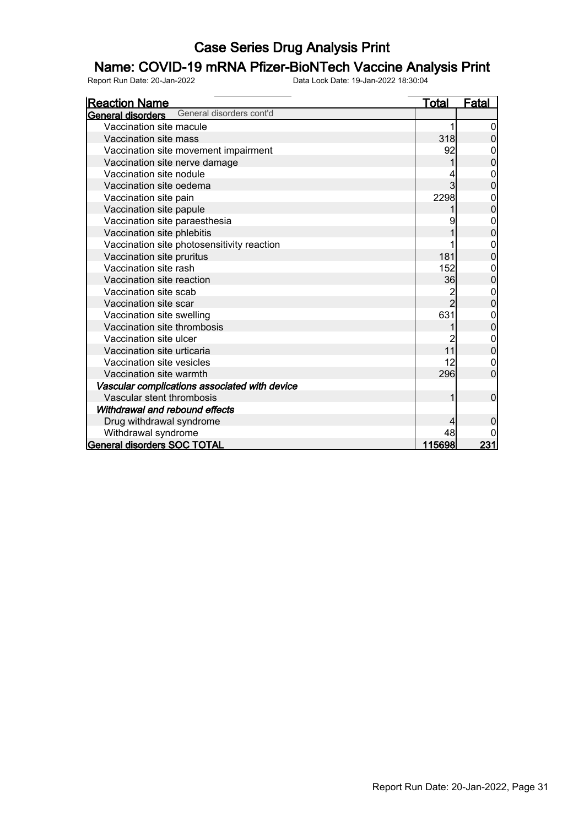### Name: COVID-19 mRNA Pfizer-BioNTech Vaccine Analysis Print

| <u>Reaction Name</u>                          | <b>Total</b>    | <b>Fatal</b>   |
|-----------------------------------------------|-----------------|----------------|
| General disorders cont'd<br>General disorders |                 |                |
| Vaccination site macule                       |                 |                |
| Vaccination site mass                         | 318             |                |
| Vaccination site movement impairment          | 92              |                |
| Vaccination site nerve damage                 |                 | 0              |
| Vaccination site nodule                       |                 | 0              |
| Vaccination site oedema                       |                 | 0              |
| Vaccination site pain                         | 2298            | 0              |
| Vaccination site papule                       |                 | 0              |
| Vaccination site paraesthesia                 | 9               | 0              |
| Vaccination site phlebitis                    |                 | 0              |
| Vaccination site photosensitivity reaction    |                 | 0              |
| Vaccination site pruritus                     | 181             | 0              |
| Vaccination site rash                         | 152             | 0              |
| Vaccination site reaction                     | 36              | $\overline{0}$ |
| Vaccination site scab                         | 2               | 0              |
| Vaccination site scar                         | $\overline{2}$  | 0              |
| Vaccination site swelling                     | 631             | 0              |
| Vaccination site thrombosis                   |                 | $\mathbf 0$    |
| Vaccination site ulcer                        |                 | 0              |
| Vaccination site urticaria                    | 11              | 0              |
| Vaccination site vesicles                     | 12              |                |
| Vaccination site warmth                       | 296             | 0              |
| Vascular complications associated with device |                 |                |
| Vascular stent thrombosis                     | 1               | 0              |
| Withdrawal and rebound effects                |                 |                |
| Drug withdrawal syndrome                      |                 |                |
| Withdrawal syndrome                           | 48              |                |
| <b>General disorders SOC TOTAL</b>            | <u> 115698 </u> | 231            |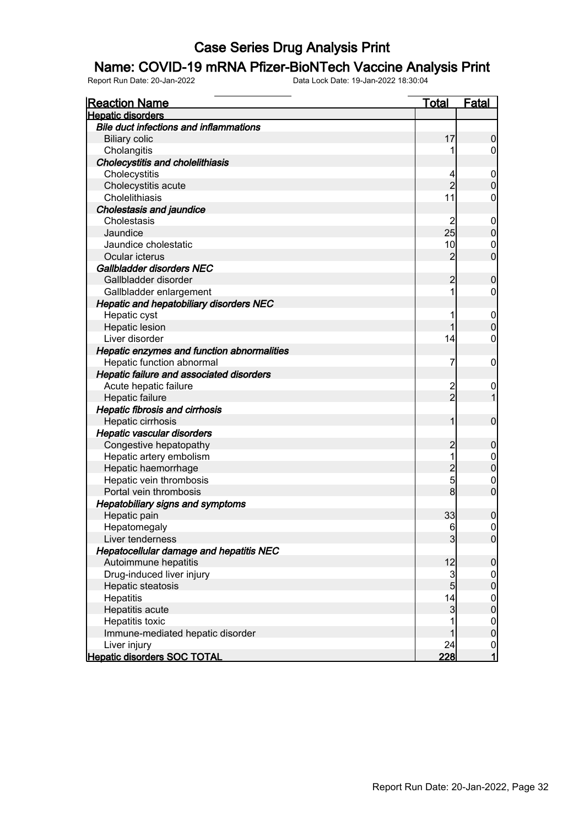#### Name: COVID-19 mRNA Pfizer-BioNTech Vaccine Analysis Print

| <b>Reaction Name</b>                           | <u>Total</u>   | <b>Fatal</b>     |
|------------------------------------------------|----------------|------------------|
| <b>Hepatic disorders</b>                       |                |                  |
| <b>Bile duct infections and inflammations</b>  |                |                  |
| <b>Biliary colic</b>                           | 17             | $\boldsymbol{0}$ |
| Cholangitis                                    |                | $\overline{0}$   |
| <b>Cholecystitis and cholelithiasis</b>        |                |                  |
| Cholecystitis                                  | 4              | $\boldsymbol{0}$ |
| Cholecystitis acute                            | $\overline{2}$ | $\boldsymbol{0}$ |
| Cholelithiasis                                 | 11             | $\mathbf 0$      |
| <b>Cholestasis and jaundice</b>                |                |                  |
| Cholestasis                                    | 2              | $\mathbf 0$      |
| Jaundice                                       | 25             | $\pmb{0}$        |
| Jaundice cholestatic                           | 10             | $\mathbf 0$      |
| Ocular icterus                                 | $\overline{2}$ | $\mathbf 0$      |
| Gallbladder disorders NEC                      |                |                  |
| Gallbladder disorder                           | 2              | $\mathbf 0$      |
| Gallbladder enlargement                        | 1              | $\overline{0}$   |
| <b>Hepatic and hepatobiliary disorders NEC</b> |                |                  |
| Hepatic cyst                                   | 1              | $\mathbf 0$      |
| <b>Hepatic lesion</b>                          | 1              | $\boldsymbol{0}$ |
| Liver disorder                                 | 14             | $\mathbf 0$      |
| Hepatic enzymes and function abnormalities     |                |                  |
| Hepatic function abnormal                      | 7              | $\mathbf 0$      |
| Hepatic failure and associated disorders       |                |                  |
| Acute hepatic failure                          | $\overline{c}$ | 0                |
| Hepatic failure                                | $\overline{2}$ | $\overline{1}$   |
| <b>Hepatic fibrosis and cirrhosis</b>          |                |                  |
| Hepatic cirrhosis                              | 1              | $\boldsymbol{0}$ |
| Hepatic vascular disorders                     |                |                  |
| Congestive hepatopathy                         | $\overline{c}$ | $\boldsymbol{0}$ |
| Hepatic artery embolism                        | 1              | $\mathbf 0$      |
| Hepatic haemorrhage                            | $\overline{c}$ | $\mathbf 0$      |
| Hepatic vein thrombosis                        | 5              | $\mathbf 0$      |
| Portal vein thrombosis                         | 8              | $\overline{0}$   |
| <b>Hepatobiliary signs and symptoms</b>        |                |                  |
| Hepatic pain                                   | 33             | $\boldsymbol{0}$ |
| Hepatomegaly                                   | 6              | $\mathbf 0$      |
| Liver tenderness                               | $\overline{3}$ | 0                |
| Hepatocellular damage and hepatitis NEC        |                |                  |
| Autoimmune hepatitis                           | 12             | $\boldsymbol{0}$ |
| Drug-induced liver injury                      | $\overline{3}$ | $\overline{0}$   |
| Hepatic steatosis                              | $\overline{5}$ | $\pmb{0}$        |
| Hepatitis                                      | 14             | $\overline{0}$   |
| Hepatitis acute                                | $\mathbf{3}$   | $\pmb{0}$        |
| Hepatitis toxic                                | 1              | $\overline{0}$   |
| Immune-mediated hepatic disorder               | 1              | $\mathbf 0$      |
| Liver injury                                   | 24             | $\frac{0}{1}$    |
| <b>Hepatic disorders SOC TOTAL</b>             | 228            |                  |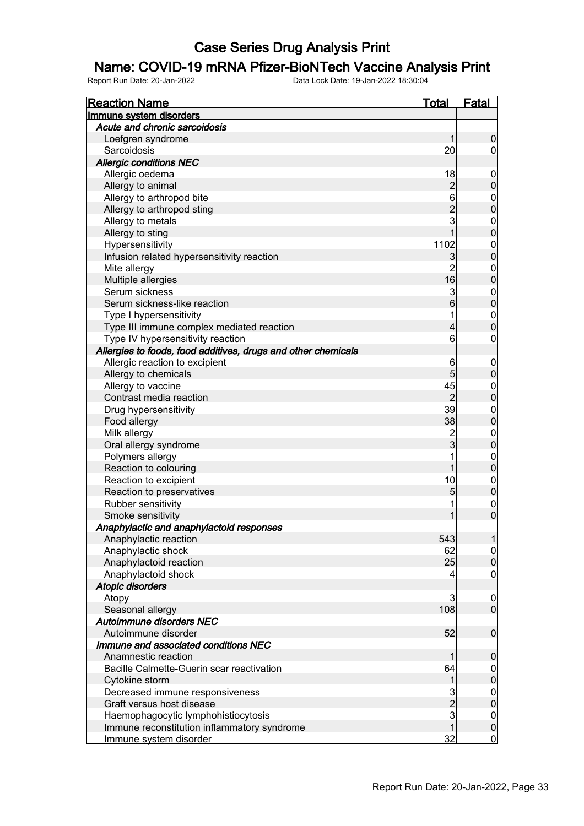#### Name: COVID-19 mRNA Pfizer-BioNTech Vaccine Analysis Print

| <b>Reaction Name</b>                                          | <b>Total</b>                                        | <b>Fatal</b>                         |
|---------------------------------------------------------------|-----------------------------------------------------|--------------------------------------|
| Immune system disorders                                       |                                                     |                                      |
| Acute and chronic sarcoidosis                                 |                                                     |                                      |
| Loefgren syndrome                                             | 1                                                   | $\boldsymbol{0}$                     |
| Sarcoidosis                                                   | 20                                                  | $\overline{0}$                       |
| <b>Allergic conditions NEC</b>                                |                                                     |                                      |
| Allergic oedema                                               | 18                                                  | $\mathbf 0$                          |
| Allergy to animal                                             |                                                     | $\bf{0}$                             |
| Allergy to arthropod bite                                     |                                                     |                                      |
| Allergy to arthropod sting                                    |                                                     | $0\atop 0$                           |
| Allergy to metals                                             | $\begin{array}{c}\n 2 \\ 6 \\ 2 \\ 3\n \end{array}$ |                                      |
| Allergy to sting                                              | $\overline{1}$                                      | $\begin{matrix}0\\0\end{matrix}$     |
| Hypersensitivity                                              | 1102                                                |                                      |
| Infusion related hypersensitivity reaction                    | $\mathbf{3}$                                        | $\begin{matrix}0\\0\end{matrix}$     |
| Mite allergy                                                  | $\overline{2}$                                      |                                      |
| Multiple allergies                                            | 16                                                  | $\begin{matrix}0\\0\end{matrix}$     |
| Serum sickness                                                | 3                                                   |                                      |
| Serum sickness-like reaction                                  | $\overline{6}$                                      | $\begin{matrix}0\\0\end{matrix}$     |
| Type I hypersensitivity                                       | 1                                                   |                                      |
| Type III immune complex mediated reaction                     | 4                                                   | $\begin{matrix}0\\0\end{matrix}$     |
| Type IV hypersensitivity reaction                             | 6                                                   | $\mathbf 0$                          |
| Allergies to foods, food additives, drugs and other chemicals |                                                     |                                      |
| Allergic reaction to excipient                                | 6                                                   | $\boldsymbol{0}$                     |
| Allergy to chemicals                                          | 5                                                   | $\mathbf 0$                          |
| Allergy to vaccine                                            | 45                                                  |                                      |
| Contrast media reaction                                       | $\overline{2}$                                      | $0$<br>0                             |
| Drug hypersensitivity                                         | 39                                                  |                                      |
|                                                               | 38                                                  | $\begin{matrix}0\\0\end{matrix}$     |
| Food allergy                                                  |                                                     |                                      |
| Milk allergy                                                  | $\frac{2}{3}$                                       | $\begin{matrix}0\\0\end{matrix}$     |
| Oral allergy syndrome                                         | 1                                                   |                                      |
| Polymers allergy                                              | 1                                                   | $\begin{matrix}0\\0\end{matrix}$     |
| Reaction to colouring                                         |                                                     |                                      |
| Reaction to excipient                                         | 10                                                  | $\begin{matrix}0\\0\end{matrix}$     |
| Reaction to preservatives                                     | 5                                                   |                                      |
| Rubber sensitivity                                            | 1                                                   | $\begin{matrix} 0 \\ 0 \end{matrix}$ |
| Smoke sensitivity                                             | 1                                                   |                                      |
| Anaphylactic and anaphylactoid responses                      |                                                     |                                      |
| Anaphylactic reaction                                         | 543                                                 | 1                                    |
| Anaphylactic shock                                            | 62                                                  | 0                                    |
| Anaphylactoid reaction                                        | 25                                                  | $\mathbf 0$                          |
| Anaphylactoid shock                                           |                                                     | $\overline{0}$                       |
| Atopic disorders                                              |                                                     |                                      |
| Atopy                                                         | 3                                                   | $\mathbf 0$                          |
| Seasonal allergy                                              | 108                                                 | $\overline{0}$                       |
| Autoimmune disorders NEC                                      |                                                     |                                      |
| Autoimmune disorder                                           | 52                                                  | $\pmb{0}$                            |
| Immune and associated conditions NEC                          |                                                     |                                      |
| Anamnestic reaction                                           | 1                                                   | $\mathbf 0$                          |
| Bacille Calmette-Guerin scar reactivation                     | 64                                                  | $\overline{0}$                       |
| Cytokine storm                                                | 1                                                   | $\mathbf 0$                          |
| Decreased immune responsiveness                               | 3                                                   |                                      |
| Graft versus host disease                                     | $\frac{2}{3}$                                       | $\begin{matrix} 0 \\ 0 \end{matrix}$ |
| Haemophagocytic lymphohistiocytosis                           |                                                     |                                      |
| Immune reconstitution inflammatory syndrome                   | 1                                                   | $\begin{matrix} 0 \\ 0 \end{matrix}$ |
| Immune system disorder                                        | 32                                                  | $\overline{0}$                       |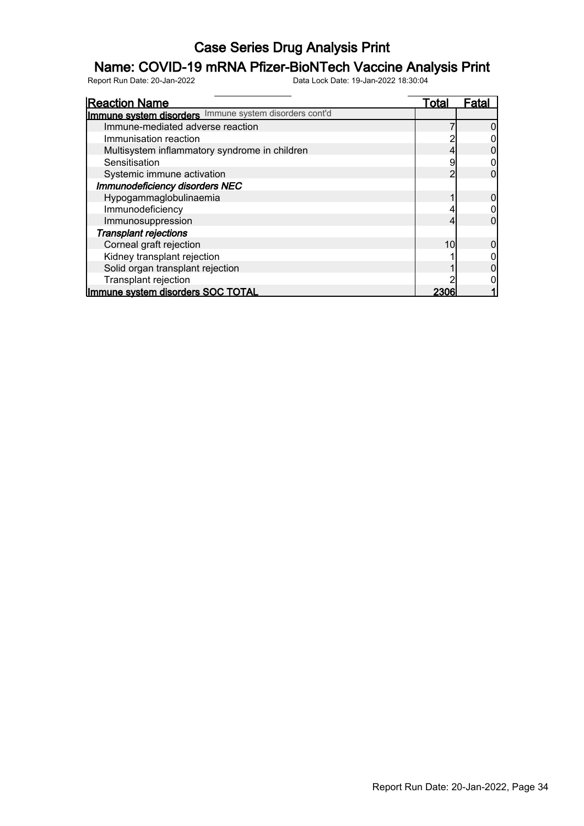### Name: COVID-19 mRNA Pfizer-BioNTech Vaccine Analysis Print

| <b>Reaction Name</b>                                   | Total | Fata |
|--------------------------------------------------------|-------|------|
| Immune system disorders Immune system disorders cont'd |       |      |
| Immune-mediated adverse reaction                       |       |      |
| Immunisation reaction                                  |       |      |
| Multisystem inflammatory syndrome in children          |       |      |
| Sensitisation                                          |       |      |
| Systemic immune activation                             |       |      |
| <b>Immunodeficiency disorders NEC</b>                  |       |      |
| Hypogammaglobulinaemia                                 |       |      |
| Immunodeficiency                                       |       |      |
| Immunosuppression                                      |       |      |
| <b>Transplant rejections</b>                           |       |      |
| Corneal graft rejection                                | 10    |      |
| Kidney transplant rejection                            |       |      |
| Solid organ transplant rejection                       |       |      |
| Transplant rejection                                   |       |      |
| Immune system disorders SOC TOTAL                      | 2306  |      |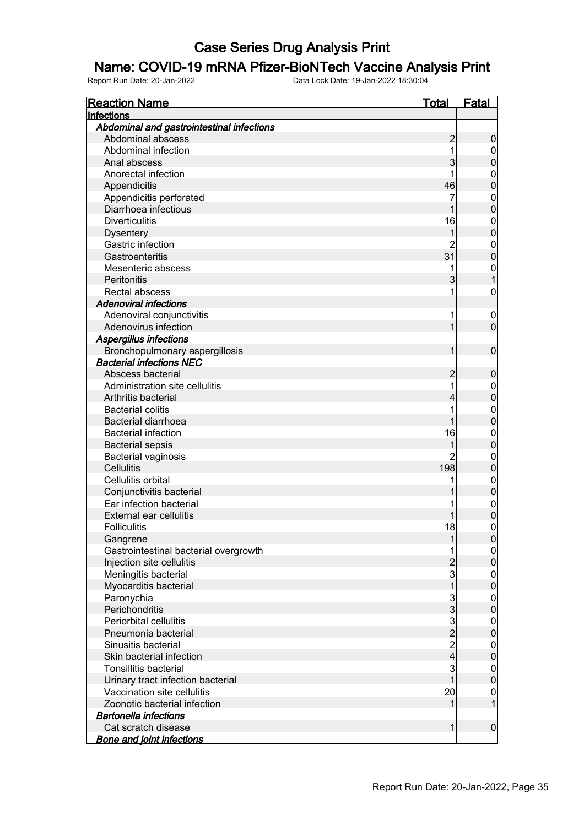### Name: COVID-19 mRNA Pfizer-BioNTech Vaccine Analysis Print

| <u>Reaction Name</u>                      | <u>Total</u>   | <b>Fatal</b>          |
|-------------------------------------------|----------------|-----------------------|
| Infections                                |                |                       |
| Abdominal and gastrointestinal infections |                |                       |
| Abdominal abscess                         | $\overline{c}$ | 0                     |
| Abdominal infection                       | 1              | 0                     |
| Anal abscess                              | 3              | 0                     |
| Anorectal infection                       | 1              | $\mathbf 0$           |
| Appendicitis                              | 46             | 0                     |
| Appendicitis perforated                   | 7              | $\mathbf{0}$          |
| Diarrhoea infectious                      |                | 0                     |
| <b>Diverticulitis</b>                     | 16             | $\mathbf{0}$          |
| <b>Dysentery</b>                          | 1              | $\overline{0}$        |
| Gastric infection                         | 2              | $\mathbf{0}$          |
| Gastroenteritis                           | 31             | $\overline{0}$        |
| Mesenteric abscess                        | 1              | $\mathbf{0}$          |
| Peritonitis                               | 3              |                       |
| Rectal abscess                            | 1              | $\mathbf 0$           |
| <b>Adenoviral infections</b>              |                |                       |
| Adenoviral conjunctivitis                 | 1              | $\mathbf 0$           |
| Adenovirus infection                      | 1              | $\mathbf 0$           |
| <b>Aspergillus infections</b>             |                |                       |
| Bronchopulmonary aspergillosis            | 1              | $\mathbf 0$           |
| <b>Bacterial infections NEC</b>           |                |                       |
| Abscess bacterial                         | 2              | 0                     |
| Administration site cellulitis            | 1              | $\boldsymbol{0}$      |
| Arthritis bacterial                       | 4              | $\mathbf 0$           |
| <b>Bacterial colitis</b>                  | 1              | $\mathbf{0}$          |
| <b>Bacterial diarrhoea</b>                |                | $\mathbf 0$           |
| <b>Bacterial infection</b>                | 16             | $\mathbf{0}$          |
| <b>Bacterial sepsis</b>                   |                | $\overline{0}$        |
| Bacterial vaginosis                       | 2              | $\mathbf{0}$          |
| <b>Cellulitis</b>                         | 198            | 0                     |
| Cellulitis orbital                        | 1              | $\mathbf{0}$          |
| Conjunctivitis bacterial                  |                | $\mathbf 0$           |
| Ear infection bacterial                   |                | $\mathbf{0}$          |
| <b>External ear cellulitis</b>            |                | $\overline{0}$        |
| <b>Folliculitis</b>                       | 18             | $\overline{0}$        |
| Gangrene                                  |                | <sup>0</sup>          |
| Gastrointestinal bacterial overgrowth     | 1              | $\overline{0}$        |
| Injection site cellulitis                 |                | 0                     |
| Meningitis bacterial                      | $\overline{3}$ | $\boldsymbol{0}$      |
| Myocarditis bacterial                     | $\overline{1}$ | $\mathbf 0$           |
| Paronychia                                | $\mathbf{3}$   | $\boldsymbol{0}$      |
| Perichondritis                            | $\overline{3}$ | 0                     |
| Periorbital cellulitis                    | $\mathbf{3}$   |                       |
| Pneumonia bacterial                       | $\overline{2}$ | $\boldsymbol{0}$<br>0 |
| Sinusitis bacterial                       | $\overline{2}$ |                       |
| Skin bacterial infection                  | $\overline{4}$ | $\boldsymbol{0}$      |
|                                           |                | 0                     |
| <b>Tonsillitis bacterial</b>              | 3<br>1         | $\boldsymbol{0}$      |
| Urinary tract infection bacterial         |                | $\boldsymbol{0}$      |
| Vaccination site cellulitis               | 20             | $\mathbf 0$           |
| Zoonotic bacterial infection              | 1              | $\overline{1}$        |
| <b>Bartonella infections</b>              |                |                       |
| Cat scratch disease                       | 1              | $\boldsymbol{0}$      |
| <b>Bone and joint infections</b>          |                |                       |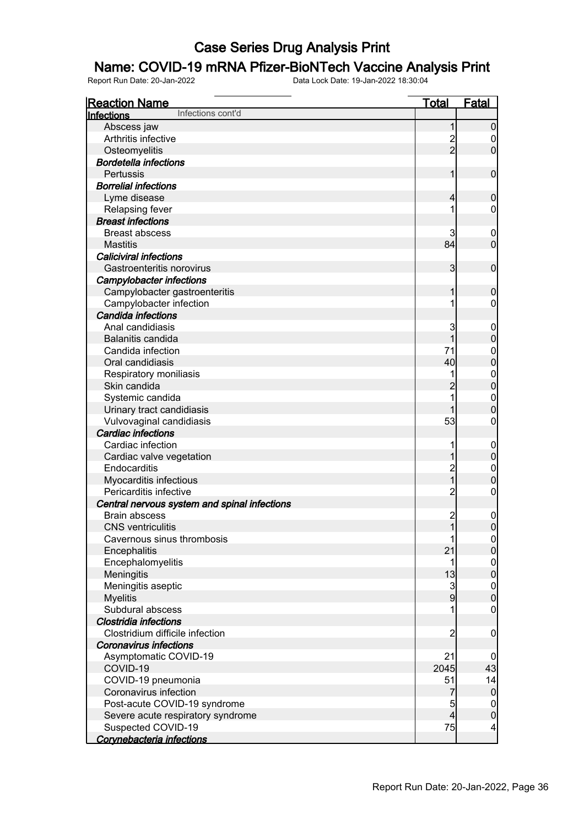### Name: COVID-19 mRNA Pfizer-BioNTech Vaccine Analysis Print

| <b>Reaction Name</b>                         | <b>Total</b>   | Fatal                   |
|----------------------------------------------|----------------|-------------------------|
| Infections cont'd<br>Infections              |                |                         |
| Abscess jaw                                  | 1              | $\boldsymbol{0}$        |
| Arthritis infective                          | $\frac{2}{2}$  | 0                       |
| Osteomyelitis                                |                | $\mathbf 0$             |
| <b>Bordetella infections</b>                 |                |                         |
| Pertussis                                    | 1              | $\pmb{0}$               |
| <b>Borrelial infections</b>                  |                |                         |
| Lyme disease                                 | $\overline{4}$ | $\boldsymbol{0}$        |
| Relapsing fever                              | 1              | 0                       |
| <b>Breast infections</b>                     |                |                         |
| <b>Breast abscess</b>                        | 3              | $\boldsymbol{0}$        |
| <b>Mastitis</b>                              | 84             | $\mathbf 0$             |
| <b>Caliciviral infections</b>                |                |                         |
| Gastroenteritis norovirus                    | $\mathbf{3}$   | $\boldsymbol{0}$        |
| <b>Campylobacter infections</b>              |                |                         |
| Campylobacter gastroenteritis                | 1              | $\boldsymbol{0}$        |
| Campylobacter infection                      | 1              | 0                       |
| Candida infections                           |                |                         |
| Anal candidiasis                             | 3              | 0                       |
| Balanitis candida                            | 1              | $\pmb{0}$               |
| Candida infection                            | 71             | $\mathbf 0$             |
| Oral candidiasis                             | 40             | $\mathbf 0$             |
| Respiratory moniliasis                       | 1              | $\mathbf{0}$            |
| Skin candida                                 | $\overline{c}$ | $\overline{0}$          |
| Systemic candida                             | 1              | $\mathbf 0$             |
| Urinary tract candidiasis                    | 1              | $\mathbf 0$             |
| Vulvovaginal candidiasis                     | 53             | 0                       |
| <b>Cardiac infections</b>                    |                |                         |
| Cardiac infection                            |                | $\mathbf 0$             |
| Cardiac valve vegetation                     | 1              | $\mathbf 0$             |
| Endocarditis                                 | $\overline{c}$ | $\mathbf 0$             |
| Myocarditis infectious                       | $\overline{1}$ | $\mathbf 0$             |
| Pericarditis infective                       | $\overline{c}$ | $\boldsymbol{0}$        |
| Central nervous system and spinal infections |                |                         |
| <b>Brain abscess</b>                         | $\overline{c}$ | $\boldsymbol{0}$        |
| <b>CNS</b> ventriculitis                     | $\mathbf 1$    | $\mathbf 0$             |
| Cavernous sinus thrombosis                   | 1              | 0                       |
| Encephalitis                                 | 21             | $\overline{0}$          |
| Encephalomyelitis                            | 1              | $\mathbf 0$             |
| Meningitis                                   | 13             | $\mathbf 0$             |
| Meningitis aseptic                           | $\mathbf{3}$   | $\boldsymbol{0}$        |
| <b>Myelitis</b>                              | $\overline{9}$ | $\mathbf 0$             |
| Subdural abscess                             | 1              | $\mathbf 0$             |
| Clostridia infections                        |                |                         |
| Clostridium difficile infection              | $\overline{2}$ | $\boldsymbol{0}$        |
| <b>Coronavirus infections</b>                |                |                         |
| Asymptomatic COVID-19                        | 21             | 0                       |
| COVID-19                                     | 2045           | 43                      |
| COVID-19 pneumonia                           | 51             | 14                      |
| Coronavirus infection                        | $\overline{7}$ | $\overline{0}$          |
| Post-acute COVID-19 syndrome                 | 5              | $\mathbf 0$             |
| Severe acute respiratory syndrome            | $\overline{4}$ | $\pmb{0}$               |
| Suspected COVID-19                           | 75             | $\overline{\mathbf{r}}$ |
| Corynebacteria infections                    |                |                         |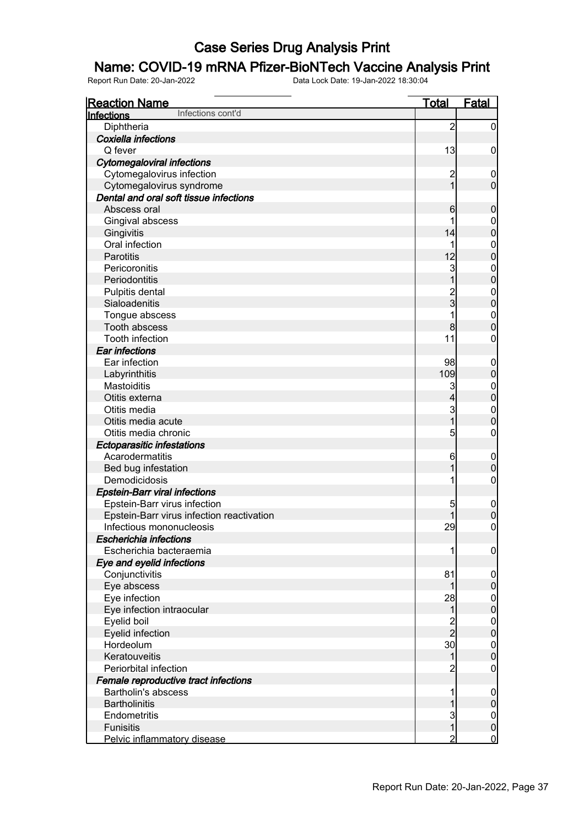### Name: COVID-19 mRNA Pfizer-BioNTech Vaccine Analysis Print

| <b>Reaction Name</b>                      | <b>Total</b>   | <b>Fatal</b>     |
|-------------------------------------------|----------------|------------------|
| Infections cont'd<br>Infections           |                |                  |
| Diphtheria                                | $\overline{2}$ | $\overline{0}$   |
| Coxiella infections                       |                |                  |
| Q fever                                   | 13             | $\mathbf 0$      |
| <b>Cytomegaloviral infections</b>         |                |                  |
| Cytomegalovirus infection                 | $\overline{c}$ | $\mathbf 0$      |
| Cytomegalovirus syndrome                  | $\overline{1}$ | $\mathbf 0$      |
| Dental and oral soft tissue infections    |                |                  |
| Abscess oral                              | 6              | $\boldsymbol{0}$ |
| Gingival abscess                          |                | $\boldsymbol{0}$ |
| Gingivitis                                | 14             | $\mathbf 0$      |
| Oral infection                            |                | $\mathbf{0}$     |
| Parotitis                                 | 12             | $\mathbf 0$      |
| Pericoronitis                             | $\mathbf{3}$   | $\mathbf{0}$     |
| Periodontitis                             | $\overline{1}$ | $\overline{0}$   |
| Pulpitis dental                           |                | $\mathbf{0}$     |
| Sialoadenitis                             | $\frac{2}{3}$  | $\overline{0}$   |
| Tongue abscess                            |                | $\mathbf{0}$     |
| <b>Tooth abscess</b>                      | 8              | $\overline{0}$   |
| Tooth infection                           | 11             | 0                |
| Ear infections                            |                |                  |
| Ear infection                             | 98             | $\mathbf 0$      |
| Labyrinthitis                             | 109            | $\pmb{0}$        |
| <b>Mastoiditis</b>                        | 3              | $\mathbf{0}$     |
| Otitis externa                            | $\overline{4}$ | $\mathbf 0$      |
| Otitis media                              | $\mathbf{3}$   | $\mathbf{0}$     |
| Otitis media acute                        | $\overline{1}$ | $\mathbf 0$      |
| Otitis media chronic                      | 5              | 0                |
| <b>Ectoparasitic infestations</b>         |                |                  |
| Acarodermatitis                           | 6              | $\mathbf 0$      |
| Bed bug infestation                       |                | $\pmb{0}$        |
| Demodicidosis                             |                | $\boldsymbol{0}$ |
| <b>Epstein-Barr viral infections</b>      |                |                  |
| Epstein-Barr virus infection              | 5              | $\mathbf 0$      |
| Epstein-Barr virus infection reactivation |                | $\bf{0}$         |
| Infectious mononucleosis                  | 29             | $\mathbf 0$      |
| <b>Escherichia infections</b>             |                |                  |
| Escherichia bacteraemia                   | 1              | $\overline{0}$   |
| Eye and eyelid infections                 |                |                  |
| Conjunctivitis                            | 81             | $\mathbf 0$      |
| Eye abscess                               | 1              | $\pmb{0}$        |
| Eye infection                             | 28             | $\mathbf 0$      |
| Eye infection intraocular                 | 1              | $\mathbf 0$      |
| Eyelid boil                               |                | $\mathbf 0$      |
| Eyelid infection                          | 2<br>2         | $\mathbf 0$      |
| Hordeolum                                 | 30             | $\mathbf 0$      |
| Keratouveitis                             | 1              | $\mathbf 0$      |
| Periorbital infection                     | $\overline{2}$ | 0                |
| Female reproductive tract infections      |                |                  |
| <b>Bartholin's abscess</b>                |                | 0                |
| <b>Bartholinitis</b>                      |                | $\pmb{0}$        |
| Endometritis                              | 3              | $\mathbf 0$      |
| <b>Funisitis</b>                          | $\mathbf{1}$   | $\pmb{0}$        |
| Pelvic inflammatory disease               | $\overline{2}$ | $\overline{0}$   |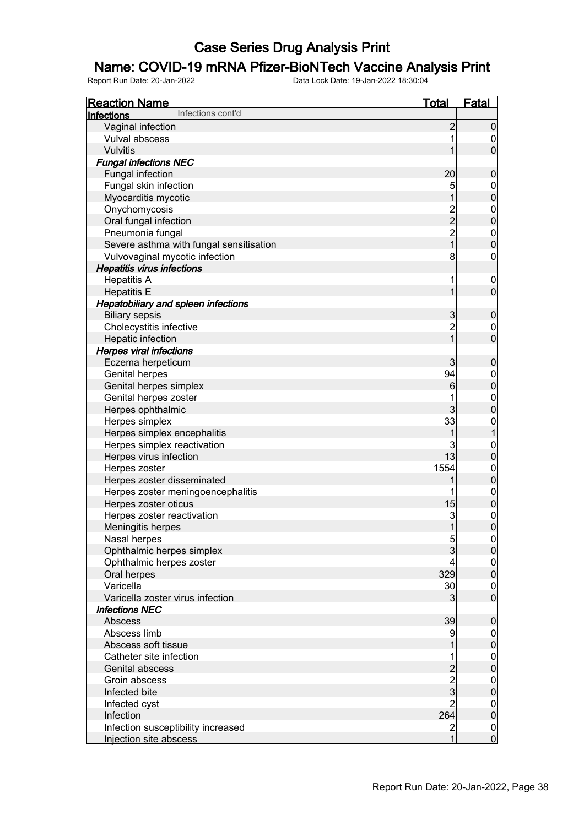### Name: COVID-19 mRNA Pfizer-BioNTech Vaccine Analysis Print

| <b>Reaction Name</b>                       | <u>Total</u>            | <b>Fatal</b>                         |
|--------------------------------------------|-------------------------|--------------------------------------|
| Infections cont'd<br><u>Infections</u>     |                         |                                      |
| Vaginal infection                          | $\overline{c}$          | $\mathbf 0$                          |
| Vulval abscess                             |                         | 0                                    |
| Vulvitis                                   |                         | $\overline{0}$                       |
| <b>Fungal infections NEC</b>               |                         |                                      |
| Fungal infection                           | 20                      | $\boldsymbol{0}$                     |
| Fungal skin infection                      | 5                       | $\boldsymbol{0}$                     |
| Myocarditis mycotic                        | 1                       | $\overline{0}$                       |
| Onychomycosis                              |                         |                                      |
| Oral fungal infection                      | $\frac{2}{2}$           | $0$ 0                                |
| Pneumonia fungal                           |                         |                                      |
| Severe asthma with fungal sensitisation    | $\frac{2}{1}$           | $0\atop 0$                           |
| Vulvovaginal mycotic infection             | 8                       | 0                                    |
| <b>Hepatitis virus infections</b>          |                         |                                      |
| <b>Hepatitis A</b>                         | 1                       | $\mathbf 0$                          |
| <b>Hepatitis E</b>                         | 1                       | $\overline{0}$                       |
| <b>Hepatobiliary and spleen infections</b> |                         |                                      |
| <b>Biliary sepsis</b>                      | 3                       | $\mathbf 0$                          |
| Cholecystitis infective                    | $\overline{2}$          | $\mathbf 0$                          |
| Hepatic infection                          | $\overline{1}$          | $\overline{0}$                       |
| <b>Herpes viral infections</b>             |                         |                                      |
| Eczema herpeticum                          | 3                       | $\boldsymbol{0}$                     |
| <b>Genital herpes</b>                      | 94                      | $\boldsymbol{0}$                     |
| Genital herpes simplex                     | 6                       | $\mathbf 0$                          |
| Genital herpes zoster                      |                         |                                      |
| Herpes ophthalmic                          | 3                       | $0\atop 0$                           |
| Herpes simplex                             | 33                      | $\mathbf{0}$                         |
| Herpes simplex encephalitis                | 1                       | $\overline{1}$                       |
| Herpes simplex reactivation                | 3                       | $\boldsymbol{0}$                     |
| Herpes virus infection                     | 13                      | $\overline{0}$                       |
| Herpes zoster                              | 1554                    |                                      |
| Herpes zoster disseminated                 | 1                       | $0$ 0                                |
| Herpes zoster meningoencephalitis          | 1                       |                                      |
| Herpes zoster oticus                       | 15                      | $\begin{matrix} 0 \\ 0 \end{matrix}$ |
| Herpes zoster reactivation                 | 3                       | $\mathbf{0}$                         |
| Meningitis herpes                          | 1                       | $\overline{0}$                       |
| Nasal herpes                               | $\overline{5}$          |                                      |
| Ophthalmic herpes simplex                  | $\overline{3}$          | $\frac{0}{0}$                        |
| Ophthalmic herpes zoster                   | 4                       |                                      |
| Oral herpes                                | 329                     | $\begin{matrix} 0 \\ 0 \end{matrix}$ |
| Varicella                                  | 30                      | $\boldsymbol{0}$                     |
| Varicella zoster virus infection           | 3                       | $\overline{0}$                       |
| <b>Infections NEC</b>                      |                         |                                      |
| Abscess                                    | 39                      | $\boldsymbol{0}$                     |
| Abscess limb                               | 9                       | $\boldsymbol{0}$                     |
| Abscess soft tissue                        |                         | $\mathbf 0$                          |
| Catheter site infection                    |                         |                                      |
| Genital abscess                            | $\overline{\mathbf{c}}$ | $\begin{matrix} 0 \\ 0 \end{matrix}$ |
| Groin abscess                              |                         |                                      |
| Infected bite                              | $\frac{2}{3}$           | $0\atop 0$                           |
| Infected cyst                              | $\overline{2}$          | $\boldsymbol{0}$                     |
| Infection                                  | 264                     | $\pmb{0}$                            |
| Infection susceptibility increased         | $\overline{c}$          | $\boldsymbol{0}$                     |
| Injection site abscess                     | 1                       | $\overline{0}$                       |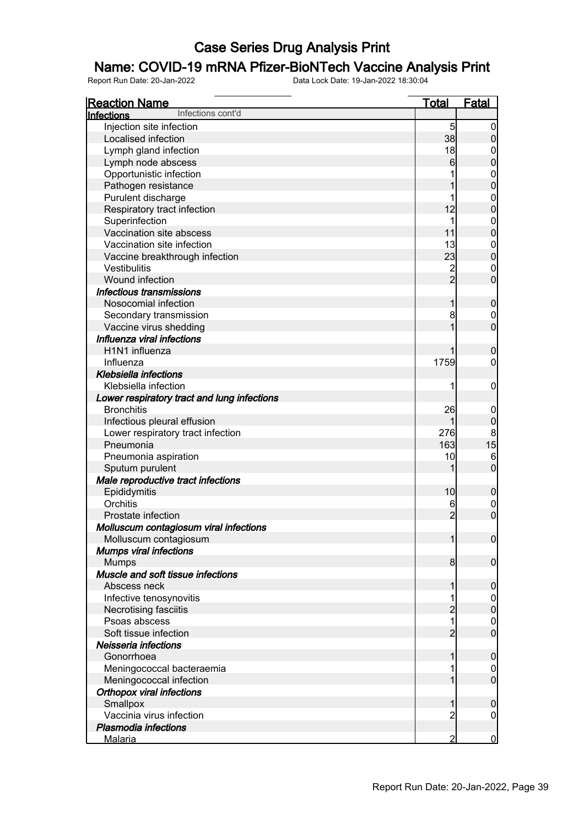### Name: COVID-19 mRNA Pfizer-BioNTech Vaccine Analysis Print

| <b>Reaction Name</b>                        | Total          | <b>Fatal</b>     |
|---------------------------------------------|----------------|------------------|
| Infections cont'd<br>Infections             |                |                  |
| Injection site infection                    | $\overline{5}$ | 0                |
| Localised infection                         | 38             | $\boldsymbol{0}$ |
| Lymph gland infection                       | 18             | 0                |
| Lymph node abscess                          | 6              | $\overline{0}$   |
| Opportunistic infection                     |                | $\mathbf{0}$     |
| Pathogen resistance                         |                | $\overline{0}$   |
| Purulent discharge                          |                | $\mathbf{0}$     |
| Respiratory tract infection                 | 12             | $\mathbf 0$      |
| Superinfection                              | 1              | $\mathbf{0}$     |
| Vaccination site abscess                    | 11             | $\mathbf 0$      |
| Vaccination site infection                  | 13             | $\mathbf{0}$     |
| Vaccine breakthrough infection              | 23             | $\mathbf 0$      |
| Vestibulitis                                | $\overline{c}$ | $\mathbf 0$      |
| Wound infection                             | $\overline{2}$ | $\overline{0}$   |
| Infectious transmissions                    |                |                  |
| Nosocomial infection                        | 1              | $\boldsymbol{0}$ |
| Secondary transmission                      | 8              | 0                |
| Vaccine virus shedding                      |                | $\overline{0}$   |
| Influenza viral infections                  |                |                  |
| H <sub>1</sub> N <sub>1</sub> influenza     |                | $\boldsymbol{0}$ |
| Influenza                                   | 1759           | 0                |
| Klebsiella infections                       |                |                  |
| Klebsiella infection                        | 1              | $\mathbf 0$      |
| Lower respiratory tract and lung infections |                |                  |
| <b>Bronchitis</b>                           | 26             | $\mathbf 0$      |
| Infectious pleural effusion                 | 1              | $\boldsymbol{0}$ |
| Lower respiratory tract infection           | 276            | $\boldsymbol{8}$ |
| Pneumonia                                   | 163            | 15               |
| Pneumonia aspiration                        | 10             | $6\phantom{.}6$  |
| Sputum purulent                             |                | $\mathbf 0$      |
| Male reproductive tract infections          |                |                  |
| Epididymitis                                | 10             | $\mathbf 0$      |
| Orchitis                                    | 6              | $\mathbf 0$      |
| Prostate infection                          | $\overline{2}$ | $\overline{0}$   |
| Molluscum contagiosum viral infections      |                |                  |
| Molluscum contagiosum                       | 1              | 0                |
| <b>Mumps viral infections</b>               |                |                  |
| <b>Mumps</b>                                | 8 <sup>1</sup> | $\overline{0}$   |
| Muscle and soft tissue infections           |                |                  |
| Abscess neck                                | 1              | $\mathbf 0$      |
| Infective tenosynovitis                     |                | $\overline{0}$   |
| Necrotising fasciitis                       | $\overline{c}$ | $\mathbf 0$      |
| Psoas abscess                               | 1              | $\overline{0}$   |
| Soft tissue infection                       | $\overline{2}$ | $\overline{0}$   |
| Neisseria infections                        |                |                  |
| Gonorrhoea                                  | 1              | $\boldsymbol{0}$ |
| Meningococcal bacteraemia                   |                | 0                |
| Meningococcal infection                     |                | $\mathbf 0$      |
| <b>Orthopox viral infections</b>            |                |                  |
| Smallpox                                    | 1              | $\boldsymbol{0}$ |
| Vaccinia virus infection                    | 2              | 0                |
| Plasmodia infections                        |                |                  |
| <u>Malaria</u>                              | $\overline{2}$ | $\bf{0}$         |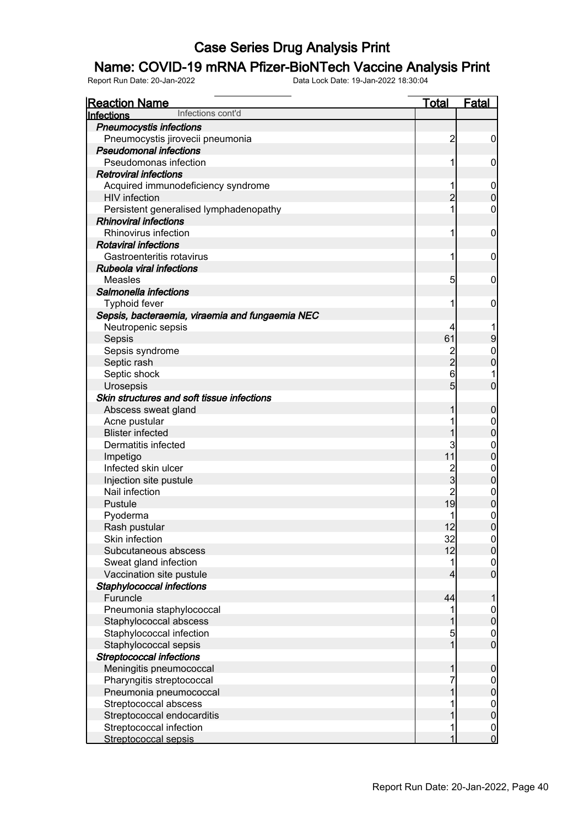### Name: COVID-19 mRNA Pfizer-BioNTech Vaccine Analysis Print

| <b>Reaction Name</b>                            | <u>Total</u>   | <b>Fatal</b>     |
|-------------------------------------------------|----------------|------------------|
| Infections cont'd<br>Infections                 |                |                  |
| <b>Pneumocystis infections</b>                  |                |                  |
| Pneumocystis jirovecii pneumonia                | $\overline{c}$ | $\boldsymbol{0}$ |
| <b>Pseudomonal infections</b>                   |                |                  |
| Pseudomonas infection                           | 1              | 0                |
| <b>Retroviral infections</b>                    |                |                  |
| Acquired immunodeficiency syndrome              | 1              | $\mathbf 0$      |
| <b>HIV</b> infection                            | $\overline{2}$ | $\overline{0}$   |
| Persistent generalised lymphadenopathy          | 1              | 0                |
| <b>Rhinoviral infections</b>                    |                |                  |
| Rhinovirus infection                            | 1              | 0                |
| <b>Rotaviral infections</b>                     |                |                  |
| Gastroenteritis rotavirus                       | 1              | 0                |
| Rubeola viral infections                        |                |                  |
| Measles                                         | 5              | 0                |
| Salmonella infections                           |                |                  |
|                                                 |                |                  |
| <b>Typhoid fever</b>                            | 1              | 0                |
| Sepsis, bacteraemia, viraemia and fungaemia NEC |                |                  |
| Neutropenic sepsis                              | 4              |                  |
| Sepsis                                          | 61             | $\overline{9}$   |
| Sepsis syndrome                                 | $\frac{2}{2}$  | $\mathbf 0$      |
| Septic rash                                     |                | $\overline{0}$   |
| Septic shock                                    | 6              |                  |
| Urosepsis                                       | 5              | $\overline{0}$   |
| Skin structures and soft tissue infections      |                |                  |
| Abscess sweat gland                             | 1              | $\mathbf 0$      |
| Acne pustular                                   |                | $\mathbf 0$      |
| <b>Blister infected</b>                         |                | $\overline{0}$   |
| Dermatitis infected                             | 3              | $\mathbf 0$      |
| Impetigo                                        | 11             | $\overline{0}$   |
| Infected skin ulcer                             | $\frac{2}{3}$  | $\mathbf 0$      |
| Injection site pustule                          |                | $\overline{0}$   |
| Nail infection                                  | $\overline{c}$ | $\overline{0}$   |
| Pustule                                         | 19             | $\overline{0}$   |
| Pyoderma                                        |                | $\mathbf 0$      |
| Rash pustular                                   | 12             | $\overline{0}$   |
| Skin infection                                  | 32             | 0                |
| Subcutaneous abscess                            | 12             | $\overline{0}$   |
| Sweat gland infection                           | 1              | $\mathbf 0$      |
| Vaccination site pustule                        | 4              | $\overline{0}$   |
| Staphylococcal infections                       |                |                  |
| Furuncle                                        | 44             |                  |
| Pneumonia staphylococcal                        |                | $\boldsymbol{0}$ |
| Staphylococcal abscess                          |                | $\overline{0}$   |
| Staphylococcal infection                        | 5              | $\mathbf 0$      |
| Staphylococcal sepsis                           | $\overline{1}$ | $\overline{0}$   |
| <b>Streptococcal infections</b>                 |                |                  |
| Meningitis pneumococcal                         | 1              | $\boldsymbol{0}$ |
| Pharyngitis streptococcal                       |                | $\mathbf 0$      |
| Pneumonia pneumococcal                          |                | $\overline{0}$   |
| Streptococcal abscess                           |                | $\mathbf{0}$     |
| Streptococcal endocarditis                      |                | $\overline{0}$   |
| Streptococcal infection                         | 1              | $\mathbf 0$      |
| Streptococcal sepsis                            |                | $\overline{0}$   |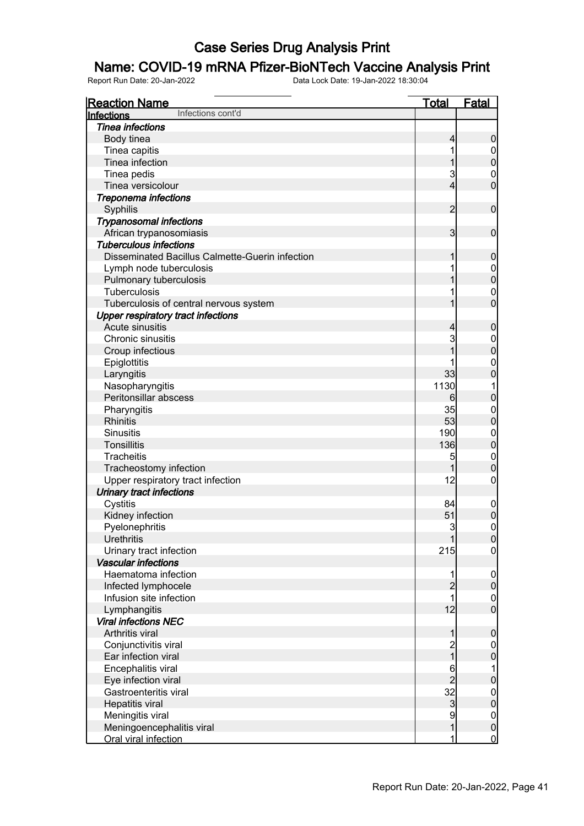### Name: COVID-19 mRNA Pfizer-BioNTech Vaccine Analysis Print

| <u>Reaction Name</u>                            | <b>Total</b>   | Fatal               |
|-------------------------------------------------|----------------|---------------------|
| Infections cont'd<br>Infections                 |                |                     |
| <b>Tinea infections</b>                         |                |                     |
| Body tinea                                      | $\overline{4}$ | $\boldsymbol{0}$    |
| Tinea capitis                                   | 1              | $\mathbf 0$         |
| Tinea infection                                 | 1              | $\pmb{0}$           |
| Tinea pedis                                     | $\overline{3}$ | $\mathbf 0$         |
| Tinea versicolour                               | $\overline{4}$ | $\overline{0}$      |
| Treponema infections                            |                |                     |
| Syphilis                                        | $\overline{2}$ | $\boldsymbol{0}$    |
| <b>Trypanosomal infections</b>                  |                |                     |
| African trypanosomiasis                         | $\overline{3}$ | $\boldsymbol{0}$    |
| <b>Tuberculous infections</b>                   |                |                     |
| Disseminated Bacillus Calmette-Guerin infection | 1              | $\boldsymbol{0}$    |
| Lymph node tuberculosis                         |                | $\boldsymbol{0}$    |
| Pulmonary tuberculosis                          |                | $\mathbf 0$         |
| <b>Tuberculosis</b>                             |                | $\mathbf 0$         |
| Tuberculosis of central nervous system          | 1              | $\overline{0}$      |
| <b>Upper respiratory tract infections</b>       |                |                     |
| Acute sinusitis                                 | $\overline{4}$ | $\boldsymbol{0}$    |
| Chronic sinusitis                               | 3              | $\mathbf 0$         |
| Croup infectious                                | 1              | $\mathbf 0$         |
| Epiglottitis                                    |                | $\mathbf 0$         |
| Laryngitis                                      | 33             | $\mathbf 0$         |
| Nasopharyngitis                                 | 1130           | 1                   |
| Peritonsillar abscess                           | 6              | $\mathbf 0$         |
| Pharyngitis                                     | 35             | $\mathbf{0}$        |
| <b>Rhinitis</b>                                 | 53             | $\mathbf 0$         |
| <b>Sinusitis</b>                                | 190            | $\mathbf{0}$        |
| <b>Tonsillitis</b>                              | 136            | $\mathbf 0$         |
| Tracheitis                                      | 5              | $\mathbf{0}$        |
| Tracheostomy infection                          | 1              | $\mathbf 0$         |
| Upper respiratory tract infection               | 12             | $\mathbf 0$         |
| <b>Urinary tract infections</b>                 |                |                     |
| Cystitis                                        | 84             | $\mathbf 0$         |
| Kidney infection                                | 51             | $\bf{0}$            |
| Pyelonephritis                                  | $\overline{3}$ | $\mathsf{O}\xspace$ |
| <b>Urethritis</b>                               | 1              | 0                   |
| Urinary tract infection                         | 215            | $\overline{0}$      |
| <b>Vascular infections</b>                      |                |                     |
| Haematoma infection                             | 1              | $\mathbf 0$         |
| Infected lymphocele                             | $\overline{c}$ | $\mathbf 0$         |
| Infusion site infection                         | 1              | $\mathbf 0$         |
| Lymphangitis                                    | 12             | $\overline{0}$      |
| <b>Viral infections NEC</b>                     |                |                     |
| Arthritis viral                                 | 1              | $\pmb{0}$           |
| Conjunctivitis viral                            |                | $\overline{0}$      |
| Ear infection viral                             | 2<br>1         | $\mathbf 0$         |
| Encephalitis viral                              | 6              | 1                   |
| Eye infection viral                             | $\overline{2}$ | $\bf{0}$            |
| Gastroenteritis viral                           | 32             | $\boldsymbol{0}$    |
| Hepatitis viral                                 | $\mathbf{3}$   | $\mathbf 0$         |
| Meningitis viral                                | 9              | $\boldsymbol{0}$    |
| Meningoencephalitis viral                       | $\mathbf 1$    | $\mathbf 0$         |
| Oral viral infection                            | 1              | $\overline{0}$      |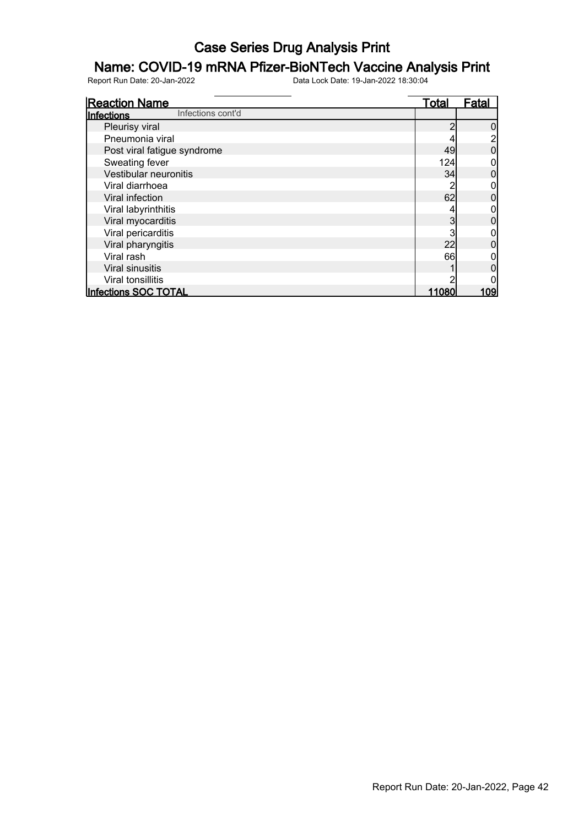# **Name: COVID-19 mRNA Pfizer-BioNTech Vaccine Analysis Print**<br>Report Run Date: 20-Jan-2022<br>Data Lock Date: 19-Jan-2022 18:30:04

Report Run Date: 20-Jan-2022 Data Lock Date: 19-Jan-2022 18:30:04

Reaction Name Total Fatal **Infections** Pleurisy viral 2 0<br>
Pheumonia viral 2 0<br>
2 0<br>
2 2 2 Pneumonia viral and the syndrome and the set of the set of the set of the set of the set of the set of the set of the set of the set of the set of the set of the set of the set of the set of the set of the set of the set o Post viral fatigue syndrome 49 0 Sweating fever 124 0<br>Vestibular neuronitis 124 0<br>Vestibular neuronitis 134 0 Vestibular neuronitis and the set of the set of the set of the set of the set of the set of the set of the set of the set of the set of the set of the set of the set of the set of the set of the set of the set of the set o Viral diarrhoea and a compared with the compared with the compared with the compared with the compared with the compared with the compared with the compared with the compared with the compared with the compared with the co Viral infection 62 0<br>Viral labyrinthitis 62 0<br>O Viral labyrinthitis and the set of the set of the set of the set of the set of the set of the set of the set of the set of the set of the set of the set of the set of the set of the set of the set of the set of the set of Viral myocarditis and the set of the set of the set of the set of the set of the set of the set of the set of the set of the set of the set of the set of the set of the set of the set of the set of the set of the set of th Viral pericarditis 3 0 Viral pharyngitis 22 0 Viral rash 66 0 Viral sinusitis 1 0<br>Viral tonsillitis 1 0<br>Viral tonsillitis 2 0 Viral tonsillitis 2 0 Infections SOC TOTAL Infections cont'd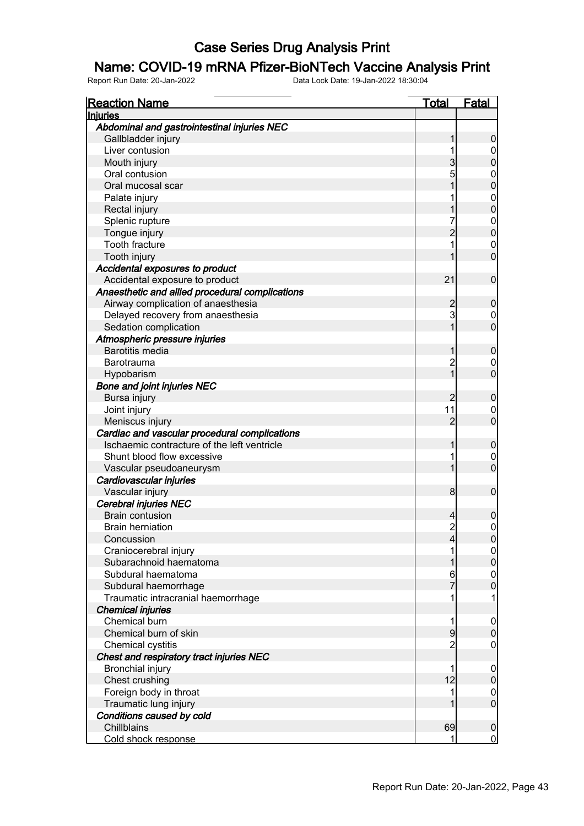#### Name: COVID-19 mRNA Pfizer-BioNTech Vaccine Analysis Print

| <b>Reaction Name</b>                            | <u>Total</u>   | <b>Fatal</b>     |
|-------------------------------------------------|----------------|------------------|
| Injuries                                        |                |                  |
| Abdominal and gastrointestinal injuries NEC     |                |                  |
| Gallbladder injury                              |                | 0                |
| Liver contusion                                 |                | $\boldsymbol{0}$ |
| Mouth injury                                    | 3              | 0                |
| Oral contusion                                  | 5              | $\mathbf{0}$     |
| Oral mucosal scar                               |                | 0                |
| Palate injury                                   |                | $\mathbf{0}$     |
| Rectal injury                                   |                | $\overline{0}$   |
| Splenic rupture                                 |                | $\mathbf{0}$     |
| Tongue injury                                   |                | $\overline{0}$   |
| <b>Tooth fracture</b>                           | 1              | $\mathbf 0$      |
| Tooth injury                                    |                | $\overline{0}$   |
| Accidental exposures to product                 |                |                  |
| Accidental exposure to product                  | 21             | $\mathbf 0$      |
| Anaesthetic and allied procedural complications |                |                  |
| Airway complication of anaesthesia              | 2              | 0                |
| Delayed recovery from anaesthesia               | 3              | $\mathbf 0$      |
| Sedation complication                           |                | $\overline{0}$   |
| Atmospheric pressure injuries                   |                |                  |
| <b>Barotitis media</b>                          |                | $\mathbf 0$      |
| Barotrauma                                      | $\overline{c}$ | $\mathbf 0$      |
| Hypobarism                                      | 1              | $\overline{0}$   |
| <b>Bone and joint injuries NEC</b>              |                |                  |
| Bursa injury                                    |                | 0                |
| Joint injury                                    | 11             | $\mathbf 0$      |
| Meniscus injury                                 | 2              | $\overline{0}$   |
| Cardiac and vascular procedural complications   |                |                  |
| Ischaemic contracture of the left ventricle     |                | $\mathbf 0$      |
| Shunt blood flow excessive                      |                | $\mathbf 0$      |
| Vascular pseudoaneurysm                         |                | $\overline{0}$   |
| Cardiovascular injuries                         |                |                  |
| Vascular injury                                 | 8              | $\mathbf 0$      |
| Cerebral injuries NEC                           |                |                  |
| <b>Brain contusion</b>                          | 4              | 0                |
| <b>Brain herniation</b>                         | $\overline{c}$ | $\mathbf{0}$     |
| Concussion                                      | 4              | 0                |
| Craniocerebral injury                           | 1              | $\overline{0}$   |
| Subarachnoid haematoma                          |                | $\overline{0}$   |
| Subdural haematoma                              | 6              | $\boldsymbol{0}$ |
| Subdural haemorrhage                            |                | $\overline{0}$   |
| Traumatic intracranial haemorrhage              | 1              | 1                |
| <b>Chemical injuries</b>                        |                |                  |
| Chemical burn                                   | 1              | $\mathbf 0$      |
| Chemical burn of skin                           | 9              | $\mathbf 0$      |
| Chemical cystitis                               | 2              | $\overline{0}$   |
| Chest and respiratory tract injuries NEC        |                |                  |
| <b>Bronchial injury</b>                         | 1              | $\mathbf 0$      |
| Chest crushing                                  | 12             | $\boldsymbol{0}$ |
| Foreign body in throat                          | 1              | $\mathbf 0$      |
| Traumatic lung injury                           |                | $\overline{0}$   |
| Conditions caused by cold                       |                |                  |
| Chillblains                                     | 69             | $\mathbf 0$      |
| Cold shock response                             | 1              | $\overline{0}$   |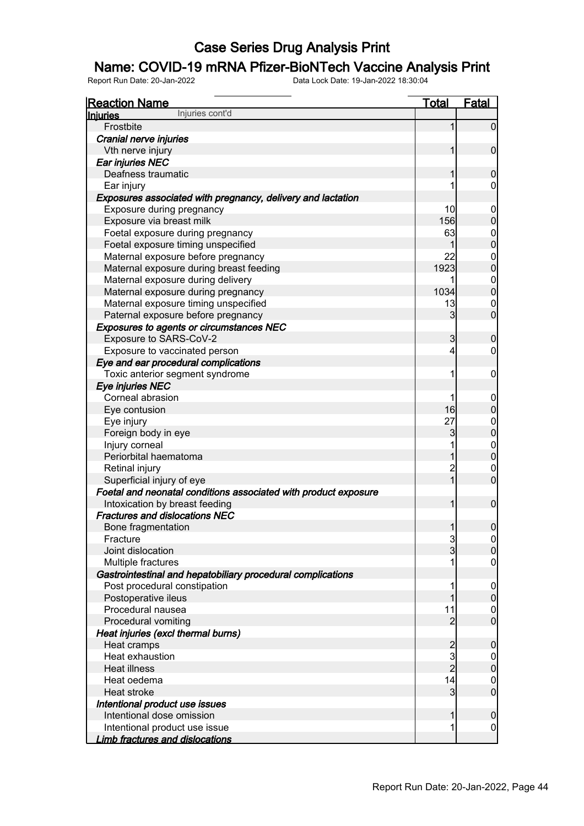### Name: COVID-19 mRNA Pfizer-BioNTech Vaccine Analysis Print

| <b>Reaction Name</b>                                            | <b>Total</b>   | <b>Fatal</b>                     |
|-----------------------------------------------------------------|----------------|----------------------------------|
| Injuries cont'd<br><b>Injuries</b>                              |                |                                  |
| Frostbite                                                       | 1              | $\overline{0}$                   |
| Cranial nerve injuries                                          |                |                                  |
| Vth nerve injury                                                | 1              | $\mathbf 0$                      |
| Ear injuries NEC                                                |                |                                  |
| Deafness traumatic                                              | 1              | $\mathbf 0$                      |
| Ear injury                                                      | 1              | $\mathbf 0$                      |
| Exposures associated with pregnancy, delivery and lactation     |                |                                  |
| Exposure during pregnancy                                       | 10             | $\mathbf 0$                      |
| Exposure via breast milk                                        | 156            | $\boldsymbol{0}$                 |
| Foetal exposure during pregnancy                                | 63             | $\mathbf{0}$                     |
| Foetal exposure timing unspecified                              | 1              | $\overline{0}$                   |
| Maternal exposure before pregnancy                              | 22             | $\mathbf{0}$                     |
| Maternal exposure during breast feeding                         | 1923           | $\overline{0}$                   |
| Maternal exposure during delivery                               | 1              | $\begin{matrix}0\\0\end{matrix}$ |
| Maternal exposure during pregnancy                              | 1034           |                                  |
| Maternal exposure timing unspecified                            | 13             | $\mathbf 0$                      |
| Paternal exposure before pregnancy                              | 3              | $\overline{0}$                   |
| Exposures to agents or circumstances NEC                        |                |                                  |
| Exposure to SARS-CoV-2                                          | 3              | $\mathbf 0$                      |
| Exposure to vaccinated person                                   | 4              | $\mathbf 0$                      |
| Eye and ear procedural complications                            |                |                                  |
| Toxic anterior segment syndrome                                 | 1              | $\boldsymbol{0}$                 |
| Eye injuries NEC                                                |                |                                  |
| Corneal abrasion                                                | 1              | $\mathbf 0$                      |
| Eye contusion                                                   | 16             | $\boldsymbol{0}$                 |
| Eye injury                                                      | 27             |                                  |
| Foreign body in eye                                             | 3              | $0\atop 0$                       |
| Injury corneal                                                  | 1              |                                  |
| Periorbital haematoma                                           | 1              | $\begin{matrix}0\\0\end{matrix}$ |
| Retinal injury                                                  | $\overline{c}$ | $\mathbf 0$                      |
| Superficial injury of eye                                       | $\overline{1}$ | $\overline{0}$                   |
| Foetal and neonatal conditions associated with product exposure |                |                                  |
| Intoxication by breast feeding                                  | $\mathbf{1}$   | $\mathbf 0$                      |
| <b>Fractures and dislocations NEC</b>                           |                |                                  |
| Bone fragmentation                                              | $\mathbf{1}$   | $\boldsymbol{0}$                 |
| Fracture                                                        |                | $\Omega$                         |
| Joint dislocation                                               | $\frac{3}{3}$  | $\overline{0}$                   |
| Multiple fractures                                              |                | $\overline{0}$                   |
| Gastrointestinal and hepatobiliary procedural complications     |                |                                  |
| Post procedural constipation                                    | 1              | $\mathbf 0$                      |
| Postoperative ileus                                             | 1              | $\pmb{0}$                        |
| Procedural nausea                                               | 11             | $\mathbf 0$                      |
| Procedural vomiting                                             | $\overline{2}$ | $\overline{0}$                   |
| Heat injuries (excl thermal burns)                              |                |                                  |
| Heat cramps                                                     |                | $\mathbf 0$                      |
| Heat exhaustion                                                 | 2<br>3<br>2    | $\mathbf 0$                      |
| <b>Heat illness</b>                                             |                | $\mathbf 0$                      |
| Heat oedema                                                     | 14             | $\mathbf 0$                      |
| Heat stroke                                                     | 3              | $\boldsymbol{0}$                 |
| Intentional product use issues                                  |                |                                  |
| Intentional dose omission                                       | 1              | $\mathbf 0$                      |
| Intentional product use issue                                   | 1              | $\mathbf 0$                      |
| Limb fractures and dislocations                                 |                |                                  |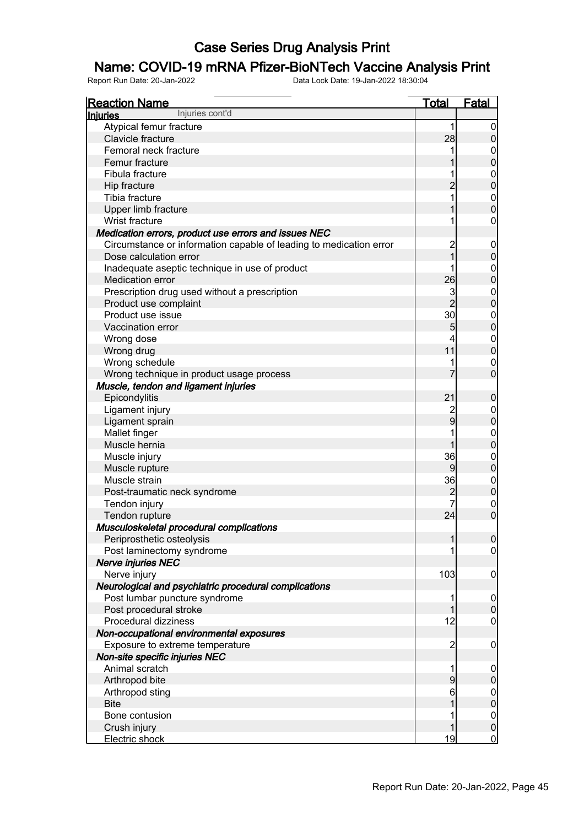### Name: COVID-19 mRNA Pfizer-BioNTech Vaccine Analysis Print

| <b>Reaction Name</b>                                               | <u>Total</u>   | <b>Fatal</b>                         |
|--------------------------------------------------------------------|----------------|--------------------------------------|
| Injuries cont'd<br>Injuries                                        |                |                                      |
| Atypical femur fracture                                            | 1              | $\mathbf 0$                          |
| Clavicle fracture                                                  | 28             | $\overline{0}$                       |
| Femoral neck fracture                                              |                |                                      |
| Femur fracture                                                     |                | $0$<br>0                             |
| Fibula fracture                                                    |                |                                      |
| Hip fracture                                                       | $\overline{2}$ | $0\atop 0$                           |
| Tibia fracture                                                     |                |                                      |
| Upper limb fracture                                                |                | $\begin{matrix} 0 \\ 0 \end{matrix}$ |
| Wrist fracture                                                     |                | $\mathbf 0$                          |
| Medication errors, product use errors and issues NEC               |                |                                      |
| Circumstance or information capable of leading to medication error | $\overline{c}$ | $\mathbf 0$                          |
| Dose calculation error                                             | $\overline{1}$ | $\mathbf 0$                          |
| Inadequate aseptic technique in use of product                     |                |                                      |
| Medication error                                                   | 26             | $0\atop 0$                           |
| Prescription drug used without a prescription                      | 3              |                                      |
| Product use complaint                                              | $\overline{2}$ | $0\atop 0$                           |
| Product use issue                                                  | 30             |                                      |
| Vaccination error                                                  | 5              | $0\atop 0$                           |
| Wrong dose                                                         |                |                                      |
| Wrong drug                                                         | 11             | $0\atop 0$                           |
| Wrong schedule                                                     |                | $\mathbf 0$                          |
| Wrong technique in product usage process                           |                | $\overline{0}$                       |
|                                                                    |                |                                      |
| Muscle, tendon and ligament injuries                               | 21             |                                      |
| Epicondylitis                                                      |                | $\boldsymbol{0}$                     |
| Ligament injury                                                    | $\overline{9}$ | $0$ 0                                |
| Ligament sprain                                                    |                |                                      |
| Mallet finger                                                      |                | $0\atop 0$                           |
| Muscle hernia                                                      |                |                                      |
| Muscle injury                                                      | 36             | $\boldsymbol{0}$                     |
| Muscle rupture                                                     | 9              | $\overline{0}$                       |
| Muscle strain                                                      | 36             | $0\atop 0$                           |
| Post-traumatic neck syndrome                                       | $\overline{c}$ |                                      |
| Tendon injury                                                      |                | $\boldsymbol{0}$                     |
| Tendon rupture                                                     | 24             | $\overline{0}$                       |
| Musculoskeletal procedural complications                           |                |                                      |
| Periprosthetic osteolysis                                          | 1              | 0                                    |
| Post laminectomy syndrome                                          |                | $\overline{0}$                       |
| <b>Nerve injuries NEC</b>                                          |                |                                      |
| Nerve injury                                                       | 103            | $\overline{0}$                       |
| Neurological and psychiatric procedural complications              |                |                                      |
| Post lumbar puncture syndrome                                      |                | $\overline{0}$                       |
| Post procedural stroke                                             |                | $\pmb{0}$                            |
| Procedural dizziness                                               | 12             | $\mathbf 0$                          |
| Non-occupational environmental exposures                           |                |                                      |
| Exposure to extreme temperature                                    | $\overline{c}$ | $\overline{0}$                       |
| Non-site specific injuries NEC                                     |                |                                      |
| Animal scratch                                                     |                | $\mathbf 0$                          |
| Arthropod bite                                                     | 9              | $\mathbf 0$                          |
| Arthropod sting                                                    | 6              |                                      |
| <b>Bite</b>                                                        |                | $0$<br>0                             |
| Bone contusion                                                     |                | $\boldsymbol{0}$                     |
| Crush injury                                                       |                | $\mathbf 0$                          |
| Electric shock                                                     | 19             | $\mathbf 0$                          |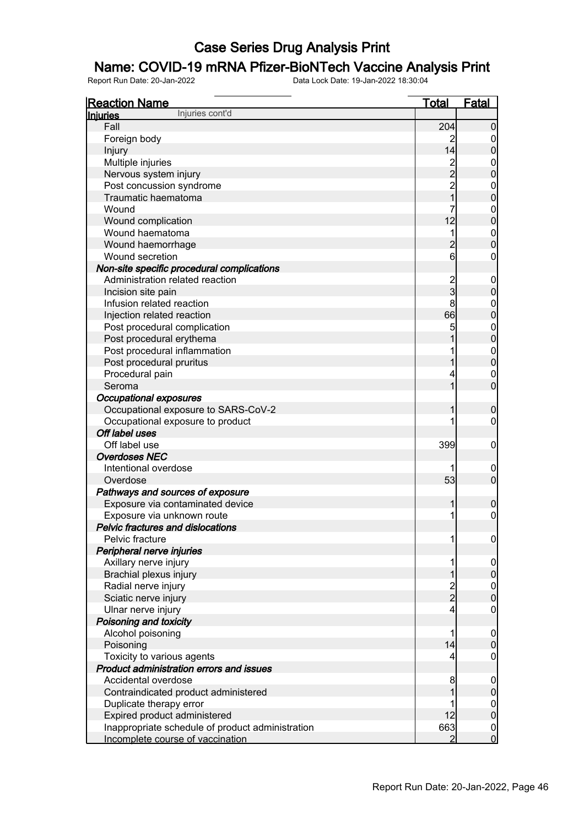### Name: COVID-19 mRNA Pfizer-BioNTech Vaccine Analysis Print

| <b>Reaction Name</b>                             | <b>Total</b>     | <b>Fatal</b>                         |
|--------------------------------------------------|------------------|--------------------------------------|
| Injuries cont'd<br><b>Injuries</b>               |                  |                                      |
| Fall                                             | 204              | $\boldsymbol{0}$                     |
| Foreign body                                     | 2                | $\mathbf 0$                          |
| Injury                                           | 14               | $\mathbf 0$                          |
| Multiple injuries                                | 2<br>2<br>2<br>1 | $\mathbf{0}$                         |
| Nervous system injury                            |                  | $\overline{0}$                       |
| Post concussion syndrome                         |                  | 0<br>0                               |
| Traumatic haematoma                              |                  |                                      |
| Wound                                            | 7                | $0\atop 0$                           |
| Wound complication                               | 12               |                                      |
| Wound haematoma                                  | 1                | $0\atop 0$                           |
| Wound haemorrhage                                | $\overline{c}$   |                                      |
| Wound secretion                                  | 6                | $\boldsymbol{0}$                     |
| Non-site specific procedural complications       |                  |                                      |
| Administration related reaction                  | $\frac{2}{3}$    | $\mathbf 0$                          |
| Incision site pain                               |                  | $\mathbf 0$                          |
| Infusion related reaction                        | 8                | $\mathbf{0}$                         |
| Injection related reaction                       | 66               | $\overline{0}$                       |
| Post procedural complication                     | 5                | $0\atop 0$                           |
| Post procedural erythema                         |                  |                                      |
| Post procedural inflammation                     |                  | $\begin{matrix}0\\0\end{matrix}$     |
| Post procedural pruritus                         | 1                |                                      |
| Procedural pain                                  | 4                | $\mathbf{0}$                         |
| Seroma                                           | 1                | $\overline{0}$                       |
| <b>Occupational exposures</b>                    |                  |                                      |
| Occupational exposure to SARS-CoV-2              | 1                | $\boldsymbol{0}$                     |
| Occupational exposure to product                 |                  | $\mathbf 0$                          |
| Off label uses                                   |                  |                                      |
| Off label use                                    | 399              | $\mathbf 0$                          |
| <b>Overdoses NEC</b>                             |                  |                                      |
| Intentional overdose                             |                  | $\mathbf 0$                          |
| Overdose                                         | 53               | $\mathbf 0$                          |
| Pathways and sources of exposure                 |                  |                                      |
| Exposure via contaminated device                 | 1                | $\boldsymbol{0}$                     |
| Exposure via unknown route                       | 1                | $\boldsymbol{0}$                     |
| Pelvic fractures and dislocations                |                  |                                      |
| Pelvic fracture                                  | 1                | 0                                    |
| Peripheral nerve injuries                        |                  |                                      |
| Axillary nerve injury                            | 1                | $\overline{0}$                       |
| Brachial plexus injury                           | 1                | $\mathbf 0$                          |
| Radial nerve injury                              | $\frac{2}{2}$    | $0$<br>0                             |
| Sciatic nerve injury                             |                  |                                      |
| Ulnar nerve injury                               | 4                | $\boldsymbol{0}$                     |
| Poisoning and toxicity                           |                  |                                      |
| Alcohol poisoning                                | 1                | $\boldsymbol{0}$                     |
| Poisoning                                        | 14               | $\mathbf 0$                          |
| Toxicity to various agents                       | 4                | $\mathbf 0$                          |
| Product administration errors and issues         |                  |                                      |
| Accidental overdose                              | 8                | $\boldsymbol{0}$                     |
| Contraindicated product administered             |                  | $\pmb{0}$                            |
| Duplicate therapy error                          |                  | $0$<br>0                             |
| Expired product administered                     | 12               |                                      |
| Inappropriate schedule of product administration | 663              | $\begin{matrix} 0 \\ 0 \end{matrix}$ |
| Incomplete course of vaccination                 | 2                |                                      |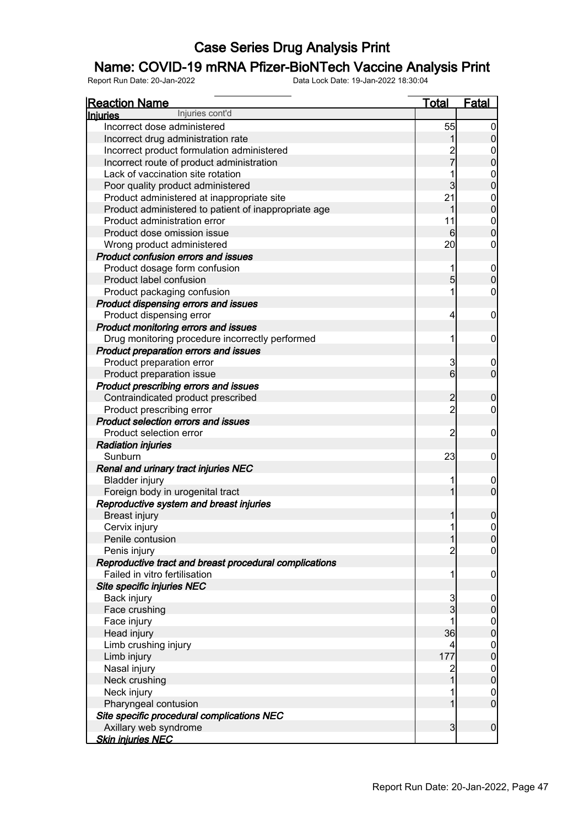### Name: COVID-19 mRNA Pfizer-BioNTech Vaccine Analysis Print

| <b>Reaction Name</b>                                                   | <b>Total</b>    | Fatal                              |
|------------------------------------------------------------------------|-----------------|------------------------------------|
| Injuries cont'd<br><b>Injuries</b>                                     |                 |                                    |
| Incorrect dose administered                                            | 55              | 0                                  |
| Incorrect drug administration rate                                     |                 | $\overline{0}$                     |
| Incorrect product formulation administered                             |                 | 0                                  |
| Incorrect route of product administration                              | 2<br>7          | $\mathbf 0$                        |
| Lack of vaccination site rotation                                      |                 | 0                                  |
| Poor quality product administered                                      | $\overline{3}$  | $\mathbf 0$                        |
| Product administered at inappropriate site                             | 21              | 0                                  |
| Product administered to patient of inappropriate age                   |                 | $\boldsymbol{0}$                   |
| Product administration error                                           | 11              | $\mathbf 0$                        |
| Product dose omission issue                                            | 6               | $\mathbf 0$                        |
| Wrong product administered                                             | 20              | 0                                  |
| <b>Product confusion errors and issues</b>                             |                 |                                    |
| Product dosage form confusion                                          |                 | $\boldsymbol{0}$                   |
| Product label confusion                                                | $\overline{5}$  | $\overline{0}$                     |
| Product packaging confusion                                            |                 | 0                                  |
| Product dispensing errors and issues                                   |                 |                                    |
| Product dispensing error                                               | 4               | $\boldsymbol{0}$                   |
| Product monitoring errors and issues                                   |                 |                                    |
| Drug monitoring procedure incorrectly performed                        | 1               | $\mathbf 0$                        |
| Product preparation errors and issues                                  |                 |                                    |
| Product preparation error                                              | 3               | 0                                  |
| Product preparation issue                                              | $6\overline{6}$ | $\overline{0}$                     |
| Product prescribing errors and issues                                  |                 |                                    |
| Contraindicated product prescribed                                     | $\overline{c}$  | $\mathbf 0$                        |
| Product prescribing error                                              | $\overline{c}$  | 0                                  |
| <b>Product selection errors and issues</b>                             |                 |                                    |
| Product selection error                                                | $\overline{c}$  | $\boldsymbol{0}$                   |
| <b>Radiation injuries</b>                                              |                 |                                    |
| Sunburn                                                                | 23              | $\mathbf 0$                        |
| Renal and urinary tract injuries NEC                                   |                 |                                    |
| <b>Bladder injury</b>                                                  |                 | 0                                  |
| Foreign body in urogenital tract                                       |                 | $\overline{0}$                     |
| Reproductive system and breast injuries                                |                 |                                    |
| <b>Breast injury</b>                                                   |                 | $\mathbf 0$                        |
| Cervix injury                                                          | 1               | $\overline{0}$                     |
| Penile contusion                                                       | 1               | 0                                  |
|                                                                        | $\overline{c}$  | $\overline{0}$                     |
| Penis injury<br>Reproductive tract and breast procedural complications |                 |                                    |
| Failed in vitro fertilisation                                          |                 |                                    |
| Site specific injuries NEC                                             |                 | $\boldsymbol{0}$                   |
|                                                                        |                 |                                    |
| Back injury<br>Face crushing                                           | 3<br>3          | $\boldsymbol{0}$<br>$\mathbf 0$    |
|                                                                        |                 |                                    |
| Face injury<br>Head injury                                             | 36              | $\overline{0}$<br>$\boldsymbol{0}$ |
|                                                                        |                 |                                    |
| Limb crushing injury                                                   |                 | $\overline{0}$<br>$\boldsymbol{0}$ |
| Limb injury                                                            | 177             |                                    |
| Nasal injury                                                           | $\overline{c}$  | $\overline{0}$                     |
| Neck crushing                                                          |                 | $\boldsymbol{0}$                   |
| Neck injury                                                            |                 | $\boldsymbol{0}$                   |
| Pharyngeal contusion                                                   |                 | $\overline{0}$                     |
| Site specific procedural complications NEC                             |                 |                                    |
| Axillary web syndrome                                                  | $\overline{3}$  | $\overline{0}$                     |
| <u>Skin injuries NEC</u>                                               |                 |                                    |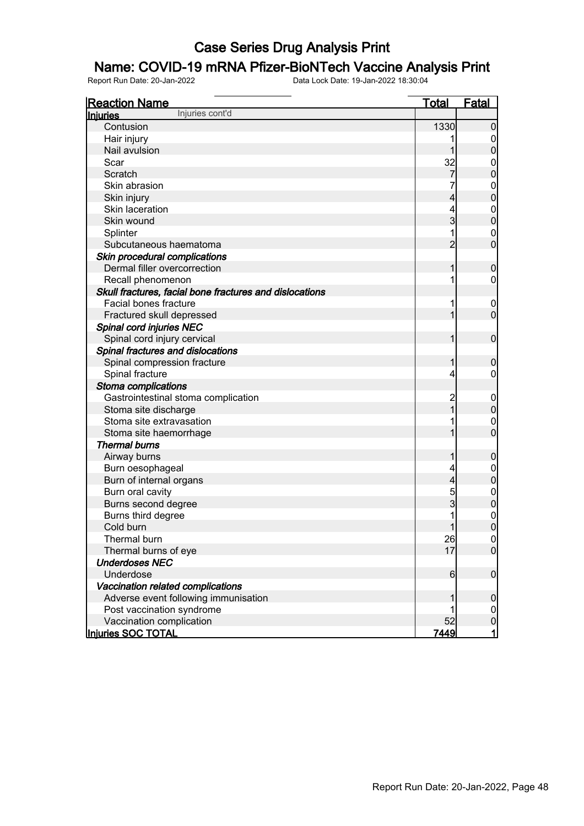### Name: COVID-19 mRNA Pfizer-BioNTech Vaccine Analysis Print

| <b>Reaction Name</b><br>Injuries cont'd                 | <b>Total</b>   | Fatal            |
|---------------------------------------------------------|----------------|------------------|
| <b>Injuries</b>                                         |                |                  |
| Contusion                                               | 1330           | $\boldsymbol{0}$ |
| Hair injury                                             |                | 0                |
| Nail avulsion                                           |                | $\mathbf 0$      |
| Scar                                                    | 32             | 0                |
| Scratch                                                 | 7              | $\mathbf 0$      |
| Skin abrasion                                           |                | $\mathbf 0$      |
| Skin injury                                             | 4              | $\mathbf 0$      |
| Skin laceration                                         |                | $\mathbf 0$      |
| Skin wound                                              | 3              | $\mathbf 0$      |
| Splinter                                                |                | $\overline{0}$   |
| Subcutaneous haematoma                                  | $\overline{2}$ | $\mathbf 0$      |
| Skin procedural complications                           |                |                  |
| Dermal filler overcorrection                            |                | $\boldsymbol{0}$ |
| Recall phenomenon                                       |                | 0                |
| Skull fractures, facial bone fractures and dislocations |                |                  |
| Facial bones fracture                                   |                | $\overline{0}$   |
| Fractured skull depressed                               |                | $\mathbf 0$      |
| Spinal cord injuries NEC                                |                |                  |
| Spinal cord injury cervical                             |                | $\mathbf 0$      |
| Spinal fractures and dislocations                       |                |                  |
| Spinal compression fracture                             |                | $\mathbf 0$      |
| Spinal fracture                                         | 4              | 0                |
| Stoma complications                                     |                |                  |
| Gastrointestinal stoma complication                     |                | $\mathbf 0$      |
| Stoma site discharge                                    |                | $\boldsymbol{0}$ |
| Stoma site extravasation                                |                | $\overline{0}$   |
| Stoma site haemorrhage                                  |                | $\mathbf 0$      |
| <b>Thermal burns</b>                                    |                |                  |
| Airway burns                                            |                | $\boldsymbol{0}$ |
| Burn oesophageal                                        |                | $\mathbf 0$      |
| Burn of internal organs                                 | 4              | $\mathbf 0$      |
| Burn oral cavity                                        | 5              | $\boldsymbol{0}$ |
| Burns second degree                                     | 3              | $\mathbf 0$      |
| Burns third degree                                      |                | $\mathbf{0}$     |
| Cold burn                                               | $\mathbf{1}$   | $\mathbf 0$      |
| Thermal burn                                            | 26             | 0                |
| Thermal burns of eye                                    | 17             | $\overline{0}$   |
| <b>Underdoses NEC</b>                                   |                |                  |
| Underdose                                               | 6              | $\overline{0}$   |
| Vaccination related complications                       |                |                  |
| Adverse event following immunisation                    |                | $\mathbf 0$      |
| Post vaccination syndrome                               |                | $\overline{0}$   |
| Vaccination complication                                | 52             | $\mathbf 0$      |
| Injuries SOC TOTAL                                      | 7449           | $\mathbf{1}$     |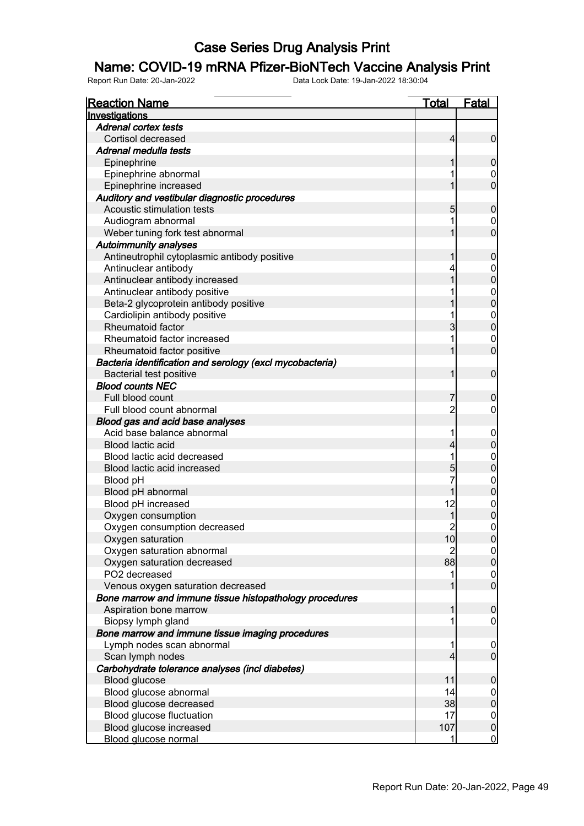#### Name: COVID-19 mRNA Pfizer-BioNTech Vaccine Analysis Print

| <b>Reaction Name</b>                                                   | <u>Total</u> | <b>Fatal</b>                     |
|------------------------------------------------------------------------|--------------|----------------------------------|
| Investigations                                                         |              |                                  |
| <b>Adrenal cortex tests</b>                                            |              |                                  |
| Cortisol decreased                                                     | 4            | $\overline{0}$                   |
| Adrenal medulla tests                                                  |              |                                  |
| Epinephrine                                                            |              | 0                                |
| Epinephrine abnormal                                                   |              | 0                                |
| Epinephrine increased                                                  |              | $\overline{0}$                   |
| Auditory and vestibular diagnostic procedures                          |              |                                  |
| Acoustic stimulation tests                                             | 5            | 0                                |
| Audiogram abnormal                                                     |              | 0                                |
| Weber tuning fork test abnormal                                        |              | $\overline{0}$                   |
| <b>Autoimmunity analyses</b>                                           |              |                                  |
| Antineutrophil cytoplasmic antibody positive                           |              | 0                                |
| Antinuclear antibody                                                   | 4            | 0                                |
| Antinuclear antibody increased                                         |              | $\mathbf 0$                      |
| Antinuclear antibody positive                                          |              | $\mathbf 0$                      |
| Beta-2 glycoprotein antibody positive                                  |              | $\overline{0}$                   |
| Cardiolipin antibody positive                                          |              | $\mathbf 0$                      |
| Rheumatoid factor                                                      | 3            | $\overline{0}$                   |
| Rheumatoid factor increased                                            |              | 0                                |
| Rheumatoid factor positive                                             |              | $\overline{0}$                   |
| Bacteria identification and serology (excl mycobacteria)               |              |                                  |
| <b>Bacterial test positive</b>                                         | 1            | $\mathbf 0$                      |
| <b>Blood counts NEC</b>                                                |              |                                  |
| Full blood count                                                       |              | 0                                |
| Full blood count abnormal                                              | 2            | 0                                |
| Blood gas and acid base analyses                                       |              |                                  |
| Acid base balance abnormal                                             |              | 0                                |
| Blood lactic acid                                                      | 4            | 0                                |
| Blood lactic acid decreased                                            |              | 0                                |
| Blood lactic acid increased                                            | 5            | 0                                |
| Blood pH                                                               |              | 0                                |
| Blood pH abnormal                                                      |              | 0                                |
| Blood pH increased                                                     | 12           | 0                                |
| Oxygen consumption                                                     |              | 0                                |
| Oxygen consumption decreased                                           | 2            | 0                                |
| Oxygen saturation                                                      | 10           | $\overline{0}$                   |
| Oxygen saturation abnormal                                             | 2            | <sub>0</sub>                     |
| Oxygen saturation decreased                                            | 88           | $\overline{0}$                   |
| PO2 decreased                                                          | 1            | $\overline{0}$                   |
| Venous oxygen saturation decreased                                     |              | $\mathbf 0$                      |
| Bone marrow and immune tissue histopathology procedures                |              |                                  |
| Aspiration bone marrow                                                 |              | $\overline{0}$                   |
|                                                                        |              |                                  |
| Biopsy lymph gland<br>Bone marrow and immune tissue imaging procedures |              | 0                                |
| Lymph nodes scan abnormal                                              |              |                                  |
| Scan lymph nodes                                                       | 4            | $\overline{0}$<br>$\overline{0}$ |
|                                                                        |              |                                  |
| Carbohydrate tolerance analyses (incl diabetes)                        | 11           |                                  |
| Blood glucose                                                          | 14           | $\overline{0}$                   |
| Blood glucose abnormal                                                 |              | 0                                |
| Blood glucose decreased                                                | 38           | $\mathbf 0$                      |
| Blood glucose fluctuation                                              | 17           | $\mathbf 0$                      |
| Blood glucose increased                                                | 107          | $\boldsymbol{0}$                 |
| <b>Blood glucose normal</b>                                            | 1            | $\overline{0}$                   |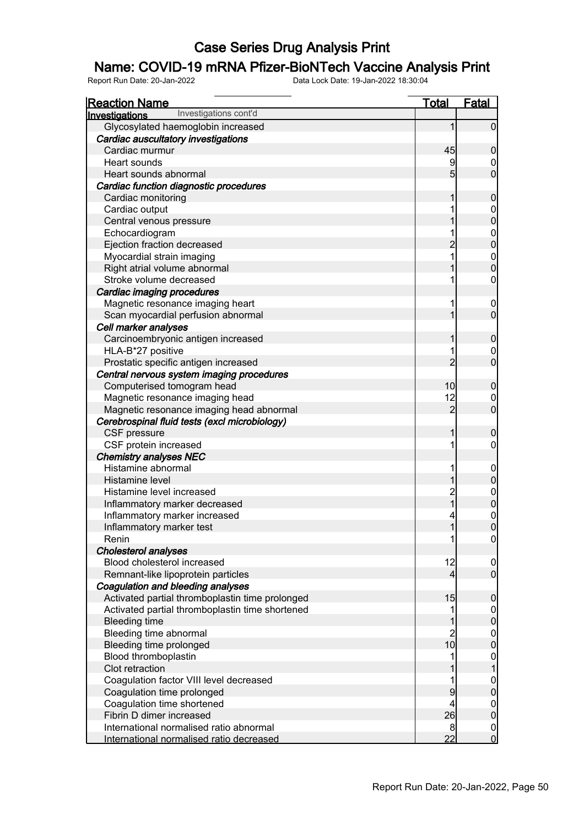### Name: COVID-19 mRNA Pfizer-BioNTech Vaccine Analysis Print

| <b>Reaction Name</b>                            | <b>Total</b>   | <b>Fatal</b>                         |
|-------------------------------------------------|----------------|--------------------------------------|
| Investigations cont'd<br>Investigations         |                |                                      |
| Glycosylated haemoglobin increased              | 1              | $\overline{0}$                       |
| Cardiac auscultatory investigations             |                |                                      |
| Cardiac murmur                                  | 45             | $\mathbf 0$                          |
| Heart sounds                                    | 9              | $\overline{0}$                       |
| Heart sounds abnormal                           | 5              | $\overline{0}$                       |
| Cardiac function diagnostic procedures          |                |                                      |
| Cardiac monitoring                              |                | $\mathbf 0$                          |
| Cardiac output                                  |                |                                      |
| Central venous pressure                         |                | $0\atop 0$                           |
| Echocardiogram                                  |                |                                      |
| Ejection fraction decreased                     | $\overline{2}$ | $0\atop 0$                           |
| Myocardial strain imaging                       |                |                                      |
| Right atrial volume abnormal                    |                | $0$<br>0                             |
| Stroke volume decreased                         |                | $\mathbf 0$                          |
| Cardiac imaging procedures                      |                |                                      |
| Magnetic resonance imaging heart                |                | $\mathbf 0$                          |
| Scan myocardial perfusion abnormal              |                | $\overline{0}$                       |
| Cell marker analyses                            |                |                                      |
| Carcinoembryonic antigen increased              |                | $\mathbf 0$                          |
| HLA-B*27 positive                               |                | $\mathbf 0$                          |
| Prostatic specific antigen increased            | $\overline{2}$ | $\overline{0}$                       |
| Central nervous system imaging procedures       |                |                                      |
| Computerised tomogram head                      | 10             | $\mathbf 0$                          |
| Magnetic resonance imaging head                 | 12             | $\mathbf 0$                          |
| Magnetic resonance imaging head abnormal        | $\overline{2}$ | $\overline{0}$                       |
| Cerebrospinal fluid tests (excl microbiology)   |                |                                      |
| CSF pressure                                    | 1              | $\boldsymbol{0}$                     |
| CSF protein increased                           |                | $\overline{0}$                       |
| <b>Chemistry analyses NEC</b>                   |                |                                      |
| Histamine abnormal                              |                | $\mathbf 0$                          |
| Histamine level                                 |                | $\overline{0}$                       |
| Histamine level increased                       | $\overline{c}$ | $0\atop 0$                           |
| Inflammatory marker decreased                   | $\overline{1}$ |                                      |
| Inflammatory marker increased                   |                | $\mathbf 0$                          |
| Inflammatory marker test                        | $\mathbf{1}$   | $\overline{0}$                       |
| Renin                                           |                | 0                                    |
| <b>Cholesterol analyses</b>                     |                |                                      |
| Blood cholesterol increased                     | 12             | $\overline{0}$                       |
| Remnant-like lipoprotein particles              | 4              | $\overline{0}$                       |
| Coagulation and bleeding analyses               |                |                                      |
| Activated partial thromboplastin time prolonged | 15             | $\boldsymbol{0}$                     |
| Activated partial thromboplastin time shortened |                | $\boldsymbol{0}$                     |
| <b>Bleeding time</b>                            |                | $\overline{0}$                       |
| Bleeding time abnormal                          | $\overline{c}$ | $\begin{matrix} 0 \\ 0 \end{matrix}$ |
| Bleeding time prolonged                         | 10             |                                      |
| Blood thromboplastin                            |                | $\boldsymbol{0}$                     |
| Clot retraction                                 |                |                                      |
| Coagulation factor VIII level decreased         |                | $\mathbf{0}$                         |
| Coagulation time prolonged                      | 9              | $\overline{0}$                       |
| Coagulation time shortened                      |                | $\boldsymbol{0}$                     |
| Fibrin D dimer increased                        | 26             | $\overline{0}$                       |
| International normalised ratio abnormal         | 8              | $\mathbf 0$                          |
| International normalised ratio decreased        | 22             | $\overline{0}$                       |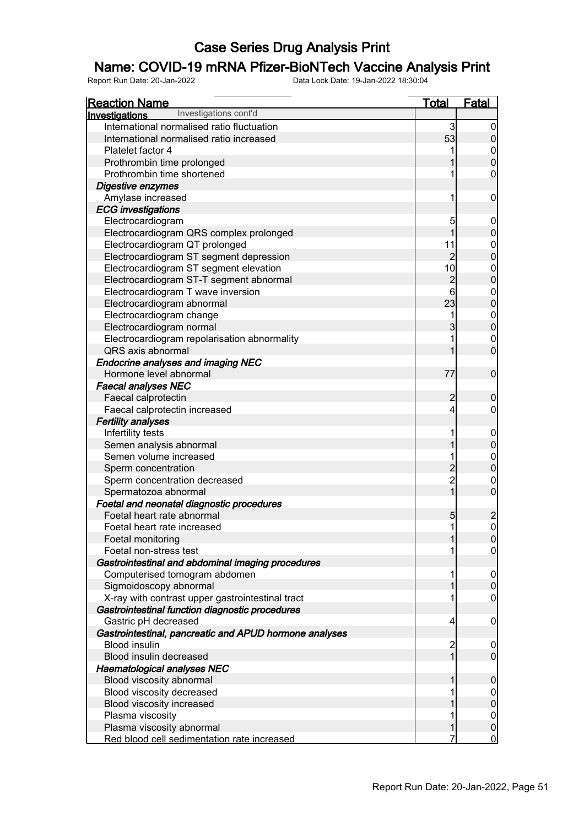### Name: COVID-19 mRNA Pfizer-BioNTech Vaccine Analysis Print

| <b>Reaction Name</b>                                   | <u>Total</u>   | <b>Fatal</b>                     |
|--------------------------------------------------------|----------------|----------------------------------|
| Investigations cont'd<br>Investigations                |                |                                  |
| International normalised ratio fluctuation             | 3              | $\overline{0}$                   |
| International normalised ratio increased               | 53             | $\overline{0}$                   |
| Platelet factor 4                                      |                | $\mathbf 0$                      |
| Prothrombin time prolonged                             |                | $\overline{0}$                   |
| Prothrombin time shortened                             |                | 0                                |
| Digestive enzymes                                      |                |                                  |
| Amylase increased                                      | 1              | $\mathbf 0$                      |
| <b>ECG</b> investigations                              |                |                                  |
| Electrocardiogram                                      | 5              | $\mathbf 0$                      |
| Electrocardiogram QRS complex prolonged                | 1              | $\mathbf 0$                      |
| Electrocardiogram QT prolonged                         | 11             | $\mathbf{0}$                     |
| Electrocardiogram ST segment depression                | $\overline{2}$ | $\overline{0}$                   |
| Electrocardiogram ST segment elevation                 | 10             | $\boldsymbol{0}$                 |
| Electrocardiogram ST-T segment abnormal                | $\overline{c}$ | $\overline{0}$                   |
| Electrocardiogram T wave inversion                     | 6              |                                  |
| Electrocardiogram abnormal                             | 23             | $\begin{matrix}0\\0\end{matrix}$ |
| Electrocardiogram change                               | 1              | $\mathbf{0}$                     |
| Electrocardiogram normal                               | 3              | $\overline{0}$                   |
| Electrocardiogram repolarisation abnormality           | 1              | $\mathbf{0}$                     |
| QRS axis abnormal                                      | 1              | $\overline{0}$                   |
| <b>Endocrine analyses and imaging NEC</b>              |                |                                  |
| Hormone level abnormal                                 | 77             | $\mathbf 0$                      |
| <b>Faecal analyses NEC</b>                             |                |                                  |
| Faecal calprotectin                                    | $\overline{2}$ | $\mathbf 0$                      |
| Faecal calprotectin increased                          | 4              | 0                                |
| <b>Fertility analyses</b>                              |                |                                  |
| Infertility tests                                      | 1              | $\mathbf 0$                      |
| Semen analysis abnormal                                |                | $\mathbf 0$                      |
| Semen volume increased                                 |                | $\mathbf{0}$                     |
| Sperm concentration                                    | $\overline{c}$ | $\overline{0}$                   |
| Sperm concentration decreased                          | $\overline{c}$ | $\boldsymbol{0}$                 |
| Spermatozoa abnormal                                   | $\overline{1}$ | $\overline{0}$                   |
| Foetal and neonatal diagnostic procedures              |                |                                  |
| Foetal heart rate abnormal                             | 5              | $\overline{c}$                   |
| Foetal heart rate increased                            | 1              | $\overline{0}$                   |
| Foetal monitoring                                      |                | 0                                |
| Foetal non-stress test                                 |                | $\overline{0}$                   |
| Gastrointestinal and abdominal imaging procedures      |                |                                  |
| Computerised tomogram abdomen                          |                | $\overline{0}$                   |
| Sigmoidoscopy abnormal                                 |                | $\overline{0}$                   |
| X-ray with contrast upper gastrointestinal tract       |                | 0                                |
| Gastrointestinal function diagnostic procedures        |                |                                  |
| Gastric pH decreased                                   | 4              | $\mathbf 0$                      |
| Gastrointestinal, pancreatic and APUD hormone analyses |                |                                  |
| <b>Blood insulin</b>                                   | $\overline{c}$ | $\mathbf 0$                      |
| Blood insulin decreased                                | 1              | $\mathbf 0$                      |
| <b>Haematological analyses NEC</b>                     |                |                                  |
| Blood viscosity abnormal                               |                | $\mathbf 0$                      |
| Blood viscosity decreased                              |                |                                  |
| Blood viscosity increased                              |                | $\mathbf 0$                      |
| Plasma viscosity                                       |                | $\mathbf 0$                      |
| Plasma viscosity abnormal                              |                | $\pmb{0}$                        |
| Red blood cell sedimentation rate increased            | 7              | $\overline{0}$                   |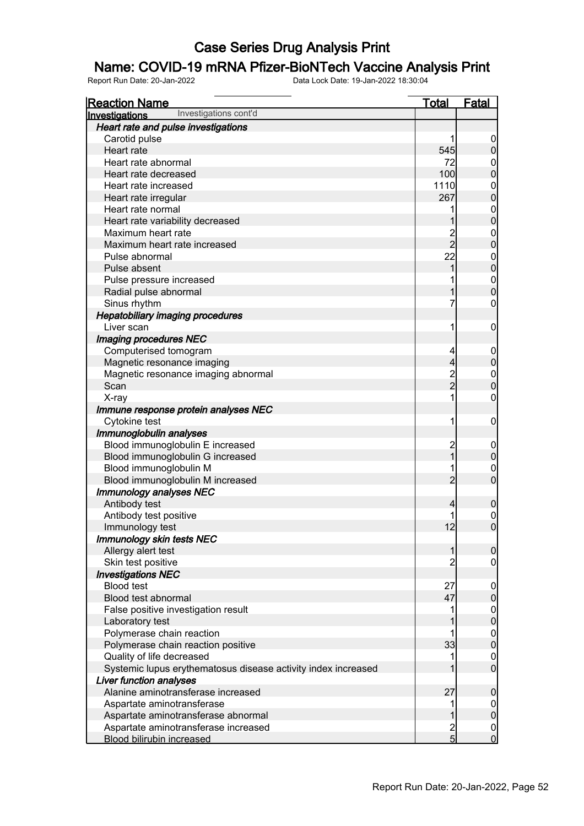### Name: COVID-19 mRNA Pfizer-BioNTech Vaccine Analysis Print

| <b>Reaction Name</b>                                          | <u>Total</u>   | <u>Fatal</u>                         |
|---------------------------------------------------------------|----------------|--------------------------------------|
| Investigations cont'd<br>Investigations                       |                |                                      |
| Heart rate and pulse investigations                           |                |                                      |
| Carotid pulse                                                 | 1              | $\overline{0}$                       |
| Heart rate                                                    | 545            | $\pmb{0}$                            |
| Heart rate abnormal                                           | 72             | $\boldsymbol{0}$                     |
| Heart rate decreased                                          | 100            | $\overline{0}$                       |
| Heart rate increased                                          | 1110           |                                      |
| Heart rate irregular                                          | 267            | $\begin{matrix}0\\0\end{matrix}$     |
| Heart rate normal                                             | 1              |                                      |
| Heart rate variability decreased                              | 1              | $0\atop 0$                           |
| Maximum heart rate                                            | $\frac{2}{2}$  |                                      |
| Maximum heart rate increased                                  |                | $0\atop 0$                           |
| Pulse abnormal                                                | 22             | $0$<br>0                             |
| Pulse absent                                                  | 1              |                                      |
| Pulse pressure increased                                      | 1              | $\begin{matrix} 0 \\ 0 \end{matrix}$ |
| Radial pulse abnormal                                         | 1              |                                      |
| Sinus rhythm                                                  | 7              | $\pmb{0}$                            |
| <b>Hepatobiliary imaging procedures</b>                       |                |                                      |
| Liver scan                                                    | 1              | $\mathbf 0$                          |
| Imaging procedures NEC                                        |                |                                      |
| Computerised tomogram                                         | 4              | $\boldsymbol{0}$                     |
| Magnetic resonance imaging                                    | $\overline{4}$ | $\mathbf 0$                          |
| Magnetic resonance imaging abnormal                           | $\frac{2}{2}$  | $0\atop 0$                           |
| Scan                                                          |                |                                      |
| X-ray                                                         | 1              | $\pmb{0}$                            |
| Immune response protein analyses NEC                          |                |                                      |
| Cytokine test                                                 | 1              | $\mathbf 0$                          |
| Immunoglobulin analyses                                       |                |                                      |
| Blood immunoglobulin E increased                              | $\overline{c}$ | $\boldsymbol{0}$                     |
| Blood immunoglobulin G increased                              | $\overline{1}$ | $\mathbf 0$                          |
| Blood immunoglobulin M                                        | 1              | $\mathbf{0}$                         |
| Blood immunoglobulin M increased                              | $\overline{2}$ | $\overline{0}$                       |
| Immunology analyses NEC                                       |                |                                      |
| Antibody test                                                 | 4              | $\mathbf 0$                          |
| Antibody test positive                                        |                | $\begin{matrix} 0 \\ 0 \end{matrix}$ |
| Immunology test                                               | 12             |                                      |
| Immunology skin tests NEC                                     |                |                                      |
| Allergy alert test                                            | 1              | $\overline{0}$                       |
| Skin test positive                                            | $\overline{2}$ | $\mathbf 0$                          |
| <b>Investigations NEC</b>                                     |                |                                      |
| <b>Blood test</b>                                             | 27             | $\boldsymbol{0}$                     |
| Blood test abnormal                                           | 47             | $\pmb{0}$                            |
| False positive investigation result                           | 1              | $\boldsymbol{0}$                     |
| Laboratory test                                               |                | $\mathbf 0$                          |
| Polymerase chain reaction                                     | 1              | $\boldsymbol{0}$                     |
| Polymerase chain reaction positive                            | 33             | $\mathbf 0$                          |
| Quality of life decreased                                     | 1              | $\boldsymbol{0}$                     |
| Systemic lupus erythematosus disease activity index increased | 1              | $\mathbf 0$                          |
| <b>Liver function analyses</b>                                |                |                                      |
| Alanine aminotransferase increased                            | 27             | $\boldsymbol{0}$                     |
| Aspartate aminotransferase                                    | 1              | $\overline{0}$                       |
| Aspartate aminotransferase abnormal                           | 1              | $\pmb{0}$                            |
| Aspartate aminotransferase increased                          | $\frac{2}{5}$  | $\mathbf 0$                          |
| <b>Blood bilirubin increased</b>                              |                | $\overline{0}$                       |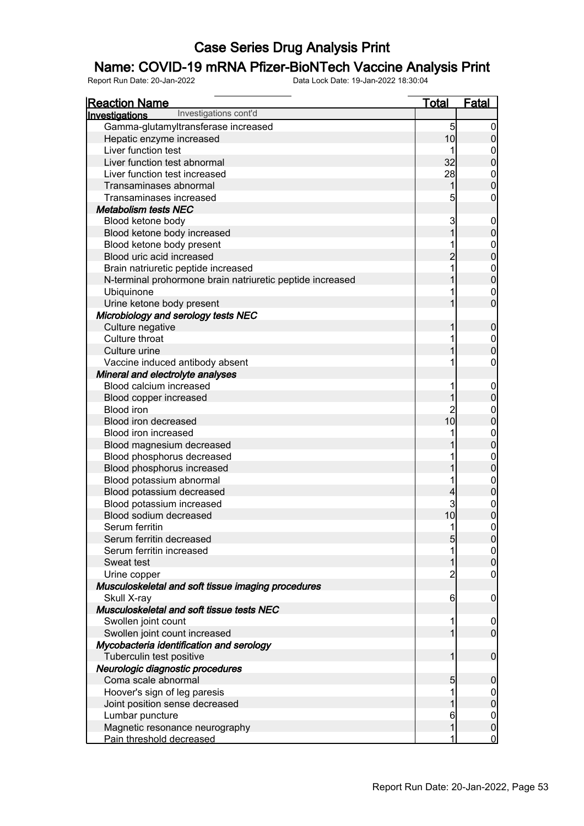### Name: COVID-19 mRNA Pfizer-BioNTech Vaccine Analysis Print

| <b>Reaction Name</b>                                                      | <u>Total</u>    | <b>Fatal</b>                  |
|---------------------------------------------------------------------------|-----------------|-------------------------------|
| Investigations cont'd<br><b>Investigations</b>                            |                 |                               |
| Gamma-glutamyltransferase increased                                       | $\overline{5}$  | $\mathbf 0$                   |
| Hepatic enzyme increased                                                  | 10              | $\overline{0}$                |
| Liver function test                                                       | 1               | $\boldsymbol{0}$              |
| Liver function test abnormal                                              | 32              | $\overline{0}$                |
| Liver function test increased                                             | 28              | $\mathbf{0}$                  |
| Transaminases abnormal                                                    | 1               | $\overline{0}$                |
| Transaminases increased                                                   | 5               | $\boldsymbol{0}$              |
| <b>Metabolism tests NEC</b>                                               |                 |                               |
| Blood ketone body                                                         | 3               | $\mathbf 0$                   |
| Blood ketone body increased                                               | 1               | $\pmb{0}$                     |
| Blood ketone body present                                                 |                 | $\mathbf{0}$                  |
| Blood uric acid increased                                                 | $\overline{2}$  | $\overline{0}$                |
| Brain natriuretic peptide increased                                       |                 | $0\atop 0$                    |
| N-terminal prohormone brain natriuretic peptide increased                 |                 |                               |
| Ubiquinone                                                                |                 | $\mathbf{0}$                  |
| Urine ketone body present                                                 |                 | $\overline{0}$                |
| Microbiology and serology tests NEC                                       |                 |                               |
| Culture negative                                                          | 1               | $\boldsymbol{0}$              |
| Culture throat                                                            |                 | $\boldsymbol{0}$              |
| Culture urine                                                             |                 | $\overline{0}$                |
| Vaccine induced antibody absent                                           |                 | $\mathbf 0$                   |
| Mineral and electrolyte analyses                                          |                 |                               |
| Blood calcium increased                                                   |                 | $\boldsymbol{0}$              |
| Blood copper increased                                                    | 1               | $\mathbf 0$                   |
| <b>Blood iron</b>                                                         | $\overline{c}$  | $\mathbf{0}$                  |
| Blood iron decreased                                                      | 10              | $\overline{0}$                |
| Blood iron increased                                                      |                 | 0<br>0                        |
| Blood magnesium decreased                                                 |                 |                               |
| Blood phosphorus decreased                                                |                 | 0<br>0                        |
| Blood phosphorus increased                                                |                 |                               |
| Blood potassium abnormal                                                  | 1               | $0\atop 0$                    |
| Blood potassium decreased                                                 | 4               |                               |
| Blood potassium increased                                                 | 3               | 0<br>0                        |
| Blood sodium decreased                                                    | 10              |                               |
| Serum ferritin                                                            | 1               | $\mathbf 0$                   |
| Serum ferritin decreased                                                  | 5               | 0                             |
| Serum ferritin increased                                                  | 1               | $\overline{0}$                |
| Sweat test                                                                | 1               | $\pmb{0}$                     |
| Urine copper                                                              | $\overline{c}$  | $\mathbf 0$                   |
| Musculoskeletal and soft tissue imaging procedures                        |                 |                               |
| Skull X-ray                                                               | $6 \overline{}$ | $\mathbf 0$                   |
| Musculoskeletal and soft tissue tests NEC                                 |                 |                               |
| Swollen joint count                                                       | 1<br>1          | $\mathbf 0$<br>$\overline{0}$ |
| Swollen joint count increased<br>Mycobacteria identification and serology |                 |                               |
| Tuberculin test positive                                                  | 1               | $\boldsymbol{0}$              |
| Neurologic diagnostic procedures                                          |                 |                               |
| Coma scale abnormal                                                       | 5               | $\boldsymbol{0}$              |
| Hoover's sign of leg paresis                                              | 1               | $\overline{0}$                |
| Joint position sense decreased                                            | 1               | $\pmb{0}$                     |
| Lumbar puncture                                                           | 6               | $\overline{0}$                |
| Magnetic resonance neurography                                            | 1               | $\pmb{0}$                     |
| Pain threshold decreased                                                  | 1               | $\overline{0}$                |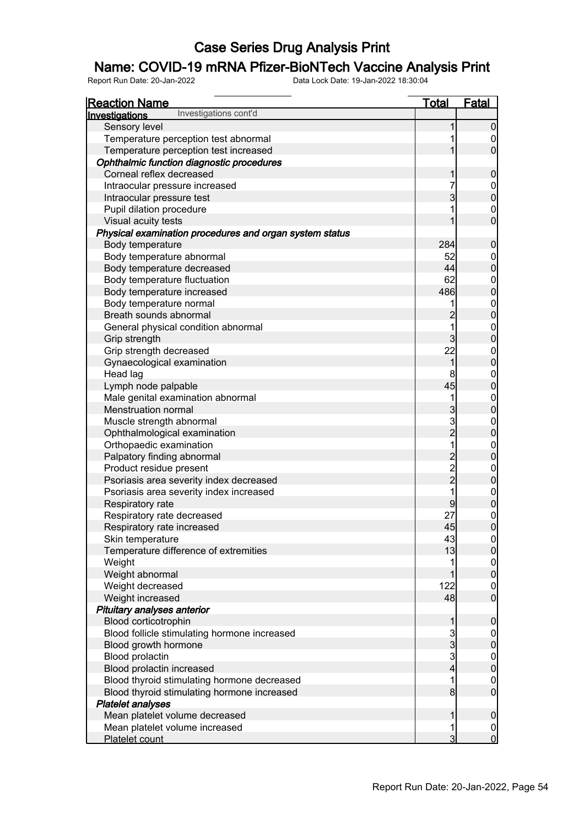### Name: COVID-19 mRNA Pfizer-BioNTech Vaccine Analysis Print

| <b>Reaction Name</b>                                    | <u>Total</u>   | <b>Fatal</b>                         |
|---------------------------------------------------------|----------------|--------------------------------------|
| Investigations cont'd<br>Investigations                 |                |                                      |
| Sensory level                                           |                | $\mathbf 0$                          |
| Temperature perception test abnormal                    |                | $\overline{0}$                       |
| Temperature perception test increased                   |                | $\overline{0}$                       |
| Ophthalmic function diagnostic procedures               |                |                                      |
| Corneal reflex decreased                                |                | $\pmb{0}$                            |
| Intraocular pressure increased                          |                |                                      |
| Intraocular pressure test                               | 3              | $0$ 0                                |
| Pupil dilation procedure                                |                | $\mathbf 0$                          |
| Visual acuity tests                                     |                | $\overline{0}$                       |
| Physical examination procedures and organ system status |                |                                      |
| Body temperature                                        | 284            | $\mathbf 0$                          |
| Body temperature abnormal                               | 52             |                                      |
| Body temperature decreased                              | 44             | $0\atop 0$                           |
| Body temperature fluctuation                            | 62             |                                      |
| Body temperature increased                              | 486            | $0\atop 0$                           |
| Body temperature normal                                 |                |                                      |
| Breath sounds abnormal                                  | $\overline{c}$ | $\begin{matrix} 0 \\ 0 \end{matrix}$ |
| General physical condition abnormal                     |                |                                      |
| Grip strength                                           | 3              | $0\atop 0$                           |
| Grip strength decreased                                 | 22             |                                      |
| Gynaecological examination                              | 1              | $0\atop 0$                           |
| Head lag                                                | 8              |                                      |
| Lymph node palpable                                     | 45             | $\begin{matrix} 0 \\ 0 \end{matrix}$ |
| Male genital examination abnormal                       | 1              |                                      |
| <b>Menstruation normal</b>                              | 3              | $0\atop 0$                           |
| Muscle strength abnormal                                | 3              |                                      |
| Ophthalmological examination                            | $\overline{2}$ | $0\atop 0$                           |
| Orthopaedic examination                                 |                |                                      |
| Palpatory finding abnormal                              | $\overline{c}$ | $0$<br>0                             |
| Product residue present                                 |                |                                      |
| Psoriasis area severity index decreased                 | $\frac{2}{2}$  | $\begin{matrix} 0 \\ 0 \end{matrix}$ |
| Psoriasis area severity index increased                 |                |                                      |
| Respiratory rate                                        | 9              | $\begin{matrix} 0 \\ 0 \end{matrix}$ |
| Respiratory rate decreased                              | 27             | $\mathbf 0$                          |
| Respiratory rate increased                              | 45             | $\overline{0}$                       |
| Skin temperature                                        | 43             | $\overline{0}$                       |
| Temperature difference of extremities                   | 13             | $\overline{0}$                       |
| Weight                                                  |                |                                      |
| Weight abnormal                                         |                | $\frac{0}{0}$                        |
| Weight decreased                                        | 122            | $\overline{0}$                       |
| Weight increased                                        | 48             | $\overline{0}$                       |
| Pituitary analyses anterior                             |                |                                      |
| Blood corticotrophin                                    |                | $\mathbf 0$                          |
| Blood follicle stimulating hormone increased            | 3              | $\boldsymbol{0}$                     |
| Blood growth hormone                                    | 3              | $\mathbf 0$                          |
| Blood prolactin                                         | 3              |                                      |
| Blood prolactin increased                               | 4              | $\begin{matrix} 0 \\ 0 \end{matrix}$ |
| Blood thyroid stimulating hormone decreased             |                | $\overline{0}$                       |
| Blood thyroid stimulating hormone increased             | 8              | $\overline{0}$                       |
| <b>Platelet analyses</b>                                |                |                                      |
| Mean platelet volume decreased                          |                | $\boldsymbol{0}$                     |
| Mean platelet volume increased                          |                | $\mathbf 0$                          |
| Platelet count                                          | 3              | $\overline{0}$                       |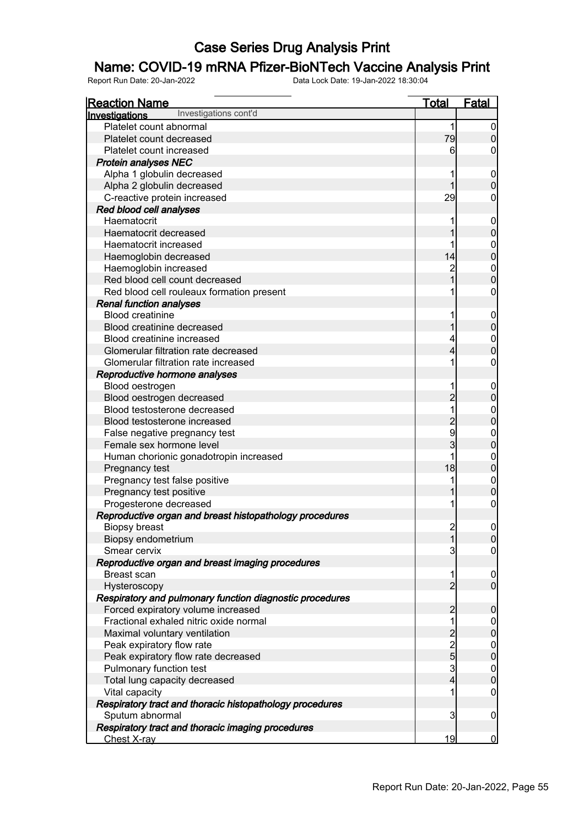### Name: COVID-19 mRNA Pfizer-BioNTech Vaccine Analysis Print

| <b>Reaction Name</b>                                     | <b>Total</b>   | <b>Fatal</b>                         |
|----------------------------------------------------------|----------------|--------------------------------------|
| Investigations cont'd<br>Investigations                  |                |                                      |
| Platelet count abnormal                                  | 1              | $\overline{0}$                       |
| Platelet count decreased                                 | 79             | $\overline{0}$                       |
| Platelet count increased                                 | 6              | 0                                    |
| <b>Protein analyses NEC</b>                              |                |                                      |
| Alpha 1 globulin decreased                               |                | $\mathbf 0$                          |
| Alpha 2 globulin decreased                               |                | $\overline{0}$                       |
| C-reactive protein increased                             | 29             | 0                                    |
| Red blood cell analyses                                  |                |                                      |
| Haematocrit                                              |                | $\mathbf 0$                          |
| Haematocrit decreased                                    |                | $\overline{0}$                       |
| Haematocrit increased                                    |                | $\mathbf{0}$                         |
| Haemoglobin decreased                                    | 14             | $\mathbf 0$                          |
| Haemoglobin increased                                    |                | $\mathbf{0}$                         |
| Red blood cell count decreased                           |                | $\overline{0}$                       |
| Red blood cell rouleaux formation present                |                | 0                                    |
| <b>Renal function analyses</b>                           |                |                                      |
| <b>Blood creatinine</b>                                  |                | $\mathbf 0$                          |
| Blood creatinine decreased                               |                | $\overline{0}$                       |
| Blood creatinine increased                               |                | $\mathbf{0}$                         |
| Glomerular filtration rate decreased                     | 4              | $\overline{0}$                       |
| Glomerular filtration rate increased                     |                | $\boldsymbol{0}$                     |
| Reproductive hormone analyses                            |                |                                      |
| Blood oestrogen                                          |                | $\mathbf 0$                          |
| Blood oestrogen decreased                                | $\overline{2}$ | $\pmb{0}$                            |
| Blood testosterone decreased                             |                | $\mathbf{0}$                         |
| Blood testosterone increased                             | $\overline{2}$ | $\overline{0}$                       |
| False negative pregnancy test                            | 9              | $\mathbf{0}$                         |
| Female sex hormone level                                 | 3              | $\overline{0}$                       |
| Human chorionic gonadotropin increased                   |                | $\mathbf{0}$                         |
| Pregnancy test                                           | 18             | $\overline{0}$                       |
| Pregnancy test false positive                            |                | $\mathbf{0}$                         |
| Pregnancy test positive                                  |                | $\overline{0}$                       |
| Progesterone decreased                                   |                | $\boldsymbol{0}$                     |
| Reproductive organ and breast histopathology procedures  |                |                                      |
| <b>Biopsy breast</b>                                     | $\overline{2}$ | $\mathbf 0$                          |
| Biopsy endometrium                                       | 1              | $\overline{0}$                       |
| Smear cervix                                             | 3              | $\overline{0}$                       |
| Reproductive organ and breast imaging procedures         |                |                                      |
| <b>Breast scan</b>                                       |                | $\overline{0}$                       |
| Hysteroscopy                                             | $\overline{2}$ | $\overline{0}$                       |
| Respiratory and pulmonary function diagnostic procedures |                |                                      |
| Forced expiratory volume increased                       | $\overline{2}$ | $\mathbf 0$                          |
| Fractional exhaled nitric oxide normal                   | 1              | $\overline{0}$                       |
| Maximal voluntary ventilation                            | $\overline{c}$ | $\mathbf 0$                          |
| Peak expiratory flow rate                                |                |                                      |
| Peak expiratory flow rate decreased                      | $\frac{2}{5}$  | $\begin{matrix} 0 \\ 0 \end{matrix}$ |
| Pulmonary function test                                  | $\overline{3}$ | $\boldsymbol{0}$                     |
| Total lung capacity decreased                            | 4              | $\overline{0}$                       |
| Vital capacity                                           | 1              | $\overline{0}$                       |
| Respiratory tract and thoracic histopathology procedures |                |                                      |
| Sputum abnormal                                          | 3              | $\mathbf 0$                          |
| Respiratory tract and thoracic imaging procedures        |                |                                      |
| Chest X-ray                                              | 19             | $\overline{0}$                       |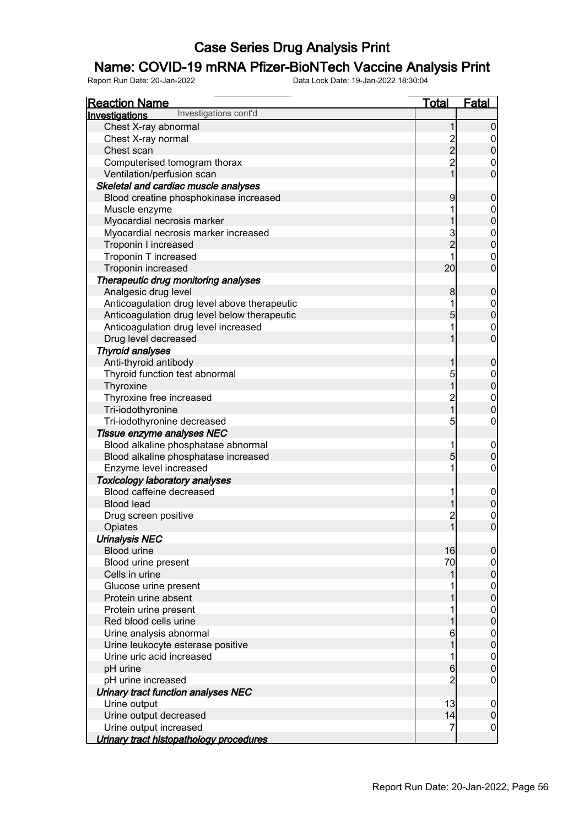### Name: COVID-19 mRNA Pfizer-BioNTech Vaccine Analysis Print

| <b>Reaction Name</b>                           | <u>Total</u>                          | <b>Fatal</b>                         |
|------------------------------------------------|---------------------------------------|--------------------------------------|
| Investigations cont'd<br><b>Investigations</b> |                                       |                                      |
| Chest X-ray abnormal                           | 1                                     | 0                                    |
| Chest X-ray normal                             | $\frac{2}{2}$                         |                                      |
| Chest scan                                     |                                       | $\overline{0}$                       |
| Computerised tomogram thorax                   | $\overline{2}$                        | $\mathbf 0$                          |
| Ventilation/perfusion scan                     | $\overline{1}$                        | $\overline{0}$                       |
| Skeletal and cardiac muscle analyses           |                                       |                                      |
| Blood creatine phosphokinase increased         | 9                                     | $\mathbf 0$                          |
| Muscle enzyme                                  |                                       | $\boldsymbol{0}$                     |
| Myocardial necrosis marker                     |                                       | $\overline{0}$                       |
| Myocardial necrosis marker increased           |                                       |                                      |
| Troponin I increased                           | 3<br>2                                | $\begin{matrix}0\\0\end{matrix}$     |
| Troponin T increased                           |                                       | $\boldsymbol{0}$                     |
| Troponin increased                             | 20                                    | $\overline{0}$                       |
| Therapeutic drug monitoring analyses           |                                       |                                      |
| Analgesic drug level                           | 8                                     | $\mathbf 0$                          |
| Anticoagulation drug level above therapeutic   |                                       | $\boldsymbol{0}$                     |
| Anticoagulation drug level below therapeutic   | 5                                     | $\overline{0}$                       |
| Anticoagulation drug level increased           |                                       | $\boldsymbol{0}$                     |
| Drug level decreased                           |                                       | $\overline{0}$                       |
| <b>Thyroid analyses</b>                        |                                       |                                      |
| Anti-thyroid antibody                          |                                       | $\mathbf 0$                          |
| Thyroid function test abnormal                 | 5                                     |                                      |
| Thyroxine                                      | $\overline{1}$                        | $0$<br>0                             |
| Thyroxine free increased                       |                                       |                                      |
| Tri-iodothyronine                              | $\frac{2}{1}$                         | $\begin{matrix} 0 \\ 0 \end{matrix}$ |
| Tri-iodothyronine decreased                    | 5                                     | $\mathbf 0$                          |
| Tissue enzyme analyses NEC                     |                                       |                                      |
| Blood alkaline phosphatase abnormal            |                                       | $\mathbf 0$                          |
| Blood alkaline phosphatase increased           | 5                                     | $\overline{0}$                       |
| Enzyme level increased                         |                                       | 0                                    |
| <b>Toxicology laboratory analyses</b>          |                                       |                                      |
| Blood caffeine decreased                       |                                       | $\mathbf 0$                          |
| <b>Blood lead</b>                              |                                       | $\overline{0}$                       |
| Drug screen positive                           |                                       | $\mathbf{0}$                         |
| Opiates                                        | $\begin{array}{c} 2 \\ 1 \end{array}$ | $\overline{0}$                       |
| <b>Urinalysis NEC</b>                          |                                       |                                      |
| <b>Blood urine</b>                             | 16                                    | 0                                    |
| Blood urine present                            | 70                                    |                                      |
| Cells in urine                                 |                                       | $0\atop 0$                           |
| Glucose urine present                          |                                       |                                      |
| Protein urine absent                           |                                       | $0\atop 0$                           |
| Protein urine present                          |                                       |                                      |
| Red blood cells urine                          |                                       | $\begin{matrix} 0 \\ 0 \end{matrix}$ |
| Urine analysis abnormal                        |                                       |                                      |
| Urine leukocyte esterase positive              |                                       | $\begin{matrix} 0 \\ 0 \end{matrix}$ |
| Urine uric acid increased                      |                                       |                                      |
|                                                | 6                                     | $\begin{matrix} 0 \\ 0 \end{matrix}$ |
| pH urine                                       |                                       |                                      |
| pH urine increased                             |                                       | $\mathbf 0$                          |
| Urinary tract function analyses NEC            |                                       |                                      |
| Urine output                                   | 13                                    | $\mathbf 0$                          |
| Urine output decreased                         | 14                                    | $\mathbf 0$                          |
| Urine output increased                         | 7                                     | $\mathbf 0$                          |
| Urinary tract histopathology procedures        |                                       |                                      |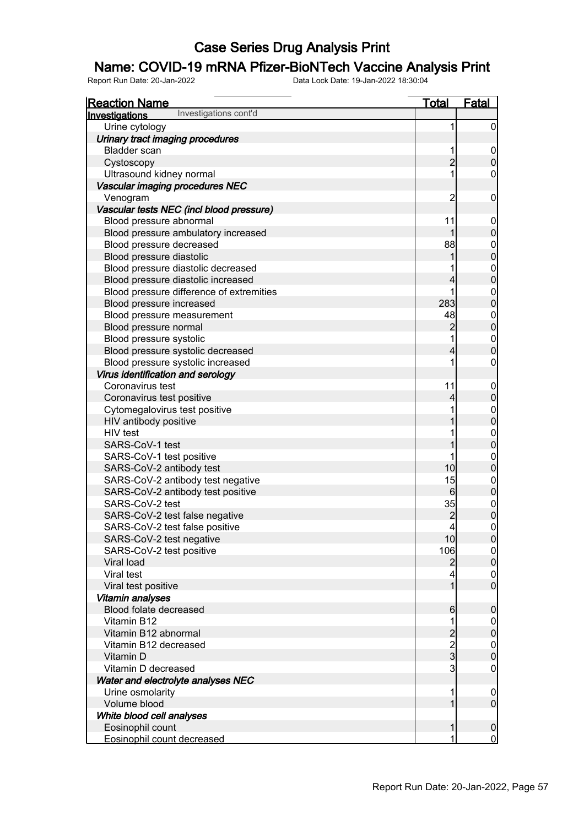#### Name: COVID-19 mRNA Pfizer-BioNTech Vaccine Analysis Print

| <b>Reaction Name</b>                     | <b>Total</b>                               | <b>Fatal</b>     |
|------------------------------------------|--------------------------------------------|------------------|
| Investigations cont'd<br>Investigations  |                                            |                  |
| Urine cytology                           | 1                                          | $\overline{0}$   |
| Urinary tract imaging procedures         |                                            |                  |
| <b>Bladder</b> scan                      | 1                                          | $\mathbf 0$      |
| Cystoscopy                               | $\overline{c}$                             | $\pmb{0}$        |
| Ultrasound kidney normal                 | 1                                          | $\boldsymbol{0}$ |
| Vascular imaging procedures NEC          |                                            |                  |
| Venogram                                 | $\overline{c}$                             | $\mathbf 0$      |
| Vascular tests NEC (incl blood pressure) |                                            |                  |
| Blood pressure abnormal                  | 11                                         | $\mathbf 0$      |
| Blood pressure ambulatory increased      | 1                                          | $\pmb{0}$        |
| Blood pressure decreased                 | 88                                         |                  |
| Blood pressure diastolic                 | 1                                          | $0$ 0            |
| Blood pressure diastolic decreased       |                                            |                  |
| Blood pressure diastolic increased       | 4                                          | $0\atop 0$       |
| Blood pressure difference of extremities | 1                                          | $\mathbf{0}$     |
| Blood pressure increased                 | 283                                        | $\overline{0}$   |
| Blood pressure measurement               | 48                                         |                  |
| Blood pressure normal                    | $\overline{c}$                             | 0                |
| Blood pressure systolic                  | 1                                          |                  |
| Blood pressure systolic decreased        | $\overline{4}$                             | $0\atop 0$       |
| Blood pressure systolic increased        | 1                                          | $\boldsymbol{0}$ |
| Virus identification and serology        |                                            |                  |
| Coronavirus test                         | 11                                         | $\mathbf 0$      |
| Coronavirus test positive                | 4                                          | $\mathbf 0$      |
| Cytomegalovirus test positive            |                                            |                  |
| HIV antibody positive                    |                                            | $0$ 0            |
| HIV test                                 |                                            |                  |
| SARS-CoV-1 test                          |                                            | $0\atop 0$       |
| SARS-CoV-1 test positive                 | 1                                          | $\boldsymbol{0}$ |
| SARS-CoV-2 antibody test                 | 10                                         | $\mathbf 0$      |
| SARS-CoV-2 antibody test negative        | 15                                         |                  |
| SARS-CoV-2 antibody test positive        | $6 \overline{6}$                           | 0                |
| SARS-CoV-2 test                          | 35                                         |                  |
| SARS-CoV-2 test false negative           | $\overline{c}$                             | $0\atop 0$       |
| SARS-CoV-2 test false positive           | $\overline{4}$                             | $\boldsymbol{0}$ |
| SARS-CoV-2 test negative                 | 10                                         | 0                |
| SARS-CoV-2 test positive                 | 106                                        | $\overline{0}$   |
| <b>Viral load</b>                        | $\overline{2}$                             | $\overline{0}$   |
| Viral test                               | 4                                          | $\overline{0}$   |
| Viral test positive                      | $\overline{1}$                             | $\overline{0}$   |
| Vitamin analyses                         |                                            |                  |
| Blood folate decreased                   | $6\phantom{.0}$                            | $\mathbf 0$      |
| Vitamin B12                              | 1                                          | $\overline{0}$   |
| Vitamin B12 abnormal                     |                                            | $\pmb{0}$        |
| Vitamin B12 decreased                    |                                            | $\boldsymbol{0}$ |
| Vitamin D                                | $\begin{array}{c} 2 \\ 2 \\ 3 \end{array}$ | $\mathbf 0$      |
| Vitamin D decreased                      | 3                                          | $\mathbf 0$      |
| Water and electrolyte analyses NEC       |                                            |                  |
| Urine osmolarity                         | 1                                          | $\mathbf 0$      |
| Volume blood                             | 1                                          | $\mathbf 0$      |
| White blood cell analyses                |                                            |                  |
| Eosinophil count                         | 1                                          | $\mathbf 0$      |
| Eosinophil count decreased               | 1                                          | $\overline{0}$   |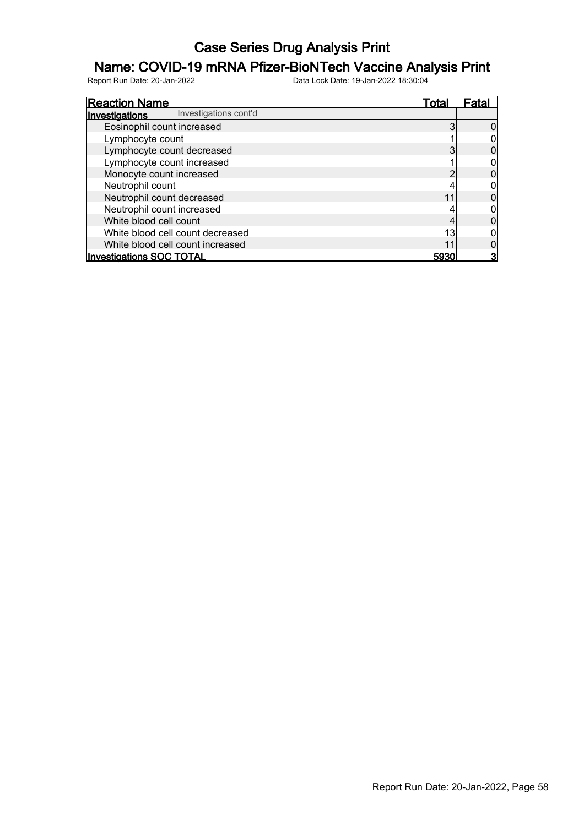### Name: COVID-19 mRNA Pfizer-BioNTech Vaccine Analysis Print

| <b>Reaction Name</b>                    | Total | l−ata |
|-----------------------------------------|-------|-------|
| Investigations cont'd<br>Investigations |       |       |
| Eosinophil count increased              |       |       |
| Lymphocyte count                        |       |       |
| Lymphocyte count decreased              |       |       |
| Lymphocyte count increased              |       |       |
| Monocyte count increased                |       |       |
| Neutrophil count                        |       |       |
| Neutrophil count decreased              |       |       |
| Neutrophil count increased              |       |       |
| White blood cell count                  |       |       |
| White blood cell count decreased        | 13    |       |
| White blood cell count increased        |       |       |
| <b>Investigations SOC TOTAL</b>         | 5930  |       |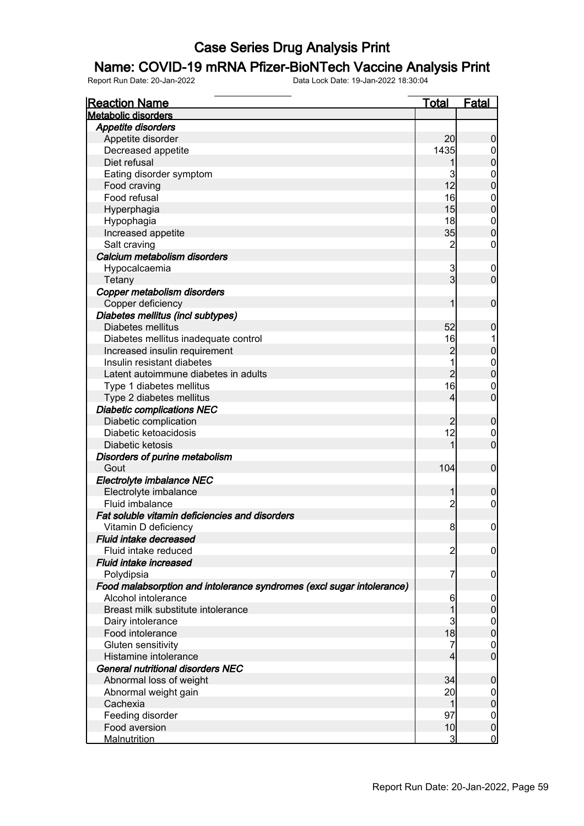### Name: COVID-19 mRNA Pfizer-BioNTech Vaccine Analysis Print

| <b>Reaction Name</b>                                                  | <u>Total</u>   | <b>Fatal</b>     |
|-----------------------------------------------------------------------|----------------|------------------|
| <b>Metabolic disorders</b>                                            |                |                  |
| <b>Appetite disorders</b>                                             |                |                  |
| Appetite disorder                                                     | 20             | $\boldsymbol{0}$ |
| Decreased appetite                                                    | 1435           | $\overline{0}$   |
| Diet refusal                                                          |                | $\pmb{0}$        |
| Eating disorder symptom                                               | 3              | $\mathbf 0$      |
| Food craving                                                          | 12             | $\overline{0}$   |
| Food refusal                                                          | 16             | $\mathbf 0$      |
| Hyperphagia                                                           | 15             | $\overline{0}$   |
| Hypophagia                                                            | 18             | $\mathbf 0$      |
| Increased appetite                                                    | 35             | $\boldsymbol{0}$ |
| Salt craving                                                          | 2              | $\mathbf 0$      |
| Calcium metabolism disorders                                          |                |                  |
| Hypocalcaemia                                                         | 3              | $\mathbf 0$      |
| Tetany                                                                | $\overline{3}$ | $\overline{0}$   |
| Copper metabolism disorders                                           |                |                  |
| Copper deficiency                                                     | 1              | $\mathbf 0$      |
| Diabetes mellitus (incl subtypes)                                     |                |                  |
| Diabetes mellitus                                                     | 52             | $\mathbf 0$      |
|                                                                       | 16             |                  |
| Diabetes mellitus inadequate control                                  | $\overline{c}$ | $\pmb{0}$        |
| Increased insulin requirement                                         |                |                  |
| Insulin resistant diabetes                                            | $\overline{2}$ | $\boldsymbol{0}$ |
| Latent autoimmune diabetes in adults                                  |                | $\overline{0}$   |
| Type 1 diabetes mellitus                                              | 16             | $\mathbf 0$      |
| Type 2 diabetes mellitus                                              | 4              | $\overline{0}$   |
| <b>Diabetic complications NEC</b>                                     |                |                  |
| Diabetic complication                                                 | $\overline{2}$ | $\mathbf 0$      |
| Diabetic ketoacidosis                                                 | 12             | $\mathbf 0$      |
| Diabetic ketosis                                                      |                | $\overline{0}$   |
| Disorders of purine metabolism                                        |                |                  |
| Gout                                                                  | 104            | $\overline{0}$   |
| Electrolyte imbalance NEC                                             |                |                  |
| Electrolyte imbalance                                                 |                | $\mathbf 0$      |
| Fluid imbalance                                                       | $\overline{c}$ | $\boldsymbol{0}$ |
| Fat soluble vitamin deficiencies and disorders                        |                |                  |
| Vitamin D deficiency                                                  | 8              | $\mathbf 0$      |
| <b>Fluid intake decreased</b>                                         |                |                  |
| Fluid intake reduced                                                  | $\overline{c}$ | $\overline{0}$   |
| Fluid intake increased                                                |                |                  |
| Polydipsia                                                            | 7              | $\boldsymbol{0}$ |
| Food malabsorption and intolerance syndromes (excl sugar intolerance) |                |                  |
| Alcohol intolerance                                                   | 6              | $\overline{0}$   |
| Breast milk substitute intolerance                                    |                | $\pmb{0}$        |
| Dairy intolerance                                                     | 3              | $\boldsymbol{0}$ |
| Food intolerance                                                      | 18             | $\overline{0}$   |
| Gluten sensitivity                                                    | 7              | $\mathbf 0$      |
| Histamine intolerance                                                 | 4              | $\overline{0}$   |
| <b>General nutritional disorders NEC</b>                              |                |                  |
| Abnormal loss of weight                                               | 34             | $\mathbf 0$      |
| Abnormal weight gain                                                  | 20             | $\overline{0}$   |
| Cachexia                                                              | 1              | $\pmb{0}$        |
| Feeding disorder                                                      | 97             | $\mathbf 0$      |
| Food aversion                                                         | 10             | $\boldsymbol{0}$ |
| <b>Malnutrition</b>                                                   | $\mathbf{3}$   | $\mathbf 0$      |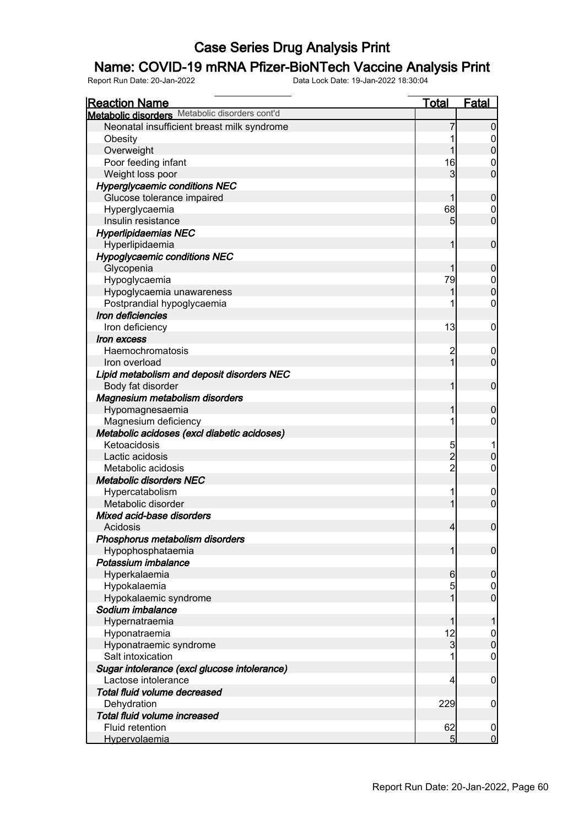### Name: COVID-19 mRNA Pfizer-BioNTech Vaccine Analysis Print

| <b>Reaction Name</b>                           | Total          | <b>Fatal</b>     |
|------------------------------------------------|----------------|------------------|
| Metabolic disorders Metabolic disorders cont'd |                |                  |
| Neonatal insufficient breast milk syndrome     |                | $\overline{0}$   |
| Obesity                                        |                | 0                |
| Overweight                                     |                | $\boldsymbol{0}$ |
| Poor feeding infant                            | 16             | 0                |
| Weight loss poor                               | 3              | $\overline{0}$   |
| <b>Hyperglycaemic conditions NEC</b>           |                |                  |
| Glucose tolerance impaired                     |                | $\mathbf 0$      |
| Hyperglycaemia                                 | 68             | 0                |
| Insulin resistance                             | 5              | $\overline{0}$   |
| <b>Hyperlipidaemias NEC</b>                    |                |                  |
| Hyperlipidaemia                                | 1              | $\mathbf 0$      |
| <b>Hypoglycaemic conditions NEC</b>            |                |                  |
| Glycopenia                                     |                | $\boldsymbol{0}$ |
| Hypoglycaemia                                  | 79             | $\mathbf 0$      |
| Hypoglycaemia unawareness                      |                | $\mathbf 0$      |
| Postprandial hypoglycaemia                     |                | $\mathbf 0$      |
| Iron deficiencies                              |                |                  |
| Iron deficiency                                | 13             | $\mathbf 0$      |
| Iron excess                                    |                |                  |
| Haemochromatosis                               | 2              | $\boldsymbol{0}$ |
| Iron overload                                  | 1              | $\mathbf 0$      |
| Lipid metabolism and deposit disorders NEC     |                |                  |
|                                                | 1              | $\mathbf 0$      |
| Body fat disorder                              |                |                  |
| Magnesium metabolism disorders                 |                |                  |
| Hypomagnesaemia                                | 1<br>1         | $\mathbf 0$      |
| Magnesium deficiency                           |                | $\mathbf 0$      |
| Metabolic acidoses (excl diabetic acidoses)    |                |                  |
| Ketoacidosis                                   | 5              |                  |
| Lactic acidosis                                | $\overline{c}$ | $\pmb{0}$        |
| Metabolic acidosis                             | $\overline{2}$ | $\mathbf 0$      |
| <b>Metabolic disorders NEC</b>                 |                |                  |
| Hypercatabolism                                | 1              | $\overline{0}$   |
| Metabolic disorder                             | 1              | $\overline{0}$   |
| Mixed acid-base disorders                      |                |                  |
| Acidosis                                       | $\overline{4}$ | $\boldsymbol{0}$ |
| Phosphorus metabolism disorders                |                |                  |
| Hypophosphataemia                              | $\mathbf{1}$   | $\mathbf 0$      |
| Potassium imbalance                            |                |                  |
| Hyperkalaemia                                  | $6 \mid$       | $\mathbf 0$      |
| Hypokalaemia                                   | 5              | 0                |
| Hypokalaemic syndrome                          | 1              | $\overline{0}$   |
| Sodium imbalance                               |                |                  |
| Hypernatraemia                                 | 1              | 1                |
| Hyponatraemia                                  | 12             | $\mathbf 0$      |
| Hyponatraemic syndrome                         | $\overline{3}$ | $\mathbf 0$      |
| Salt intoxication                              |                | $\boldsymbol{0}$ |
| Sugar intolerance (excl glucose intolerance)   |                |                  |
| Lactose intolerance                            | $\overline{4}$ | $\mathbf 0$      |
| Total fluid volume decreased                   |                |                  |
| Dehydration                                    | 229            | $\mathbf 0$      |
| Total fluid volume increased                   |                |                  |
| Fluid retention                                | 62             | $\boldsymbol{0}$ |
| Hypervolaemia                                  | 5 <sub>l</sub> | $\overline{0}$   |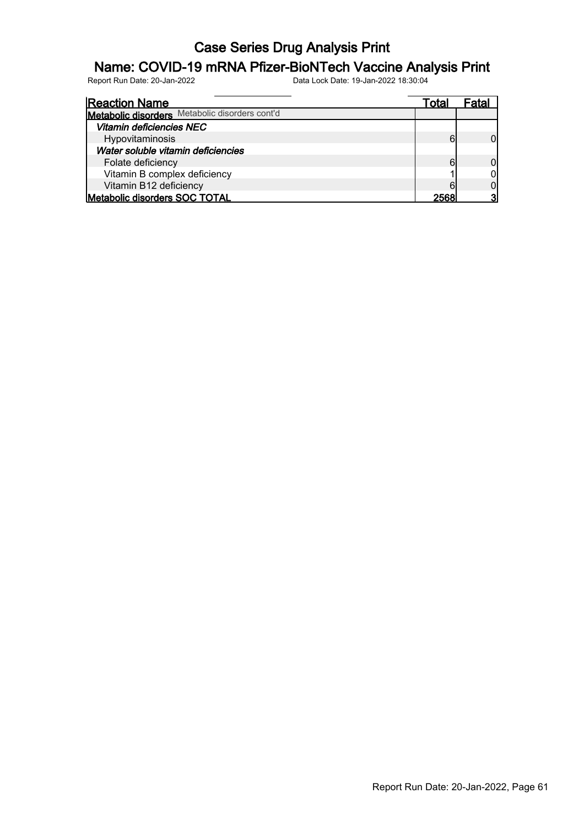# **Name: COVID-19 mRNA Pfizer-BioNTech Vaccine Analysis Print**<br>Report Run Date: 20-Jan-2022<br>Data Lock Date: 19-Jan-2022 18:30:04

Report Run Date: 20-Jan-2022 Data Lock Date: 19-Jan-2022 18:30:04

Reaction Name Total Fatal **Metabolic disorders** Metabolic disorders cont'd Vitamin deficiencies NEC Hypovitaminosis **6** 0 Water soluble vitamin deficiencies Folate deficiency<br>
Vitamin B complex deficiency<br>
Vitamin B complex deficiency Vitamin B complex deficiency 1 0 Vitamin B12 deficiency 6 0 0 0 0 0 0 1 1 1 2568 0 0 0 1 1 2568 0 0 1 2568 0 0 1 2568 0 0 1 2568 0 1 2568 0 2568 1 2568 0 1 2568 0 1 2568 0 2568 0 2568 1 2568 0 2568 1 2568 1 2568 1 2568 1 2568 1 2568 1 2568 1 2568 1 2568 1 Metabolic disorders SOC TOTAL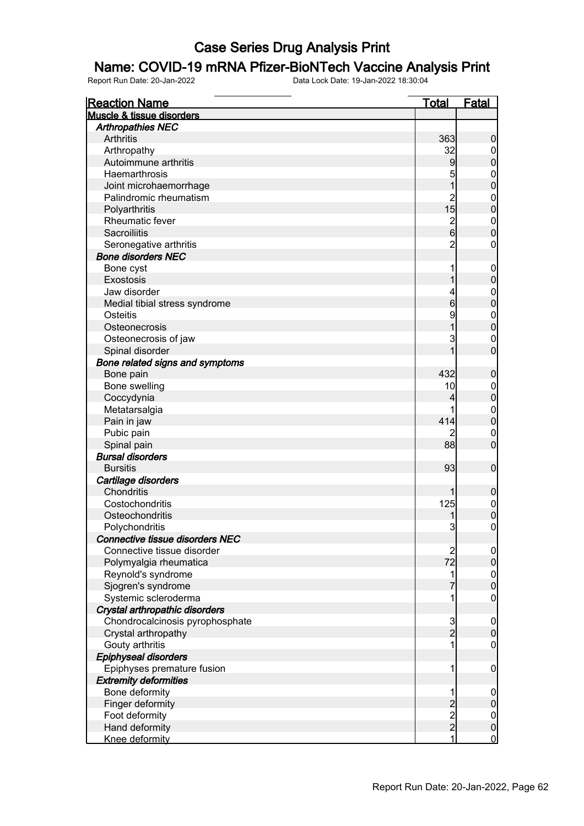#### Name: COVID-19 mRNA Pfizer-BioNTech Vaccine Analysis Print

| <b>Reaction Name</b>                   | <u>Total</u>                               | <b>Fatal</b>     |
|----------------------------------------|--------------------------------------------|------------------|
| <b>Muscle &amp; tissue disorders</b>   |                                            |                  |
| <b>Arthropathies NEC</b>               |                                            |                  |
| Arthritis                              | 363                                        | $\boldsymbol{0}$ |
| Arthropathy                            | 32                                         | $\overline{0}$   |
| Autoimmune arthritis                   | 9                                          | $\pmb{0}$        |
| Haemarthrosis                          | 5                                          | $\mathbf 0$      |
| Joint microhaemorrhage                 | $\overline{1}$                             | $\mathbf 0$      |
| Palindromic rheumatism                 |                                            | $\mathbf 0$      |
| Polyarthritis                          | $\begin{array}{c} 2 \\ 15 \end{array}$     | $\mathbf 0$      |
| Rheumatic fever                        |                                            | $\boldsymbol{0}$ |
| Sacroiliitis                           | $\frac{2}{6}$                              | $\mathbf 0$      |
| Seronegative arthritis                 | $\overline{c}$                             | $\boldsymbol{0}$ |
| <b>Bone disorders NEC</b>              |                                            |                  |
| Bone cyst                              |                                            | $\mathbf 0$      |
| Exostosis                              | 1                                          | $\mathbf 0$      |
| Jaw disorder                           | 4                                          | $\boldsymbol{0}$ |
| Medial tibial stress syndrome          | $6\overline{6}$                            | $\mathbf 0$      |
| Osteitis                               | 9                                          | $\boldsymbol{0}$ |
| Osteonecrosis                          | 1                                          | $\mathbf 0$      |
| Osteonecrosis of jaw                   | 3                                          | $\mathbf 0$      |
| Spinal disorder                        | 1                                          | $\overline{0}$   |
| Bone related signs and symptoms        |                                            |                  |
| Bone pain                              | 432                                        | $\boldsymbol{0}$ |
| Bone swelling                          | 10                                         | $\mathbf 0$      |
| Coccydynia                             | 4                                          | $\pmb{0}$        |
| Metatarsalgia                          |                                            | $\mathbf{0}$     |
| Pain in jaw                            | 414                                        | $\mathbf 0$      |
| Pubic pain                             | 2                                          | $\mathbf 0$      |
| Spinal pain                            | 88                                         | $\mathbf 0$      |
| <b>Bursal disorders</b>                |                                            |                  |
| <b>Bursitis</b>                        | 93                                         | $\boldsymbol{0}$ |
| Cartilage disorders                    |                                            |                  |
| Chondritis                             | 1                                          | $\mathbf 0$      |
| Costochondritis                        | 125                                        | $\boldsymbol{0}$ |
| Osteochondritis                        |                                            | $\mathbf 0$      |
| Polychondritis                         | 3                                          | $\pmb{0}$        |
| <b>Connective tissue disorders NEC</b> |                                            |                  |
| Connective tissue disorder             |                                            | $\overline{0}$   |
| Polymyalgia rheumatica                 | $\frac{2}{72}$                             | $\mathbf 0$      |
| Reynold's syndrome                     | 1                                          |                  |
| Sjogren's syndrome                     |                                            | $0\atop 0$       |
| Systemic scleroderma                   | 1                                          | $\mathbf 0$      |
| Crystal arthropathic disorders         |                                            |                  |
| Chondrocalcinosis pyrophosphate        |                                            | $\mathbf 0$      |
| Crystal arthropathy                    | $\frac{3}{2}$                              | $\mathbf 0$      |
| Gouty arthritis                        | 1                                          | $\overline{0}$   |
| Epiphyseal disorders                   |                                            |                  |
| Epiphyses premature fusion             | 1                                          | $\mathbf 0$      |
| <b>Extremity deformities</b>           |                                            |                  |
| Bone deformity                         | 1                                          | $\mathbf 0$      |
| Finger deformity                       |                                            | $\pmb{0}$        |
| Foot deformity                         |                                            | $\overline{0}$   |
| Hand deformity                         | $\begin{array}{c} 2 \\ 2 \\ 2 \end{array}$ | $\pmb{0}$        |
| Knee deformity                         | 1                                          | $\mathbf 0$      |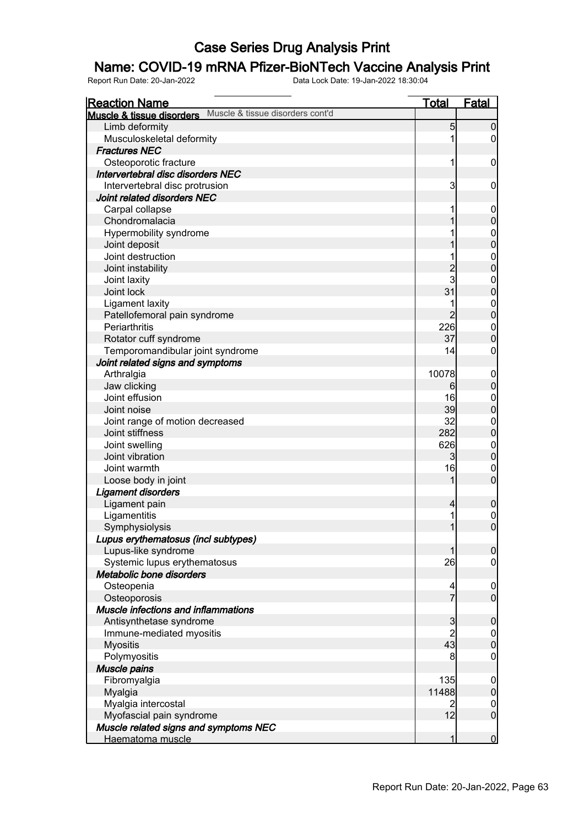### Name: COVID-19 mRNA Pfizer-BioNTech Vaccine Analysis Print

| <b>Reaction Name</b>                                          | <u>Total</u>   | <b>Fatal</b>                         |
|---------------------------------------------------------------|----------------|--------------------------------------|
| Muscle & tissue disorders cont'd<br>Muscle & tissue disorders |                |                                      |
| Limb deformity                                                | 5              | $\boldsymbol{0}$                     |
| Musculoskeletal deformity                                     | 1              | $\overline{0}$                       |
| <b>Fractures NEC</b>                                          |                |                                      |
| Osteoporotic fracture                                         | 1              | $\mathbf 0$                          |
| Intervertebral disc disorders NEC                             |                |                                      |
| Intervertebral disc protrusion                                | 3              | $\mathbf 0$                          |
| Joint related disorders NEC                                   |                |                                      |
| Carpal collapse                                               | 1              | $\mathbf 0$                          |
| Chondromalacia                                                | 1              | $\mathbf 0$                          |
| Hypermobility syndrome                                        |                |                                      |
| Joint deposit                                                 |                | $0\atop 0$                           |
| Joint destruction                                             |                |                                      |
| Joint instability                                             |                | 0<br>0                               |
| Joint laxity                                                  | 2<br>3         | $\mathbf{0}$                         |
| Joint lock                                                    | 31             | $\overline{0}$                       |
| <b>Ligament laxity</b>                                        | 1              |                                      |
| Patellofemoral pain syndrome                                  | $\overline{2}$ | $0\atop 0$                           |
| Periarthritis                                                 | 226            | $\mathbf{0}$                         |
| Rotator cuff syndrome                                         | 37             | $\mathbf 0$                          |
| Temporomandibular joint syndrome                              | 14             | 0                                    |
| Joint related signs and symptoms                              |                |                                      |
| Arthralgia                                                    | 10078          | $\mathbf 0$                          |
| Jaw clicking                                                  | 6              | $\pmb{0}$                            |
| Joint effusion                                                | 16             | $\mathbf{0}$                         |
| Joint noise                                                   | 39             | $\pmb{0}$                            |
| Joint range of motion decreased                               | 32             | $\mathbf{0}$                         |
| Joint stiffness                                               | 282            | $\mathbf 0$                          |
| Joint swelling                                                | 626            | $\mathbf{0}$                         |
| Joint vibration                                               | $\overline{3}$ | $\mathbf 0$                          |
| Joint warmth                                                  | 16             | $\mathbf 0$                          |
| Loose body in joint                                           | 1              | $\mathbf 0$                          |
| <b>Ligament disorders</b>                                     |                |                                      |
| Ligament pain                                                 | $\overline{4}$ | $\boldsymbol{0}$                     |
| Ligamentitis                                                  | 1              |                                      |
| Symphysiolysis                                                | 1              | $\begin{matrix} 0 \\ 0 \end{matrix}$ |
| Lupus erythematosus (incl subtypes)                           |                |                                      |
| Lupus-like syndrome                                           | 1              | $\boldsymbol{0}$                     |
| Systemic lupus erythematosus                                  | 26             | $\mathbf 0$                          |
| Metabolic bone disorders                                      |                |                                      |
| Osteopenia                                                    | 4              | $\mathbf 0$                          |
| Osteoporosis                                                  | $\overline{7}$ | $\overline{0}$                       |
| <b>Muscle infections and inflammations</b>                    |                |                                      |
| Antisynthetase syndrome                                       | 3              | $\boldsymbol{0}$                     |
| Immune-mediated myositis                                      | $\overline{2}$ | $\overline{0}$                       |
| <b>Myositis</b>                                               | 43             | $\mathbf 0$                          |
| Polymyositis                                                  | 8              | $\mathbf 0$                          |
| Muscle pains                                                  |                |                                      |
| Fibromyalgia                                                  | 135            | $\mathbf 0$                          |
| Myalgia                                                       | 11488          | $\pmb{0}$                            |
| Myalgia intercostal                                           | 2              | $\overline{0}$                       |
| Myofascial pain syndrome                                      | 12             | $\mathbf 0$                          |
| Muscle related signs and symptoms NEC                         |                |                                      |
| Haematoma muscle                                              | 1              | $\mathbf 0$                          |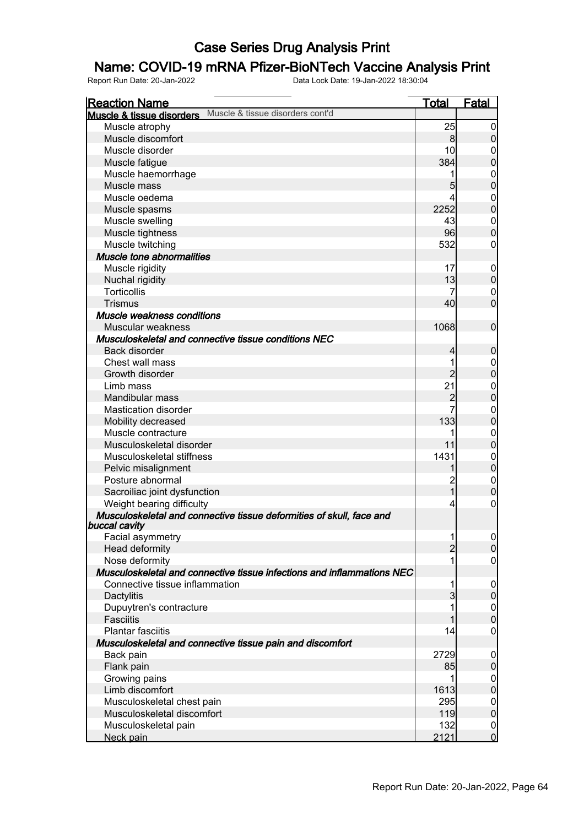### Name: COVID-19 mRNA Pfizer-BioNTech Vaccine Analysis Print

| <b>Reaction Name</b>                                                                  | <u>Total</u>   | <b>Fatal</b>                |
|---------------------------------------------------------------------------------------|----------------|-----------------------------|
| Muscle & tissue disorders cont'd<br>Muscle & tissue disorders                         |                |                             |
| Muscle atrophy                                                                        | 25             | $\boldsymbol{0}$            |
| Muscle discomfort                                                                     | 8              | $\overline{0}$              |
| Muscle disorder                                                                       | 10             | 0                           |
| Muscle fatigue                                                                        | 384            | $\mathbf 0$                 |
| Muscle haemorrhage                                                                    | 1              | $\boldsymbol{0}$            |
| Muscle mass                                                                           | 5              | $\mathbf 0$                 |
| Muscle oedema                                                                         | 4              | $\mathbf 0$                 |
| Muscle spasms                                                                         | 2252           | $\mathbf 0$                 |
| Muscle swelling                                                                       | 43             | $\mathbf 0$                 |
| Muscle tightness                                                                      | 96             | $\mathbf 0$                 |
| Muscle twitching                                                                      | 532            | 0                           |
| <b>Muscle tone abnormalities</b>                                                      |                |                             |
| Muscle rigidity                                                                       | 17             | $\mathbf 0$                 |
| Nuchal rigidity                                                                       | 13             | $\pmb{0}$                   |
| <b>Torticollis</b>                                                                    | 7              | 0                           |
| <b>Trismus</b>                                                                        | 40             | $\mathbf 0$                 |
| Muscle weakness conditions                                                            |                |                             |
| Muscular weakness                                                                     | 1068           | $\mathbf 0$                 |
| Musculoskeletal and connective tissue conditions NEC                                  |                |                             |
| Back disorder                                                                         | $\overline{4}$ | $\boldsymbol{0}$            |
| Chest wall mass                                                                       | 1              | $\boldsymbol{0}$            |
| Growth disorder                                                                       | $\overline{2}$ | $\mathbf 0$                 |
| Limb mass                                                                             | 21             | $\mathbf 0$                 |
| Mandibular mass                                                                       | $\overline{c}$ | $\mathbf 0$                 |
| <b>Mastication disorder</b>                                                           |                |                             |
| Mobility decreased                                                                    | 133            | $\mathbf 0$<br>$\mathbf 0$  |
| Muscle contracture                                                                    | 1              |                             |
| Musculoskeletal disorder                                                              | 11             | $\mathbf 0$<br>$\mathbf 0$  |
| Musculoskeletal stiffness                                                             | 1431           |                             |
|                                                                                       |                | $\mathbf{0}$<br>$\mathbf 0$ |
| Pelvic misalignment<br>Posture abnormal                                               | $\overline{c}$ |                             |
|                                                                                       | $\overline{1}$ | $\mathbf 0$<br>$\mathbf 0$  |
| Sacroiliac joint dysfunction                                                          |                |                             |
| Weight bearing difficulty                                                             | 4              | 0                           |
| Musculoskeletal and connective tissue deformities of skull, face and<br>buccal cavity |                |                             |
| Facial asymmetry                                                                      | 1              | $\overline{0}$              |
| Head deformity                                                                        | $\overline{2}$ | $\overline{0}$              |
| Nose deformity                                                                        | 1              | $\boldsymbol{0}$            |
| Musculoskeletal and connective tissue infections and inflammations NEC                |                |                             |
| Connective tissue inflammation                                                        | 1              | $\mathbf 0$                 |
| Dactylitis                                                                            | 3              | $\mathbf 0$                 |
| Dupuytren's contracture                                                               | 1              | $\mathbf 0$                 |
| <b>Fasciitis</b>                                                                      |                | $\overline{0}$              |
| <b>Plantar fasciitis</b>                                                              | 14             | $\boldsymbol{0}$            |
| Musculoskeletal and connective tissue pain and discomfort                             |                |                             |
| Back pain                                                                             | 2729           | $\boldsymbol{0}$            |
| Flank pain                                                                            | 85             | $\mathbf 0$                 |
| Growing pains                                                                         | 1              | $\mathbf 0$                 |
| Limb discomfort                                                                       | 1613           | $\overline{0}$              |
| Musculoskeletal chest pain                                                            | 295            | $\mathbf 0$                 |
| Musculoskeletal discomfort                                                            | 119            | $\overline{0}$              |
| Musculoskeletal pain                                                                  | 132            | $\mathbf 0$                 |
| Neck pain                                                                             | 2121           | $\overline{0}$              |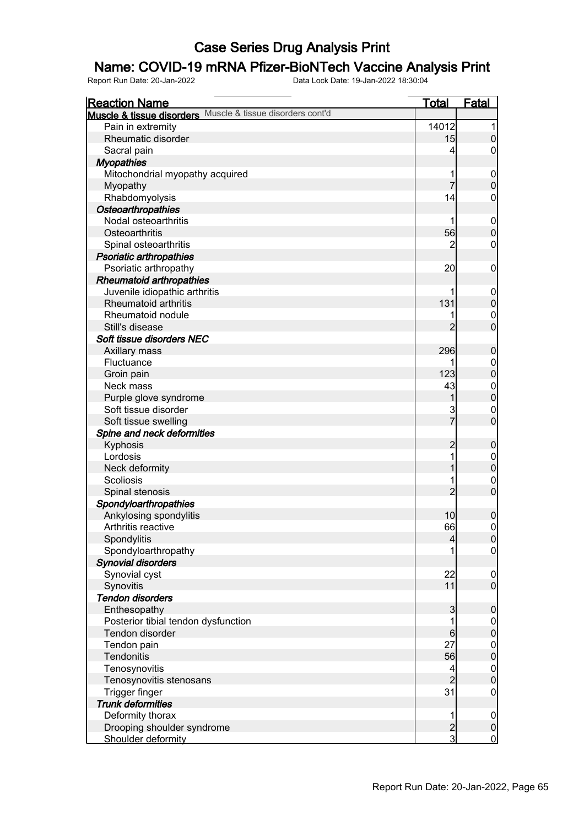### Name: COVID-19 mRNA Pfizer-BioNTech Vaccine Analysis Print

| <b>Reaction Name</b>                                       | <u>Total</u>   | <b>Fatal</b>     |
|------------------------------------------------------------|----------------|------------------|
| Muscle & tissue disorders Muscle & tissue disorders cont'd |                |                  |
| Pain in extremity                                          | 14012          | 1                |
| Rheumatic disorder                                         | 15             | $\pmb{0}$        |
| Sacral pain                                                | 4              | 0                |
| <b>Myopathies</b>                                          |                |                  |
| Mitochondrial myopathy acquired                            |                | $\mathbf 0$      |
| Myopathy                                                   | 7              | $\mathbf 0$      |
| Rhabdomyolysis                                             | 14             | 0                |
| Osteoarthropathies                                         |                |                  |
| Nodal osteoarthritis                                       |                | $\mathbf 0$      |
| Osteoarthritis                                             | 56             | $\mathbf 0$      |
| Spinal osteoarthritis                                      | 2              | $\mathbf 0$      |
| <b>Psoriatic arthropathies</b>                             |                |                  |
| Psoriatic arthropathy                                      | 20             | $\mathbf 0$      |
| <b>Rheumatoid arthropathies</b>                            |                |                  |
| Juvenile idiopathic arthritis                              |                | $\mathbf 0$      |
| Rheumatoid arthritis                                       | 131            | $\mathbf 0$      |
| Rheumatoid nodule                                          |                | $\mathbf{0}$     |
| Still's disease                                            | 2              | $\overline{0}$   |
| Soft tissue disorders NEC                                  |                |                  |
| Axillary mass                                              | 296            | $\boldsymbol{0}$ |
| Fluctuance                                                 |                | $\mathbf{0}$     |
| Groin pain                                                 | 123            | $\mathbf 0$      |
| Neck mass                                                  | 43             | $\mathbf{0}$     |
| Purple glove syndrome                                      | 1              | $\overline{0}$   |
| Soft tissue disorder                                       | 3              | $\mathbf 0$      |
| Soft tissue swelling                                       | $\overline{7}$ | $\overline{0}$   |
| Spine and neck deformities                                 |                |                  |
| Kyphosis                                                   | $\overline{c}$ | $\boldsymbol{0}$ |
| Lordosis                                                   | 1              | $\mathbf{0}$     |
| Neck deformity                                             |                | $\mathbf 0$      |
| <b>Scoliosis</b>                                           | 1              | $\boldsymbol{0}$ |
| Spinal stenosis                                            | $\overline{2}$ | $\overline{0}$   |
| Spondyloarthropathies                                      |                |                  |
| Ankylosing spondylitis                                     | 10             | $\boldsymbol{0}$ |
| Arthritis reactive                                         | 66             | $\mathbf 0$      |
| Spondylitis                                                | $\overline{4}$ | $\overline{0}$   |
| Spondyloarthropathy                                        |                | $\overline{0}$   |
| <b>Synovial disorders</b>                                  |                |                  |
| Synovial cyst                                              | 22             | $\mathbf 0$      |
| Synovitis                                                  | 11             | $\overline{0}$   |
| <b>Tendon disorders</b>                                    |                |                  |
| Enthesopathy                                               | 3              | $\boldsymbol{0}$ |
| Posterior tibial tendon dysfunction                        | 1              | $\overline{0}$   |
| Tendon disorder                                            | 6              | $\pmb{0}$        |
| Tendon pain                                                | 27             | $\boldsymbol{0}$ |
| Tendonitis                                                 | 56             | $\mathbf 0$      |
| Tenosynovitis                                              | 4              | $\boldsymbol{0}$ |
| Tenosynovitis stenosans                                    | $\overline{2}$ | $\mathbf 0$      |
| Trigger finger                                             | 31             | $\mathbf 0$      |
| <b>Trunk deformities</b>                                   |                |                  |
| Deformity thorax                                           | 1              | $\mathbf 0$      |
| Drooping shoulder syndrome                                 | $\overline{c}$ | $\pmb{0}$        |
| Shoulder deformity                                         | $\overline{3}$ | $\overline{0}$   |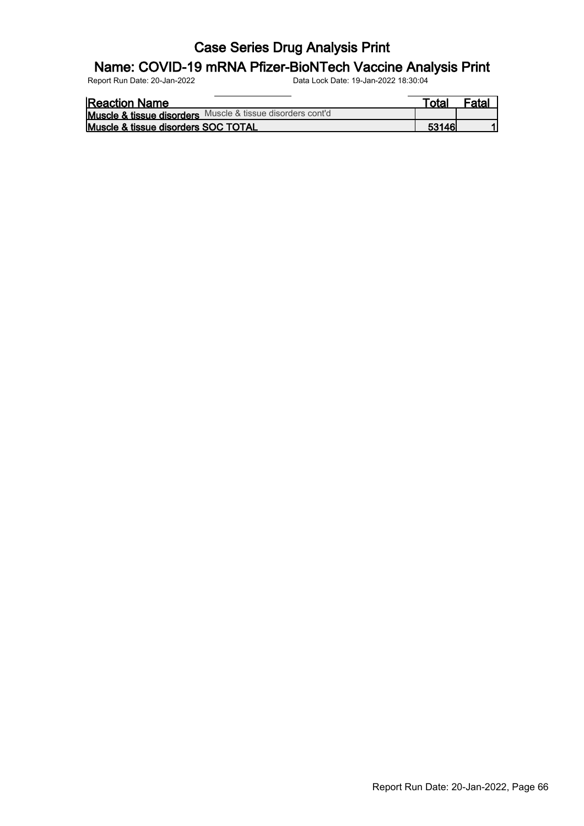#### Name: COVID-19 mRNA Pfizer-BioNTech Vaccine Analysis Print

| <b>Reaction Name</b>                                       | ⊤otaı  | <sup>=</sup> atal |
|------------------------------------------------------------|--------|-------------------|
| Muscle & tissue disorders Muscle & tissue disorders cont'd |        |                   |
| Muscle & tissue disorders SOC TOTAL                        | 53146' |                   |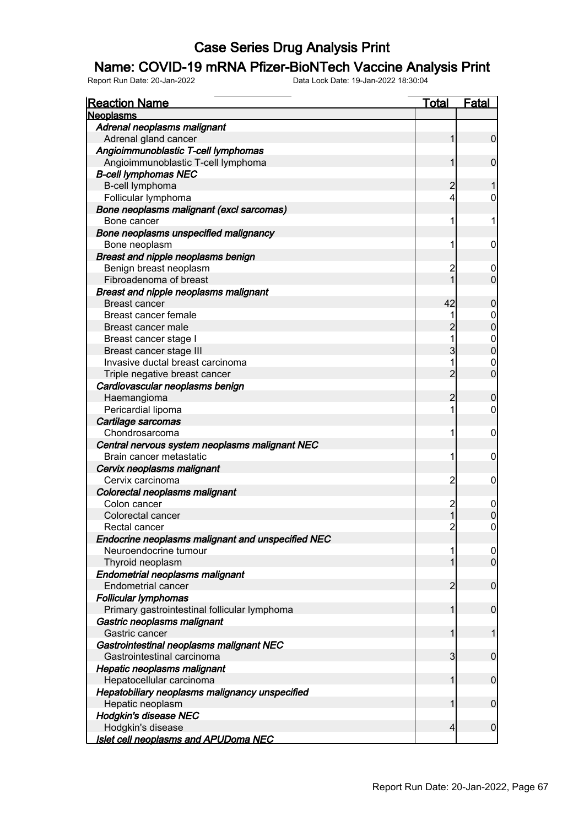#### Name: COVID-19 mRNA Pfizer-BioNTech Vaccine Analysis Print

| <b>Reaction Name</b>                              | <u>Total</u>   | <b>Fatal</b>     |
|---------------------------------------------------|----------------|------------------|
| <b>Neoplasms</b>                                  |                |                  |
| Adrenal neoplasms malignant                       |                |                  |
| Adrenal gland cancer                              | 1              | $\overline{0}$   |
| Angioimmunoblastic T-cell lymphomas               |                |                  |
| Angioimmunoblastic T-cell lymphoma                |                | $\mathbf 0$      |
| <b>B-cell lymphomas NEC</b>                       |                |                  |
| B-cell lymphoma                                   | 2              |                  |
| Follicular lymphoma                               | 4              | 0                |
| Bone neoplasms malignant (excl sarcomas)          |                |                  |
| Bone cancer                                       | 1              | 1                |
| Bone neoplasms unspecified malignancy             |                |                  |
| Bone neoplasm                                     | 1              | $\mathbf 0$      |
| Breast and nipple neoplasms benign                |                |                  |
| Benign breast neoplasm                            | $\overline{c}$ | 0                |
| Fibroadenoma of breast                            |                | $\mathbf 0$      |
| <b>Breast and nipple neoplasms malignant</b>      |                |                  |
| <b>Breast cancer</b>                              | 42             | $\boldsymbol{0}$ |
| Breast cancer female                              |                | $\overline{0}$   |
| Breast cancer male                                | $\overline{2}$ | $\overline{0}$   |
| Breast cancer stage I                             |                | $\boldsymbol{0}$ |
| Breast cancer stage III                           | 3              | $\overline{0}$   |
| Invasive ductal breast carcinoma                  |                | $\mathbf 0$      |
| Triple negative breast cancer                     | $\overline{2}$ | $\mathbf 0$      |
| Cardiovascular neoplasms benign                   |                |                  |
| Haemangioma                                       | $\overline{2}$ | $\boldsymbol{0}$ |
| Pericardial lipoma                                | 1              | 0                |
| Cartilage sarcomas                                |                |                  |
| Chondrosarcoma                                    | 1              | $\mathbf 0$      |
| Central nervous system neoplasms malignant NEC    |                |                  |
| Brain cancer metastatic                           | 1              | $\mathbf 0$      |
| Cervix neoplasms malignant                        |                |                  |
| Cervix carcinoma                                  | $\overline{c}$ | $\mathbf 0$      |
| Colorectal neoplasms malignant                    |                |                  |
| Colon cancer                                      | $\overline{c}$ | $\mathbf 0$      |
| Colorectal cancer                                 |                | $\mathbf 0$      |
| Rectal cancer                                     | $\overline{2}$ | $\boldsymbol{0}$ |
| Endocrine neoplasms malignant and unspecified NEC |                |                  |
| Neuroendocrine tumour                             |                | 0                |
| Thyroid neoplasm                                  |                | $\overline{0}$   |
| <b>Endometrial neoplasms malignant</b>            |                |                  |
| <b>Endometrial cancer</b>                         | $\overline{2}$ | $\mathbf 0$      |
| <b>Follicular lymphomas</b>                       |                |                  |
| Primary gastrointestinal follicular lymphoma      | 1              | $\mathbf 0$      |
| Gastric neoplasms malignant                       |                |                  |
| Gastric cancer                                    | 1              | 1                |
| Gastrointestinal neoplasms malignant NEC          |                |                  |
| Gastrointestinal carcinoma                        | $\overline{3}$ | $\mathbf 0$      |
| Hepatic neoplasms malignant                       |                |                  |
| Hepatocellular carcinoma                          | 1              | $\mathbf 0$      |
| Hepatobiliary neoplasms malignancy unspecified    |                |                  |
| Hepatic neoplasm                                  |                | $\mathbf 0$      |
| <b>Hodgkin's disease NEC</b>                      |                |                  |
| Hodgkin's disease                                 | 4              | $\boldsymbol{0}$ |
| <u>Islet cell neoplasms and APUDoma NEC</u>       |                |                  |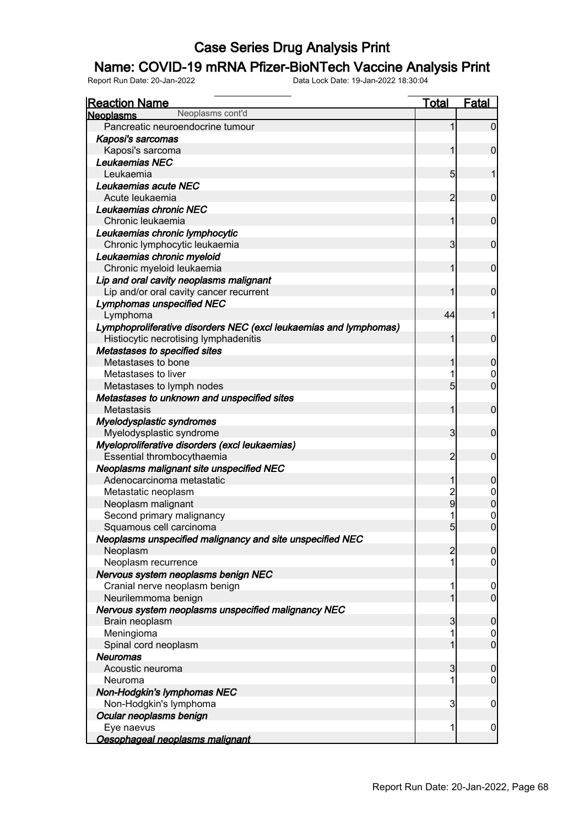#### Name: COVID-19 mRNA Pfizer-BioNTech Vaccine Analysis Print

| <b>Reaction Name</b>                                              | <b>Total</b>    | <b>Fatal</b>     |
|-------------------------------------------------------------------|-----------------|------------------|
| Neoplasms cont'd<br><b>Neoplasms</b>                              |                 |                  |
| Pancreatic neuroendocrine tumour                                  |                 | $\overline{0}$   |
| Kaposi's sarcomas                                                 |                 |                  |
| Kaposi's sarcoma                                                  |                 | $\overline{0}$   |
| Leukaemias NEC                                                    |                 |                  |
| Leukaemia                                                         | $5\overline{)}$ |                  |
| Leukaemias acute NEC                                              |                 |                  |
| Acute leukaemia                                                   | $\overline{2}$  | $\overline{0}$   |
| Leukaemias chronic NEC                                            |                 |                  |
| Chronic leukaemia                                                 | 1               | $\overline{0}$   |
| Leukaemias chronic lymphocytic                                    |                 |                  |
| Chronic lymphocytic leukaemia                                     | 3               | $\overline{0}$   |
| Leukaemias chronic myeloid                                        |                 |                  |
| Chronic myeloid leukaemia                                         | 1               | $\overline{0}$   |
| Lip and oral cavity neoplasms malignant                           |                 |                  |
| Lip and/or oral cavity cancer recurrent                           |                 | $\overline{0}$   |
| <b>Lymphomas unspecified NEC</b>                                  |                 |                  |
| Lymphoma                                                          | 44              |                  |
| Lymphoproliferative disorders NEC (excl leukaemias and lymphomas) |                 |                  |
| Histiocytic necrotising lymphadenitis                             | 1               | $\overline{0}$   |
| Metastases to specified sites                                     |                 |                  |
| Metastases to bone                                                |                 | $\mathbf 0$      |
| Metastases to liver                                               |                 | $\mathbf 0$      |
| Metastases to lymph nodes                                         | $5\overline{)}$ | $\overline{0}$   |
| Metastases to unknown and unspecified sites                       |                 |                  |
| Metastasis                                                        | 1               | $\overline{0}$   |
| Myelodysplastic syndromes                                         |                 |                  |
| Myelodysplastic syndrome                                          | 3               | $\overline{0}$   |
| Myeloproliferative disorders (excl leukaemias)                    |                 |                  |
| Essential thrombocythaemia                                        | $\overline{2}$  | $\overline{0}$   |
| Neoplasms malignant site unspecified NEC                          |                 |                  |
| Adenocarcinoma metastatic                                         | 1               | $\mathbf 0$      |
| Metastatic neoplasm                                               |                 |                  |
| Neoplasm malignant                                                | $\frac{2}{9}$   | $0$ 0            |
| Second primary malignancy                                         |                 | $\mathbf 0$      |
| Squamous cell carcinoma                                           | 5 <sub>l</sub>  | $\overline{0}$   |
| Neoplasms unspecified malignancy and site unspecified NEC         |                 |                  |
| Neoplasm                                                          | $\overline{2}$  | 0                |
| Neoplasm recurrence                                               |                 | $\mathbf 0$      |
| Nervous system neoplasms benign NEC                               |                 |                  |
| Cranial nerve neoplasm benign                                     |                 | $\overline{0}$   |
| Neurilemmoma benign                                               |                 | $\overline{0}$   |
| Nervous system neoplasms unspecified malignancy NEC               |                 |                  |
| Brain neoplasm                                                    | 3               | $\mathbf 0$      |
| Meningioma                                                        |                 | $\overline{0}$   |
| Spinal cord neoplasm                                              |                 | $\overline{0}$   |
| <b>Neuromas</b>                                                   |                 |                  |
| Acoustic neuroma                                                  | 3               | $\mathbf 0$      |
| Neuroma                                                           |                 | $\boldsymbol{0}$ |
| Non-Hodgkin's lymphomas NEC                                       |                 |                  |
| Non-Hodgkin's lymphoma                                            | 3               | $\mathbf 0$      |
| Ocular neoplasms benign                                           |                 |                  |
| Eye naevus                                                        | 1               | $\mathbf 0$      |
| Oesophageal neoplasms malignant                                   |                 |                  |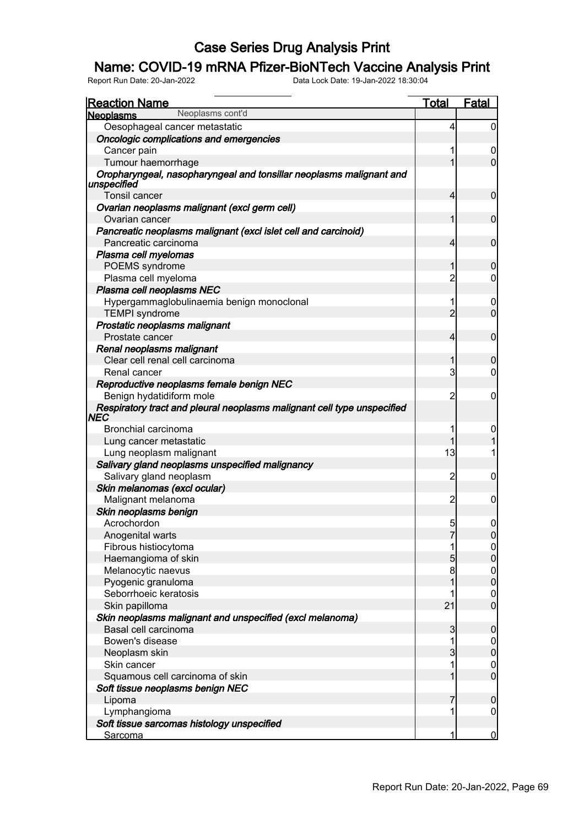### Name: COVID-19 mRNA Pfizer-BioNTech Vaccine Analysis Print

| Neoplasms cont'd<br><b>Neoplasms</b><br>Oesophageal cancer metastatic<br>Oncologic complications and emergencies<br>Cancer pain<br>Tumour haemorrhage<br>Oropharyngeal, nasopharyngeal and tonsillar neoplasms malignant and | 4<br>1<br>4    | 0<br>$\boldsymbol{0}$<br>0           |
|------------------------------------------------------------------------------------------------------------------------------------------------------------------------------------------------------------------------------|----------------|--------------------------------------|
|                                                                                                                                                                                                                              |                |                                      |
|                                                                                                                                                                                                                              |                |                                      |
|                                                                                                                                                                                                                              |                |                                      |
|                                                                                                                                                                                                                              |                |                                      |
|                                                                                                                                                                                                                              |                |                                      |
| unspecified                                                                                                                                                                                                                  |                |                                      |
| Tonsil cancer                                                                                                                                                                                                                |                | $\mathbf 0$                          |
| Ovarian neoplasms malignant (excl germ cell)<br>Ovarian cancer                                                                                                                                                               | 1              | $\mathbf 0$                          |
| Pancreatic neoplasms malignant (excl islet cell and carcinoid)                                                                                                                                                               |                |                                      |
| Pancreatic carcinoma                                                                                                                                                                                                         | 4              | $\mathbf 0$                          |
| Plasma cell myelomas                                                                                                                                                                                                         |                |                                      |
| POEMS syndrome                                                                                                                                                                                                               | 1              | $\mathbf 0$                          |
| Plasma cell myeloma                                                                                                                                                                                                          | $\overline{2}$ | 0                                    |
| Plasma cell neoplasms NEC                                                                                                                                                                                                    |                |                                      |
| Hypergammaglobulinaemia benign monoclonal                                                                                                                                                                                    | 1              | 0                                    |
| <b>TEMPI</b> syndrome                                                                                                                                                                                                        | $\overline{2}$ | $\overline{0}$                       |
| Prostatic neoplasms malignant                                                                                                                                                                                                |                |                                      |
| Prostate cancer                                                                                                                                                                                                              | $\overline{4}$ | $\mathbf 0$                          |
| Renal neoplasms malignant                                                                                                                                                                                                    |                |                                      |
| Clear cell renal cell carcinoma                                                                                                                                                                                              | 1              | $\mathbf 0$                          |
| Renal cancer                                                                                                                                                                                                                 | 3              | 0                                    |
| Reproductive neoplasms female benign NEC                                                                                                                                                                                     |                |                                      |
| Benign hydatidiform mole                                                                                                                                                                                                     | 2              | $\mathbf 0$                          |
| Respiratory tract and pleural neoplasms malignant cell type unspecified                                                                                                                                                      |                |                                      |
| <b>NEC</b>                                                                                                                                                                                                                   |                |                                      |
| Bronchial carcinoma                                                                                                                                                                                                          | 1              | 0                                    |
| Lung cancer metastatic                                                                                                                                                                                                       |                |                                      |
| Lung neoplasm malignant                                                                                                                                                                                                      | 13             | 1                                    |
| Salivary gland neoplasms unspecified malignancy                                                                                                                                                                              |                |                                      |
| Salivary gland neoplasm                                                                                                                                                                                                      | 2              | 0                                    |
| Skin melanomas (excl ocular)                                                                                                                                                                                                 |                |                                      |
| Malignant melanoma                                                                                                                                                                                                           | 2              | 0                                    |
| Skin neoplasms benign                                                                                                                                                                                                        |                |                                      |
| Acrochordon                                                                                                                                                                                                                  | $\overline{5}$ | 0                                    |
| Anogenital warts                                                                                                                                                                                                             | 7              | 0                                    |
| Fibrous histiocytoma                                                                                                                                                                                                         | 1              | $\overline{0}$                       |
| Haemangioma of skin                                                                                                                                                                                                          | 5              | $\overline{0}$                       |
| Melanocytic naevus                                                                                                                                                                                                           | 8              |                                      |
| Pyogenic granuloma                                                                                                                                                                                                           | $\overline{1}$ | $\begin{matrix} 0 \\ 0 \end{matrix}$ |
| Seborrhoeic keratosis                                                                                                                                                                                                        |                |                                      |
| Skin papilloma                                                                                                                                                                                                               | 21             | $\begin{matrix} 0 \\ 0 \end{matrix}$ |
| Skin neoplasms malignant and unspecified (excl melanoma)                                                                                                                                                                     |                |                                      |
| Basal cell carcinoma                                                                                                                                                                                                         | $\mathbf{3}$   | $\boldsymbol{0}$                     |
| Bowen's disease                                                                                                                                                                                                              | 1              | $\overline{0}$                       |
| Neoplasm skin                                                                                                                                                                                                                | $\overline{3}$ | $\mathbf 0$                          |
| Skin cancer                                                                                                                                                                                                                  | 1              |                                      |
| Squamous cell carcinoma of skin                                                                                                                                                                                              | 1              | $\begin{matrix} 0 \\ 0 \end{matrix}$ |
| Soft tissue neoplasms benign NEC                                                                                                                                                                                             |                |                                      |
| Lipoma                                                                                                                                                                                                                       | 7              | $\boldsymbol{0}$                     |
| Lymphangioma                                                                                                                                                                                                                 | 1              | $\overline{0}$                       |
| Soft tissue sarcomas histology unspecified                                                                                                                                                                                   |                |                                      |
| <b>Sarcoma</b>                                                                                                                                                                                                               | 1              | $\overline{0}$                       |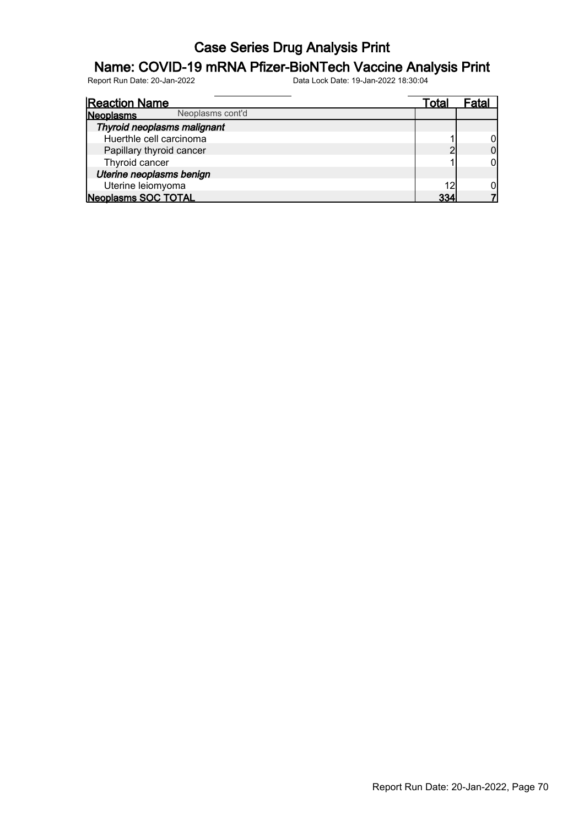#### Name: COVID-19 mRNA Pfizer-BioNTech Vaccine Analysis Print

| <b>Reaction Name</b>          | Total |  |
|-------------------------------|-------|--|
| Neoplasms cont'd<br>Neoplasms |       |  |
| Thyroid neoplasms malignant   |       |  |
| Huerthle cell carcinoma       |       |  |
| Papillary thyroid cancer      |       |  |
| Thyroid cancer                |       |  |
| Uterine neoplasms benign      |       |  |
| Uterine leiomyoma             | 12    |  |
| <b>Neoplasms SOC TOTAL</b>    | २२∠   |  |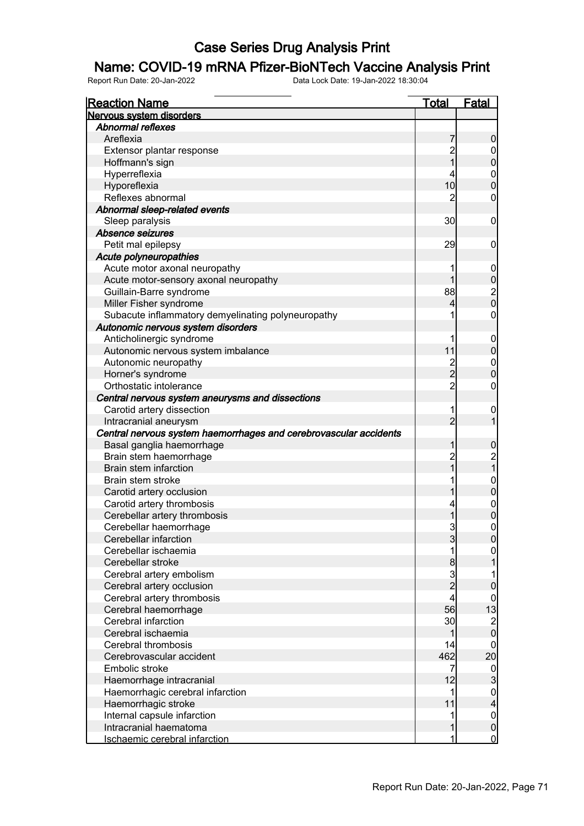#### Name: COVID-19 mRNA Pfizer-BioNTech Vaccine Analysis Print

| <b>Reaction Name</b>                                              | <u>Total</u>            | <b>Fatal</b>                       |
|-------------------------------------------------------------------|-------------------------|------------------------------------|
| Nervous system disorders                                          |                         |                                    |
| <b>Abnormal reflexes</b>                                          |                         |                                    |
| Areflexia                                                         | 7                       | 0                                  |
| Extensor plantar response                                         | $\overline{c}$          | $\mathbf 0$                        |
| Hoffmann's sign                                                   | 1                       | 0                                  |
| Hyperreflexia                                                     | 4                       | $\mathbf{0}$                       |
| Hyporeflexia                                                      | 10                      | 0                                  |
| Reflexes abnormal                                                 | 2                       | 0                                  |
| Abnormal sleep-related events                                     |                         |                                    |
| Sleep paralysis                                                   | 30                      | $\mathbf 0$                        |
| Absence seizures                                                  |                         |                                    |
| Petit mal epilepsy                                                | 29                      | 0                                  |
| Acute polyneuropathies                                            |                         |                                    |
| Acute motor axonal neuropathy                                     | 1                       | $\mathbf 0$                        |
| Acute motor-sensory axonal neuropathy                             | 1                       | 0                                  |
| Guillain-Barre syndrome                                           | 88                      |                                    |
| Miller Fisher syndrome                                            | 4                       | $\frac{2}{0}$                      |
| Subacute inflammatory demyelinating polyneuropathy                | 1                       | $\boldsymbol{0}$                   |
| Autonomic nervous system disorders                                |                         |                                    |
| Anticholinergic syndrome                                          | 1                       | $\mathbf 0$                        |
| Autonomic nervous system imbalance                                | 11                      | $\pmb{0}$                          |
| Autonomic neuropathy                                              | $\overline{c}$          | $\mathbf{0}$                       |
| Horner's syndrome                                                 | $\overline{2}$          | 0                                  |
| Orthostatic intolerance                                           | $\overline{2}$          | $\boldsymbol{0}$                   |
| Central nervous system aneurysms and dissections                  |                         |                                    |
| Carotid artery dissection                                         | 1                       |                                    |
| Intracranial aneurysm                                             | $\overline{2}$          | $\mathbf 0$                        |
| Central nervous system haemorrhages and cerebrovascular accidents |                         |                                    |
| Basal ganglia haemorrhage                                         | 1                       |                                    |
| Brain stem haemorrhage                                            | $\overline{c}$          | 0                                  |
| Brain stem infarction                                             | 1                       | 2<br>1                             |
| Brain stem stroke                                                 | 1                       |                                    |
|                                                                   |                         | $\boldsymbol{0}$<br>$\overline{0}$ |
| Carotid artery occlusion                                          |                         |                                    |
| Carotid artery thrombosis                                         | 4                       | $\mathbf{0}$                       |
| Cerebellar artery thrombosis                                      | 1                       | $\overline{0}$                     |
| Cerebellar haemorrhage                                            | 3                       | $\overline{0}$                     |
| Cerebellar infarction                                             | 3                       | <sup>0</sup>                       |
| Cerebellar ischaemia                                              | 1                       | $\overline{0}$                     |
| Cerebellar stroke                                                 | 8                       |                                    |
| Cerebral artery embolism                                          | $\overline{3}$          |                                    |
| Cerebral artery occlusion                                         | $\overline{2}$          | 0                                  |
| Cerebral artery thrombosis                                        | $\overline{\mathbf{4}}$ | 0                                  |
| Cerebral haemorrhage                                              | 56                      | 13                                 |
| Cerebral infarction                                               | 30                      | $\overline{\mathbf{c}}$            |
| Cerebral ischaemia                                                | 1                       | $\overline{0}$                     |
| Cerebral thrombosis                                               | 14                      | 0                                  |
| Cerebrovascular accident                                          | 462                     | 20                                 |
| Embolic stroke                                                    | $\overline{7}$          | $\overline{0}$                     |
| Haemorrhage intracranial                                          | 12                      | 3                                  |
| Haemorrhagic cerebral infarction                                  | 1                       | $\mathbf{0}$                       |
| Haemorrhagic stroke                                               | 11                      | 4                                  |
| Internal capsule infarction                                       | 1                       | $\mathbf{0}$                       |
| Intracranial haematoma                                            |                         | $\overline{0}$                     |
| Ischaemic cerebral infarction                                     | 1                       | $\mathbf 0$                        |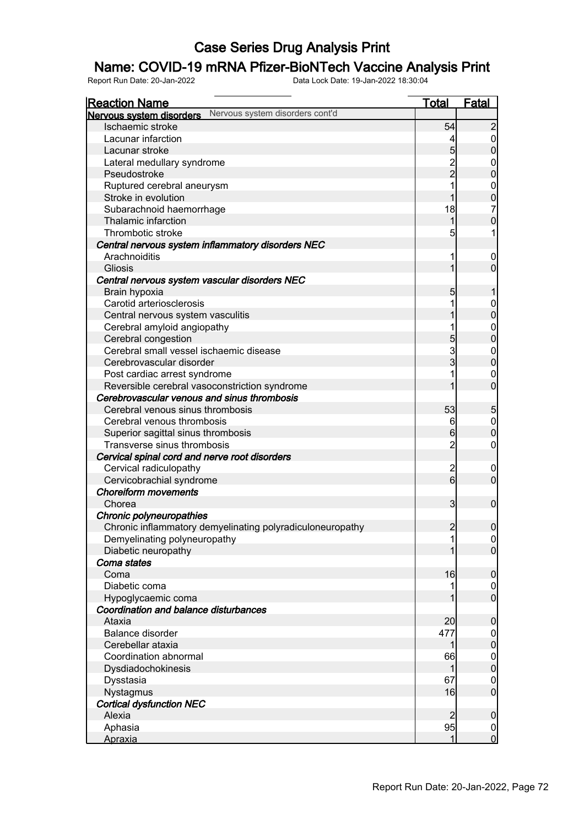### Name: COVID-19 mRNA Pfizer-BioNTech Vaccine Analysis Print

| <b>Reaction Name</b>                                        | <u>Total</u>            | <b>Fatal</b>                         |
|-------------------------------------------------------------|-------------------------|--------------------------------------|
| Nervous system disorders cont'd<br>Nervous system disorders |                         |                                      |
| Ischaemic stroke                                            | 54                      | $\overline{2}$                       |
| Lacunar infarction                                          | 4                       | $\overline{0}$                       |
| Lacunar stroke                                              | $\overline{5}$          | $\overline{0}$                       |
| Lateral medullary syndrome                                  |                         | $\mathbf 0$                          |
| Pseudostroke                                                | 2<br>2                  | $\overline{0}$                       |
| Ruptured cerebral aneurysm                                  |                         | $\mathbf 0$                          |
| Stroke in evolution                                         | 1                       | $\overline{0}$                       |
| Subarachnoid haemorrhage                                    | 18                      | $\overline{7}$                       |
| Thalamic infarction                                         | 1                       | $\overline{0}$                       |
| Thrombotic stroke                                           | 5                       |                                      |
| Central nervous system inflammatory disorders NEC           |                         |                                      |
| Arachnoiditis                                               |                         | 0                                    |
| Gliosis                                                     | 1                       | $\overline{0}$                       |
| Central nervous system vascular disorders NEC               |                         |                                      |
| Brain hypoxia                                               | 5                       |                                      |
| Carotid arteriosclerosis                                    |                         | $\mathbf 0$                          |
| Central nervous system vasculitis                           |                         | $\mathbf{0}$                         |
| Cerebral amyloid angiopathy                                 |                         | $\mathbf{0}$                         |
| Cerebral congestion                                         | $\overline{5}$          | $\overline{0}$                       |
| Cerebral small vessel ischaemic disease                     | 3                       | $\mathbf{0}$                         |
| Cerebrovascular disorder                                    | $\mathsf{s}$            | $\overline{0}$                       |
| Post cardiac arrest syndrome                                |                         | $\mathbf 0$                          |
| Reversible cerebral vasoconstriction syndrome               |                         | $\overline{0}$                       |
| Cerebrovascular venous and sinus thrombosis                 |                         |                                      |
| Cerebral venous sinus thrombosis                            | 53                      | 5                                    |
| Cerebral venous thrombosis                                  | 6                       | $\mathbf 0$                          |
| Superior sagittal sinus thrombosis                          | $6 \overline{}$         | $\overline{0}$                       |
| Transverse sinus thrombosis                                 | $\overline{c}$          | $\mathbf 0$                          |
| Cervical spinal cord and nerve root disorders               |                         |                                      |
| Cervical radiculopathy                                      |                         | 0                                    |
| Cervicobrachial syndrome                                    | $\frac{2}{6}$           | $\overline{0}$                       |
| <b>Choreiform movements</b>                                 |                         |                                      |
| Chorea                                                      | $\overline{\mathbf{3}}$ | $\mathbf 0$                          |
| Chronic polyneuropathies                                    |                         |                                      |
| Chronic inflammatory demyelinating polyradiculoneuropathy   | $\overline{2}$          | $\overline{0}$                       |
| Demyelinating polyneuropathy                                |                         | 0                                    |
| Diabetic neuropathy                                         |                         | $\overline{0}$                       |
| Coma states                                                 |                         |                                      |
| Coma                                                        | 16                      | $\mathbf 0$                          |
| Diabetic coma                                               |                         | $\overline{0}$                       |
| Hypoglycaemic coma                                          |                         | $\overline{0}$                       |
| Coordination and balance disturbances                       |                         |                                      |
| Ataxia                                                      | 20                      | $\mathbf 0$                          |
| Balance disorder                                            | 477                     | $\overline{0}$                       |
| Cerebellar ataxia                                           |                         | $\overline{0}$                       |
| Coordination abnormal                                       | 66                      |                                      |
| Dysdiadochokinesis                                          | 1                       | $\begin{matrix} 0 \\ 0 \end{matrix}$ |
| Dysstasia                                                   | 67                      | $\mathbf 0$                          |
| Nystagmus                                                   | 16                      | $\overline{0}$                       |
| <b>Cortical dysfunction NEC</b>                             |                         |                                      |
| Alexia                                                      | $\overline{2}$          | $\mathbf 0$                          |
| Aphasia                                                     | 95                      | $\overline{0}$                       |
| <b>Apraxia</b>                                              | 1                       | $\overline{0}$                       |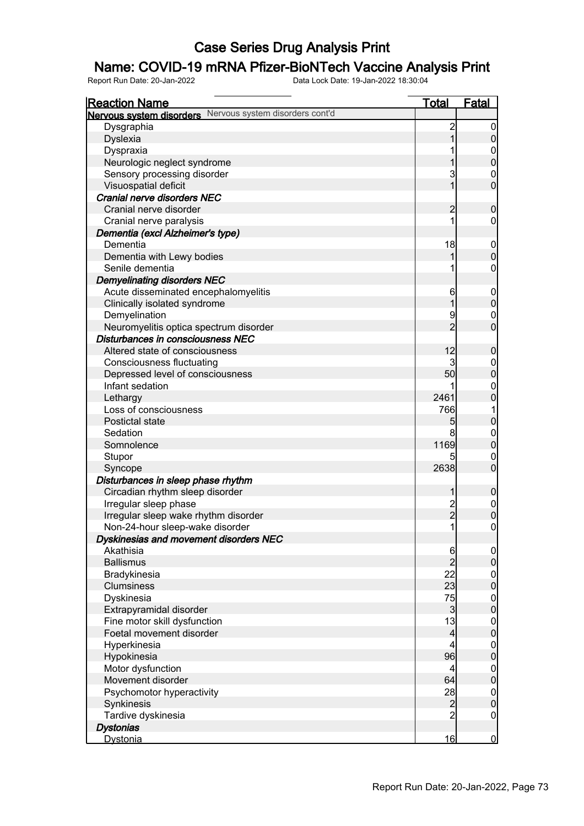## Name: COVID-19 mRNA Pfizer-BioNTech Vaccine Analysis Print

| <b>Reaction Name</b>                                     | <b>Total</b>   | <b>Fatal</b>                         |
|----------------------------------------------------------|----------------|--------------------------------------|
| Nervous system disorders Nervous system disorders cont'd |                |                                      |
| Dysgraphia                                               | $\overline{c}$ | $\boldsymbol{0}$                     |
| <b>Dyslexia</b>                                          | 1              | $\pmb{0}$                            |
| Dyspraxia                                                |                | $\boldsymbol{0}$                     |
| Neurologic neglect syndrome                              |                | $\mathbf 0$                          |
| Sensory processing disorder                              | 3              | $\boldsymbol{0}$                     |
| Visuospatial deficit                                     | $\mathbf{1}$   | $\mathbf 0$                          |
| <b>Cranial nerve disorders NEC</b>                       |                |                                      |
| Cranial nerve disorder                                   | $\overline{c}$ | $\mathbf 0$                          |
| Cranial nerve paralysis                                  | 1              | $\mathbf 0$                          |
| Dementia (excl Alzheimer's type)                         |                |                                      |
| Dementia                                                 | 18             | $\mathbf 0$                          |
| Dementia with Lewy bodies                                | 1              | $\mathbf 0$                          |
| Senile dementia                                          |                | $\boldsymbol{0}$                     |
| <b>Demyelinating disorders NEC</b>                       |                |                                      |
| Acute disseminated encephalomyelitis                     | 6              | $\mathbf 0$                          |
| Clinically isolated syndrome                             | 1              | $\pmb{0}$                            |
| Demyelination                                            | 9              | $\mathbf 0$                          |
| Neuromyelitis optica spectrum disorder                   | $\overline{2}$ | $\overline{0}$                       |
| Disturbances in consciousness NEC                        |                |                                      |
| Altered state of consciousness                           | 12             | $\mathbf 0$                          |
| <b>Consciousness fluctuating</b>                         | 3              | $\mathbf 0$                          |
| Depressed level of consciousness                         | 50             | $\mathbf 0$                          |
| Infant sedation                                          |                | $\mathbf 0$                          |
| Lethargy                                                 | 2461           | $\overline{0}$                       |
| Loss of consciousness                                    | 766            | 1                                    |
| Postictal state                                          | 5              | $\pmb{0}$                            |
| Sedation                                                 | 8              | $\mathbf 0$                          |
| Somnolence                                               | 1169           | $\pmb{0}$                            |
| Stupor                                                   | 5              | $\boldsymbol{0}$                     |
| Syncope                                                  | 2638           | $\mathbf 0$                          |
| Disturbances in sleep phase rhythm                       |                |                                      |
| Circadian rhythm sleep disorder                          | 1              | $\mathbf 0$                          |
| Irregular sleep phase                                    |                |                                      |
| Irregular sleep wake rhythm disorder                     | $\frac{2}{2}$  | $0\atop 0$                           |
| Non-24-hour sleep-wake disorder                          | $\mathbf{1}$   | $\boldsymbol{0}$                     |
| Dyskinesias and movement disorders NEC                   |                |                                      |
| Akathisia                                                | 6              | $\overline{0}$                       |
| <b>Ballismus</b>                                         | $\overline{2}$ | $\mathbf 0$                          |
| Bradykinesia                                             | 22             |                                      |
| Clumsiness                                               | 23             | $\begin{matrix} 0 \\ 0 \end{matrix}$ |
| Dyskinesia                                               | 75             | $\boldsymbol{0}$                     |
| Extrapyramidal disorder                                  | $\mathbf{3}$   | $\overline{0}$                       |
| Fine motor skill dysfunction                             | 13             | $\boldsymbol{0}$                     |
| Foetal movement disorder                                 | $\overline{4}$ | $\overline{0}$                       |
| Hyperkinesia                                             | 4              | $\boldsymbol{0}$                     |
| Hypokinesia                                              | 96             | $\mathbf 0$                          |
| Motor dysfunction                                        | 4              | $\boldsymbol{0}$                     |
| Movement disorder                                        | 64             | $\mathbf 0$                          |
| Psychomotor hyperactivity                                | 28             | $\overline{0}$                       |
| Synkinesis                                               | $\overline{c}$ | $\mathbf 0$                          |
| Tardive dyskinesia                                       | $\overline{2}$ | $\mathbf 0$                          |
| <b>Dystonias</b>                                         |                |                                      |
| <b>Dystonia</b>                                          | 16             | $\overline{0}$                       |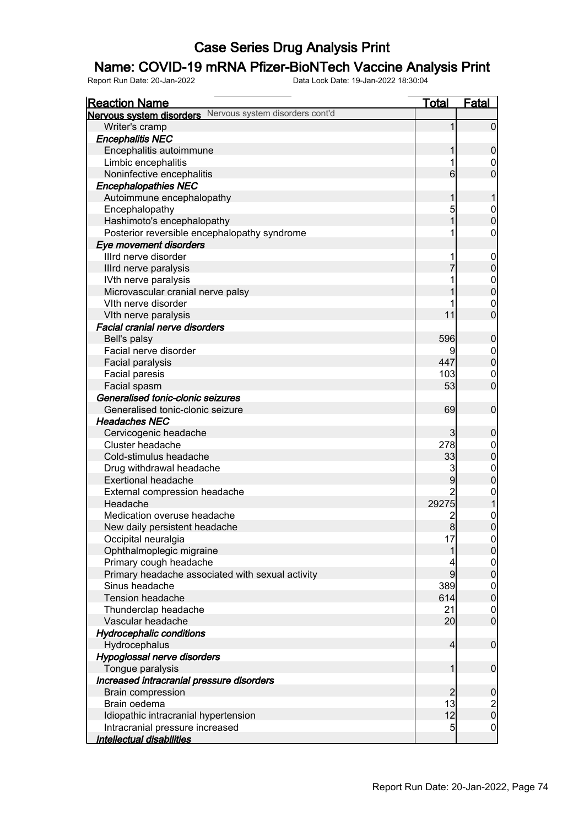## Name: COVID-19 mRNA Pfizer-BioNTech Vaccine Analysis Print

| <b>Reaction Name</b>                                                    | <u>Total</u>    | <b>Fatal</b>                                   |
|-------------------------------------------------------------------------|-----------------|------------------------------------------------|
| Nervous system disorders Nervous system disorders cont'd                |                 |                                                |
| Writer's cramp                                                          | 1               | $\overline{0}$                                 |
| <b>Encephalitis NEC</b>                                                 |                 |                                                |
| Encephalitis autoimmune                                                 | 1               | $\boldsymbol{0}$                               |
| Limbic encephalitis                                                     |                 | 0                                              |
| Noninfective encephalitis                                               | $6 \overline{}$ | $\overline{0}$                                 |
| <b>Encephalopathies NEC</b>                                             |                 |                                                |
| Autoimmune encephalopathy                                               | 1               |                                                |
| Encephalopathy                                                          | 5               | $\mathbf 0$                                    |
| Hashimoto's encephalopathy                                              | 1               | $\overline{0}$                                 |
| Posterior reversible encephalopathy syndrome                            |                 | 0                                              |
| Eye movement disorders                                                  |                 |                                                |
| Illrd nerve disorder                                                    |                 | $\mathbf 0$                                    |
| Illrd nerve paralysis                                                   | 7               | $\mathbf 0$                                    |
| IVth nerve paralysis                                                    |                 | $\mathbf{0}$                                   |
| Microvascular cranial nerve palsy                                       |                 | $\overline{0}$                                 |
| Vith nerve disorder                                                     |                 | $\mathbf 0$                                    |
| VIth nerve paralysis                                                    | 11              | $\overline{0}$                                 |
| <b>Facial cranial nerve disorders</b>                                   |                 |                                                |
| Bell's palsy                                                            | 596             | $\mathbf 0$                                    |
| Facial nerve disorder                                                   | 9               | $\boldsymbol{0}$                               |
| Facial paralysis                                                        | 447             | $\mathbf 0$                                    |
| Facial paresis                                                          | 103             | $\mathbf 0$                                    |
| Facial spasm                                                            | 53              | $\overline{0}$                                 |
| Generalised tonic-clonic seizures                                       |                 |                                                |
| Generalised tonic-clonic seizure                                        | 69              | $\boldsymbol{0}$                               |
| <b>Headaches NEC</b>                                                    |                 |                                                |
| Cervicogenic headache                                                   | $\mathbf{3}$    | $\mathbf 0$                                    |
| Cluster headache                                                        | 278             | $\boldsymbol{0}$                               |
| Cold-stimulus headache                                                  | 33              | $\mathbf 0$                                    |
| Drug withdrawal headache                                                | 3               | $\mathbf{0}$                                   |
| <b>Exertional headache</b>                                              | 9               | $\overline{0}$                                 |
| External compression headache                                           | $\overline{c}$  |                                                |
| Headache                                                                | 29275           | $\mathbf{0}$                                   |
| Medication overuse headache                                             | $\overline{c}$  | $\mathbf 0$                                    |
| New daily persistent headache                                           | 8               | $\overline{0}$                                 |
| Occipital neuralgia                                                     | 17              |                                                |
| Ophthalmoplegic migraine                                                | 1               | 0 <br>$\overline{0}$                           |
| Primary cough headache                                                  | 4               |                                                |
| Primary headache associated with sexual activity                        | 9               | $\begin{matrix} 0 \\ 0 \end{matrix}$           |
| Sinus headache                                                          | 389             |                                                |
| <b>Tension headache</b>                                                 | 614             | $\boldsymbol{0}$<br>$\overline{0}$             |
| Thunderclap headache                                                    | 21              | $\mathbf 0$                                    |
| Vascular headache                                                       | 20              | $\overline{0}$                                 |
| <b>Hydrocephalic conditions</b>                                         |                 |                                                |
| Hydrocephalus                                                           | $\overline{4}$  | $\boldsymbol{0}$                               |
| Hypoglossal nerve disorders                                             |                 |                                                |
|                                                                         | 1               | $\boldsymbol{0}$                               |
| Tongue paralysis                                                        |                 |                                                |
| Increased intracranial pressure disorders                               | $\overline{2}$  | $\mathbf 0$                                    |
| <b>Brain compression</b><br>Brain oedema                                | 13              |                                                |
|                                                                         | 12              | $\begin{smallmatrix} 2 \\ 0 \end{smallmatrix}$ |
| Idiopathic intracranial hypertension<br>Intracranial pressure increased | 5               | $\mathbf 0$                                    |
| Intellectual disabilities                                               |                 |                                                |
|                                                                         |                 |                                                |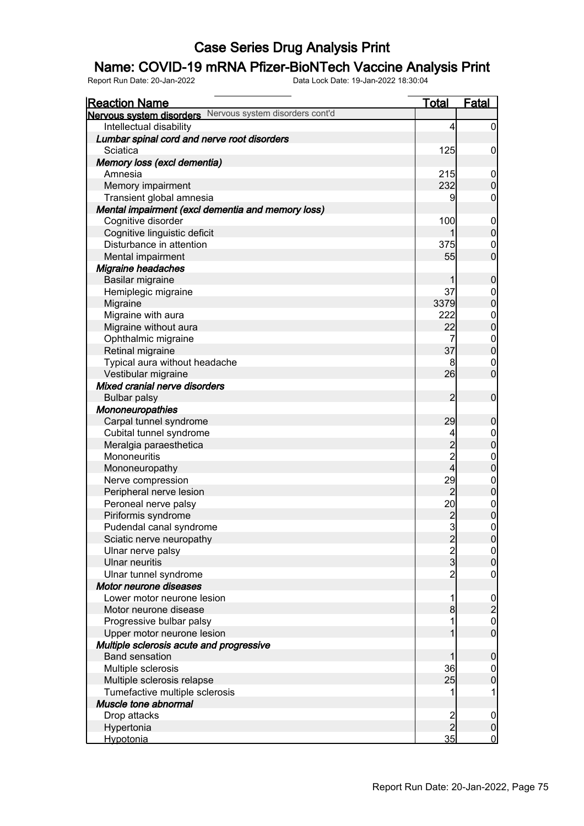## Name: COVID-19 mRNA Pfizer-BioNTech Vaccine Analysis Print

| <b>Reaction Name</b>                                              | <u>Total</u>                               | <b>Fatal</b>                       |
|-------------------------------------------------------------------|--------------------------------------------|------------------------------------|
| Nervous system disorders Nervous system disorders cont'd          |                                            |                                    |
| Intellectual disability                                           | 4                                          | $\overline{0}$                     |
| Lumbar spinal cord and nerve root disorders                       |                                            |                                    |
| Sciatica                                                          | 125                                        | $\mathbf 0$                        |
| Memory loss (excl dementia)                                       |                                            |                                    |
| Amnesia                                                           | 215                                        | $\mathbf 0$                        |
| Memory impairment                                                 | 232                                        | $\mathbf 0$                        |
| Transient global amnesia                                          | 9                                          | $\mathbf 0$                        |
| Mental impairment (excl dementia and memory loss)                 |                                            |                                    |
| Cognitive disorder                                                | 100                                        | $\mathbf 0$                        |
| Cognitive linguistic deficit                                      |                                            | $\mathbf 0$                        |
| Disturbance in attention                                          | 375                                        | $\mathbf 0$                        |
| Mental impairment                                                 | 55                                         | $\overline{0}$                     |
| <b>Migraine headaches</b>                                         |                                            |                                    |
| Basilar migraine                                                  | 1                                          | $\boldsymbol{0}$                   |
| Hemiplegic migraine                                               | 37                                         | $\mathbf 0$                        |
| Migraine                                                          | 3379                                       | $\overline{0}$                     |
| Migraine with aura                                                | 222                                        | $\boldsymbol{0}$                   |
| Migraine without aura                                             | 22                                         | $\overline{0}$                     |
| Ophthalmic migraine                                               | 7                                          | $\mathbf{0}$                       |
| Retinal migraine                                                  | 37                                         | $\overline{0}$                     |
| Typical aura without headache                                     | 8                                          | $\mathbf 0$                        |
| Vestibular migraine                                               | 26                                         | $\mathbf 0$                        |
| Mixed cranial nerve disorders                                     |                                            |                                    |
| <b>Bulbar palsy</b>                                               | $\overline{2}$                             | $\boldsymbol{0}$                   |
| <b>Mononeuropathies</b>                                           |                                            |                                    |
| Carpal tunnel syndrome                                            | 29                                         | $\mathbf 0$                        |
| Cubital tunnel syndrome                                           | 4                                          | $\boldsymbol{0}$                   |
| Meralgia paraesthetica                                            | $\begin{array}{c} 2 \\ 2 \\ 4 \end{array}$ | $\mathbf 0$                        |
| Mononeuritis                                                      |                                            | $\mathbf{0}$                       |
| Mononeuropathy                                                    |                                            | $\overline{0}$                     |
| Nerve compression                                                 | 29                                         | $\boldsymbol{0}$                   |
| Peripheral nerve lesion                                           | $\overline{2}$                             | $\overline{0}$                     |
| Peroneal nerve palsy                                              | 20                                         | $0\atop 0$                         |
| Piriformis syndrome                                               | $\frac{2}{3}$                              |                                    |
| Pudendal canal syndrome                                           |                                            | $\pmb{0}$                          |
| Sciatic nerve neuropathy                                          |                                            | 0                                  |
| Ulnar nerve palsy                                                 | $\frac{2}{3}$                              | 0                                  |
| <b>Ulnar neuritis</b>                                             |                                            | $\pmb{0}$                          |
| Ulnar tunnel syndrome                                             | $\overline{c}$                             | $\mathbf 0$                        |
| Motor neurone diseases                                            |                                            |                                    |
| Lower motor neurone lesion                                        | 1                                          | $\frac{0}{2}$                      |
| Motor neurone disease                                             | 8                                          |                                    |
| Progressive bulbar palsy                                          |                                            | $\boldsymbol{0}$<br>$\overline{0}$ |
| Upper motor neurone lesion                                        |                                            |                                    |
| Multiple sclerosis acute and progressive<br><b>Band sensation</b> | 1                                          |                                    |
|                                                                   | 36                                         | $\mathbf 0$                        |
| Multiple sclerosis                                                | 25                                         | $\mathbf 0$<br>$\mathbf 0$         |
| Multiple sclerosis relapse<br>Tumefactive multiple sclerosis      |                                            | 1                                  |
| Muscle tone abnormal                                              |                                            |                                    |
| Drop attacks                                                      |                                            | $\mathbf 0$                        |
| Hypertonia                                                        | 2<br>2                                     | $\pmb{0}$                          |
| Hypotonia                                                         | 35                                         | $\mathbf 0$                        |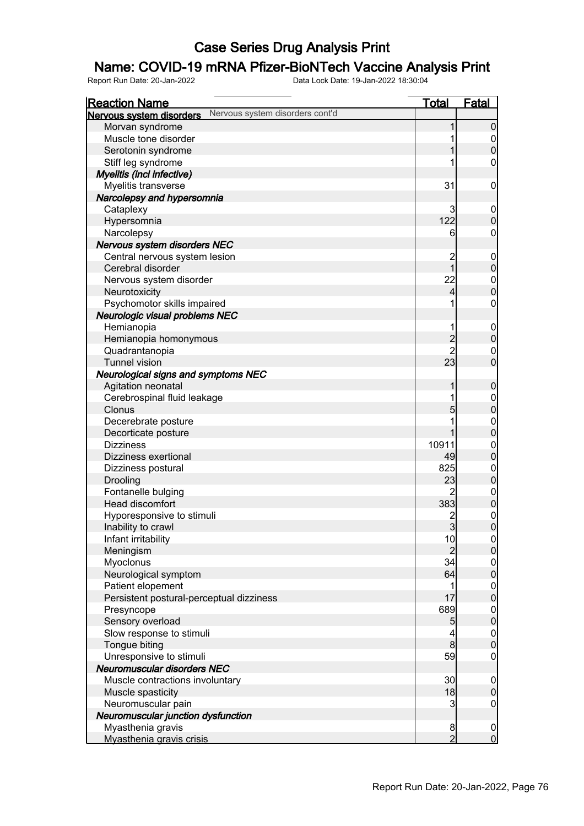## Name: COVID-19 mRNA Pfizer-BioNTech Vaccine Analysis Print

| <u>Reaction Name</u>                                        | <u>Total</u>             | <b>Fatal</b>                         |
|-------------------------------------------------------------|--------------------------|--------------------------------------|
| Nervous system disorders cont'd<br>Nervous system disorders |                          |                                      |
| Morvan syndrome                                             | 1                        | $\overline{0}$                       |
| Muscle tone disorder                                        | 1                        |                                      |
| Serotonin syndrome                                          | 1                        | $\begin{matrix} 0 \\ 0 \end{matrix}$ |
| Stiff leg syndrome                                          |                          | $\boldsymbol{0}$                     |
| Myelitis (incl infective)                                   |                          |                                      |
| Myelitis transverse                                         | 31                       | $\mathbf 0$                          |
| Narcolepsy and hypersomnia                                  |                          |                                      |
| Cataplexy                                                   | 3                        | $\boldsymbol{0}$                     |
| Hypersomnia                                                 | 122                      | $\boldsymbol{0}$                     |
| Narcolepsy                                                  | 6                        | $\mathbf 0$                          |
| Nervous system disorders NEC                                |                          |                                      |
| Central nervous system lesion                               | $\overline{c}$           | $\boldsymbol{0}$                     |
| Cerebral disorder                                           | $\overline{1}$           | $\mathbf 0$                          |
| Nervous system disorder                                     | 22                       |                                      |
| Neurotoxicity                                               | $\overline{\mathcal{L}}$ | $0\atop 0$                           |
| Psychomotor skills impaired                                 | 1                        | $\boldsymbol{0}$                     |
| Neurologic visual problems NEC                              |                          |                                      |
| Hemianopia                                                  | 1                        | $\boldsymbol{0}$                     |
| Hemianopia homonymous                                       |                          | $\mathbf 0$                          |
| Quadrantanopia                                              | $\frac{2}{2}$            | $\mathbf{0}$                         |
| <b>Tunnel vision</b>                                        | 23                       | $\overline{0}$                       |
| <b>Neurological signs and symptoms NEC</b>                  |                          |                                      |
| Agitation neonatal                                          | 1                        | $\boldsymbol{0}$                     |
| Cerebrospinal fluid leakage                                 | 1                        |                                      |
| Clonus                                                      | 5                        | $0$<br>0                             |
| Decerebrate posture                                         | 1                        |                                      |
| Decorticate posture                                         | 1                        | $0\atop 0$                           |
| <b>Dizziness</b>                                            | 10911                    | $\mathbf{0}$                         |
| Dizziness exertional                                        | 49                       | $\mathbf 0$                          |
| Dizziness postural                                          | 825                      |                                      |
| Drooling                                                    | 23                       | $0$<br>0                             |
| Fontanelle bulging                                          | $\overline{2}$           |                                      |
| Head discomfort                                             | 383                      | $\begin{matrix}0\\0\end{matrix}$     |
| Hyporesponsive to stimuli                                   |                          |                                      |
| Inability to crawl                                          | $\frac{2}{3}$            | $\begin{matrix} 0 \\ 0 \end{matrix}$ |
| Infant irritability                                         | 10                       | $\Omega$                             |
| Meningism                                                   | $\overline{2}$           | $\overline{0}$                       |
| Myoclonus                                                   | 34                       | $\overline{0}$                       |
| Neurological symptom                                        | 64                       | $\mathbf 0$                          |
| Patient elopement                                           | 1                        | $\overline{0}$                       |
| Persistent postural-perceptual dizziness                    | 17                       | $\mathbf 0$                          |
| Presyncope                                                  | 689                      | $\boldsymbol{0}$                     |
| Sensory overload                                            | 5                        | $\mathbf 0$                          |
| Slow response to stimuli                                    | 4                        | $\boldsymbol{0}$                     |
| Tongue biting                                               | $\mathbf{8}$             | $\mathbf 0$                          |
| Unresponsive to stimuli                                     | 59                       | $\mathbf 0$                          |
| Neuromuscular disorders NEC                                 |                          |                                      |
| Muscle contractions involuntary                             | 30                       | $\boldsymbol{0}$                     |
| Muscle spasticity                                           | 18                       | $\pmb{0}$                            |
| Neuromuscular pain                                          | 3                        | $\overline{0}$                       |
| Neuromuscular junction dysfunction                          |                          |                                      |
| Myasthenia gravis                                           | $\boldsymbol{8}$         | $\overline{0}$                       |
| Myasthenia gravis crisis                                    | $\overline{2}$           | $\overline{0}$                       |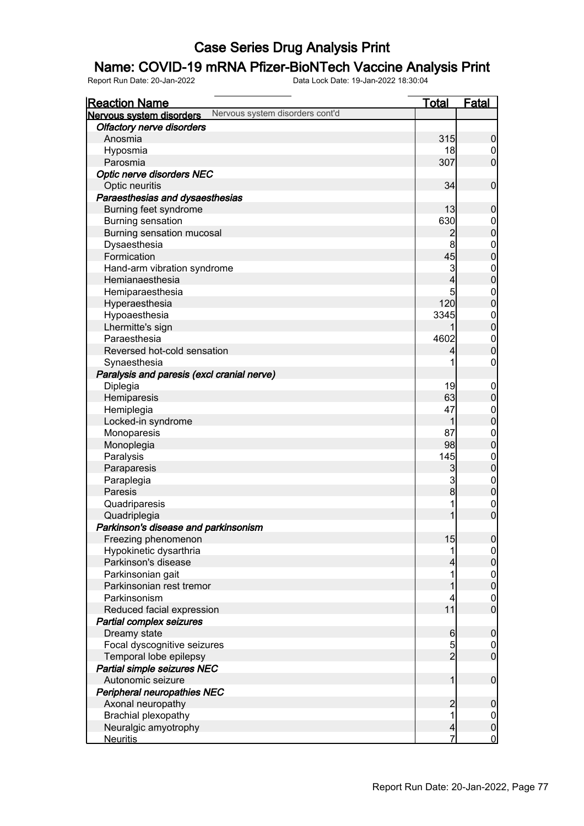## Name: COVID-19 mRNA Pfizer-BioNTech Vaccine Analysis Print

| <b>Reaction Name</b>                                        | <b>Total</b>            | <b>Fatal</b>                         |
|-------------------------------------------------------------|-------------------------|--------------------------------------|
| Nervous system disorders cont'd<br>Nervous system disorders |                         |                                      |
| <b>Olfactory nerve disorders</b>                            |                         |                                      |
| Anosmia                                                     | 315                     | $\boldsymbol{0}$                     |
| Hyposmia                                                    | 18                      | $\overline{0}$                       |
| Parosmia                                                    | 307                     | $\overline{0}$                       |
| Optic nerve disorders NEC                                   |                         |                                      |
| Optic neuritis                                              | 34                      | $\mathbf 0$                          |
| Paraesthesias and dysaesthesias                             |                         |                                      |
| Burning feet syndrome                                       | 13                      | $\mathbf 0$                          |
| <b>Burning sensation</b>                                    | 630                     |                                      |
| Burning sensation mucosal                                   | $\overline{2}$          | $0\atop 0$                           |
| Dysaesthesia                                                | 8                       |                                      |
| Formication                                                 | 45                      | $0\atop 0$                           |
| Hand-arm vibration syndrome                                 | 3                       |                                      |
| Hemianaesthesia                                             | 4                       | $0\atop 0$                           |
| Hemiparaesthesia                                            | 5                       |                                      |
| Hyperaesthesia                                              | 120                     | $0\atop 0$                           |
| Hypoaesthesia                                               | 3345                    |                                      |
| Lhermitte's sign                                            |                         | $0\atop 0$                           |
| Paraesthesia                                                | 4602                    |                                      |
| Reversed hot-cold sensation                                 | 4                       | $\begin{matrix}0\\0\end{matrix}$     |
| Synaesthesia                                                | 1                       | $\mathbf 0$                          |
| Paralysis and paresis (excl cranial nerve)                  |                         |                                      |
| Diplegia                                                    | 19                      | $\mathbf{0}$                         |
| Hemiparesis                                                 | 63                      | $\overline{0}$                       |
| Hemiplegia                                                  | 47                      |                                      |
| Locked-in syndrome                                          | 1                       | $0\atop 0$                           |
| Monoparesis                                                 | 87                      |                                      |
| Monoplegia                                                  | 98                      | $0\atop 0$                           |
| Paralysis                                                   | 145                     |                                      |
| Paraparesis                                                 | $\mathbf{3}$            | $\begin{matrix}0\\0\end{matrix}$     |
| Paraplegia                                                  | $\mathbf{3}$            |                                      |
| Paresis                                                     | $\bf{8}$                | $\begin{matrix}0\\0\end{matrix}$     |
| Quadriparesis                                               | 1                       |                                      |
| Quadriplegia                                                | $\overline{1}$          | $\begin{matrix}0\\0\end{matrix}$     |
| Parkinson's disease and parkinsonism                        |                         |                                      |
| Freezing phenomenon                                         | 15                      | 0                                    |
| Hypokinetic dysarthria                                      | 1                       | $\overline{0}$                       |
| Parkinson's disease                                         | 4                       | $\overline{0}$                       |
| Parkinsonian gait                                           | 1                       |                                      |
| Parkinsonian rest tremor                                    | 1                       | $0\atop 0$                           |
| Parkinsonism                                                | 4                       |                                      |
| Reduced facial expression                                   | 11                      | $\begin{matrix} 0 \\ 0 \end{matrix}$ |
| Partial complex seizures                                    |                         |                                      |
| Dreamy state                                                | $6 \,$                  | $\boldsymbol{0}$                     |
| Focal dyscognitive seizures                                 |                         |                                      |
| Temporal lobe epilepsy                                      | $\frac{5}{2}$           | $0$<br>0                             |
| Partial simple seizures NEC                                 |                         |                                      |
| Autonomic seizure                                           | 1                       | $\boldsymbol{0}$                     |
| <b>Peripheral neuropathies NEC</b>                          |                         |                                      |
| Axonal neuropathy                                           | $\overline{\mathbf{c}}$ | $\mathbf 0$                          |
| Brachial plexopathy                                         | 1                       | $\overline{0}$                       |
| Neuralgic amyotrophy                                        | $\overline{a}$          | $\pmb{0}$                            |
| <b>Neuritis</b>                                             | 7                       | $\mathbf 0$                          |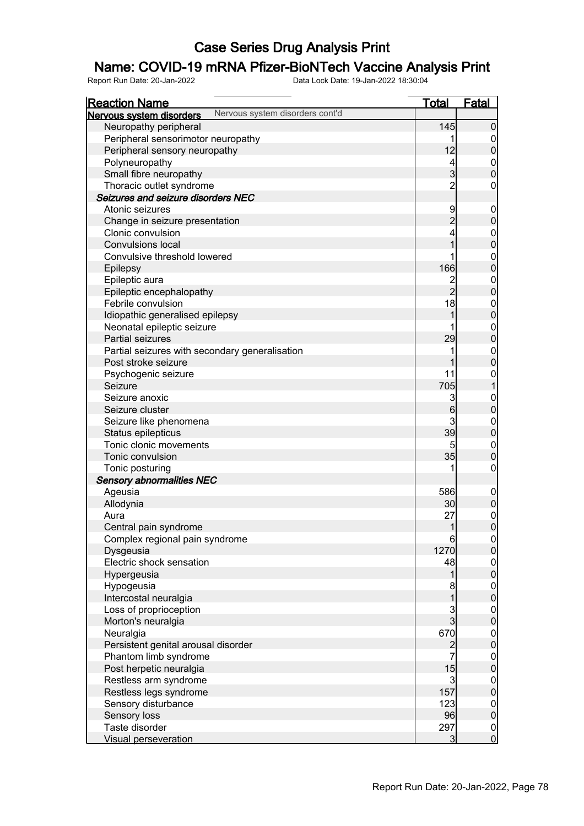## Name: COVID-19 mRNA Pfizer-BioNTech Vaccine Analysis Print

| <b>Reaction Name</b>                           |                                 | <u>Total</u>                     | <b>Fatal</b>                         |
|------------------------------------------------|---------------------------------|----------------------------------|--------------------------------------|
| Nervous system disorders                       | Nervous system disorders cont'd |                                  |                                      |
| Neuropathy peripheral                          |                                 | 145                              | $\boldsymbol{0}$                     |
| Peripheral sensorimotor neuropathy             |                                 |                                  | $\mathbf 0$                          |
| Peripheral sensory neuropathy                  |                                 | 12                               | $\bf{0}$                             |
| Polyneuropathy                                 |                                 | 4                                | $\boldsymbol{0}$                     |
| Small fibre neuropathy                         |                                 | $\overline{3}$                   | $\overline{0}$                       |
| Thoracic outlet syndrome                       |                                 | $\overline{2}$                   | $\boldsymbol{0}$                     |
| Seizures and seizure disorders NEC             |                                 |                                  |                                      |
| Atonic seizures                                |                                 | 9                                | $\mathbf 0$                          |
| Change in seizure presentation                 |                                 | $\overline{c}$                   | $\pmb{0}$                            |
| Clonic convulsion                              |                                 | 4                                |                                      |
| <b>Convulsions local</b>                       |                                 | $\overline{1}$                   | $\mathbf{0}$<br>$\overline{0}$       |
| Convulsive threshold lowered                   |                                 |                                  |                                      |
|                                                |                                 | 166                              | $\mathbf{0}$                         |
| Epilepsy                                       |                                 |                                  | $\mathbf{0}$                         |
| Epileptic aura                                 |                                 | $\overline{c}$<br>$\overline{2}$ | $\boldsymbol{0}$                     |
| Epileptic encephalopathy                       |                                 |                                  | $\overline{0}$                       |
| Febrile convulsion                             |                                 | 18                               | $\boldsymbol{0}$                     |
| Idiopathic generalised epilepsy                |                                 | 1                                | $\overline{0}$                       |
| Neonatal epileptic seizure                     |                                 |                                  | $\mathbf{0}$                         |
| Partial seizures                               |                                 | 29                               | $\mathbf 0$                          |
| Partial seizures with secondary generalisation |                                 | 1                                | $\mathbf{0}$                         |
| Post stroke seizure                            |                                 | 1                                | $\overline{0}$                       |
| Psychogenic seizure                            |                                 | 11                               | $\mathbf{0}$                         |
| Seizure                                        |                                 | 705                              | $\mathbf{1}$                         |
| Seizure anoxic                                 |                                 | 3                                | $\mathbf{0}$                         |
| Seizure cluster                                |                                 | $6\phantom{a}$                   | $\mathbf 0$                          |
| Seizure like phenomena                         |                                 | 3                                | $\mathbf{0}$                         |
| Status epilepticus                             |                                 | 39                               | $\mathbf 0$                          |
| Tonic clonic movements                         |                                 | 5                                | $\boldsymbol{0}$                     |
| Tonic convulsion                               |                                 | 35                               | $\mathbf 0$                          |
| Tonic posturing                                |                                 | 1                                | $\boldsymbol{0}$                     |
| <b>Sensory abnormalities NEC</b>               |                                 |                                  |                                      |
| Ageusia                                        |                                 | 586                              | $\boldsymbol{0}$                     |
| Allodynia                                      |                                 | 30                               | $\pmb{0}$                            |
| Aura                                           |                                 | 27                               | $\begin{matrix}0\\0\end{matrix}$     |
| Central pain syndrome                          |                                 | 1                                |                                      |
| Complex regional pain syndrome                 |                                 | 6                                | $\Omega$                             |
| Dysgeusia                                      |                                 | 1270                             | $\overline{0}$                       |
| Electric shock sensation                       |                                 | 48                               | $\begin{matrix} 0 \\ 0 \end{matrix}$ |
| Hypergeusia                                    |                                 | 1                                |                                      |
| Hypogeusia                                     |                                 | 8                                | $0\atop 0$                           |
| Intercostal neuralgia                          |                                 | $\overline{1}$                   |                                      |
| Loss of proprioception                         |                                 | $\frac{3}{3}$                    |                                      |
| Morton's neuralgia                             |                                 |                                  | $0$<br>0                             |
| Neuralgia                                      |                                 | 670                              |                                      |
| Persistent genital arousal disorder            |                                 | $\frac{2}{7}$                    | $0$ 0                                |
| Phantom limb syndrome                          |                                 |                                  |                                      |
| Post herpetic neuralgia                        |                                 | 15                               | $0$<br>0                             |
| Restless arm syndrome                          |                                 | $\mathbf{3}$                     |                                      |
| Restless legs syndrome                         |                                 | 157                              | $0\atop 0$                           |
| Sensory disturbance                            |                                 | 123                              |                                      |
| Sensory loss                                   |                                 | 96                               | $0$<br>0                             |
| Taste disorder                                 |                                 | 297                              |                                      |
| <b>Visual perseveration</b>                    |                                 | $\overline{3}$                   | $\begin{matrix} 0 \\ 0 \end{matrix}$ |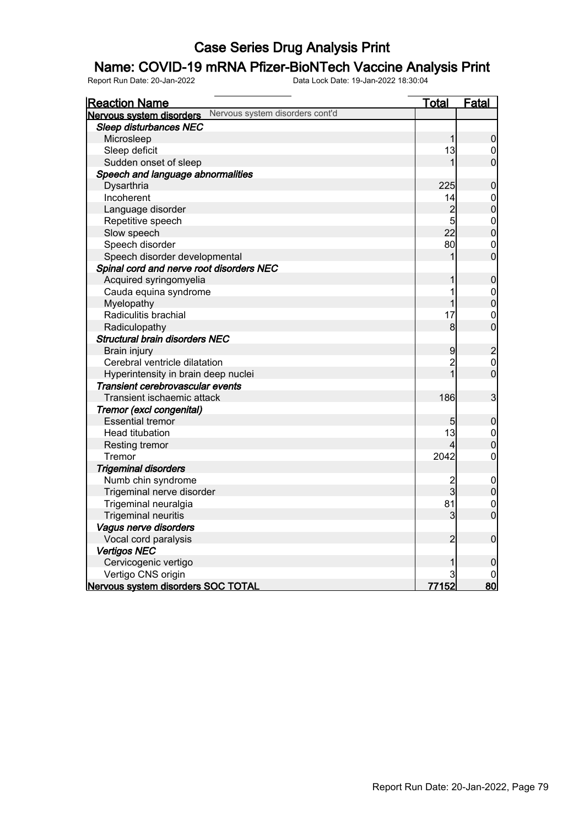## Name: COVID-19 mRNA Pfizer-BioNTech Vaccine Analysis Print

| <b>Reaction Name</b>                                        | <b>Total</b>   | Fatal                            |
|-------------------------------------------------------------|----------------|----------------------------------|
| Nervous system disorders cont'd<br>Nervous system disorders |                |                                  |
| Sleep disturbances NEC                                      |                |                                  |
| Microsleep                                                  | 1              | $\overline{0}$                   |
| Sleep deficit                                               | 13             | $\mathbf 0$                      |
| Sudden onset of sleep                                       | 1              | $\overline{0}$                   |
| Speech and language abnormalities                           |                |                                  |
| Dysarthria                                                  | 225            | $\mathbf 0$                      |
| Incoherent                                                  | 14             | $\mathbf{0}$                     |
| Language disorder                                           | $\overline{c}$ | $\overline{0}$                   |
| Repetitive speech                                           | 5              | $\begin{matrix}0\\0\end{matrix}$ |
| Slow speech                                                 | 22             |                                  |
| Speech disorder                                             | 80             | $\mathbf{0}$                     |
| Speech disorder developmental                               | 1              | $\overline{0}$                   |
| Spinal cord and nerve root disorders NEC                    |                |                                  |
| Acquired syringomyelia                                      | 1              | $\pmb{0}$                        |
| Cauda equina syndrome                                       | 1              |                                  |
| Myelopathy                                                  | 1              | $0\atop 0$                       |
| Radiculitis brachial                                        | 17             | $\mathbf{0}$                     |
| Radiculopathy                                               | 8              | $\overline{0}$                   |
| <b>Structural brain disorders NEC</b>                       |                |                                  |
| Brain injury                                                | 9              |                                  |
| Cerebral ventricle dilatation                               | $\overline{c}$ | $\frac{2}{0}$                    |
| Hyperintensity in brain deep nuclei                         | $\overline{1}$ | $\overline{0}$                   |
| Transient cerebrovascular events                            |                |                                  |
| Transient ischaemic attack                                  | 186            | 3                                |
| Tremor (excl congenital)                                    |                |                                  |
| <b>Essential tremor</b>                                     | 5              | $\pmb{0}$                        |
| Head titubation                                             | 13             |                                  |
| Resting tremor                                              | 4              | $\begin{matrix}0\\0\end{matrix}$ |
| Tremor                                                      | 2042           | $\overline{0}$                   |
| <b>Trigeminal disorders</b>                                 |                |                                  |
| Numb chin syndrome                                          | $\overline{c}$ | $\mathbf 0$                      |
| Trigeminal nerve disorder                                   | 3              | $\overline{0}$                   |
| Trigeminal neuralgia                                        | 81             | $\overline{0}$                   |
| <b>Trigeminal neuritis</b>                                  | 3              | $\overline{0}$                   |
| Vagus nerve disorders                                       |                |                                  |
| Vocal cord paralysis                                        | $\overline{2}$ | $\mathbf 0$                      |
| <b>Vertigos NEC</b>                                         |                |                                  |
| Cervicogenic vertigo                                        | 1              | 0                                |
| Vertigo CNS origin                                          | 3              |                                  |
| Nervous system disorders SOC TOTAL                          | 77152          | 80                               |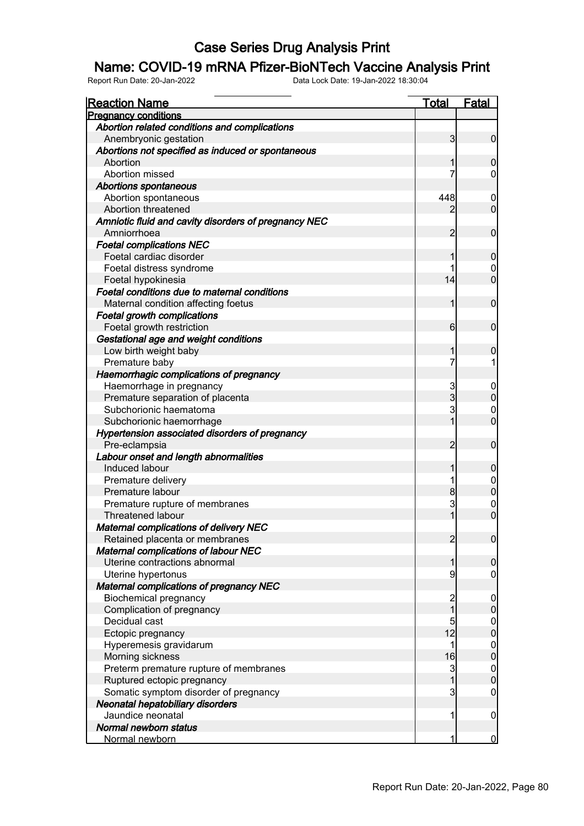#### Name: COVID-19 mRNA Pfizer-BioNTech Vaccine Analysis Print

| <u>Reaction Name</u>                                 | <b>Total</b>            | <b>Fatal</b>                         |
|------------------------------------------------------|-------------------------|--------------------------------------|
| <b>Pregnancy conditions</b>                          |                         |                                      |
| Abortion related conditions and complications        |                         |                                      |
| Anembryonic gestation                                | $\overline{3}$          | $\overline{0}$                       |
| Abortions not specified as induced or spontaneous    |                         |                                      |
| Abortion                                             | 1                       | $\mathbf 0$                          |
| Abortion missed                                      | 7                       | 0                                    |
| Abortions spontaneous                                |                         |                                      |
| Abortion spontaneous                                 | 448                     | $\mathbf 0$                          |
| Abortion threatened                                  | 2                       | $\overline{0}$                       |
| Amniotic fluid and cavity disorders of pregnancy NEC |                         |                                      |
| Amniorrhoea                                          | $\overline{2}$          | $\mathbf 0$                          |
| <b>Foetal complications NEC</b>                      |                         |                                      |
| Foetal cardiac disorder                              |                         | $\mathbf 0$                          |
| Foetal distress syndrome                             |                         | 0                                    |
| Foetal hypokinesia                                   | 14                      | $\mathbf 0$                          |
| Foetal conditions due to maternal conditions         |                         |                                      |
| Maternal condition affecting foetus                  | 1                       | $\mathbf 0$                          |
| <b>Foetal growth complications</b>                   |                         |                                      |
| Foetal growth restriction                            | $6 \overline{}$         | $\mathbf 0$                          |
| Gestational age and weight conditions                |                         |                                      |
| Low birth weight baby                                | 1                       | $\mathbf 0$                          |
| Premature baby                                       | 7                       |                                      |
| Haemorrhagic complications of pregnancy              |                         |                                      |
| Haemorrhage in pregnancy                             | 3                       | $\mathbf 0$                          |
| Premature separation of placenta                     | $\overline{3}$          | $\mathbf 0$                          |
| Subchorionic haematoma                               | 3                       | $\mathbf 0$                          |
| Subchorionic haemorrhage                             | 1                       | $\mathbf 0$                          |
| Hypertension associated disorders of pregnancy       |                         |                                      |
| Pre-eclampsia                                        | $\overline{2}$          | $\mathbf 0$                          |
| Labour onset and length abnormalities                |                         |                                      |
| Induced labour                                       | 1                       | $\mathbf 0$                          |
| Premature delivery                                   |                         | $\mathbf 0$                          |
| Premature labour                                     | 8                       | $\overline{0}$                       |
| Premature rupture of membranes                       | 3                       | $\mathbf{0}$                         |
| <b>Threatened labour</b>                             | 1                       | $\overline{0}$                       |
| <b>Maternal complications of delivery NEC</b>        |                         |                                      |
| Retained placenta or membranes                       | $\overline{2}$          | 0                                    |
| Maternal complications of labour NEC                 |                         |                                      |
| Uterine contractions abnormal                        | 1                       | $\mathbf 0$                          |
| Uterine hypertonus                                   | 9                       | 0                                    |
| <b>Maternal complications of pregnancy NEC</b>       |                         |                                      |
| <b>Biochemical pregnancy</b>                         | $\overline{\mathbf{c}}$ | $\overline{0}$                       |
| Complication of pregnancy                            | $\overline{1}$          | $\pmb{0}$                            |
| Decidual cast                                        | 5                       |                                      |
| Ectopic pregnancy                                    | 12                      | $0$<br>0                             |
| Hyperemesis gravidarum                               | 1                       |                                      |
| Morning sickness                                     | 16                      | $\begin{matrix} 0 \\ 0 \end{matrix}$ |
| Preterm premature rupture of membranes               | $\overline{3}$          | $\boldsymbol{0}$                     |
| Ruptured ectopic pregnancy                           | $\overline{1}$          | $\overline{0}$                       |
| Somatic symptom disorder of pregnancy                | 3                       | $\boldsymbol{0}$                     |
| Neonatal hepatobiliary disorders                     |                         |                                      |
| Jaundice neonatal                                    | 1                       | $\mathbf 0$                          |
| Normal newborn status                                |                         |                                      |
| Normal newborn                                       | 1                       | $\overline{0}$                       |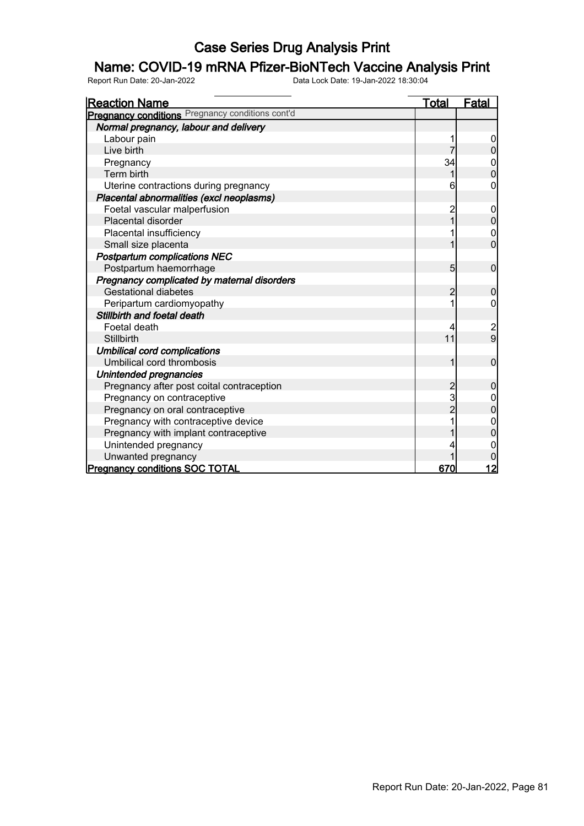## Name: COVID-19 mRNA Pfizer-BioNTech Vaccine Analysis Print

| <b>Reaction Name</b>                             | Total          | Fatal          |
|--------------------------------------------------|----------------|----------------|
| Pregnancy conditions Pregnancy conditions cont'd |                |                |
| Normal pregnancy, labour and delivery            |                |                |
| Labour pain                                      |                |                |
| Live birth                                       |                |                |
| Pregnancy                                        | 34             | 0              |
| Term birth                                       |                | $\overline{0}$ |
| Uterine contractions during pregnancy            | 6              | 0              |
| Placental abnormalities (excl neoplasms)         |                |                |
| Foetal vascular malperfusion                     | 2              | $\mathbf 0$    |
| Placental disorder                               | $\overline{1}$ | $\overline{0}$ |
| Placental insufficiency                          |                | $\mathbf 0$    |
| Small size placenta                              | 1              | $\overline{0}$ |
| <b>Postpartum complications NEC</b>              |                |                |
| Postpartum haemorrhage                           | 5              | 0              |
| Pregnancy complicated by maternal disorders      |                |                |
| <b>Gestational diabetes</b>                      | $\overline{2}$ | $\mathbf 0$    |
| Peripartum cardiomyopathy                        |                | 0              |
| Stillbirth and foetal death                      |                |                |
| Foetal death                                     | 4              |                |
| <b>Stillbirth</b>                                | 11             | $\frac{2}{9}$  |
| <b>Umbilical cord complications</b>              |                |                |
| Umbilical cord thrombosis                        | 1              | $\mathbf 0$    |
| Unintended pregnancies                           |                |                |
| Pregnancy after post coital contraception        | 2              | 0              |
| Pregnancy on contraceptive                       | 3              | $\mathbf 0$    |
| Pregnancy on oral contraceptive                  | $\overline{2}$ | $\overline{0}$ |
| Pregnancy with contraceptive device              |                |                |
| Pregnancy with implant contraceptive             |                | 0              |
| Unintended pregnancy                             |                |                |
| Unwanted pregnancy                               |                |                |
| <b>Pregnancy conditions SOC TOTAL</b>            | 670            | 12             |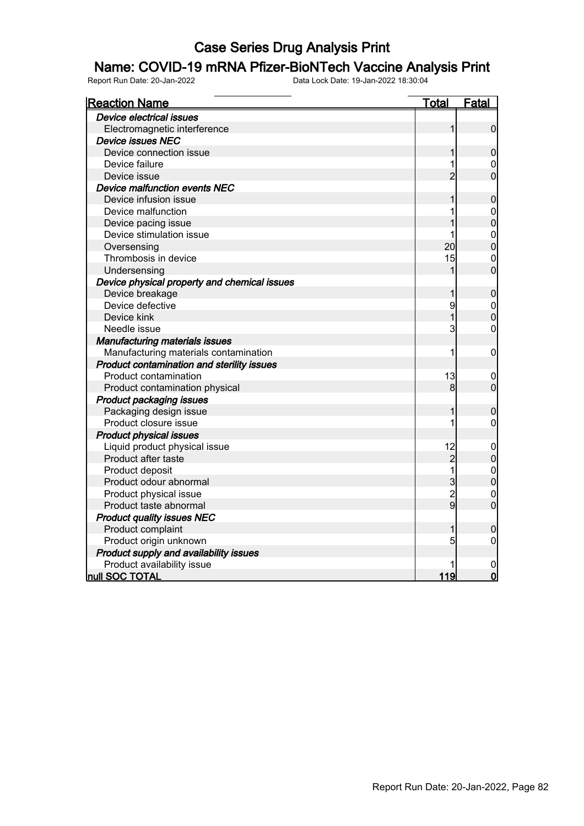#### Name: COVID-19 mRNA Pfizer-BioNTech Vaccine Analysis Print

| <b>Reaction Name</b>                         | <u>Total</u>   | <b>Fatal</b>                     |
|----------------------------------------------|----------------|----------------------------------|
| <b>Device electrical issues</b>              |                |                                  |
| Electromagnetic interference                 | 1              | $\mathbf 0$                      |
| <b>Device issues NEC</b>                     |                |                                  |
| Device connection issue                      | 1              | $\mathbf 0$                      |
| Device failure                               | 1              | 0                                |
| Device issue                                 | $\overline{2}$ | $\overline{0}$                   |
| Device malfunction events NEC                |                |                                  |
| Device infusion issue                        | 1              | $\boldsymbol{0}$                 |
| Device malfunction                           |                | $\mathbf 0$                      |
| Device pacing issue                          |                | $\overline{0}$                   |
| Device stimulation issue                     |                |                                  |
| Oversensing                                  | 20             | $\begin{matrix}0\\0\end{matrix}$ |
| Thrombosis in device                         | 15             | $\overline{0}$                   |
| Undersensing                                 | 1              | $\overline{0}$                   |
| Device physical property and chemical issues |                |                                  |
| Device breakage                              | 1              | $\boldsymbol{0}$                 |
| Device defective                             | 9              | $\mathbf{0}$                     |
| Device kink                                  | $\overline{1}$ | $\overline{0}$                   |
| Needle issue                                 | 3              | $\mathbf 0$                      |
| <b>Manufacturing materials issues</b>        |                |                                  |
| Manufacturing materials contamination        | 1              | $\mathbf 0$                      |
| Product contamination and sterility issues   |                |                                  |
| Product contamination                        | 13             | 0                                |
| Product contamination physical               | 8              | $\mathbf 0$                      |
| <b>Product packaging issues</b>              |                |                                  |
| Packaging design issue                       | 1              | $\boldsymbol{0}$                 |
| Product closure issue                        | 1              | $\mathbf 0$                      |
| <b>Product physical issues</b>               |                |                                  |
| Liquid product physical issue                | 12             | $\boldsymbol{0}$                 |
| Product after taste                          | $\overline{c}$ | $\mathbf 0$                      |
| Product deposit                              | 1              | $\begin{matrix}0\\0\end{matrix}$ |
| Product odour abnormal                       | 3              |                                  |
| Product physical issue                       | $\overline{2}$ | $\mathbf 0$                      |
| Product taste abnormal                       | $\overline{9}$ | $\overline{0}$                   |
| <b>Product quality issues NEC</b>            |                |                                  |
| Product complaint                            | 1              | $\mathbf 0$                      |
| Product origin unknown                       | 5              | 0                                |
| Product supply and availability issues       |                |                                  |
| Product availability issue                   |                |                                  |
| null SOC TOTAL                               | 119            | $\overline{0}$                   |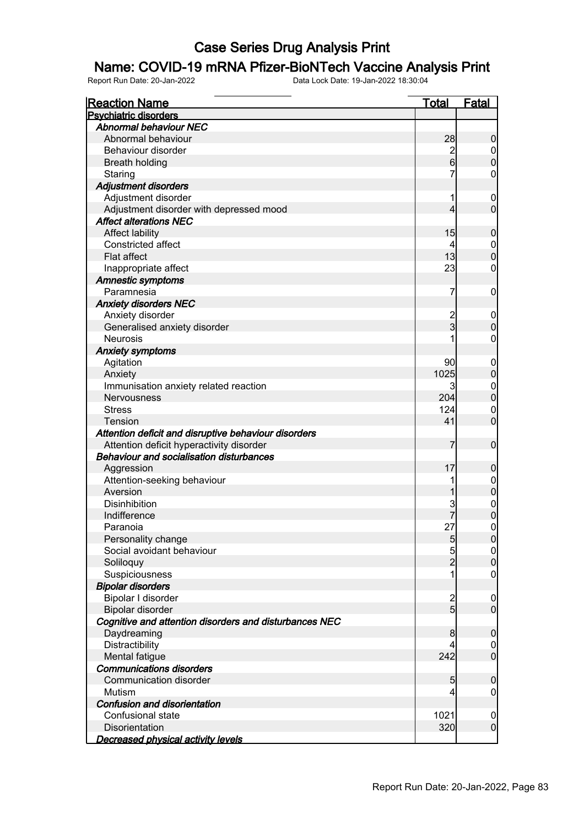#### Name: COVID-19 mRNA Pfizer-BioNTech Vaccine Analysis Print

| <b>Reaction Name</b>                                   | <b>Total</b>     | Fatal                                |
|--------------------------------------------------------|------------------|--------------------------------------|
| <b>Psychiatric disorders</b>                           |                  |                                      |
| <b>Abnormal behaviour NEC</b>                          |                  |                                      |
| Abnormal behaviour                                     | 28               | $\boldsymbol{0}$                     |
| Behaviour disorder                                     | $\overline{c}$   | $\overline{0}$                       |
| <b>Breath holding</b>                                  | $6 \overline{6}$ | $\mathbf 0$                          |
| Staring                                                | 7                | 0                                    |
| Adjustment disorders                                   |                  |                                      |
| Adjustment disorder                                    | 1                | $\boldsymbol{0}$                     |
| Adjustment disorder with depressed mood                | 4                | $\overline{0}$                       |
| <b>Affect alterations NEC</b>                          |                  |                                      |
| <b>Affect lability</b>                                 | 15               | $\boldsymbol{0}$                     |
| Constricted affect                                     | 4                | $\boldsymbol{0}$                     |
| Flat affect                                            | 13               | $\overline{0}$                       |
| Inappropriate affect                                   | 23               | $\mathbf 0$                          |
| <b>Amnestic symptoms</b>                               |                  |                                      |
| Paramnesia                                             | 7                | $\mathbf 0$                          |
| <b>Anxiety disorders NEC</b>                           |                  |                                      |
| Anxiety disorder                                       | $\overline{c}$   | $\mathbf 0$                          |
| Generalised anxiety disorder                           | $\overline{3}$   | $\mathbf 0$                          |
| <b>Neurosis</b>                                        |                  | 0                                    |
| <b>Anxiety symptoms</b>                                |                  |                                      |
| Agitation                                              | 90               | $\mathbf 0$                          |
| Anxiety                                                | 1025             | $\pmb{0}$                            |
| Immunisation anxiety related reaction                  | $\mathbf{3}$     | $\boldsymbol{0}$                     |
| Nervousness                                            | 204              | $\overline{0}$                       |
| <b>Stress</b>                                          | 124              | $\mathbf 0$                          |
| Tension                                                | 41               | $\overline{0}$                       |
| Attention deficit and disruptive behaviour disorders   |                  |                                      |
| Attention deficit hyperactivity disorder               | 7                | $\mathbf 0$                          |
| <b>Behaviour and socialisation disturbances</b>        |                  |                                      |
| Aggression                                             | 17               | $\mathbf 0$                          |
| Attention-seeking behaviour                            |                  |                                      |
| Aversion                                               |                  | $0\atop 0$                           |
| Disinhibition                                          | 3                |                                      |
| Indifference                                           |                  | $\begin{matrix} 0 \\ 0 \end{matrix}$ |
| Paranoia                                               | 27               | $\overline{0}$                       |
| Personality change                                     | $\overline{5}$   | 0                                    |
| Social avoidant behaviour                              | $\overline{5}$   | $\overline{0}$                       |
| Soliloquy                                              | $\overline{2}$   | $\pmb{0}$                            |
| Suspiciousness                                         | 1                | $\mathbf 0$                          |
| <b>Bipolar disorders</b>                               |                  |                                      |
| Bipolar I disorder                                     |                  | $\mathbf 0$                          |
| Bipolar disorder                                       | $\frac{2}{5}$    | $\overline{0}$                       |
| Cognitive and attention disorders and disturbances NEC |                  |                                      |
| Daydreaming                                            | 8                | $\mathbf 0$                          |
| Distractibility                                        | 4                | $\boldsymbol{0}$                     |
| Mental fatigue                                         | 242              | $\overline{0}$                       |
| <b>Communications disorders</b>                        |                  |                                      |
| Communication disorder                                 | $5\overline{)}$  | $\boldsymbol{0}$                     |
| Mutism                                                 | 4                | 0                                    |
| Confusion and disorientation                           |                  |                                      |
| Confusional state                                      | 1021             | $\mathbf 0$                          |
| Disorientation                                         | 320              | $\overline{0}$                       |
|                                                        |                  |                                      |
| <b>Decreased physical activity levels</b>              |                  |                                      |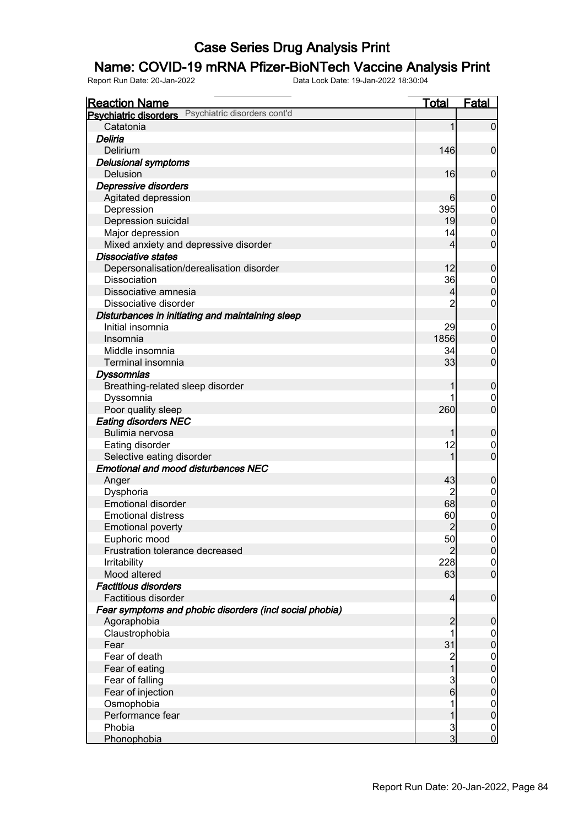## Name: COVID-19 mRNA Pfizer-BioNTech Vaccine Analysis Print

| <b>Reaction Name</b>                                         | Total          | <b>Fatal</b>                         |
|--------------------------------------------------------------|----------------|--------------------------------------|
| Psychiatric disorders cont'd<br><b>Psychiatric disorders</b> |                |                                      |
| Catatonia                                                    | 1              | $\overline{0}$                       |
| Deliria                                                      |                |                                      |
| Delirium                                                     | 146            | $\mathbf 0$                          |
| <b>Delusional symptoms</b>                                   |                |                                      |
| Delusion                                                     | 16             | $\mathbf 0$                          |
| Depressive disorders                                         |                |                                      |
| Agitated depression                                          | 6              | $\mathbf 0$                          |
| Depression                                                   | 395            | $0\atop 0$                           |
| Depression suicidal                                          | 19             |                                      |
| Major depression                                             | 14             | $\mathbf{0}$                         |
| Mixed anxiety and depressive disorder                        | 4              | $\overline{0}$                       |
| <b>Dissociative states</b>                                   |                |                                      |
| Depersonalisation/derealisation disorder                     | 12             | $\mathbf 0$                          |
| <b>Dissociation</b>                                          | 36             | $\begin{matrix}0\\0\end{matrix}$     |
| Dissociative amnesia                                         | 4              |                                      |
| Dissociative disorder                                        | $\overline{2}$ | $\mathbf 0$                          |
| Disturbances in initiating and maintaining sleep             |                |                                      |
| Initial insomnia                                             | 29             | $\boldsymbol{0}$                     |
| Insomnia                                                     | 1856           | $\boldsymbol{0}$                     |
| Middle insomnia                                              | 34             | $\mathbf 0$                          |
| Terminal insomnia                                            | 33             | $\overline{0}$                       |
| <b>Dyssomnias</b>                                            |                |                                      |
| Breathing-related sleep disorder                             | 1              | $\mathbf 0$                          |
| Dyssomnia                                                    |                | 0                                    |
| Poor quality sleep                                           | 260            | $\overline{0}$                       |
| <b>Eating disorders NEC</b>                                  |                |                                      |
| Bulimia nervosa                                              | 1              | $\mathbf 0$                          |
| Eating disorder                                              | 12             | $\mathbf 0$                          |
| Selective eating disorder                                    | 1              | $\overline{0}$                       |
| <b>Emotional and mood disturbances NEC</b>                   |                |                                      |
| Anger                                                        | 43             | $\mathbf 0$                          |
| Dysphoria                                                    | 2              | $\begin{matrix} 0 \\ 0 \end{matrix}$ |
| <b>Emotional disorder</b>                                    | 68             |                                      |
| <b>Emotional distress</b>                                    | 60             | $\begin{matrix}0\\0\end{matrix}$     |
| <b>Emotional poverty</b>                                     | $\overline{2}$ |                                      |
| Euphoric mood                                                | 50             | 0                                    |
| Frustration tolerance decreased                              | $\overline{2}$ | 0                                    |
| <b>Irritability</b>                                          | 228            | $\begin{matrix} 0 \\ 0 \end{matrix}$ |
| Mood altered                                                 | 63             |                                      |
| <b>Factitious disorders</b>                                  |                |                                      |
| Factitious disorder                                          | $\overline{4}$ | $\boldsymbol{0}$                     |
| Fear symptoms and phobic disorders (incl social phobia)      |                |                                      |
| Agoraphobia                                                  | $\overline{c}$ | $\mathbf 0$                          |
| Claustrophobia                                               | 1              | $\boldsymbol{0}$                     |
| Fear                                                         | 31             | $\pmb{0}$                            |
| Fear of death                                                | $\overline{c}$ | $\begin{matrix} 0 \\ 0 \end{matrix}$ |
| Fear of eating                                               | $\overline{1}$ |                                      |
| Fear of falling                                              | $\frac{3}{6}$  | $\boldsymbol{0}$                     |
| Fear of injection                                            |                | $\mathbf 0$                          |
| Osmophobia                                                   | 1              | $\boldsymbol{0}$                     |
| Performance fear                                             | 1              | $\mathbf 0$                          |
| Phobia                                                       | $\frac{3}{3}$  | $\begin{matrix} 0 \\ 0 \end{matrix}$ |
| Phonophobia                                                  |                |                                      |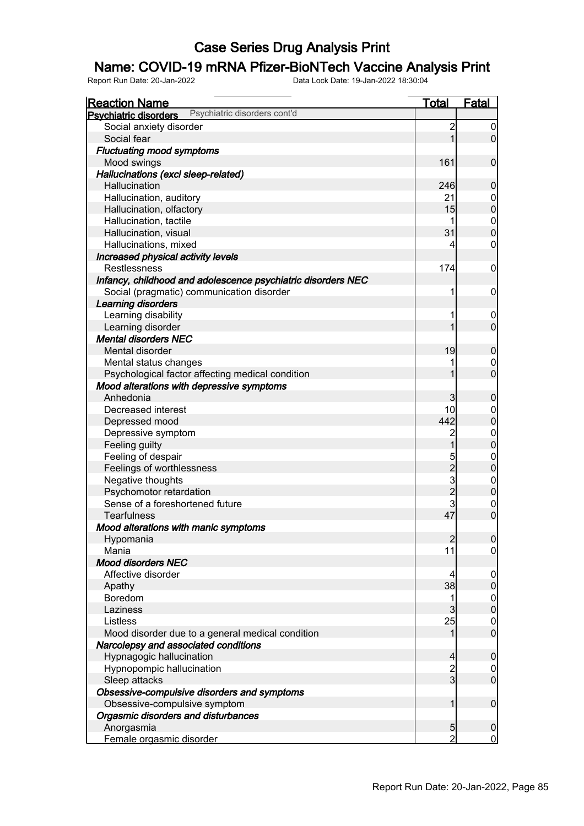## Name: COVID-19 mRNA Pfizer-BioNTech Vaccine Analysis Print

| <u>Reaction Name</u>                                         | <u>Total</u>   | <u>Fatal</u>                     |
|--------------------------------------------------------------|----------------|----------------------------------|
| Psychiatric disorders cont'd<br><b>Psychiatric disorders</b> |                |                                  |
| Social anxiety disorder                                      | $\overline{c}$ | $\boldsymbol{0}$                 |
| Social fear                                                  | 1              | $\overline{0}$                   |
| <b>Fluctuating mood symptoms</b>                             |                |                                  |
| Mood swings                                                  | 161            | $\mathbf 0$                      |
| Hallucinations (excl sleep-related)                          |                |                                  |
| Hallucination                                                | 246            | $\mathbf 0$                      |
| Hallucination, auditory                                      | 21             |                                  |
| Hallucination, olfactory                                     | 15             | $0\atop 0$                       |
| Hallucination, tactile                                       | 1              |                                  |
| Hallucination, visual                                        | 31             | $\begin{matrix}0\\0\end{matrix}$ |
| Hallucinations, mixed                                        | 4              | $\mathbf 0$                      |
| Increased physical activity levels                           |                |                                  |
| <b>Restlessness</b>                                          | 174            | $\mathbf 0$                      |
| Infancy, childhood and adolescence psychiatric disorders NEC |                |                                  |
| Social (pragmatic) communication disorder                    | 1              | $\mathbf 0$                      |
| Learning disorders                                           |                |                                  |
| Learning disability                                          | 1              | $\boldsymbol{0}$                 |
| Learning disorder                                            | 1              | $\overline{0}$                   |
| <b>Mental disorders NEC</b>                                  |                |                                  |
| Mental disorder                                              | 19             | $\boldsymbol{0}$                 |
| Mental status changes                                        | 1              | $\mathbf 0$                      |
| Psychological factor affecting medical condition             | 1              | $\overline{0}$                   |
| Mood alterations with depressive symptoms                    |                |                                  |
| Anhedonia                                                    | 3              | $\mathbf 0$                      |
| Decreased interest                                           | 10             | $\boldsymbol{0}$                 |
| Depressed mood                                               | 442            | $\overline{0}$                   |
| Depressive symptom                                           | $\overline{c}$ |                                  |
| Feeling guilty                                               | 1              | $\begin{matrix}0\\0\end{matrix}$ |
| Feeling of despair                                           |                | $\mathbf{0}$                     |
| Feelings of worthlessness                                    |                | $\overline{0}$                   |
| Negative thoughts                                            | 5232           |                                  |
| Psychomotor retardation                                      |                | $\begin{matrix}0\\0\end{matrix}$ |
| Sense of a foreshortened future                              | 3              | $\mathbf{0}$                     |
| <b>Tearfulness</b>                                           | 47             | $\overline{0}$                   |
| Mood alterations with manic symptoms                         |                |                                  |
| Hypomania                                                    | $\overline{2}$ | 0                                |
| Mania                                                        | 11             | $\overline{0}$                   |
| <b>Mood disorders NEC</b>                                    |                |                                  |
| Affective disorder                                           | 4              | $\mathbf 0$                      |
| Apathy                                                       | 38             | $\boldsymbol{0}$                 |
| Boredom                                                      | 1              | $\overline{0}$                   |
| Laziness                                                     | 3              | $\overline{0}$                   |
| Listless                                                     | 25             | $\mathbf 0$                      |
| Mood disorder due to a general medical condition             | 1              | $\overline{0}$                   |
| Narcolepsy and associated conditions                         |                |                                  |
| Hypnagogic hallucination                                     | 4              | $\mathbf 0$                      |
|                                                              |                |                                  |
| Hypnopompic hallucination                                    | $\frac{2}{3}$  | $\overline{0}$<br>$\overline{0}$ |
| Sleep attacks                                                |                |                                  |
| Obsessive-compulsive disorders and symptoms                  |                |                                  |
| Obsessive-compulsive symptom                                 | 1              | $\boldsymbol{0}$                 |
| Orgasmic disorders and disturbances                          |                |                                  |
| Anorgasmia                                                   | 5              | $\boldsymbol{0}$                 |
| Female orgasmic disorder                                     | $\overline{2}$ | $\overline{0}$                   |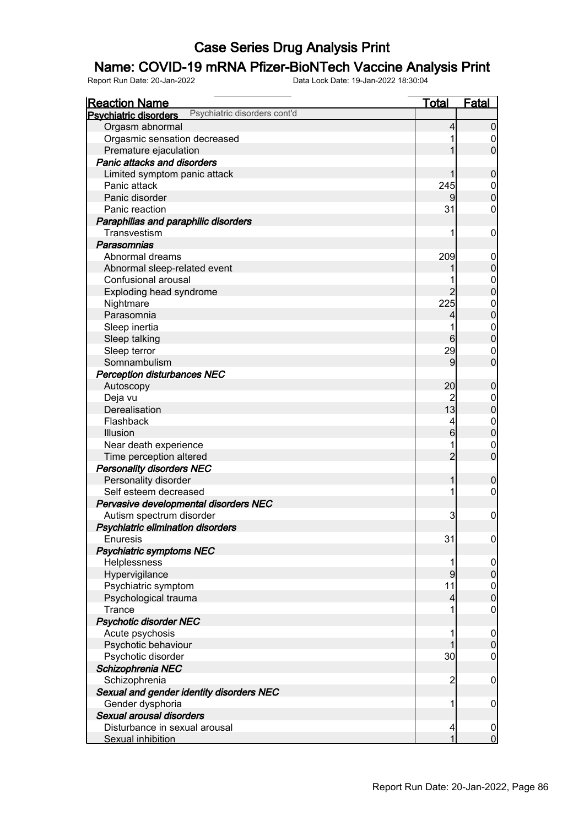## Name: COVID-19 mRNA Pfizer-BioNTech Vaccine Analysis Print

| <u>Reaction Name</u>                                         | <u>Total</u>            | Fatal            |
|--------------------------------------------------------------|-------------------------|------------------|
| Psychiatric disorders cont'd<br><b>Psychiatric disorders</b> |                         |                  |
| Orgasm abnormal                                              | 4                       | $\boldsymbol{0}$ |
| Orgasmic sensation decreased                                 |                         | 0                |
| Premature ejaculation                                        |                         | $\overline{0}$   |
| <b>Panic attacks and disorders</b>                           |                         |                  |
| Limited symptom panic attack                                 |                         | $\mathbf 0$      |
| Panic attack                                                 | 245                     | $\mathbf 0$      |
| Panic disorder                                               | 9                       | $\overline{0}$   |
| Panic reaction                                               | 31                      | 0                |
| Paraphilias and paraphilic disorders                         |                         |                  |
| Transvestism                                                 | 1                       | $\mathbf 0$      |
| Parasomnias                                                  |                         |                  |
| Abnormal dreams                                              | 209                     | $\mathbf 0$      |
| Abnormal sleep-related event                                 |                         | $\boldsymbol{0}$ |
| Confusional arousal                                          |                         | $\mathbf{0}$     |
| Exploding head syndrome                                      | $\overline{2}$          | $\overline{0}$   |
| Nightmare                                                    | 225                     | $\mathbf{0}$     |
| Parasomnia                                                   | 4                       | $\overline{0}$   |
| Sleep inertia                                                |                         | $\mathbf{0}$     |
| Sleep talking                                                | 6                       | $\overline{0}$   |
| Sleep terror                                                 | 29                      | 0                |
| Somnambulism                                                 | 9                       | $\overline{0}$   |
| <b>Perception disturbances NEC</b>                           |                         |                  |
| Autoscopy                                                    | 20                      | $\boldsymbol{0}$ |
| Deja vu                                                      | $\overline{c}$          | $\mathbf 0$      |
| Derealisation                                                | 13                      | $\pmb{0}$        |
| Flashback                                                    | 4                       | $\boldsymbol{0}$ |
| Illusion                                                     | 6                       | $\overline{0}$   |
| Near death experience                                        |                         | $\mathbf 0$      |
| Time perception altered                                      | $\overline{2}$          | $\mathbf 0$      |
| <b>Personality disorders NEC</b>                             |                         |                  |
| Personality disorder                                         | 1                       | $\boldsymbol{0}$ |
| Self esteem decreased                                        | 1                       | $\mathbf 0$      |
| Pervasive developmental disorders NEC                        |                         |                  |
| Autism spectrum disorder                                     | 3                       | $\mathbf 0$      |
| Psychiatric elimination disorders                            |                         |                  |
| Enuresis                                                     | 31                      | 0                |
| <b>Psychiatric symptoms NEC</b>                              |                         |                  |
| Helplessness                                                 |                         | $\overline{0}$   |
| Hypervigilance                                               | 9                       | $\overline{0}$   |
| Psychiatric symptom                                          | 11                      |                  |
| Psychological trauma                                         | $\overline{\mathbf{4}}$ | $0$<br>0         |
| Trance                                                       | 1                       | $\mathbf 0$      |
| <b>Psychotic disorder NEC</b>                                |                         |                  |
| Acute psychosis                                              |                         | $\overline{0}$   |
| Psychotic behaviour                                          |                         | $\mathbf 0$      |
| Psychotic disorder                                           | 30                      | $\mathbf 0$      |
| Schizophrenia NEC                                            |                         |                  |
| Schizophrenia                                                | $\overline{c}$          | $\mathbf 0$      |
| Sexual and gender identity disorders NEC                     |                         |                  |
| Gender dysphoria                                             | 1                       | $\mathbf 0$      |
| Sexual arousal disorders                                     |                         |                  |
| Disturbance in sexual arousal                                | 4                       | $\overline{0}$   |
| Sexual inhibition                                            | 1                       | $\mathbf 0$      |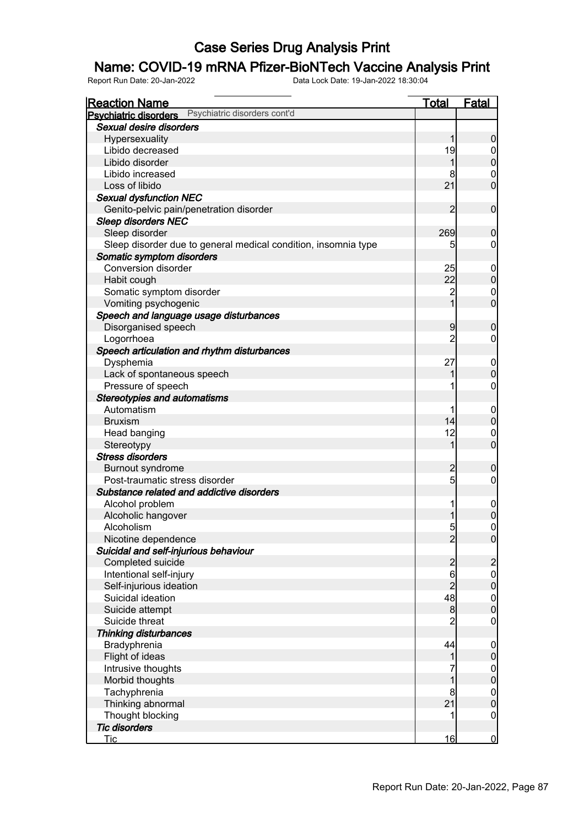## Name: COVID-19 mRNA Pfizer-BioNTech Vaccine Analysis Print

| <b>Reaction Name</b>                                           | <u>Total</u>     | <b>Fatal</b>                         |
|----------------------------------------------------------------|------------------|--------------------------------------|
| Psychiatric disorders cont'd<br><b>Psychiatric disorders</b>   |                  |                                      |
| Sexual desire disorders                                        |                  |                                      |
| Hypersexuality                                                 | 1                | $\boldsymbol{0}$                     |
| Libido decreased                                               | 19               | $\overline{0}$                       |
| Libido disorder                                                | 1                | $\mathbf 0$                          |
| Libido increased                                               | 8                | $\mathbf 0$                          |
| Loss of libido                                                 | 21               | $\overline{0}$                       |
| <b>Sexual dysfunction NEC</b>                                  |                  |                                      |
| Genito-pelvic pain/penetration disorder                        | $\overline{2}$   | $\mathbf 0$                          |
| <b>Sleep disorders NEC</b>                                     |                  |                                      |
| Sleep disorder                                                 | 269              | $\boldsymbol{0}$                     |
| Sleep disorder due to general medical condition, insomnia type | 5                | 0                                    |
| Somatic symptom disorders                                      |                  |                                      |
| <b>Conversion disorder</b>                                     | 25               | $\mathbf 0$                          |
| Habit cough                                                    | 22               | $\mathbf 0$                          |
| Somatic symptom disorder                                       | $\overline{2}$   | $\mathbf 0$                          |
| Vomiting psychogenic                                           | $\overline{1}$   | $\overline{0}$                       |
| Speech and language usage disturbances                         |                  |                                      |
| Disorganised speech                                            | 9                | $\boldsymbol{0}$                     |
| Logorrhoea                                                     | $\overline{2}$   | 0                                    |
| Speech articulation and rhythm disturbances                    |                  |                                      |
| Dysphemia                                                      | 27               | $\mathbf 0$                          |
| Lack of spontaneous speech                                     |                  | $\mathbf 0$                          |
| Pressure of speech                                             |                  | 0                                    |
| <b>Stereotypies and automatisms</b>                            |                  |                                      |
| Automatism                                                     |                  | $\mathbf 0$                          |
| <b>Bruxism</b>                                                 | 14               | $\overline{0}$                       |
| Head banging                                                   | 12               | $\mathbf 0$                          |
| Stereotypy                                                     | 1                | $\overline{0}$                       |
| <b>Stress disorders</b>                                        |                  |                                      |
| Burnout syndrome                                               | $\overline{c}$   | $\mathbf 0$                          |
| Post-traumatic stress disorder                                 | 5                | 0                                    |
| Substance related and addictive disorders                      |                  |                                      |
| Alcohol problem                                                | 1                | $\mathbf 0$                          |
| Alcoholic hangover                                             |                  | $\overline{0}$                       |
| Alcoholism                                                     | 5 <sub>l</sub>   | $\overline{0}$                       |
| Nicotine dependence                                            | $\overline{2}$   | $\overline{0}$                       |
| Suicidal and self-injurious behaviour                          |                  |                                      |
| Completed suicide                                              | $\overline{c}$   | $\overline{c}$                       |
| Intentional self-injury                                        | 6                | $\overline{0}$                       |
| Self-injurious ideation                                        | $\overline{2}$   | $\overline{0}$                       |
| Suicidal ideation                                              | 48               |                                      |
| Suicide attempt                                                | $\boldsymbol{8}$ | $\begin{matrix} 0 \\ 0 \end{matrix}$ |
| Suicide threat                                                 | $\overline{2}$   | $\mathbf 0$                          |
| <b>Thinking disturbances</b>                                   |                  |                                      |
| Bradyphrenia                                                   | 44               | $\mathbf 0$                          |
| Flight of ideas                                                | 1                | $\pmb{0}$                            |
| Intrusive thoughts                                             |                  | $\mathbf 0$                          |
| Morbid thoughts                                                |                  | $\overline{0}$                       |
| Tachyphrenia                                                   | 8                | $\boldsymbol{0}$                     |
| Thinking abnormal                                              | 21               | $\overline{0}$                       |
| Thought blocking                                               |                  | $\mathbf 0$                          |
| <b>Tic disorders</b>                                           |                  |                                      |
| Tic                                                            | 16               | $\overline{0}$                       |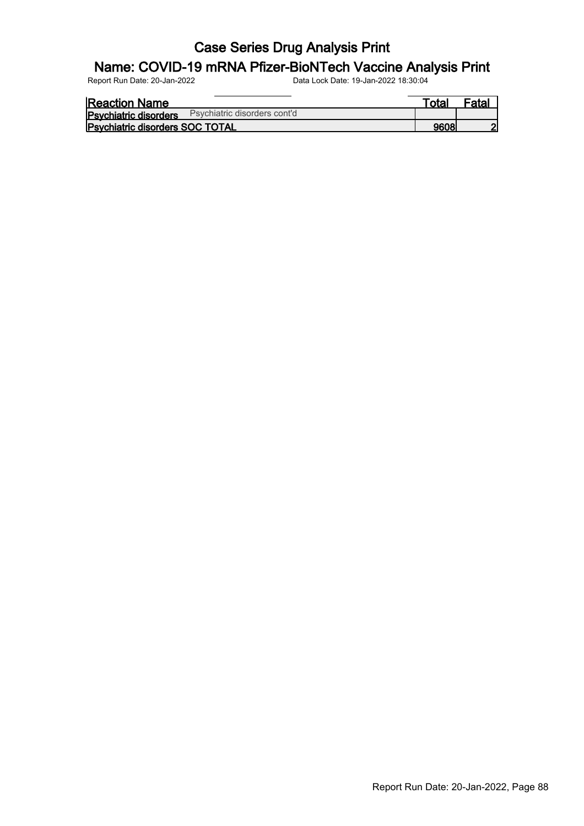## Name: COVID-19 mRNA Pfizer-BioNTech Vaccine Analysis Print

| <b>Reaction Name</b>                   |                              | ™otaı | Fatal |
|----------------------------------------|------------------------------|-------|-------|
| <b>Psychiatric disorders</b>           | Psychiatric disorders cont'd |       |       |
| <b>Psychiatric disorders SOC TOTAL</b> |                              | 9608  | ച     |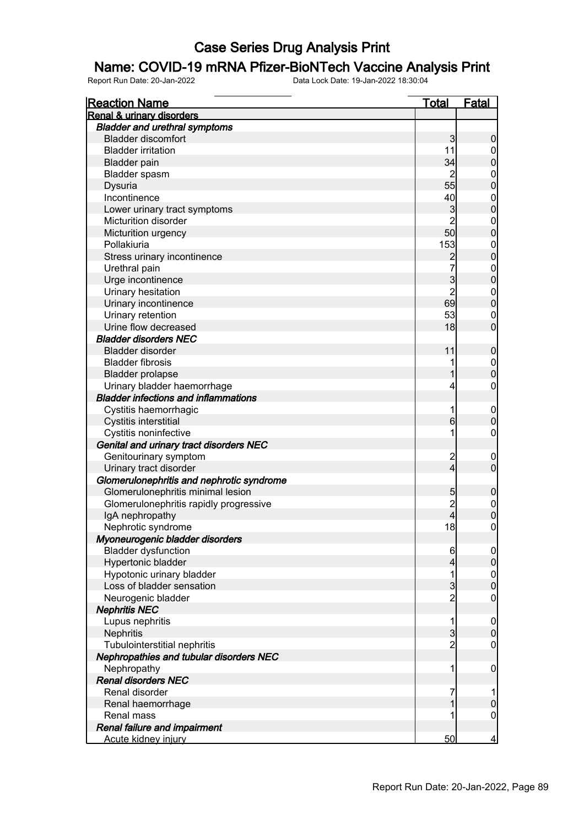#### Name: COVID-19 mRNA Pfizer-BioNTech Vaccine Analysis Print

| <b>Renal &amp; urinary disorders</b><br><b>Bladder and urethral symptoms</b><br><b>Bladder discomfort</b><br>$\mathbf{3}$<br>$\boldsymbol{0}$<br><b>Bladder irritation</b><br>11<br>$\overline{0}$<br>$\mathbf 0$<br>34<br><b>Bladder pain</b><br>Bladder spasm<br>2<br>$\boldsymbol{0}$<br>$\overline{0}$<br>55<br>Dysuria<br>Incontinence<br>40<br>$\boldsymbol{0}$<br>$\overline{0}$<br>$\mathbf{3}$<br>Lower urinary tract symptoms<br>$\overline{2}$<br>Micturition disorder<br>$\boldsymbol{0}$<br>$\overline{0}$<br>50<br>Micturition urgency<br>153<br>Pollakiuria<br>$\boldsymbol{0}$<br>$\overline{0}$<br>Stress urinary incontinence<br>$\overline{c}$<br>7<br>Urethral pain<br>$0$<br>0<br>$\overline{3}$<br>Urge incontinence<br>$\overline{2}$<br>Urinary hesitation<br>$\mathbf{0}$<br>69<br>$\mathbf 0$<br>Urinary incontinence<br>Urinary retention<br>53<br>$\mathbf 0$<br>$\mathbf 0$<br>Urine flow decreased<br>18<br><b>Bladder disorders NEC</b><br>11<br><b>Bladder disorder</b><br>$\mathbf 0$<br><b>Bladder fibrosis</b><br>$\boldsymbol{0}$<br>$\mathbf 0$<br>1<br><b>Bladder prolapse</b><br>Urinary bladder haemorrhage<br>$\boldsymbol{0}$<br>4<br><b>Bladder infections and inflammations</b><br>Cystitis haemorrhagic<br>1<br>$\mathbf 0$<br>$\mathbf 0$<br>$6 \overline{}$<br>Cystitis interstitial<br>Cystitis noninfective<br>1<br>$\boldsymbol{0}$<br>Genital and urinary tract disorders NEC<br>Genitourinary symptom<br>$\overline{\mathbf{c}}$<br>$\mathbf 0$<br>$\overline{4}$<br>$\mathbf 0$<br>Urinary tract disorder<br>Glomerulonephritis and nephrotic syndrome<br>Glomerulonephritis minimal lesion<br>5<br>$\mathbf 0$<br>$\overline{\mathbf{c}}$<br>Glomerulonephritis rapidly progressive<br>$0\atop 0$<br>4<br>IgA nephropathy<br>18<br>$\pmb{0}$<br>Nephrotic syndrome<br>Myoneurogenic bladder disorders<br><b>Bladder dysfunction</b><br>6<br>$\overline{0}$<br>$\mathbf 0$<br>Hypertonic bladder<br>4<br>Hypotonic urinary bladder<br>1<br>$0$ 0<br>$\overline{3}$<br>Loss of bladder sensation<br>$\overline{2}$<br>Neurogenic bladder<br>$\mathbf 0$<br><b>Nephritis NEC</b><br>Lupus nephritis<br>1<br>$\mathbf 0$<br>$\overline{3}$<br>$\mathbf 0$<br>Nephritis<br>$\overline{c}$<br>Tubulointerstitial nephritis<br>$\boldsymbol{0}$<br>Nephropathies and tubular disorders NEC<br>Nephropathy<br>1<br>$\mathbf 0$<br><b>Renal disorders NEC</b><br>Renal disorder<br>7<br>1<br>1<br>$\pmb{0}$<br>Renal haemorrhage<br>$\mathbf 0$<br><b>Renal mass</b><br>Renal failure and impairment | <b>Reaction Name</b> | <b>Total</b> | <b>Fatal</b> |
|---------------------------------------------------------------------------------------------------------------------------------------------------------------------------------------------------------------------------------------------------------------------------------------------------------------------------------------------------------------------------------------------------------------------------------------------------------------------------------------------------------------------------------------------------------------------------------------------------------------------------------------------------------------------------------------------------------------------------------------------------------------------------------------------------------------------------------------------------------------------------------------------------------------------------------------------------------------------------------------------------------------------------------------------------------------------------------------------------------------------------------------------------------------------------------------------------------------------------------------------------------------------------------------------------------------------------------------------------------------------------------------------------------------------------------------------------------------------------------------------------------------------------------------------------------------------------------------------------------------------------------------------------------------------------------------------------------------------------------------------------------------------------------------------------------------------------------------------------------------------------------------------------------------------------------------------------------------------------------------------------------------------------------------------------------------------------------------------------------------------------------------------------------------------------------------------------------------------------------------------------------------------------------------------------------------------------------------------------------------------------------------------------------------------------------------------------------------------------------------------------------------------------------------------------|----------------------|--------------|--------------|
|                                                                                                                                                                                                                                                                                                                                                                                                                                                                                                                                                                                                                                                                                                                                                                                                                                                                                                                                                                                                                                                                                                                                                                                                                                                                                                                                                                                                                                                                                                                                                                                                                                                                                                                                                                                                                                                                                                                                                                                                                                                                                                                                                                                                                                                                                                                                                                                                                                                                                                                                                   |                      |              |              |
|                                                                                                                                                                                                                                                                                                                                                                                                                                                                                                                                                                                                                                                                                                                                                                                                                                                                                                                                                                                                                                                                                                                                                                                                                                                                                                                                                                                                                                                                                                                                                                                                                                                                                                                                                                                                                                                                                                                                                                                                                                                                                                                                                                                                                                                                                                                                                                                                                                                                                                                                                   |                      |              |              |
|                                                                                                                                                                                                                                                                                                                                                                                                                                                                                                                                                                                                                                                                                                                                                                                                                                                                                                                                                                                                                                                                                                                                                                                                                                                                                                                                                                                                                                                                                                                                                                                                                                                                                                                                                                                                                                                                                                                                                                                                                                                                                                                                                                                                                                                                                                                                                                                                                                                                                                                                                   |                      |              |              |
|                                                                                                                                                                                                                                                                                                                                                                                                                                                                                                                                                                                                                                                                                                                                                                                                                                                                                                                                                                                                                                                                                                                                                                                                                                                                                                                                                                                                                                                                                                                                                                                                                                                                                                                                                                                                                                                                                                                                                                                                                                                                                                                                                                                                                                                                                                                                                                                                                                                                                                                                                   |                      |              |              |
|                                                                                                                                                                                                                                                                                                                                                                                                                                                                                                                                                                                                                                                                                                                                                                                                                                                                                                                                                                                                                                                                                                                                                                                                                                                                                                                                                                                                                                                                                                                                                                                                                                                                                                                                                                                                                                                                                                                                                                                                                                                                                                                                                                                                                                                                                                                                                                                                                                                                                                                                                   |                      |              |              |
|                                                                                                                                                                                                                                                                                                                                                                                                                                                                                                                                                                                                                                                                                                                                                                                                                                                                                                                                                                                                                                                                                                                                                                                                                                                                                                                                                                                                                                                                                                                                                                                                                                                                                                                                                                                                                                                                                                                                                                                                                                                                                                                                                                                                                                                                                                                                                                                                                                                                                                                                                   |                      |              |              |
|                                                                                                                                                                                                                                                                                                                                                                                                                                                                                                                                                                                                                                                                                                                                                                                                                                                                                                                                                                                                                                                                                                                                                                                                                                                                                                                                                                                                                                                                                                                                                                                                                                                                                                                                                                                                                                                                                                                                                                                                                                                                                                                                                                                                                                                                                                                                                                                                                                                                                                                                                   |                      |              |              |
|                                                                                                                                                                                                                                                                                                                                                                                                                                                                                                                                                                                                                                                                                                                                                                                                                                                                                                                                                                                                                                                                                                                                                                                                                                                                                                                                                                                                                                                                                                                                                                                                                                                                                                                                                                                                                                                                                                                                                                                                                                                                                                                                                                                                                                                                                                                                                                                                                                                                                                                                                   |                      |              |              |
|                                                                                                                                                                                                                                                                                                                                                                                                                                                                                                                                                                                                                                                                                                                                                                                                                                                                                                                                                                                                                                                                                                                                                                                                                                                                                                                                                                                                                                                                                                                                                                                                                                                                                                                                                                                                                                                                                                                                                                                                                                                                                                                                                                                                                                                                                                                                                                                                                                                                                                                                                   |                      |              |              |
|                                                                                                                                                                                                                                                                                                                                                                                                                                                                                                                                                                                                                                                                                                                                                                                                                                                                                                                                                                                                                                                                                                                                                                                                                                                                                                                                                                                                                                                                                                                                                                                                                                                                                                                                                                                                                                                                                                                                                                                                                                                                                                                                                                                                                                                                                                                                                                                                                                                                                                                                                   |                      |              |              |
|                                                                                                                                                                                                                                                                                                                                                                                                                                                                                                                                                                                                                                                                                                                                                                                                                                                                                                                                                                                                                                                                                                                                                                                                                                                                                                                                                                                                                                                                                                                                                                                                                                                                                                                                                                                                                                                                                                                                                                                                                                                                                                                                                                                                                                                                                                                                                                                                                                                                                                                                                   |                      |              |              |
|                                                                                                                                                                                                                                                                                                                                                                                                                                                                                                                                                                                                                                                                                                                                                                                                                                                                                                                                                                                                                                                                                                                                                                                                                                                                                                                                                                                                                                                                                                                                                                                                                                                                                                                                                                                                                                                                                                                                                                                                                                                                                                                                                                                                                                                                                                                                                                                                                                                                                                                                                   |                      |              |              |
|                                                                                                                                                                                                                                                                                                                                                                                                                                                                                                                                                                                                                                                                                                                                                                                                                                                                                                                                                                                                                                                                                                                                                                                                                                                                                                                                                                                                                                                                                                                                                                                                                                                                                                                                                                                                                                                                                                                                                                                                                                                                                                                                                                                                                                                                                                                                                                                                                                                                                                                                                   |                      |              |              |
|                                                                                                                                                                                                                                                                                                                                                                                                                                                                                                                                                                                                                                                                                                                                                                                                                                                                                                                                                                                                                                                                                                                                                                                                                                                                                                                                                                                                                                                                                                                                                                                                                                                                                                                                                                                                                                                                                                                                                                                                                                                                                                                                                                                                                                                                                                                                                                                                                                                                                                                                                   |                      |              |              |
|                                                                                                                                                                                                                                                                                                                                                                                                                                                                                                                                                                                                                                                                                                                                                                                                                                                                                                                                                                                                                                                                                                                                                                                                                                                                                                                                                                                                                                                                                                                                                                                                                                                                                                                                                                                                                                                                                                                                                                                                                                                                                                                                                                                                                                                                                                                                                                                                                                                                                                                                                   |                      |              |              |
|                                                                                                                                                                                                                                                                                                                                                                                                                                                                                                                                                                                                                                                                                                                                                                                                                                                                                                                                                                                                                                                                                                                                                                                                                                                                                                                                                                                                                                                                                                                                                                                                                                                                                                                                                                                                                                                                                                                                                                                                                                                                                                                                                                                                                                                                                                                                                                                                                                                                                                                                                   |                      |              |              |
|                                                                                                                                                                                                                                                                                                                                                                                                                                                                                                                                                                                                                                                                                                                                                                                                                                                                                                                                                                                                                                                                                                                                                                                                                                                                                                                                                                                                                                                                                                                                                                                                                                                                                                                                                                                                                                                                                                                                                                                                                                                                                                                                                                                                                                                                                                                                                                                                                                                                                                                                                   |                      |              |              |
|                                                                                                                                                                                                                                                                                                                                                                                                                                                                                                                                                                                                                                                                                                                                                                                                                                                                                                                                                                                                                                                                                                                                                                                                                                                                                                                                                                                                                                                                                                                                                                                                                                                                                                                                                                                                                                                                                                                                                                                                                                                                                                                                                                                                                                                                                                                                                                                                                                                                                                                                                   |                      |              |              |
|                                                                                                                                                                                                                                                                                                                                                                                                                                                                                                                                                                                                                                                                                                                                                                                                                                                                                                                                                                                                                                                                                                                                                                                                                                                                                                                                                                                                                                                                                                                                                                                                                                                                                                                                                                                                                                                                                                                                                                                                                                                                                                                                                                                                                                                                                                                                                                                                                                                                                                                                                   |                      |              |              |
|                                                                                                                                                                                                                                                                                                                                                                                                                                                                                                                                                                                                                                                                                                                                                                                                                                                                                                                                                                                                                                                                                                                                                                                                                                                                                                                                                                                                                                                                                                                                                                                                                                                                                                                                                                                                                                                                                                                                                                                                                                                                                                                                                                                                                                                                                                                                                                                                                                                                                                                                                   |                      |              |              |
|                                                                                                                                                                                                                                                                                                                                                                                                                                                                                                                                                                                                                                                                                                                                                                                                                                                                                                                                                                                                                                                                                                                                                                                                                                                                                                                                                                                                                                                                                                                                                                                                                                                                                                                                                                                                                                                                                                                                                                                                                                                                                                                                                                                                                                                                                                                                                                                                                                                                                                                                                   |                      |              |              |
|                                                                                                                                                                                                                                                                                                                                                                                                                                                                                                                                                                                                                                                                                                                                                                                                                                                                                                                                                                                                                                                                                                                                                                                                                                                                                                                                                                                                                                                                                                                                                                                                                                                                                                                                                                                                                                                                                                                                                                                                                                                                                                                                                                                                                                                                                                                                                                                                                                                                                                                                                   |                      |              |              |
|                                                                                                                                                                                                                                                                                                                                                                                                                                                                                                                                                                                                                                                                                                                                                                                                                                                                                                                                                                                                                                                                                                                                                                                                                                                                                                                                                                                                                                                                                                                                                                                                                                                                                                                                                                                                                                                                                                                                                                                                                                                                                                                                                                                                                                                                                                                                                                                                                                                                                                                                                   |                      |              |              |
|                                                                                                                                                                                                                                                                                                                                                                                                                                                                                                                                                                                                                                                                                                                                                                                                                                                                                                                                                                                                                                                                                                                                                                                                                                                                                                                                                                                                                                                                                                                                                                                                                                                                                                                                                                                                                                                                                                                                                                                                                                                                                                                                                                                                                                                                                                                                                                                                                                                                                                                                                   |                      |              |              |
|                                                                                                                                                                                                                                                                                                                                                                                                                                                                                                                                                                                                                                                                                                                                                                                                                                                                                                                                                                                                                                                                                                                                                                                                                                                                                                                                                                                                                                                                                                                                                                                                                                                                                                                                                                                                                                                                                                                                                                                                                                                                                                                                                                                                                                                                                                                                                                                                                                                                                                                                                   |                      |              |              |
|                                                                                                                                                                                                                                                                                                                                                                                                                                                                                                                                                                                                                                                                                                                                                                                                                                                                                                                                                                                                                                                                                                                                                                                                                                                                                                                                                                                                                                                                                                                                                                                                                                                                                                                                                                                                                                                                                                                                                                                                                                                                                                                                                                                                                                                                                                                                                                                                                                                                                                                                                   |                      |              |              |
|                                                                                                                                                                                                                                                                                                                                                                                                                                                                                                                                                                                                                                                                                                                                                                                                                                                                                                                                                                                                                                                                                                                                                                                                                                                                                                                                                                                                                                                                                                                                                                                                                                                                                                                                                                                                                                                                                                                                                                                                                                                                                                                                                                                                                                                                                                                                                                                                                                                                                                                                                   |                      |              |              |
|                                                                                                                                                                                                                                                                                                                                                                                                                                                                                                                                                                                                                                                                                                                                                                                                                                                                                                                                                                                                                                                                                                                                                                                                                                                                                                                                                                                                                                                                                                                                                                                                                                                                                                                                                                                                                                                                                                                                                                                                                                                                                                                                                                                                                                                                                                                                                                                                                                                                                                                                                   |                      |              |              |
|                                                                                                                                                                                                                                                                                                                                                                                                                                                                                                                                                                                                                                                                                                                                                                                                                                                                                                                                                                                                                                                                                                                                                                                                                                                                                                                                                                                                                                                                                                                                                                                                                                                                                                                                                                                                                                                                                                                                                                                                                                                                                                                                                                                                                                                                                                                                                                                                                                                                                                                                                   |                      |              |              |
|                                                                                                                                                                                                                                                                                                                                                                                                                                                                                                                                                                                                                                                                                                                                                                                                                                                                                                                                                                                                                                                                                                                                                                                                                                                                                                                                                                                                                                                                                                                                                                                                                                                                                                                                                                                                                                                                                                                                                                                                                                                                                                                                                                                                                                                                                                                                                                                                                                                                                                                                                   |                      |              |              |
|                                                                                                                                                                                                                                                                                                                                                                                                                                                                                                                                                                                                                                                                                                                                                                                                                                                                                                                                                                                                                                                                                                                                                                                                                                                                                                                                                                                                                                                                                                                                                                                                                                                                                                                                                                                                                                                                                                                                                                                                                                                                                                                                                                                                                                                                                                                                                                                                                                                                                                                                                   |                      |              |              |
|                                                                                                                                                                                                                                                                                                                                                                                                                                                                                                                                                                                                                                                                                                                                                                                                                                                                                                                                                                                                                                                                                                                                                                                                                                                                                                                                                                                                                                                                                                                                                                                                                                                                                                                                                                                                                                                                                                                                                                                                                                                                                                                                                                                                                                                                                                                                                                                                                                                                                                                                                   |                      |              |              |
|                                                                                                                                                                                                                                                                                                                                                                                                                                                                                                                                                                                                                                                                                                                                                                                                                                                                                                                                                                                                                                                                                                                                                                                                                                                                                                                                                                                                                                                                                                                                                                                                                                                                                                                                                                                                                                                                                                                                                                                                                                                                                                                                                                                                                                                                                                                                                                                                                                                                                                                                                   |                      |              |              |
|                                                                                                                                                                                                                                                                                                                                                                                                                                                                                                                                                                                                                                                                                                                                                                                                                                                                                                                                                                                                                                                                                                                                                                                                                                                                                                                                                                                                                                                                                                                                                                                                                                                                                                                                                                                                                                                                                                                                                                                                                                                                                                                                                                                                                                                                                                                                                                                                                                                                                                                                                   |                      |              |              |
|                                                                                                                                                                                                                                                                                                                                                                                                                                                                                                                                                                                                                                                                                                                                                                                                                                                                                                                                                                                                                                                                                                                                                                                                                                                                                                                                                                                                                                                                                                                                                                                                                                                                                                                                                                                                                                                                                                                                                                                                                                                                                                                                                                                                                                                                                                                                                                                                                                                                                                                                                   |                      |              |              |
|                                                                                                                                                                                                                                                                                                                                                                                                                                                                                                                                                                                                                                                                                                                                                                                                                                                                                                                                                                                                                                                                                                                                                                                                                                                                                                                                                                                                                                                                                                                                                                                                                                                                                                                                                                                                                                                                                                                                                                                                                                                                                                                                                                                                                                                                                                                                                                                                                                                                                                                                                   |                      |              |              |
|                                                                                                                                                                                                                                                                                                                                                                                                                                                                                                                                                                                                                                                                                                                                                                                                                                                                                                                                                                                                                                                                                                                                                                                                                                                                                                                                                                                                                                                                                                                                                                                                                                                                                                                                                                                                                                                                                                                                                                                                                                                                                                                                                                                                                                                                                                                                                                                                                                                                                                                                                   |                      |              |              |
|                                                                                                                                                                                                                                                                                                                                                                                                                                                                                                                                                                                                                                                                                                                                                                                                                                                                                                                                                                                                                                                                                                                                                                                                                                                                                                                                                                                                                                                                                                                                                                                                                                                                                                                                                                                                                                                                                                                                                                                                                                                                                                                                                                                                                                                                                                                                                                                                                                                                                                                                                   |                      |              |              |
|                                                                                                                                                                                                                                                                                                                                                                                                                                                                                                                                                                                                                                                                                                                                                                                                                                                                                                                                                                                                                                                                                                                                                                                                                                                                                                                                                                                                                                                                                                                                                                                                                                                                                                                                                                                                                                                                                                                                                                                                                                                                                                                                                                                                                                                                                                                                                                                                                                                                                                                                                   |                      |              |              |
|                                                                                                                                                                                                                                                                                                                                                                                                                                                                                                                                                                                                                                                                                                                                                                                                                                                                                                                                                                                                                                                                                                                                                                                                                                                                                                                                                                                                                                                                                                                                                                                                                                                                                                                                                                                                                                                                                                                                                                                                                                                                                                                                                                                                                                                                                                                                                                                                                                                                                                                                                   |                      |              |              |
|                                                                                                                                                                                                                                                                                                                                                                                                                                                                                                                                                                                                                                                                                                                                                                                                                                                                                                                                                                                                                                                                                                                                                                                                                                                                                                                                                                                                                                                                                                                                                                                                                                                                                                                                                                                                                                                                                                                                                                                                                                                                                                                                                                                                                                                                                                                                                                                                                                                                                                                                                   |                      |              |              |
|                                                                                                                                                                                                                                                                                                                                                                                                                                                                                                                                                                                                                                                                                                                                                                                                                                                                                                                                                                                                                                                                                                                                                                                                                                                                                                                                                                                                                                                                                                                                                                                                                                                                                                                                                                                                                                                                                                                                                                                                                                                                                                                                                                                                                                                                                                                                                                                                                                                                                                                                                   |                      |              |              |
|                                                                                                                                                                                                                                                                                                                                                                                                                                                                                                                                                                                                                                                                                                                                                                                                                                                                                                                                                                                                                                                                                                                                                                                                                                                                                                                                                                                                                                                                                                                                                                                                                                                                                                                                                                                                                                                                                                                                                                                                                                                                                                                                                                                                                                                                                                                                                                                                                                                                                                                                                   |                      |              |              |
|                                                                                                                                                                                                                                                                                                                                                                                                                                                                                                                                                                                                                                                                                                                                                                                                                                                                                                                                                                                                                                                                                                                                                                                                                                                                                                                                                                                                                                                                                                                                                                                                                                                                                                                                                                                                                                                                                                                                                                                                                                                                                                                                                                                                                                                                                                                                                                                                                                                                                                                                                   |                      |              |              |
|                                                                                                                                                                                                                                                                                                                                                                                                                                                                                                                                                                                                                                                                                                                                                                                                                                                                                                                                                                                                                                                                                                                                                                                                                                                                                                                                                                                                                                                                                                                                                                                                                                                                                                                                                                                                                                                                                                                                                                                                                                                                                                                                                                                                                                                                                                                                                                                                                                                                                                                                                   |                      |              |              |
|                                                                                                                                                                                                                                                                                                                                                                                                                                                                                                                                                                                                                                                                                                                                                                                                                                                                                                                                                                                                                                                                                                                                                                                                                                                                                                                                                                                                                                                                                                                                                                                                                                                                                                                                                                                                                                                                                                                                                                                                                                                                                                                                                                                                                                                                                                                                                                                                                                                                                                                                                   |                      |              |              |
|                                                                                                                                                                                                                                                                                                                                                                                                                                                                                                                                                                                                                                                                                                                                                                                                                                                                                                                                                                                                                                                                                                                                                                                                                                                                                                                                                                                                                                                                                                                                                                                                                                                                                                                                                                                                                                                                                                                                                                                                                                                                                                                                                                                                                                                                                                                                                                                                                                                                                                                                                   |                      |              |              |
|                                                                                                                                                                                                                                                                                                                                                                                                                                                                                                                                                                                                                                                                                                                                                                                                                                                                                                                                                                                                                                                                                                                                                                                                                                                                                                                                                                                                                                                                                                                                                                                                                                                                                                                                                                                                                                                                                                                                                                                                                                                                                                                                                                                                                                                                                                                                                                                                                                                                                                                                                   |                      |              |              |
|                                                                                                                                                                                                                                                                                                                                                                                                                                                                                                                                                                                                                                                                                                                                                                                                                                                                                                                                                                                                                                                                                                                                                                                                                                                                                                                                                                                                                                                                                                                                                                                                                                                                                                                                                                                                                                                                                                                                                                                                                                                                                                                                                                                                                                                                                                                                                                                                                                                                                                                                                   |                      |              |              |
|                                                                                                                                                                                                                                                                                                                                                                                                                                                                                                                                                                                                                                                                                                                                                                                                                                                                                                                                                                                                                                                                                                                                                                                                                                                                                                                                                                                                                                                                                                                                                                                                                                                                                                                                                                                                                                                                                                                                                                                                                                                                                                                                                                                                                                                                                                                                                                                                                                                                                                                                                   |                      |              |              |
|                                                                                                                                                                                                                                                                                                                                                                                                                                                                                                                                                                                                                                                                                                                                                                                                                                                                                                                                                                                                                                                                                                                                                                                                                                                                                                                                                                                                                                                                                                                                                                                                                                                                                                                                                                                                                                                                                                                                                                                                                                                                                                                                                                                                                                                                                                                                                                                                                                                                                                                                                   |                      |              |              |
|                                                                                                                                                                                                                                                                                                                                                                                                                                                                                                                                                                                                                                                                                                                                                                                                                                                                                                                                                                                                                                                                                                                                                                                                                                                                                                                                                                                                                                                                                                                                                                                                                                                                                                                                                                                                                                                                                                                                                                                                                                                                                                                                                                                                                                                                                                                                                                                                                                                                                                                                                   |                      |              |              |
|                                                                                                                                                                                                                                                                                                                                                                                                                                                                                                                                                                                                                                                                                                                                                                                                                                                                                                                                                                                                                                                                                                                                                                                                                                                                                                                                                                                                                                                                                                                                                                                                                                                                                                                                                                                                                                                                                                                                                                                                                                                                                                                                                                                                                                                                                                                                                                                                                                                                                                                                                   |                      |              |              |
| Acute kidney injury<br>$\overline{4}$                                                                                                                                                                                                                                                                                                                                                                                                                                                                                                                                                                                                                                                                                                                                                                                                                                                                                                                                                                                                                                                                                                                                                                                                                                                                                                                                                                                                                                                                                                                                                                                                                                                                                                                                                                                                                                                                                                                                                                                                                                                                                                                                                                                                                                                                                                                                                                                                                                                                                                             |                      | 50           |              |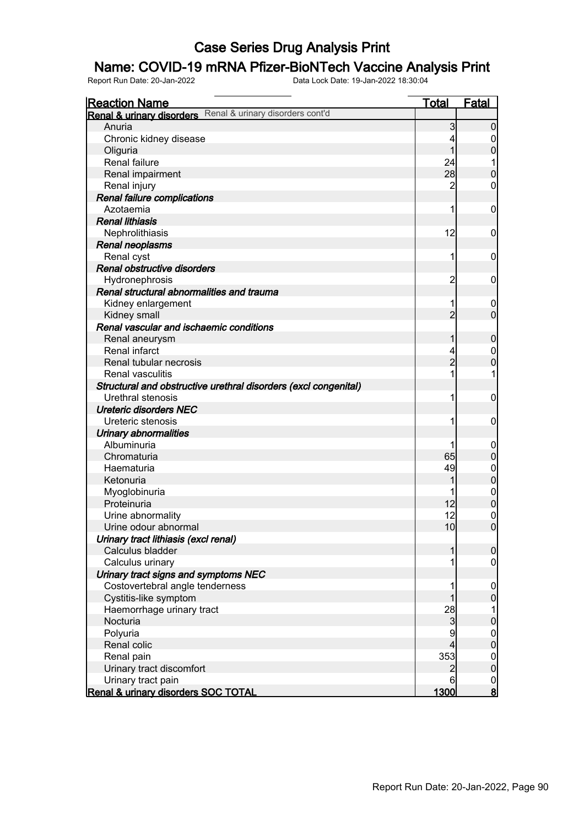## Name: COVID-19 mRNA Pfizer-BioNTech Vaccine Analysis Print

| <b>Reaction Name</b>                                            | <u>Total</u>   | Fatal                            |
|-----------------------------------------------------------------|----------------|----------------------------------|
| Renal & urinary disorders Renal & urinary disorders cont'd      |                |                                  |
| Anuria                                                          | 3              | $\Omega$                         |
| Chronic kidney disease                                          | 4              | 0                                |
| Oliguria                                                        |                | $\overline{0}$                   |
| Renal failure                                                   | 24             | 1                                |
| Renal impairment                                                | 28             | $\mathbf 0$                      |
| Renal injury                                                    | 2              | 0                                |
| Renal failure complications                                     |                |                                  |
| Azotaemia                                                       | 1              | 0                                |
| <b>Renal lithiasis</b>                                          |                |                                  |
| Nephrolithiasis                                                 | 12             | 0                                |
| Renal neoplasms                                                 |                |                                  |
| Renal cyst                                                      | 1              | 0                                |
| Renal obstructive disorders                                     |                |                                  |
| Hydronephrosis                                                  | 2              | 0                                |
| Renal structural abnormalities and trauma                       |                |                                  |
| Kidney enlargement                                              | 1              | 0                                |
| Kidney small                                                    | $\overline{2}$ | $\overline{0}$                   |
| Renal vascular and ischaemic conditions                         |                |                                  |
| Renal aneurysm                                                  | 1              | $\mathbf 0$                      |
| Renal infarct                                                   | 4              | $\mathbf 0$                      |
| Renal tubular necrosis                                          | $\overline{2}$ | $\overline{0}$                   |
| <b>Renal vasculitis</b>                                         |                |                                  |
| Structural and obstructive urethral disorders (excl congenital) |                |                                  |
| Urethral stenosis                                               |                | 0                                |
| <b>Ureteric disorders NEC</b>                                   |                |                                  |
| Ureteric stenosis                                               |                | 0                                |
| Urinary abnormalities                                           |                |                                  |
| Albuminuria                                                     |                | $\boldsymbol{0}$                 |
| Chromaturia                                                     | 65             | $\mathbf 0$                      |
| Haematuria                                                      | 49             | $\mathbf 0$                      |
| Ketonuria                                                       | 1              | $\overline{0}$                   |
| Myoglobinuria                                                   |                | $\mathbf 0$                      |
| Proteinuria                                                     | 12             | $\overline{0}$                   |
| Urine abnormality                                               | 12             | $\mathbf{0}$                     |
| Urine odour abnormal                                            | 10             | $\overline{0}$                   |
| Urinary tract lithiasis (excl renal)                            |                |                                  |
| Calculus bladder                                                |                | $\overline{0}$                   |
| Calculus urinary                                                |                | 0                                |
| Urinary tract signs and symptoms NEC                            |                |                                  |
| Costovertebral angle tenderness                                 |                | $\boldsymbol{0}$                 |
| Cystitis-like symptom                                           |                | $\mathbf 0$                      |
| Haemorrhage urinary tract                                       | 28             |                                  |
| Nocturia                                                        | 3              | $\boldsymbol{0}$                 |
| Polyuria                                                        | 9              |                                  |
| Renal colic                                                     | 4              | $\begin{matrix}0\\0\end{matrix}$ |
| Renal pain                                                      | 353            |                                  |
| Urinary tract discomfort                                        | 2              | $\begin{matrix}0\\0\end{matrix}$ |
| Urinary tract pain                                              | 6              | $\mathbf 0$                      |
| Renal & urinary disorders SOC TOTAL                             | 1300           | <u>8</u>                         |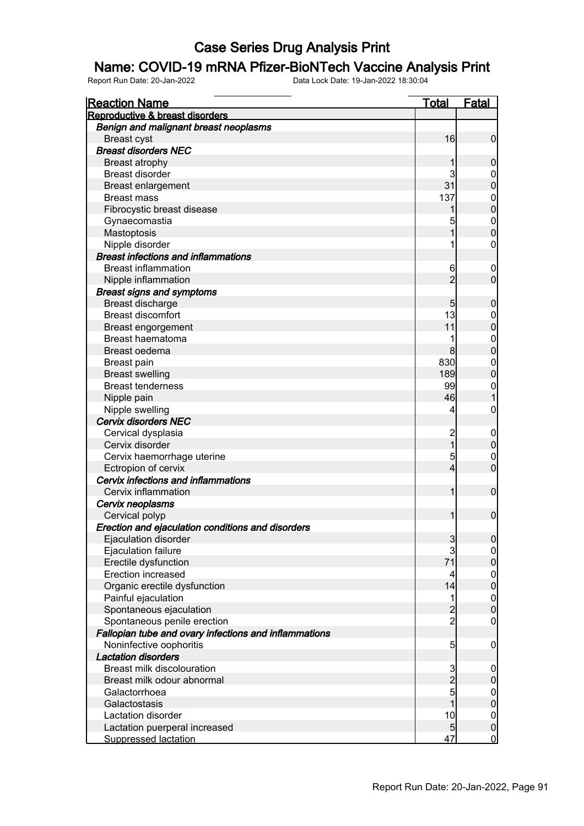#### Name: COVID-19 mRNA Pfizer-BioNTech Vaccine Analysis Print

| <b>Reaction Name</b>                                  | <b>Total</b>   | <b>Fatal</b>               |
|-------------------------------------------------------|----------------|----------------------------|
| Reproductive & breast disorders                       |                |                            |
| Benign and malignant breast neoplasms                 |                |                            |
| <b>Breast cyst</b>                                    | 16             | $\overline{0}$             |
| <b>Breast disorders NEC</b>                           |                |                            |
| <b>Breast atrophy</b>                                 |                | $\boldsymbol{0}$           |
| <b>Breast disorder</b>                                | 3              | $\overline{0}$             |
| <b>Breast enlargement</b>                             | 31             | $\overline{0}$             |
| <b>Breast mass</b>                                    | 137            | $\mathbf{0}$               |
| Fibrocystic breast disease                            |                | $\mathbf 0$                |
| Gynaecomastia                                         | 5              | $\mathbf{0}$               |
| Mastoptosis                                           | 1              | $\overline{0}$             |
| Nipple disorder                                       |                | $\boldsymbol{0}$           |
| <b>Breast infections and inflammations</b>            |                |                            |
| <b>Breast inflammation</b>                            | 6              | $\boldsymbol{0}$           |
| Nipple inflammation                                   | $\overline{2}$ | $\mathbf 0$                |
| <b>Breast signs and symptoms</b>                      |                |                            |
| Breast discharge                                      | 5              | $\mathbf 0$                |
| <b>Breast discomfort</b>                              | 13             | $\mathbf 0$                |
| Breast engorgement                                    | 11             | $\mathbf 0$                |
| Breast haematoma                                      | 1              | $\mathbf{0}$               |
| Breast oedema                                         | 8              | $\overline{0}$             |
| <b>Breast pain</b>                                    | 830            | $\mathbf{0}$               |
| <b>Breast swelling</b>                                | 189            | $\overline{0}$             |
| <b>Breast tenderness</b>                              | 99             | $\mathbf{0}$               |
| Nipple pain                                           | 46             | $\mathbf{1}$               |
| Nipple swelling                                       | 4              | $\mathbf 0$                |
| <b>Cervix disorders NEC</b>                           |                |                            |
| Cervical dysplasia                                    | $\overline{c}$ | $\mathbf 0$                |
| Cervix disorder                                       | $\overline{1}$ | $\mathbf 0$                |
| Cervix haemorrhage uterine                            | $\overline{5}$ | $\mathbf 0$                |
| Ectropion of cervix                                   | $\overline{4}$ | $\overline{0}$             |
| Cervix infections and inflammations                   |                |                            |
| Cervix inflammation                                   | 1              | $\boldsymbol{0}$           |
| Cervix neoplasms                                      |                |                            |
| Cervical polyp                                        | 1              | $\boldsymbol{0}$           |
| Erection and ejaculation conditions and disorders     |                |                            |
| Ejaculation disorder                                  | $\mathbf{3}$   | 0                          |
| Ejaculation failure                                   | $\mathbf{3}$   | $\overline{0}$             |
| Erectile dysfunction                                  | 71             | $\mathbf 0$                |
| <b>Erection increased</b>                             | 4              | $\overline{0}$             |
| Organic erectile dysfunction                          | 14             | $\mathbf 0$                |
| Painful ejaculation                                   | 1              | $\boldsymbol{0}$           |
| Spontaneous ejaculation                               | $\overline{c}$ | $\mathbf 0$                |
| Spontaneous penile erection                           | $\overline{2}$ | $\boldsymbol{0}$           |
| Fallopian tube and ovary infections and inflammations |                |                            |
| Noninfective oophoritis                               | $\overline{5}$ | $\mathbf 0$                |
| <b>Lactation disorders</b>                            |                |                            |
| <b>Breast milk discolouration</b>                     |                | $\mathbf 0$                |
| Breast milk odour abnormal                            | $\frac{3}{2}$  | $\pmb{0}$                  |
| Galactorrhoea                                         |                |                            |
| Galactostasis                                         | $\overline{1}$ | $\mathbf 0$<br>$\mathbf 0$ |
| Lactation disorder                                    | 10             | $\overline{0}$             |
| Lactation puerperal increased                         | $\overline{5}$ | $\mathbf 0$                |
| <b>Suppressed lactation</b>                           | 47             | $\overline{0}$             |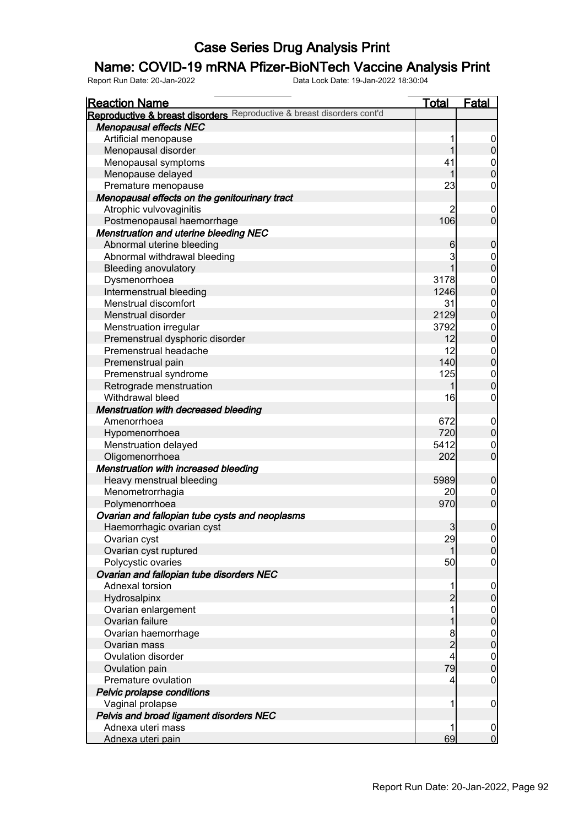## Name: COVID-19 mRNA Pfizer-BioNTech Vaccine Analysis Print

| <b>Reaction Name</b>                                                   | <u>Total</u>    | <b>Fatal</b>                         |
|------------------------------------------------------------------------|-----------------|--------------------------------------|
| Reproductive & breast disorders Reproductive & breast disorders cont'd |                 |                                      |
| <b>Menopausal effects NEC</b>                                          |                 |                                      |
| Artificial menopause                                                   | 1               |                                      |
| Menopausal disorder                                                    | 1               | $\frac{0}{0}$                        |
| Menopausal symptoms                                                    | 41              | $\begin{matrix} 0 \\ 0 \end{matrix}$ |
| Menopause delayed                                                      | 1               |                                      |
| Premature menopause                                                    | 23              | $\mathbf 0$                          |
| Menopausal effects on the genitourinary tract                          |                 |                                      |
| Atrophic vulvovaginitis                                                |                 | $\mathbf{0}$                         |
| Postmenopausal haemorrhage                                             | 106             | $\overline{0}$                       |
| <b>Menstruation and uterine bleeding NEC</b>                           |                 |                                      |
| Abnormal uterine bleeding                                              | 6               | $\pmb{0}$                            |
| Abnormal withdrawal bleeding                                           | 3               |                                      |
| <b>Bleeding anovulatory</b>                                            | 1               | $\begin{matrix}0\\0\end{matrix}$     |
| Dysmenorrhoea                                                          | 3178            |                                      |
| Intermenstrual bleeding                                                | 1246            | $0$<br>0                             |
| Menstrual discomfort                                                   | 31              |                                      |
| Menstrual disorder                                                     | 2129            | $0$<br>0                             |
| Menstruation irregular                                                 | 3792            |                                      |
| Premenstrual dysphoric disorder                                        | 12              | $0$<br>0                             |
| Premenstrual headache                                                  | 12              |                                      |
| Premenstrual pain                                                      | 140             | $\begin{matrix}0\\0\end{matrix}$     |
| Premenstrual syndrome                                                  | 125             |                                      |
| Retrograde menstruation                                                | 1               | $\begin{matrix} 0 \\ 0 \end{matrix}$ |
| Withdrawal bleed                                                       | 16              | $\mathbf 0$                          |
|                                                                        |                 |                                      |
| <b>Menstruation with decreased bleeding</b>                            | 672             |                                      |
| Amenorrhoea                                                            |                 | $0\atop 0$                           |
| Hypomenorrhoea                                                         | 720             |                                      |
| Menstruation delayed                                                   | 5412            | $\begin{matrix} 0 \\ 0 \end{matrix}$ |
| Oligomenorrhoea                                                        | 202             |                                      |
| <b>Menstruation with increased bleeding</b>                            |                 |                                      |
| Heavy menstrual bleeding                                               | 5989            | $\mathbf 0$                          |
| Menometrorrhagia                                                       | 20 <sub>l</sub> | $\begin{matrix} 0 \\ 0 \end{matrix}$ |
| Polymenorrhoea                                                         | 970             |                                      |
| Ovarian and fallopian tube cysts and neoplasms                         |                 |                                      |
| Haemorrhagic ovarian cyst                                              | $\overline{3}$  | $\pmb{0}$                            |
| Ovarian cyst                                                           | 29              | $\Omega$                             |
| Ovarian cyst ruptured                                                  | 1               | $\overline{0}$                       |
| Polycystic ovaries                                                     | 50              | $\overline{0}$                       |
| Ovarian and fallopian tube disorders NEC                               |                 |                                      |
| Adnexal torsion                                                        | 1               | $\boldsymbol{0}$                     |
| Hydrosalpinx                                                           | $\overline{c}$  | $\mathbf 0$                          |
| Ovarian enlargement                                                    | 1               | $0$<br>0                             |
| Ovarian failure                                                        | 1               |                                      |
| Ovarian haemorrhage                                                    | 8               | $0\atop 0$                           |
| Ovarian mass                                                           | $\overline{2}$  |                                      |
| <b>Ovulation disorder</b>                                              | 4               | $\begin{matrix} 0 \\ 0 \end{matrix}$ |
| Ovulation pain                                                         | 79              |                                      |
| Premature ovulation                                                    | 4               | $\boldsymbol{0}$                     |
| Pelvic prolapse conditions                                             |                 |                                      |
| Vaginal prolapse                                                       | 1               | $\mathbf 0$                          |
| Pelvis and broad ligament disorders NEC                                |                 |                                      |
| Adnexa uteri mass                                                      | 1               |                                      |
| Adnexa uteri pain                                                      | 69              | $\begin{matrix} 0 \\ 0 \end{matrix}$ |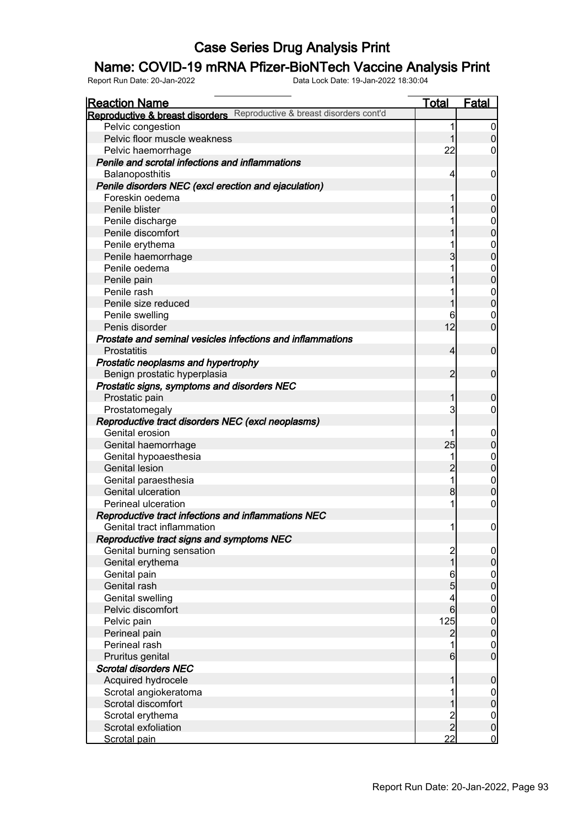## Name: COVID-19 mRNA Pfizer-BioNTech Vaccine Analysis Print

| <u>Reaction Name</u>                                                   | Total                                 | <b>Fatal</b>                     |
|------------------------------------------------------------------------|---------------------------------------|----------------------------------|
| Reproductive & breast disorders Reproductive & breast disorders cont'd |                                       |                                  |
| Pelvic congestion                                                      | 1                                     | 0                                |
| Pelvic floor muscle weakness                                           |                                       | $\overline{0}$                   |
| Pelvic haemorrhage                                                     | 22                                    | 0                                |
| Penile and scrotal infections and inflammations                        |                                       |                                  |
| Balanoposthitis                                                        | 4                                     | 0                                |
| Penile disorders NEC (excl erection and ejaculation)                   |                                       |                                  |
| Foreskin oedema                                                        |                                       | 0                                |
| Penile blister                                                         | 1                                     | $\mathbf 0$                      |
| Penile discharge                                                       |                                       | $\mathbf 0$                      |
| Penile discomfort                                                      |                                       | $\overline{0}$                   |
| Penile erythema                                                        | 1                                     | $\mathbf 0$                      |
| Penile haemorrhage                                                     | $\overline{3}$                        | $\overline{0}$                   |
| Penile oedema                                                          | 1                                     | $\mathbf 0$                      |
| Penile pain                                                            | 1                                     | $\mathbf 0$                      |
| Penile rash                                                            | 1                                     | $\mathbf 0$                      |
| Penile size reduced                                                    | 1                                     | $\overline{0}$                   |
| Penile swelling                                                        | 6                                     | $\mathbf 0$                      |
| Penis disorder                                                         | 12                                    | $\overline{0}$                   |
| Prostate and seminal vesicles infections and inflammations             |                                       |                                  |
| <b>Prostatitis</b>                                                     | $\overline{4}$                        | $\overline{0}$                   |
| Prostatic neoplasms and hypertrophy                                    |                                       |                                  |
| Benign prostatic hyperplasia                                           | $\overline{2}$                        | $\overline{0}$                   |
| Prostatic signs, symptoms and disorders NEC                            |                                       |                                  |
| Prostatic pain                                                         | 1                                     | $\mathbf 0$                      |
| Prostatomegaly                                                         | $\overline{3}$                        | 0                                |
| Reproductive tract disorders NEC (excl neoplasms)                      |                                       |                                  |
| Genital erosion                                                        |                                       | 0                                |
| Genital haemorrhage                                                    | 25                                    | $\overline{0}$                   |
| Genital hypoaesthesia                                                  | 1                                     | $\mathbf 0$                      |
| <b>Genital lesion</b>                                                  | $\overline{2}$                        | $\mathbf 0$                      |
| Genital paraesthesia                                                   | 1                                     | $\mathbf 0$                      |
| Genital ulceration                                                     | $\mathbf{8}$                          | $\overline{0}$                   |
| Perineal ulceration                                                    |                                       | 0                                |
| Reproductive tract infections and inflammations NEC                    |                                       |                                  |
| Genital tract inflammation                                             | 1                                     | $\overline{0}$                   |
|                                                                        |                                       |                                  |
| Reproductive tract signs and symptoms NEC                              |                                       |                                  |
| Genital burning sensation                                              | $\begin{array}{c} 2 \\ 1 \end{array}$ | $\overline{0}$<br>$\overline{0}$ |
| Genital erythema                                                       |                                       |                                  |
| Genital pain                                                           | $\boldsymbol{6}$<br>5                 | $0\atop 0$                       |
| Genital rash                                                           |                                       |                                  |
| Genital swelling                                                       | 4                                     | $0$<br>0                         |
| Pelvic discomfort                                                      | 6                                     |                                  |
| Pelvic pain                                                            | 125                                   | $0$<br>0                         |
| Perineal pain                                                          | $\overline{c}$                        |                                  |
| Perineal rash                                                          | 1                                     | $\mathbf 0$<br>$\overline{0}$    |
| Pruritus genital                                                       | $6 \overline{6}$                      |                                  |
| <b>Scrotal disorders NEC</b>                                           |                                       |                                  |
| Acquired hydrocele                                                     | 1                                     | $\mathbf 0$                      |
| Scrotal angiokeratoma                                                  |                                       | $\overline{0}$                   |
| Scrotal discomfort                                                     |                                       | $\overline{0}$                   |
| Scrotal erythema                                                       | $\frac{2}{2}$                         | $\boldsymbol{0}$                 |
| Scrotal exfoliation                                                    |                                       | $\overline{0}$                   |
| Scrotal pain                                                           | 22                                    | $\overline{0}$                   |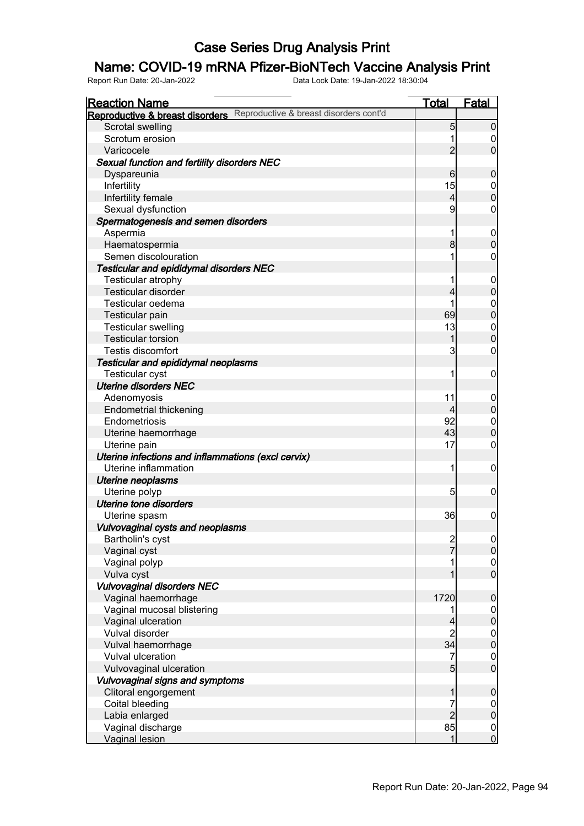## Name: COVID-19 mRNA Pfizer-BioNTech Vaccine Analysis Print

| <u>Reaction Name</u>                                                   | <u>Total</u>   | <b>Fatal</b>     |
|------------------------------------------------------------------------|----------------|------------------|
| Reproductive & breast disorders Reproductive & breast disorders cont'd |                |                  |
| Scrotal swelling                                                       | 5              | $\overline{0}$   |
| Scrotum erosion                                                        |                | 0                |
| Varicocele                                                             | $\overline{2}$ | $\overline{0}$   |
| Sexual function and fertility disorders NEC                            |                |                  |
| Dyspareunia                                                            | 6              | $\mathbf 0$      |
| Infertility                                                            | 15             | $\mathbf 0$      |
| Infertility female                                                     | 4              | $\overline{0}$   |
| Sexual dysfunction                                                     | 9              | 0                |
| Spermatogenesis and semen disorders                                    |                |                  |
| Aspermia                                                               | 1              | $\mathbf 0$      |
| Haematospermia                                                         | 8              | $\overline{0}$   |
| Semen discolouration                                                   |                | 0                |
| <b>Testicular and epididymal disorders NEC</b>                         |                |                  |
| Testicular atrophy                                                     |                | $\mathbf 0$      |
| Testicular disorder                                                    | 4              | $\overline{0}$   |
| Testicular oedema                                                      |                | $\mathbf 0$      |
| Testicular pain                                                        | 69             | $\overline{0}$   |
| <b>Testicular swelling</b>                                             | 13             | $\mathbf 0$      |
| <b>Testicular torsion</b>                                              | 1              | $\overline{0}$   |
| <b>Testis discomfort</b>                                               | 3              | $\mathbf 0$      |
| Testicular and epididymal neoplasms                                    |                |                  |
| Testicular cyst                                                        |                | $\mathbf 0$      |
| <b>Uterine disorders NEC</b>                                           |                |                  |
| Adenomyosis                                                            | 11             | $\mathbf 0$      |
| <b>Endometrial thickening</b>                                          | 4              | $\overline{0}$   |
| Endometriosis                                                          | 92             | $\mathbf 0$      |
| Uterine haemorrhage                                                    | 43             | $\overline{0}$   |
| Uterine pain                                                           | 17             | $\mathbf 0$      |
| Uterine infections and inflammations (excl cervix)                     |                |                  |
| Uterine inflammation                                                   | 1              | $\mathbf 0$      |
| <b>Uterine neoplasms</b>                                               |                |                  |
| Uterine polyp                                                          | 5              | 0                |
| <b>Uterine tone disorders</b>                                          |                |                  |
| Uterine spasm                                                          | 36             | $\boldsymbol{0}$ |
| Vulvovaginal cysts and neoplasms                                       |                |                  |
| Bartholin's cyst                                                       |                | 0                |
| Vaginal cyst                                                           | $\frac{2}{7}$  | $\overline{0}$   |
| Vaginal polyp                                                          |                | $\mathbf 0$      |
| Vulva cyst                                                             |                | $\overline{0}$   |
| Vulvovaginal disorders NEC                                             |                |                  |
| Vaginal haemorrhage                                                    | 1720           | $\boldsymbol{0}$ |
| Vaginal mucosal blistering                                             |                | $\overline{0}$   |
| Vaginal ulceration                                                     | 4              | $\overline{0}$   |
| Vulval disorder                                                        | $\overline{c}$ |                  |
| Vulval haemorrhage                                                     | 34             | $0$<br>0         |
| Vulval ulceration                                                      | 7              | $\mathbf 0$      |
| Vulvovaginal ulceration                                                | 5              | $\overline{0}$   |
| Vulvovaginal signs and symptoms                                        |                |                  |
| Clitoral engorgement                                                   | 1              | $\boldsymbol{0}$ |
| Coital bleeding                                                        | 7              | $\overline{0}$   |
| Labia enlarged                                                         | $\overline{c}$ | $\overline{0}$   |
| Vaginal discharge                                                      | 85             | $\overline{0}$   |
| <b>Vaginal lesion</b>                                                  | 1              | $\overline{0}$   |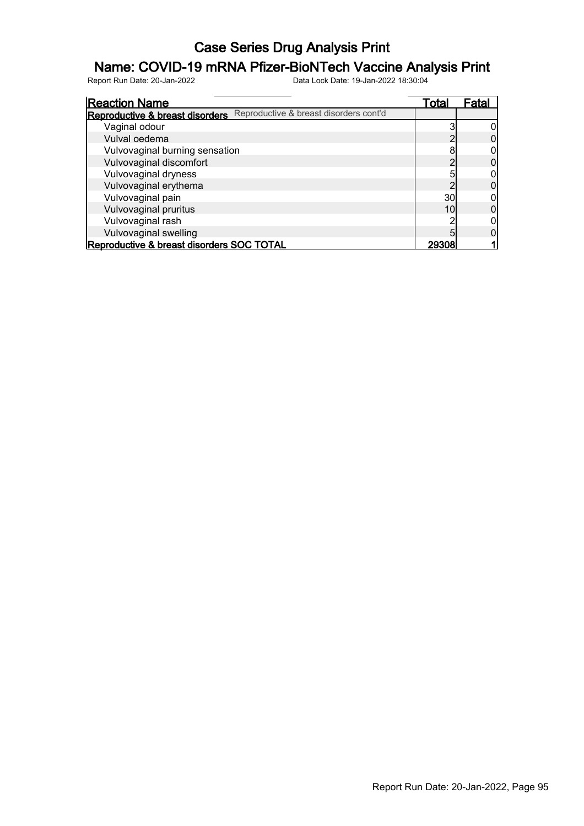## Name: COVID-19 mRNA Pfizer-BioNTech Vaccine Analysis Print

| <b>Reaction Name</b>                                                   | Total | Fatal |
|------------------------------------------------------------------------|-------|-------|
| Reproductive & breast disorders Reproductive & breast disorders cont'd |       |       |
| Vaginal odour                                                          |       |       |
| Vulval oedema                                                          |       |       |
| Vulvovaginal burning sensation                                         | 8     |       |
| Vulvovaginal discomfort                                                |       |       |
| Vulvovaginal dryness                                                   | 5     |       |
| Vulvovaginal erythema                                                  |       |       |
| Vulvovaginal pain                                                      | 30    |       |
| Vulvovaginal pruritus                                                  | 10    |       |
| Vulvovaginal rash                                                      |       |       |
| Vulvovaginal swelling                                                  |       |       |
| Reproductive & breast disorders SOC TOTAL                              | 29308 |       |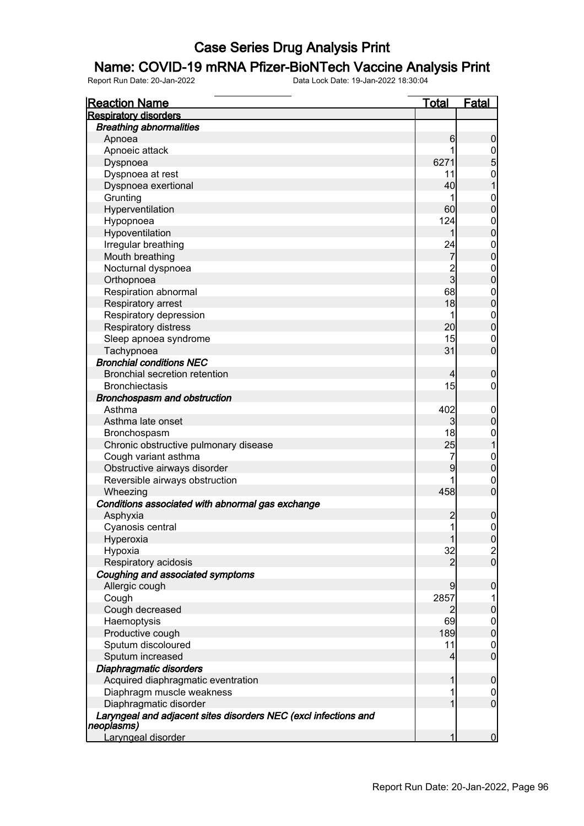#### Name: COVID-19 mRNA Pfizer-BioNTech Vaccine Analysis Print

| <u>Reaction Name</u>                                                          | <b>Total</b>   | <b>Fatal</b>                         |
|-------------------------------------------------------------------------------|----------------|--------------------------------------|
| <b>Respiratory disorders</b>                                                  |                |                                      |
| <b>Breathing abnormalities</b>                                                |                |                                      |
| Apnoea                                                                        | 6              | $\mathbf 0$                          |
| Apnoeic attack                                                                | 1              | $\frac{0}{5}$                        |
| Dyspnoea                                                                      | 6271           |                                      |
| Dyspnoea at rest                                                              | 11             |                                      |
| Dyspnoea exertional                                                           | 40             | $\begin{matrix} 0 \\ 1 \end{matrix}$ |
| Grunting                                                                      | 1              |                                      |
| Hyperventilation                                                              | 60             | $\begin{matrix}0\\0\end{matrix}$     |
| Hypopnoea                                                                     | 124            |                                      |
| Hypoventilation                                                               | 1              | $\begin{matrix}0\\0\end{matrix}$     |
| Irregular breathing                                                           | 24             |                                      |
| Mouth breathing                                                               | $\overline{7}$ | $\begin{matrix}0\\0\end{matrix}$     |
| Nocturnal dyspnoea                                                            | $\overline{2}$ |                                      |
| Orthopnoea                                                                    | $\overline{3}$ | $0\atop 0$                           |
| Respiration abnormal                                                          | 68             |                                      |
| Respiratory arrest                                                            | 18             | $0\atop 0$                           |
| Respiratory depression                                                        | 1              |                                      |
| Respiratory distress                                                          | 20             | $0\atop 0$                           |
| Sleep apnoea syndrome                                                         | 15             |                                      |
| Tachypnoea                                                                    | 31             | $\begin{matrix}0\\0\end{matrix}$     |
| <b>Bronchial conditions NEC</b>                                               |                |                                      |
| <b>Bronchial secretion retention</b>                                          |                |                                      |
|                                                                               | 4<br>15        | $\boldsymbol{0}$                     |
| <b>Bronchiectasis</b>                                                         |                | $\mathbf 0$                          |
| <b>Bronchospasm and obstruction</b>                                           |                |                                      |
| Asthma                                                                        | 402            | $0\atop 0$                           |
| Asthma late onset                                                             | 3              |                                      |
| Bronchospasm                                                                  | 18             | $\begin{matrix} 0 \\ 1 \end{matrix}$ |
| Chronic obstructive pulmonary disease                                         | 25             |                                      |
| Cough variant asthma                                                          | 7              | $0\atop 0$                           |
| Obstructive airways disorder                                                  | 9              |                                      |
| Reversible airways obstruction                                                | 1              | $\begin{matrix}0\\0\end{matrix}$     |
| Wheezing                                                                      | 458            |                                      |
| Conditions associated with abnormal gas exchange                              |                |                                      |
| Asphyxia                                                                      | $\overline{c}$ | $\pmb{0}$                            |
| Cyanosis central                                                              | $\mathbf{1}$   | $\mathsf{O}\xspace$                  |
| Hyperoxia                                                                     | 1              | 0                                    |
| Hypoxia                                                                       | 32             | $\frac{2}{0}$                        |
| Respiratory acidosis                                                          | $\overline{2}$ |                                      |
| Coughing and associated symptoms                                              |                |                                      |
| Allergic cough                                                                | 9              | 0                                    |
| Cough                                                                         | 2857           | 1                                    |
| Cough decreased                                                               | $\overline{2}$ | $\pmb{0}$                            |
| Haemoptysis                                                                   | 69             |                                      |
| Productive cough                                                              | 189            | $0\atop 0$                           |
| Sputum discoloured                                                            | 11             | $\boldsymbol{0}$                     |
| Sputum increased                                                              | 4              | $\overline{0}$                       |
| Diaphragmatic disorders                                                       |                |                                      |
| Acquired diaphragmatic eventration                                            | 1              | $\mathbf 0$                          |
| Diaphragm muscle weakness                                                     | 1              | $\overline{0}$                       |
| Diaphragmatic disorder                                                        | 1              | $\overline{0}$                       |
| Laryngeal and adjacent sites disorders NEC (excl infections and<br>neoplasms) |                |                                      |
| Laryngeal disorder                                                            |                | $\overline{0}$                       |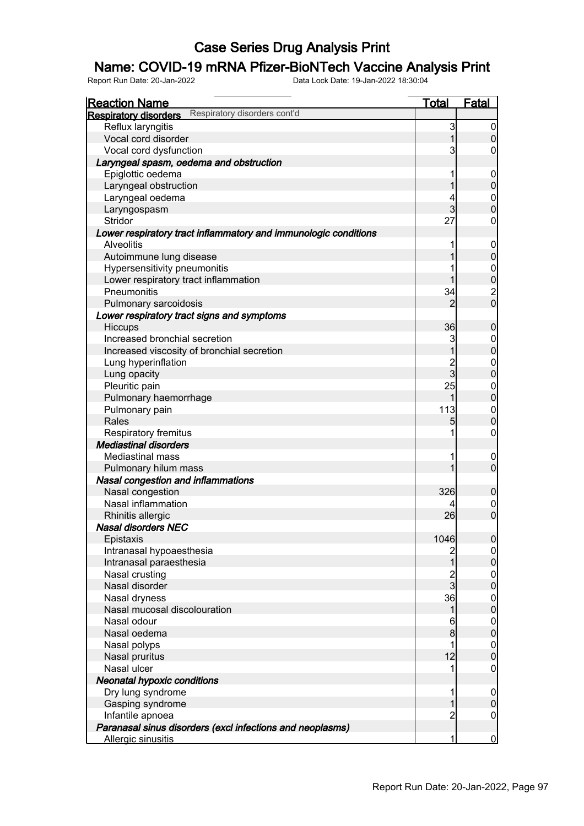# **Name: COVID-19 mRNA Pfizer-BioNTech Vaccine Analysis Print**<br>Report Run Date: 20-Jan-2022<br>Data Lock Date: 19-Jan-2022 18:30:04

Report Run Date: 20-Jan-2022 Data Lock Date: 19-Jan-2022 18:30:04

Reaction Name Total Fatal **Respiratory disorders** Respiratory disorders cont'd Reflux laryngitis and the set of the set of the set of the set of the set of the set of the set of the set of the set of the set of the set of the set of the set of the set of the set of the set of the set of the set of th Vocal cord disorder  $\begin{array}{|c|c|c|c|c|}\n\hline\n\text{Vocal cord dysfunction} & & & & & & & & & & & & & 1 & 0 \\
\hline\n\text{Vocal cord dysfunction} & & & & & & & & & & & & & & & 3 & 0\n\end{array}$ Vocal cord dysfunction Laryngeal spasm, oedema and obstruction Epiglottic oedema 1 0<br>
Larvnqeal obstruction 1 0<br>
0 Laryngeal obstruction and the control of the control of the control of the control of the control of the control of the control of the control of the control of the control of the control of the control of the control of t Laryngeal oedema 1988 | 1989 | 1989 | 1989 | 1989 | 1989 | 1989 | 1989 | 1989 | 1989 | 1989 | 1989 | 1989 | 19<br>Laryngospasm 1988 | 1989 | 1989 | 1989 | 1989 | 1989 | 1989 | 1989 | 1989 | 1989 | 1989 | 1989 | 1989 | 1989 | Laryngospasm 3 0<br>Stridor 3 0<br>Stridor 27 0 Stridor 27 0 Lower respiratory tract inflammatory and immunologic conditions Alveolitis 1 0 Autoimmune lung disease 1 0 Hypersensitivity pneumonitis development of the state of the state of the state of the state of the state of the state of the state of the state of the state of the state of the state of the state of the state of the state Lower respiratory tract inflammation<br>
Pneumonitis 1 0<br>
2 1<br>
2 Pneumonitis 34 2 Pulmonary sarcoidosis 2 0 Lower respiratory tract signs and symptoms Hiccups 36 0 Increased bronchial secretion<br>
Increased viscosity of bronchial secretion<br>
0 Increased viscosity of bronchial secretion<br>
Lung hyperinflation 
2 0 Lung hyperinflation and the control of the control of the control of the control of the control of the control of the control of the control of the control of the control of the control of the control of the control of the Lung opacity and the control of the control of the control of the control of the control of the control of the control of the control of the control of the control of the control of the control of the control of the contro Pleuritic pain and the pain of the painting of the painting of the painting of the painting of the painting of the painting of the painting of the painting of the painting of the painting of the painting of the painting of Pulmonary haemorrhage 1 0 Pulmonary pain 113 Rales  $\begin{bmatrix} 5 \end{bmatrix}$  0 Respiratory fremitus **1** 0 Mediastinal disorders Mediastinal mass  $\begin{array}{ccc} 1 & 0 \\ 0 & 1 \end{array}$  Pulmonary hilum mass 1 0 Nasal congestion and inflammations Nasal congestion 326 0 Nasal inflammation and the control of the control of the control of the control of the control of the control o Rhinitis allergic 26 0 Nasal disorders NEC Epistaxis 1046 0 Intranasal hypoaesthesia 2 0 Intranasal paraesthesia 1 0<br>Nasal crusting 1 0<br>Nasal crusting 1 0 Nasal crusting 2 0 Nasal disorder 3 0 Nasal dryness 36 0 Nasal mucosal discolouration in the control of the control of the control of the control of the control of the control of the control of the control of the control of the control of the control of the control of the contro Nasal odour 6 0 Nasal oedema 8 0 Nasal polyps 1 0<br>Nasal pruritus 12 0 Nasal pruritus 12 0 Nasal ulcer 1 0 Neonatal hypoxic conditions Dry lung syndrome<br>
Gasping syndrome<br>
Gasping syndrome Gasping syndrome 1 0 Infantile apnoea 2 0 Paranasal sinus disorders (excl infections and neoplasms) Allergic sinusitis and the contract of the contract of the contract of the contract of the contract of the contract of the contract of the contract of the contract of the contract of the contract of the contract of the con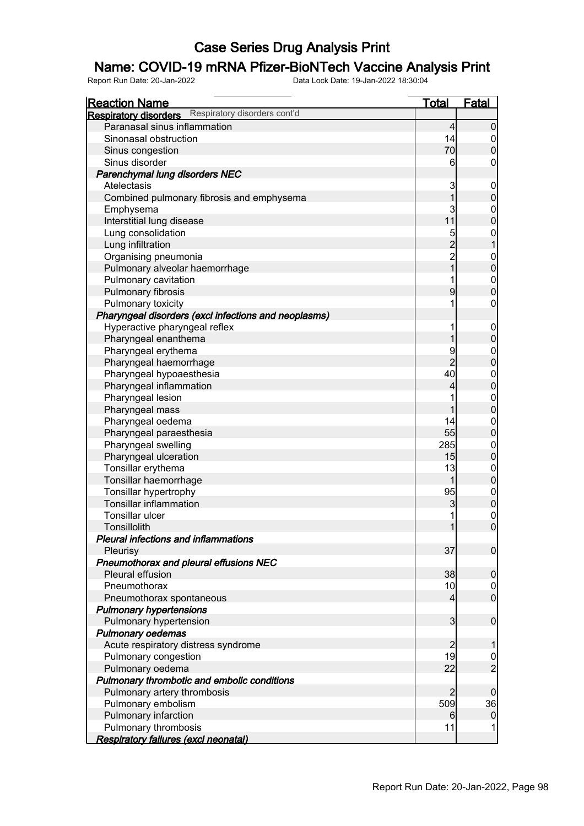## Name: COVID-19 mRNA Pfizer-BioNTech Vaccine Analysis Print

| <b>Reaction Name</b>                                         | <u>Total</u>         | Fatal                                |
|--------------------------------------------------------------|----------------------|--------------------------------------|
| Respiratory disorders cont'd<br><b>Respiratory disorders</b> |                      |                                      |
| Paranasal sinus inflammation                                 | $\overline{4}$       | $\boldsymbol{0}$                     |
| Sinonasal obstruction                                        | 14                   |                                      |
| Sinus congestion                                             | 70                   | $\begin{matrix} 0 \\ 0 \end{matrix}$ |
| Sinus disorder                                               | 6                    | $\boldsymbol{0}$                     |
| Parenchymal lung disorders NEC                               |                      |                                      |
| Atelectasis                                                  | 3                    |                                      |
| Combined pulmonary fibrosis and emphysema                    | 1                    | $0\atop 0$                           |
| Emphysema                                                    | 3                    |                                      |
| Interstitial lung disease                                    | 11                   | $\begin{matrix}0\\0\end{matrix}$     |
| Lung consolidation                                           |                      |                                      |
| Lung infiltration                                            | 5<br>2<br>2<br>1     | $\begin{matrix} 0 \\ 1 \end{matrix}$ |
| Organising pneumonia                                         |                      |                                      |
| Pulmonary alveolar haemorrhage                               |                      | $0\atop 0$                           |
| Pulmonary cavitation                                         | 1                    |                                      |
| Pulmonary fibrosis                                           | 9                    | $\begin{matrix}0\\0\end{matrix}$     |
| Pulmonary toxicity                                           | 1                    | $\boldsymbol{0}$                     |
| Pharyngeal disorders (excl infections and neoplasms)         |                      |                                      |
| Hyperactive pharyngeal reflex                                | 1                    |                                      |
| Pharyngeal enanthema                                         | 1                    | $0\atop 0$                           |
| Pharyngeal erythema                                          | 9                    |                                      |
| Pharyngeal haemorrhage                                       | $\overline{2}$       | $0\atop 0$                           |
| Pharyngeal hypoaesthesia                                     | 40                   |                                      |
| Pharyngeal inflammation                                      | 4                    | $0$<br>0                             |
| Pharyngeal lesion                                            | 1                    |                                      |
| Pharyngeal mass                                              | 1                    | $0\atop 0$                           |
| Pharyngeal oedema                                            | 14                   |                                      |
| Pharyngeal paraesthesia                                      | 55                   | $0$<br>0                             |
| Pharyngeal swelling                                          | 285                  |                                      |
| Pharyngeal ulceration                                        | 15                   | $0$<br>0                             |
| Tonsillar erythema                                           | 13                   |                                      |
| Tonsillar haemorrhage                                        | 1                    | $0$<br>0                             |
| Tonsillar hypertrophy                                        | 95                   |                                      |
| <b>Tonsillar inflammation</b>                                | 3                    | 000                                  |
| Tonsillar ulcer                                              | 1                    |                                      |
| Tonsillolith                                                 | 1                    |                                      |
| Pleural infections and inflammations                         |                      |                                      |
| Pleurisy                                                     | 37                   | $\overline{0}$                       |
| Pneumothorax and pleural effusions NEC                       |                      |                                      |
| Pleural effusion                                             | 38                   | $\mathbf 0$                          |
| Pneumothorax                                                 | 10                   |                                      |
| Pneumothorax spontaneous                                     | 4                    | $\begin{matrix} 0 \\ 0 \end{matrix}$ |
| <b>Pulmonary hypertensions</b>                               |                      |                                      |
| Pulmonary hypertension                                       | 3                    | $\boldsymbol{0}$                     |
| <b>Pulmonary oedemas</b>                                     |                      |                                      |
| Acute respiratory distress syndrome                          |                      | 1                                    |
| Pulmonary congestion                                         | $\overline{c}$<br>19 |                                      |
|                                                              | 22                   | $\frac{0}{2}$                        |
| Pulmonary oedema                                             |                      |                                      |
| Pulmonary thrombotic and embolic conditions                  |                      |                                      |
| Pulmonary artery thrombosis                                  | 2<br>509             | 0                                    |
| Pulmonary embolism                                           |                      | 36                                   |
| Pulmonary infarction                                         | 6                    | $\mathbf 0$                          |
| Pulmonary thrombosis                                         | 11                   | 1                                    |
| <b>Respiratory failures (excl neonatal)</b>                  |                      |                                      |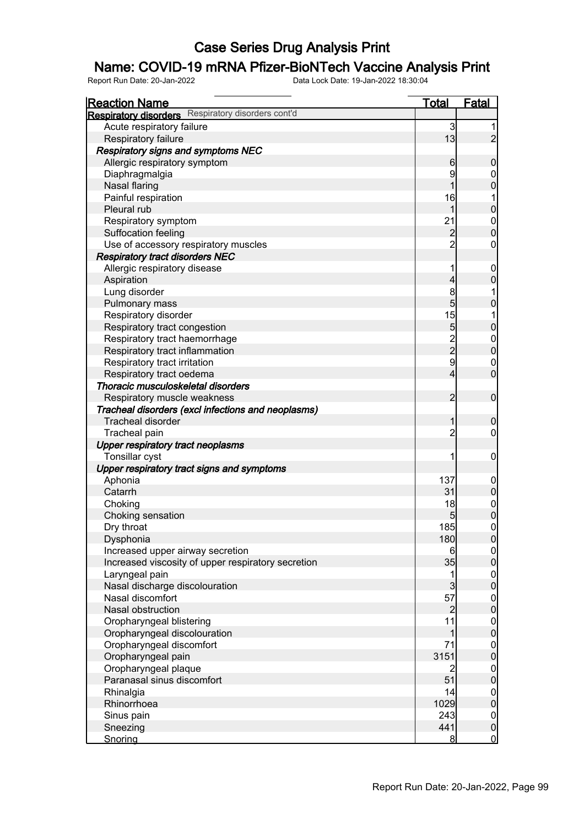## Name: COVID-19 mRNA Pfizer-BioNTech Vaccine Analysis Print

| <b>Respiratory disorders</b> Respiratory disorders cont'd<br>Acute respiratory failure<br>3<br>1<br>13<br>$\overline{c}$<br>Respiratory failure<br><b>Respiratory signs and symptoms NEC</b><br>Allergic respiratory symptom<br>$\mathbf 0$<br>6<br>9<br>Diaphragmalgia<br>$\mathbf 0$<br>$\overline{0}$<br>Nasal flaring<br>1<br>Painful respiration<br>16<br>1<br>$\mathbf 0$<br>Pleural rub<br>1<br>21<br>$\begin{matrix}0\\0\end{matrix}$<br>Respiratory symptom<br>Suffocation feeling<br>$\overline{a}$<br>$\overline{2}$<br>Use of accessory respiratory muscles<br>$\mathbf 0$<br><b>Respiratory tract disorders NEC</b><br>Allergic respiratory disease<br>1<br>$\mathbf 0$<br>$\boldsymbol{0}$<br>Aspiration<br>4<br>8<br>Lung disorder<br>1<br>5<br>Pulmonary mass<br>$\pmb{0}$<br>15<br>1<br>Respiratory disorder<br>$\mathbf 0$<br>5<br>Respiratory tract congestion<br>$\frac{2}{2}$<br>$\begin{matrix}0\\0\end{matrix}$<br>Respiratory tract haemorrhage<br>Respiratory tract inflammation |
|-----------------------------------------------------------------------------------------------------------------------------------------------------------------------------------------------------------------------------------------------------------------------------------------------------------------------------------------------------------------------------------------------------------------------------------------------------------------------------------------------------------------------------------------------------------------------------------------------------------------------------------------------------------------------------------------------------------------------------------------------------------------------------------------------------------------------------------------------------------------------------------------------------------------------------------------------------------------------------------------------------------|
|                                                                                                                                                                                                                                                                                                                                                                                                                                                                                                                                                                                                                                                                                                                                                                                                                                                                                                                                                                                                           |
|                                                                                                                                                                                                                                                                                                                                                                                                                                                                                                                                                                                                                                                                                                                                                                                                                                                                                                                                                                                                           |
|                                                                                                                                                                                                                                                                                                                                                                                                                                                                                                                                                                                                                                                                                                                                                                                                                                                                                                                                                                                                           |
|                                                                                                                                                                                                                                                                                                                                                                                                                                                                                                                                                                                                                                                                                                                                                                                                                                                                                                                                                                                                           |
|                                                                                                                                                                                                                                                                                                                                                                                                                                                                                                                                                                                                                                                                                                                                                                                                                                                                                                                                                                                                           |
|                                                                                                                                                                                                                                                                                                                                                                                                                                                                                                                                                                                                                                                                                                                                                                                                                                                                                                                                                                                                           |
|                                                                                                                                                                                                                                                                                                                                                                                                                                                                                                                                                                                                                                                                                                                                                                                                                                                                                                                                                                                                           |
|                                                                                                                                                                                                                                                                                                                                                                                                                                                                                                                                                                                                                                                                                                                                                                                                                                                                                                                                                                                                           |
|                                                                                                                                                                                                                                                                                                                                                                                                                                                                                                                                                                                                                                                                                                                                                                                                                                                                                                                                                                                                           |
|                                                                                                                                                                                                                                                                                                                                                                                                                                                                                                                                                                                                                                                                                                                                                                                                                                                                                                                                                                                                           |
|                                                                                                                                                                                                                                                                                                                                                                                                                                                                                                                                                                                                                                                                                                                                                                                                                                                                                                                                                                                                           |
|                                                                                                                                                                                                                                                                                                                                                                                                                                                                                                                                                                                                                                                                                                                                                                                                                                                                                                                                                                                                           |
|                                                                                                                                                                                                                                                                                                                                                                                                                                                                                                                                                                                                                                                                                                                                                                                                                                                                                                                                                                                                           |
|                                                                                                                                                                                                                                                                                                                                                                                                                                                                                                                                                                                                                                                                                                                                                                                                                                                                                                                                                                                                           |
|                                                                                                                                                                                                                                                                                                                                                                                                                                                                                                                                                                                                                                                                                                                                                                                                                                                                                                                                                                                                           |
|                                                                                                                                                                                                                                                                                                                                                                                                                                                                                                                                                                                                                                                                                                                                                                                                                                                                                                                                                                                                           |
|                                                                                                                                                                                                                                                                                                                                                                                                                                                                                                                                                                                                                                                                                                                                                                                                                                                                                                                                                                                                           |
|                                                                                                                                                                                                                                                                                                                                                                                                                                                                                                                                                                                                                                                                                                                                                                                                                                                                                                                                                                                                           |
|                                                                                                                                                                                                                                                                                                                                                                                                                                                                                                                                                                                                                                                                                                                                                                                                                                                                                                                                                                                                           |
|                                                                                                                                                                                                                                                                                                                                                                                                                                                                                                                                                                                                                                                                                                                                                                                                                                                                                                                                                                                                           |
|                                                                                                                                                                                                                                                                                                                                                                                                                                                                                                                                                                                                                                                                                                                                                                                                                                                                                                                                                                                                           |
| $\mathsf{g}$<br>$\mathbf{0}$<br>Respiratory tract irritation                                                                                                                                                                                                                                                                                                                                                                                                                                                                                                                                                                                                                                                                                                                                                                                                                                                                                                                                              |
| $\overline{0}$<br>Respiratory tract oedema<br>4                                                                                                                                                                                                                                                                                                                                                                                                                                                                                                                                                                                                                                                                                                                                                                                                                                                                                                                                                           |
| Thoracic musculoskeletal disorders                                                                                                                                                                                                                                                                                                                                                                                                                                                                                                                                                                                                                                                                                                                                                                                                                                                                                                                                                                        |
| $\overline{2}$<br>$\mathbf 0$<br>Respiratory muscle weakness                                                                                                                                                                                                                                                                                                                                                                                                                                                                                                                                                                                                                                                                                                                                                                                                                                                                                                                                              |
| Tracheal disorders (excl infections and neoplasms)                                                                                                                                                                                                                                                                                                                                                                                                                                                                                                                                                                                                                                                                                                                                                                                                                                                                                                                                                        |
| <b>Tracheal disorder</b><br>$\mathbf 0$<br>1                                                                                                                                                                                                                                                                                                                                                                                                                                                                                                                                                                                                                                                                                                                                                                                                                                                                                                                                                              |
| $\overline{2}$<br>Tracheal pain<br>$\mathbf 0$                                                                                                                                                                                                                                                                                                                                                                                                                                                                                                                                                                                                                                                                                                                                                                                                                                                                                                                                                            |
| <b>Upper respiratory tract neoplasms</b>                                                                                                                                                                                                                                                                                                                                                                                                                                                                                                                                                                                                                                                                                                                                                                                                                                                                                                                                                                  |
| Tonsillar cyst<br>1<br>$\mathbf 0$                                                                                                                                                                                                                                                                                                                                                                                                                                                                                                                                                                                                                                                                                                                                                                                                                                                                                                                                                                        |
| Upper respiratory tract signs and symptoms                                                                                                                                                                                                                                                                                                                                                                                                                                                                                                                                                                                                                                                                                                                                                                                                                                                                                                                                                                |
| 137<br>Aphonia<br>$\mathbf 0$                                                                                                                                                                                                                                                                                                                                                                                                                                                                                                                                                                                                                                                                                                                                                                                                                                                                                                                                                                             |
| $\pmb{0}$<br>31<br>Catarrh                                                                                                                                                                                                                                                                                                                                                                                                                                                                                                                                                                                                                                                                                                                                                                                                                                                                                                                                                                                |
| Choking<br>18                                                                                                                                                                                                                                                                                                                                                                                                                                                                                                                                                                                                                                                                                                                                                                                                                                                                                                                                                                                             |
| $\begin{matrix} 0 \\ 0 \end{matrix}$<br>Choking sensation<br>5                                                                                                                                                                                                                                                                                                                                                                                                                                                                                                                                                                                                                                                                                                                                                                                                                                                                                                                                            |
| $\overline{0}$<br>185<br>Dry throat                                                                                                                                                                                                                                                                                                                                                                                                                                                                                                                                                                                                                                                                                                                                                                                                                                                                                                                                                                       |
| Dysphonia<br>180<br> 0                                                                                                                                                                                                                                                                                                                                                                                                                                                                                                                                                                                                                                                                                                                                                                                                                                                                                                                                                                                    |
| Increased upper airway secretion<br> 0 <br>6                                                                                                                                                                                                                                                                                                                                                                                                                                                                                                                                                                                                                                                                                                                                                                                                                                                                                                                                                              |
| $\overline{0}$<br>35<br>Increased viscosity of upper respiratory secretion                                                                                                                                                                                                                                                                                                                                                                                                                                                                                                                                                                                                                                                                                                                                                                                                                                                                                                                                |
| Laryngeal pain<br>1                                                                                                                                                                                                                                                                                                                                                                                                                                                                                                                                                                                                                                                                                                                                                                                                                                                                                                                                                                                       |
| $\begin{matrix} 0 \\ 0 \end{matrix}$<br>$\mathbf{3}$<br>Nasal discharge discolouration                                                                                                                                                                                                                                                                                                                                                                                                                                                                                                                                                                                                                                                                                                                                                                                                                                                                                                                    |
| 57<br>Nasal discomfort                                                                                                                                                                                                                                                                                                                                                                                                                                                                                                                                                                                                                                                                                                                                                                                                                                                                                                                                                                                    |
| $\begin{matrix} 0 \\ 0 \end{matrix}$<br>$\overline{2}$<br>Nasal obstruction                                                                                                                                                                                                                                                                                                                                                                                                                                                                                                                                                                                                                                                                                                                                                                                                                                                                                                                               |
| 11<br>Oropharyngeal blistering                                                                                                                                                                                                                                                                                                                                                                                                                                                                                                                                                                                                                                                                                                                                                                                                                                                                                                                                                                            |
| $0\atop 0$<br>Oropharyngeal discolouration<br>1                                                                                                                                                                                                                                                                                                                                                                                                                                                                                                                                                                                                                                                                                                                                                                                                                                                                                                                                                           |
| Oropharyngeal discomfort<br>71                                                                                                                                                                                                                                                                                                                                                                                                                                                                                                                                                                                                                                                                                                                                                                                                                                                                                                                                                                            |
| $0\atop 0$<br>Oropharyngeal pain<br>3151                                                                                                                                                                                                                                                                                                                                                                                                                                                                                                                                                                                                                                                                                                                                                                                                                                                                                                                                                                  |
| Oropharyngeal plaque<br>$\overline{2}$                                                                                                                                                                                                                                                                                                                                                                                                                                                                                                                                                                                                                                                                                                                                                                                                                                                                                                                                                                    |
| $0\atop 0$<br>Paranasal sinus discomfort<br>51                                                                                                                                                                                                                                                                                                                                                                                                                                                                                                                                                                                                                                                                                                                                                                                                                                                                                                                                                            |
| 14                                                                                                                                                                                                                                                                                                                                                                                                                                                                                                                                                                                                                                                                                                                                                                                                                                                                                                                                                                                                        |
| Rhinalgia<br>$0\atop 0$<br>Rhinorrhoea<br>1029                                                                                                                                                                                                                                                                                                                                                                                                                                                                                                                                                                                                                                                                                                                                                                                                                                                                                                                                                            |
| 243                                                                                                                                                                                                                                                                                                                                                                                                                                                                                                                                                                                                                                                                                                                                                                                                                                                                                                                                                                                                       |
| Sinus pain<br>$\boldsymbol{0}$<br>$\overline{0}$<br>441<br>Sneezing                                                                                                                                                                                                                                                                                                                                                                                                                                                                                                                                                                                                                                                                                                                                                                                                                                                                                                                                       |
| $\overline{0}$<br>Snoring<br>8                                                                                                                                                                                                                                                                                                                                                                                                                                                                                                                                                                                                                                                                                                                                                                                                                                                                                                                                                                            |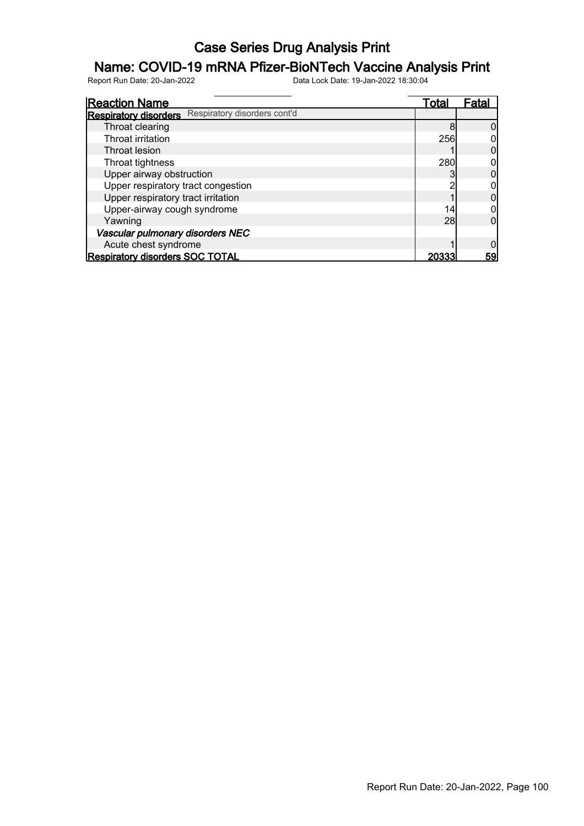## Name: COVID-19 mRNA Pfizer-BioNTech Vaccine Analysis Print

| <b>Reaction Name</b>                                         | Total | Fatal     |
|--------------------------------------------------------------|-------|-----------|
| Respiratory disorders cont'd<br><b>Respiratory disorders</b> |       |           |
| Throat clearing                                              | 8     |           |
| Throat irritation                                            | 256   |           |
| Throat lesion                                                |       |           |
| Throat tightness                                             | 280   |           |
| Upper airway obstruction                                     |       |           |
| Upper respiratory tract congestion                           |       |           |
| Upper respiratory tract irritation                           |       |           |
| Upper-airway cough syndrome                                  | 14    |           |
| Yawning                                                      | 28    |           |
| Vascular pulmonary disorders NEC                             |       |           |
| Acute chest syndrome                                         |       |           |
| <b>Respiratory disorders SOC TOTAL</b>                       | 20333 | <u>59</u> |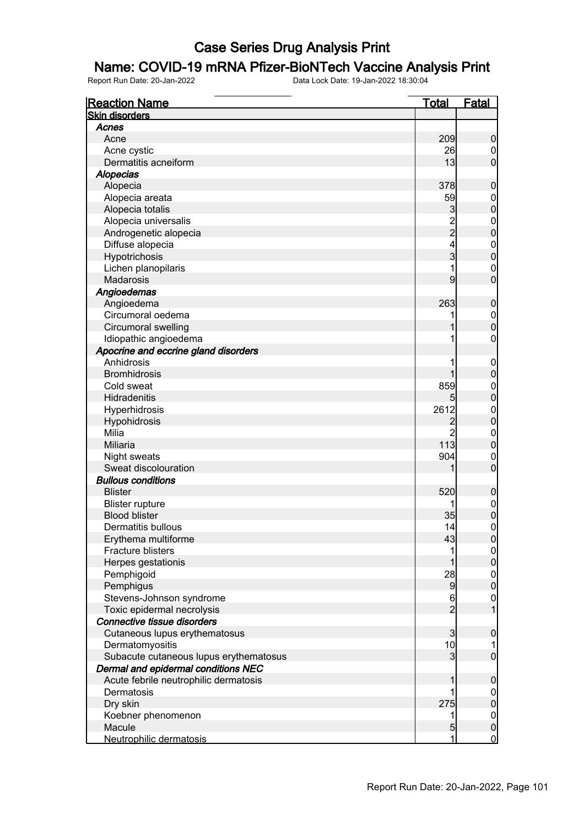#### Name: COVID-19 mRNA Pfizer-BioNTech Vaccine Analysis Print

| <b>Reaction Name</b>                   | <b>Total</b>   | <b>Fatal</b>                         |
|----------------------------------------|----------------|--------------------------------------|
| <b>Skin disorders</b>                  |                |                                      |
| Acnes                                  |                |                                      |
| Acne                                   | 209            | $\mathbf 0$                          |
| Acne cystic                            | 26             | $\boldsymbol{0}$                     |
| Dermatitis acneiform                   | 13             | $\overline{0}$                       |
| <b>Alopecias</b>                       |                |                                      |
| Alopecia                               | 378            | $\mathbf 0$                          |
| Alopecia areata                        | 59             | $\mathbf 0$                          |
| Alopecia totalis                       | 3              | $\mathbf 0$                          |
| Alopecia universalis                   | $\frac{2}{2}$  | $\mathbf 0$                          |
| Androgenetic alopecia                  |                | $\mathbf 0$                          |
| Diffuse alopecia                       | 4              | $\mathbf 0$                          |
| Hypotrichosis                          | 3              | $\mathbf 0$                          |
| Lichen planopilaris                    | 1              | $\mathbf 0$                          |
| <b>Madarosis</b>                       | 9              | $\overline{0}$                       |
| Angioedemas                            |                |                                      |
| Angioedema                             | 263            | $\mathbf 0$                          |
| Circumoral oedema                      |                | $\mathbf 0$                          |
| Circumoral swelling                    |                | $\mathbf 0$                          |
| Idiopathic angioedema                  |                | $\boldsymbol{0}$                     |
| Apocrine and eccrine gland disorders   |                |                                      |
| Anhidrosis                             |                | $\mathbf 0$                          |
| <b>Bromhidrosis</b>                    |                | $\mathbf 0$                          |
| Cold sweat                             | 859            | $\mathbf 0$                          |
| Hidradenitis                           | 5              | $\mathbf 0$                          |
| Hyperhidrosis                          | 2612           | $\mathbf 0$                          |
| Hypohidrosis                           | $\overline{c}$ | $\mathbf 0$                          |
| Milia                                  | $\overline{2}$ | $\mathbf 0$                          |
| Miliaria                               | 113            | $\mathbf 0$                          |
| Night sweats                           | 904            | $\mathbf 0$                          |
| Sweat discolouration                   |                | $\mathbf 0$                          |
| <b>Bullous conditions</b>              |                |                                      |
| <b>Blister</b>                         | 520            | $\mathbf 0$                          |
| <b>Blister rupture</b>                 |                | $\boldsymbol{0}$                     |
| <b>Blood blister</b>                   | 35             | $\mathbf 0$                          |
| Dermatitis bullous                     | 14             | $\mathbf 0$                          |
| Erythema multiforme                    | 43             | 0                                    |
| Fracture blisters                      | 1              | $\overline{0}$                       |
| Herpes gestationis                     |                | $\mathbf 0$                          |
| Pemphigoid                             | 28             |                                      |
| Pemphigus                              | 9              | $\begin{matrix} 0 \\ 0 \end{matrix}$ |
| Stevens-Johnson syndrome               | 6              | $\overline{0}$                       |
| Toxic epidermal necrolysis             | $\overline{2}$ | $\mathbf{1}$                         |
| Connective tissue disorders            |                |                                      |
| Cutaneous lupus erythematosus          | 3              | $\pmb{0}$                            |
| Dermatomyositis                        | 10             | 1                                    |
| Subacute cutaneous lupus erythematosus | 3              | $\boldsymbol{0}$                     |
| Dermal and epidermal conditions NEC    |                |                                      |
| Acute febrile neutrophilic dermatosis  | 1              | $\mathbf 0$                          |
| Dermatosis                             |                | $\overline{0}$                       |
| Dry skin                               | 275            | $\pmb{0}$                            |
| Koebner phenomenon                     | 1              | $\boldsymbol{0}$                     |
| Macule                                 | 5              | $\pmb{0}$                            |
| Neutrophilic dermatosis                | 1              | $\overline{0}$                       |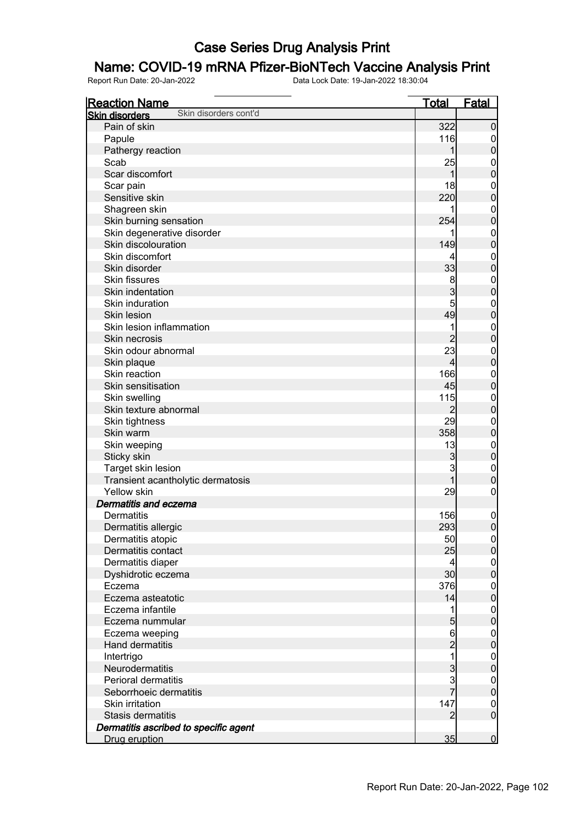## Name: COVID-19 mRNA Pfizer-BioNTech Vaccine Analysis Print

| <b>Reaction Name</b>                           | <b>Total</b>                               | <b>Fatal</b>     |
|------------------------------------------------|--------------------------------------------|------------------|
| Skin disorders cont'd<br><b>Skin disorders</b> |                                            |                  |
| Pain of skin                                   | 322                                        | $\mathbf 0$      |
| Papule                                         | 116                                        | $\overline{0}$   |
| Pathergy reaction                              | 1                                          | $\pmb{0}$        |
| Scab                                           | 25                                         | $\mathbf 0$      |
| Scar discomfort                                | 1                                          | $\mathbf 0$      |
| Scar pain                                      | 18                                         | $\mathbf{0}$     |
| Sensitive skin                                 | 220                                        | $\mathbf 0$      |
| Shagreen skin                                  |                                            | $\mathbf{0}$     |
| Skin burning sensation                         | 254                                        | $\mathbf 0$      |
| Skin degenerative disorder                     |                                            | $\mathbf{0}$     |
| Skin discolouration                            | 149                                        | $\mathbf 0$      |
| Skin discomfort                                | 4                                          | $\mathbf{0}$     |
| Skin disorder                                  | 33                                         | $\mathbf 0$      |
| <b>Skin fissures</b>                           | 8                                          | $\mathbf{0}$     |
| Skin indentation                               | 3                                          | $\mathbf 0$      |
| Skin induration                                | 5                                          | $\mathbf{0}$     |
| Skin lesion                                    | 49                                         | $\overline{0}$   |
| Skin lesion inflammation                       | 1                                          | $\mathbf{0}$     |
| Skin necrosis                                  | $\overline{2}$                             | $\overline{0}$   |
| Skin odour abnormal                            | 23                                         | $\mathbf{0}$     |
| Skin plaque                                    | $\overline{4}$                             | $\overline{0}$   |
| Skin reaction                                  | 166                                        | $\mathbf{0}$     |
| Skin sensitisation                             | 45                                         | $\mathbf 0$      |
| Skin swelling                                  | 115                                        | $\mathbf{0}$     |
| Skin texture abnormal                          | $\overline{2}$                             | $\bf{0}$         |
| Skin tightness                                 | 29                                         | $\mathbf{0}$     |
| Skin warm                                      | 358                                        | $\bf{0}$         |
| Skin weeping                                   | 13                                         | $\mathbf{0}$     |
| Sticky skin                                    | $\mathbf{3}$                               | $\bf{0}$         |
| Target skin lesion                             | 3                                          | $\mathbf{0}$     |
| Transient acantholytic dermatosis              | 1                                          | $\mathbf 0$      |
| Yellow skin                                    | 29                                         | $\boldsymbol{0}$ |
| Dermatitis and eczema                          |                                            |                  |
| <b>Dermatitis</b>                              | 156                                        | $\mathbf 0$      |
| Dermatitis allergic                            | 293                                        | $\boldsymbol{0}$ |
| Dermatitis atopic                              | 50                                         | 0                |
| Dermatitis contact                             | 25                                         | 0                |
| Dermatitis diaper                              | $\overline{4}$                             | $\overline{0}$   |
| Dyshidrotic eczema                             | 30                                         | $\overline{0}$   |
| Eczema                                         | 376                                        | $\boldsymbol{0}$ |
| Eczema asteatotic                              | 14                                         | $\overline{0}$   |
| Eczema infantile                               | 1                                          | $\boldsymbol{0}$ |
| Eczema nummular                                | 5                                          | $\mathbf 0$      |
| Eczema weeping                                 | $6\overline{6}$                            | $\boldsymbol{0}$ |
| <b>Hand dermatitis</b>                         | $\overline{2}$                             | $\overline{0}$   |
| Intertrigo                                     | $\overline{1}$                             | $\boldsymbol{0}$ |
| Neurodermatitis                                | $\begin{array}{c} 3 \\ 3 \\ 7 \end{array}$ | $\mathbf 0$      |
| <b>Perioral dermatitis</b>                     |                                            | $\boldsymbol{0}$ |
| Seborrhoeic dermatitis                         |                                            | $\mathbf 0$      |
| Skin irritation                                | 147                                        | $\boldsymbol{0}$ |
| Stasis dermatitis                              | $\overline{2}$                             | $\boldsymbol{0}$ |
| Dermatitis ascribed to specific agent          |                                            |                  |
| Drug eruption                                  | 35                                         | $\mathbf 0$      |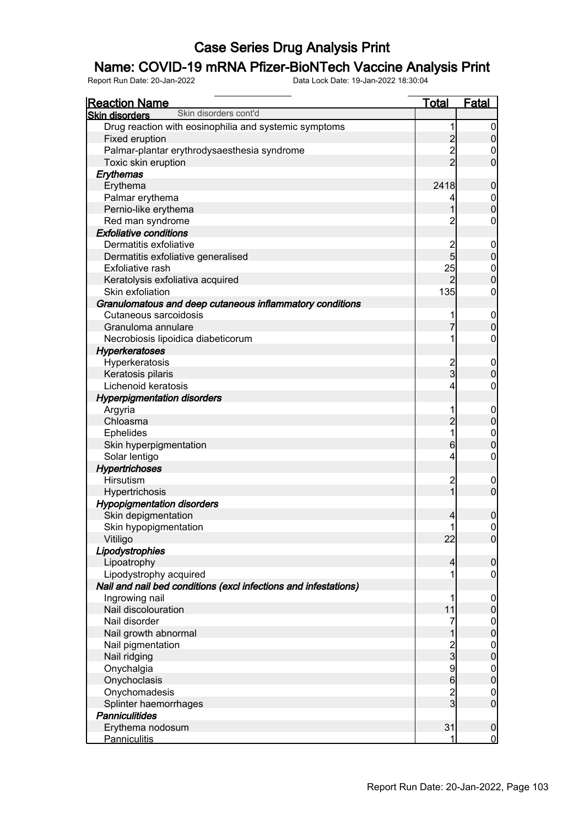## Name: COVID-19 mRNA Pfizer-BioNTech Vaccine Analysis Print

| <b>Reaction Name</b>                                            | <b>Total</b>                               | <b>Fatal</b>               |
|-----------------------------------------------------------------|--------------------------------------------|----------------------------|
| Skin disorders cont'd<br><b>Skin disorders</b>                  |                                            |                            |
| Drug reaction with eosinophilia and systemic symptoms           | 1                                          | 0                          |
| Fixed eruption                                                  |                                            | $\overline{0}$             |
| Palmar-plantar erythrodysaesthesia syndrome                     | $\begin{array}{c} 2 \\ 2 \\ 2 \end{array}$ | 0                          |
| Toxic skin eruption                                             |                                            | $\overline{0}$             |
| Erythemas                                                       |                                            |                            |
| Erythema                                                        | 2418                                       | $\mathbf 0$                |
| Palmar erythema                                                 | 4                                          | $\mathbf 0$                |
| Pernio-like erythema                                            | 1                                          | $\mathbf 0$                |
| Red man syndrome                                                | $\overline{c}$                             | $\mathbf 0$                |
| <b>Exfoliative conditions</b>                                   |                                            |                            |
| Dermatitis exfoliative                                          |                                            | 0                          |
| Dermatitis exfoliative generalised                              | 2<br>5                                     | $\boldsymbol{0}$           |
| Exfoliative rash                                                | 25                                         | $\mathbf 0$                |
| Keratolysis exfoliativa acquired                                | $\overline{2}$                             | $\overline{0}$             |
| Skin exfoliation                                                | 135                                        | $\mathbf 0$                |
| Granulomatous and deep cutaneous inflammatory conditions        |                                            |                            |
| Cutaneous sarcoidosis                                           | 1                                          | $\mathbf 0$                |
| Granuloma annulare                                              | 7                                          | $\overline{0}$             |
| Necrobiosis lipoidica diabeticorum                              | 1                                          | $\mathbf 0$                |
| <b>Hyperkeratoses</b>                                           |                                            |                            |
| Hyperkeratosis                                                  |                                            | 0                          |
| Keratosis pilaris                                               | 2<br>3                                     | $\mathbf 0$                |
| Lichenoid keratosis                                             | 4                                          | $\mathbf 0$                |
| <b>Hyperpigmentation disorders</b>                              |                                            |                            |
| Argyria                                                         | 1                                          | $\mathbf 0$                |
| Chloasma                                                        | $\overline{c}$                             | $\boldsymbol{0}$           |
| <b>Ephelides</b>                                                | 1                                          | $\boldsymbol{0}$           |
| Skin hyperpigmentation                                          | $6 \,$                                     | $\mathbf 0$                |
|                                                                 |                                            | $\mathbf 0$                |
| Solar lentigo                                                   | 4                                          |                            |
| <b>Hypertrichoses</b><br>Hirsutism                              |                                            |                            |
|                                                                 | $\overline{c}$<br>$\overline{1}$           | $\mathbf 0$<br>$\mathbf 0$ |
| Hypertrichosis                                                  |                                            |                            |
| <b>Hypopigmentation disorders</b>                               |                                            |                            |
| Skin depigmentation                                             | 4                                          | $\mathbf 0$                |
| Skin hypopigmentation                                           | 1                                          | $\pmb{0}$                  |
| Vitiligo                                                        | 22                                         | 0                          |
| Lipodystrophies                                                 |                                            |                            |
| Lipoatrophy                                                     | 4                                          | $\mathbf 0$                |
| Lipodystrophy acquired                                          | 1                                          | $\boldsymbol{0}$           |
| Nail and nail bed conditions (excl infections and infestations) |                                            |                            |
| Ingrowing nail                                                  | 1                                          | 0                          |
| Nail discolouration                                             | 11                                         | $\mathbf 0$                |
| Nail disorder                                                   | 7                                          | $\mathbf 0$                |
| Nail growth abnormal                                            | 1                                          | $\mathbf 0$                |
| Nail pigmentation                                               | $\frac{2}{3}$                              | $\mathbf 0$                |
| Nail ridging                                                    |                                            | $\mathbf 0$                |
| Onychalgia                                                      | $\frac{9}{6}$                              | $\mathbf 0$                |
| Onychoclasis                                                    |                                            | $\mathbf 0$                |
| Onychomadesis                                                   | $\frac{2}{3}$                              | $\mathbf 0$                |
| Splinter haemorrhages                                           |                                            | $\mathbf 0$                |
| <b>Panniculitides</b>                                           |                                            |                            |
| Erythema nodosum                                                | 31                                         | $\mathbf 0$                |
| <b>Panniculitis</b>                                             | 1                                          | $\overline{0}$             |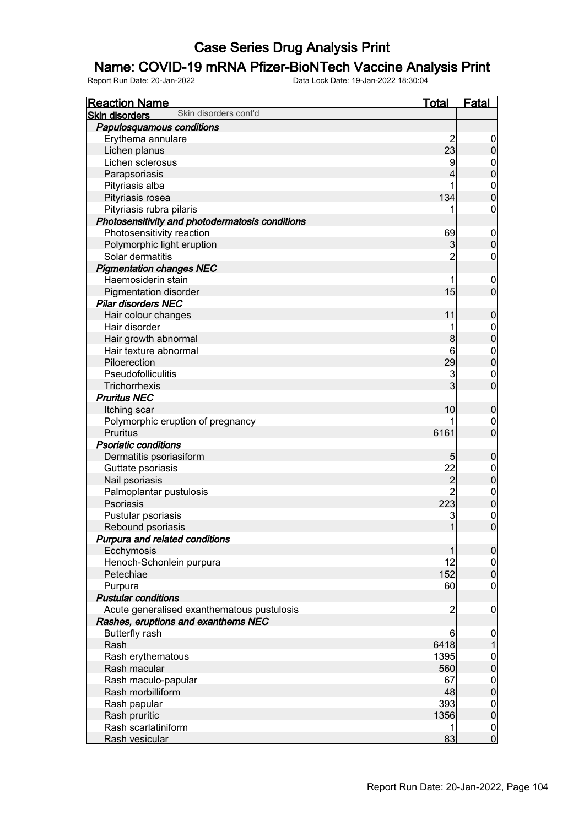#### Name: COVID-19 mRNA Pfizer-BioNTech Vaccine Analysis Print

| <b>Reaction Name</b>                            | <u>Total</u>   | <b>Fatal</b>                     |
|-------------------------------------------------|----------------|----------------------------------|
| Skin disorders cont'd<br><b>Skin disorders</b>  |                |                                  |
| Papulosquamous conditions                       |                |                                  |
| Erythema annulare                               | $\overline{c}$ | $\overline{0}$                   |
| Lichen planus                                   | 23             | $\pmb{0}$                        |
| Lichen sclerosus                                | 9              |                                  |
| Parapsoriasis                                   | 4              | $0\atop 0$                       |
| Pityriasis alba                                 | 1              |                                  |
| Pityriasis rosea                                | 134            | $\begin{matrix}0\\0\end{matrix}$ |
| Pityriasis rubra pilaris                        | 1              | $\mathbf 0$                      |
| Photosensitivity and photodermatosis conditions |                |                                  |
| Photosensitivity reaction                       | 69             | $\boldsymbol{0}$                 |
| Polymorphic light eruption                      | 3              | $\overline{0}$                   |
| Solar dermatitis                                | $\overline{2}$ | $\boldsymbol{0}$                 |
| <b>Pigmentation changes NEC</b>                 |                |                                  |
| Haemosiderin stain                              | 1              | $\boldsymbol{0}$                 |
| <b>Pigmentation disorder</b>                    | 15             | $\overline{0}$                   |
| <b>Pilar disorders NEC</b>                      |                |                                  |
| Hair colour changes                             | 11             | $\boldsymbol{0}$                 |
| Hair disorder                                   | 1              |                                  |
| Hair growth abnormal                            | 8              | $0$<br>0                         |
| Hair texture abnormal                           | 6              |                                  |
| Piloerection                                    | 29             | $0\atop 0$                       |
| Pseudofolliculitis                              | 3              |                                  |
| Trichorrhexis                                   | 3              | $\begin{matrix}0\\0\end{matrix}$ |
| <b>Pruritus NEC</b>                             |                |                                  |
| Itching scar                                    | 10             | $\boldsymbol{0}$                 |
| Polymorphic eruption of pregnancy               |                | $\mathbf 0$                      |
| Pruritus                                        | 6161           | $\overline{0}$                   |
| <b>Psoriatic conditions</b>                     |                |                                  |
| Dermatitis psoriasiform                         | 5              | $\boldsymbol{0}$                 |
| Guttate psoriasis                               | 22             |                                  |
| Nail psoriasis                                  | $\overline{c}$ | $0$<br>0                         |
| Palmoplantar pustulosis                         | $\overline{2}$ |                                  |
| Psoriasis                                       | 223            | $0$<br>0                         |
| Pustular psoriasis                              | 3              |                                  |
| Rebound psoriasis                               | 1              | $\begin{matrix}0\\0\end{matrix}$ |
| Purpura and related conditions                  |                |                                  |
| Ecchymosis                                      | 1              | $\overline{0}$                   |
| Henoch-Schonlein purpura                        | 12             | $\overline{0}$                   |
| Petechiae                                       | 152            | $\overline{0}$                   |
| Purpura                                         | 60             | $\boldsymbol{0}$                 |
| <b>Pustular conditions</b>                      |                |                                  |
| Acute generalised exanthematous pustulosis      | $\overline{c}$ | $\mathbf 0$                      |
| Rashes, eruptions and exanthems NEC             |                |                                  |
| <b>Butterfly rash</b>                           | 6              | $\boldsymbol{0}$                 |
| Rash                                            | 6418           | $\overline{1}$                   |
| Rash erythematous                               | 1395           | $\boldsymbol{0}$                 |
| Rash macular                                    | 560            | $\mathbf 0$                      |
| Rash maculo-papular                             | 67             | $\boldsymbol{0}$                 |
| Rash morbilliform                               | 48             | $\mathbf 0$                      |
| Rash papular                                    | 393            | $\boldsymbol{0}$                 |
| Rash pruritic                                   | 1356           | $\mathbf 0$                      |
| Rash scarlatiniform                             | 1              | $\boldsymbol{0}$                 |
| Rash vesicular                                  | 83             | $\overline{0}$                   |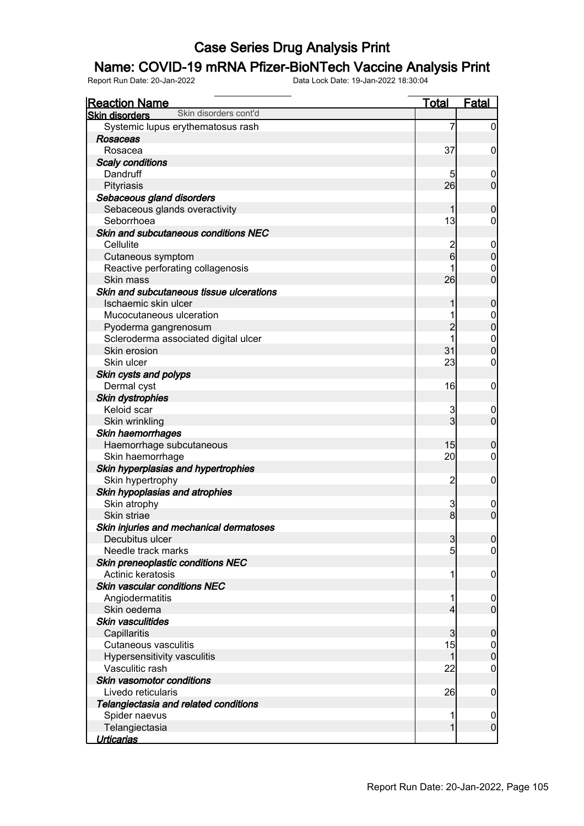## Name: COVID-19 mRNA Pfizer-BioNTech Vaccine Analysis Print

| <b>Reaction Name</b>                           | <b>Total</b>   | <b>Fatal</b>                     |
|------------------------------------------------|----------------|----------------------------------|
| Skin disorders cont'd<br><b>Skin disorders</b> |                |                                  |
| Systemic lupus erythematosus rash              | 7              | $\overline{0}$                   |
| <b>Rosaceas</b>                                |                |                                  |
| Rosacea                                        | 37             | $\mathbf 0$                      |
| <b>Scaly conditions</b>                        |                |                                  |
| Dandruff                                       | 5              | $\boldsymbol{0}$                 |
| Pityriasis                                     | 26             | $\mathbf 0$                      |
| Sebaceous gland disorders                      |                |                                  |
| Sebaceous glands overactivity                  | 1              | $\mathbf 0$                      |
| Seborrhoea                                     | 13             | $\mathbf 0$                      |
| Skin and subcutaneous conditions NEC           |                |                                  |
| Cellulite                                      | $\overline{c}$ | $\boldsymbol{0}$                 |
| Cutaneous symptom                              | 6              | $\mathbf 0$                      |
| Reactive perforating collagenosis              |                | $\mathbf 0$                      |
| Skin mass                                      | 26             | $\overline{0}$                   |
| Skin and subcutaneous tissue ulcerations       |                |                                  |
| Ischaemic skin ulcer                           | 1              | $\boldsymbol{0}$                 |
| Mucocutaneous ulceration                       | 1              |                                  |
| Pyoderma gangrenosum                           | $\overline{2}$ | $0\atop 0$                       |
| Scleroderma associated digital ulcer           |                |                                  |
| Skin erosion                                   | 31             | $\begin{matrix}0\\0\end{matrix}$ |
| Skin ulcer                                     | 23             | $\mathbf 0$                      |
| Skin cysts and polyps                          |                |                                  |
| Dermal cyst                                    | 16             | $\boldsymbol{0}$                 |
| Skin dystrophies                               |                |                                  |
| Keloid scar                                    | 3              | $\mathbf 0$                      |
| Skin wrinkling                                 | 3              | $\mathbf 0$                      |
| Skin haemorrhages                              |                |                                  |
| Haemorrhage subcutaneous                       | 15             | $\mathbf 0$                      |
| Skin haemorrhage                               | 20             | $\mathbf 0$                      |
| Skin hyperplasias and hypertrophies            |                |                                  |
| Skin hypertrophy                               | $\overline{c}$ | $\mathbf 0$                      |
| Skin hypoplasias and atrophies                 |                |                                  |
| Skin atrophy                                   | 3              | $\mathbf 0$                      |
| Skin striae                                    | 8 <sup>1</sup> | $\overline{0}$                   |
| Skin injuries and mechanical dermatoses        |                |                                  |
| Decubitus ulcer                                | $\mathbf{3}$   | 0                                |
| Needle track marks                             | 5              | $\overline{0}$                   |
| Skin preneoplastic conditions NEC              |                |                                  |
| Actinic keratosis                              | 1              | $\mathbf 0$                      |
| <b>Skin vascular conditions NEC</b>            |                |                                  |
| Angiodermatitis                                | 1              | $\mathbf 0$                      |
| Skin oedema                                    | $\overline{4}$ | $\overline{0}$                   |
| Skin vasculitides                              |                |                                  |
| Capillaritis                                   | 3              | $\mathbf 0$                      |
| <b>Cutaneous vasculitis</b>                    | 15             | $\overline{0}$                   |
| Hypersensitivity vasculitis                    | 1              | $\mathbf 0$                      |
| Vasculitic rash                                | 22             | $\overline{0}$                   |
| Skin vasomotor conditions                      |                |                                  |
| Livedo reticularis                             | 26             | $\mathbf 0$                      |
| Telangiectasia and related conditions          |                |                                  |
| Spider naevus                                  | 1              | $\mathbf 0$                      |
| Telangiectasia                                 | 1              | $\overline{0}$                   |
| <b>Urticarias</b>                              |                |                                  |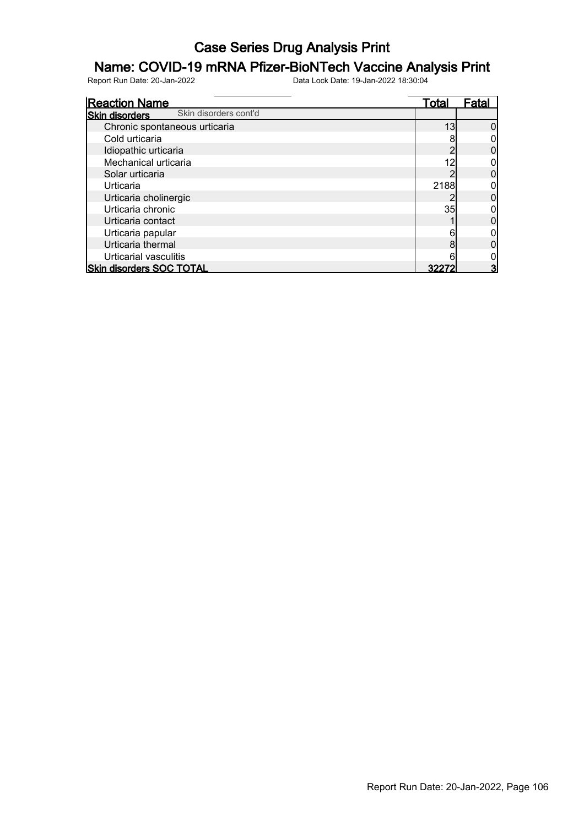## Name: COVID-19 mRNA Pfizer-BioNTech Vaccine Analysis Print

| <b>Reaction Name</b>                           | Total | Fatal |
|------------------------------------------------|-------|-------|
| Skin disorders cont'd<br><b>Skin disorders</b> |       |       |
| Chronic spontaneous urticaria                  | 13    |       |
| Cold urticaria                                 |       |       |
| Idiopathic urticaria                           |       |       |
| Mechanical urticaria                           | 12    |       |
| Solar urticaria                                |       |       |
| Urticaria                                      | 2188  |       |
| Urticaria cholinergic                          |       |       |
| Urticaria chronic                              | 35    |       |
| Urticaria contact                              |       |       |
| Urticaria papular                              | 6     |       |
| Urticaria thermal                              |       |       |
| Urticarial vasculitis                          |       |       |
| <b>Skin disorders SOC TOTAL</b>                | 322   |       |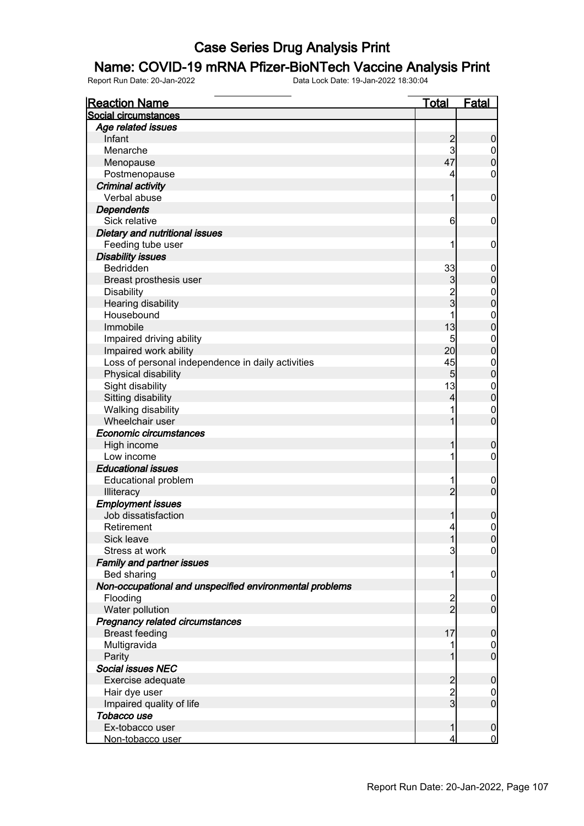#### Name: COVID-19 mRNA Pfizer-BioNTech Vaccine Analysis Print

| <b>Reaction Name</b>                                    | <u>Total</u>   | <u>Fatal</u>     |
|---------------------------------------------------------|----------------|------------------|
| Social circumstances                                    |                |                  |
| Age related issues                                      |                |                  |
| Infant                                                  | $\overline{c}$ | $\boldsymbol{0}$ |
| Menarche                                                | 3              | $\mathbf 0$      |
| Menopause                                               | 47             | $\overline{0}$   |
| Postmenopause                                           | 4              | 0                |
| <b>Criminal activity</b>                                |                |                  |
| Verbal abuse                                            | 1              | $\boldsymbol{0}$ |
| <b>Dependents</b>                                       |                |                  |
| Sick relative                                           | 6              | 0                |
| Dietary and nutritional issues                          |                |                  |
| Feeding tube user                                       |                | 0                |
| <b>Disability issues</b>                                |                |                  |
| Bedridden                                               | 33             | $\mathbf 0$      |
| Breast prosthesis user                                  | 3              | $\overline{0}$   |
| <b>Disability</b>                                       | $\frac{2}{3}$  | $\mathbf 0$      |
| Hearing disability                                      |                | $\overline{0}$   |
| Housebound                                              | 1              | $\mathbf 0$      |
| Immobile                                                | 13             | $\overline{0}$   |
| Impaired driving ability                                | 5              | $\mathbf 0$      |
| Impaired work ability                                   | 20             | $\overline{0}$   |
| Loss of personal independence in daily activities       | 45             | $\mathbf 0$      |
| Physical disability                                     | 5 <sub>5</sub> | $\overline{0}$   |
| Sight disability                                        | 13             | $\mathbf{0}$     |
| Sitting disability                                      | 4              | $\overline{0}$   |
| Walking disability                                      |                | $\mathbf 0$      |
| Wheelchair user                                         | 1              | $\overline{0}$   |
| Economic circumstances                                  |                |                  |
| High income                                             | 1              | $\mathbf 0$      |
| Low income                                              |                | 0                |
| <b>Educational issues</b>                               |                |                  |
| <b>Educational problem</b>                              |                | $\overline{0}$   |
| Illiteracy                                              | $\overline{2}$ | $\mathbf 0$      |
| <b>Employment issues</b>                                |                |                  |
| Job dissatisfaction                                     | 1              | $\boldsymbol{0}$ |
| Retirement                                              | $\overline{4}$ | $\mathbf 0$      |
| Sick leave                                              | 1              | 0                |
| Stress at work                                          | 3              | $\overline{0}$   |
| <b>Family and partner issues</b>                        |                |                  |
| Bed sharing                                             | 1              | $\mathbf 0$      |
| Non-occupational and unspecified environmental problems |                |                  |
| Flooding                                                |                | $\overline{0}$   |
| Water pollution                                         | $\frac{2}{2}$  | $\mathbf 0$      |
| Pregnancy related circumstances                         |                |                  |
| <b>Breast feeding</b>                                   | 17             | $\mathbf 0$      |
| Multigravida                                            |                | $\mathbf 0$      |
| Parity                                                  |                | $\overline{0}$   |
| <b>Social issues NEC</b>                                |                |                  |
| Exercise adequate                                       | $\overline{c}$ | $\boldsymbol{0}$ |
| Hair dye user                                           |                | $\mathbf 0$      |
| Impaired quality of life                                | $\frac{2}{3}$  | $\overline{0}$   |
| Tobacco use                                             |                |                  |
| Ex-tobacco user                                         |                | $\boldsymbol{0}$ |
| Non-tobacco user                                        | 4              | $\mathbf 0$      |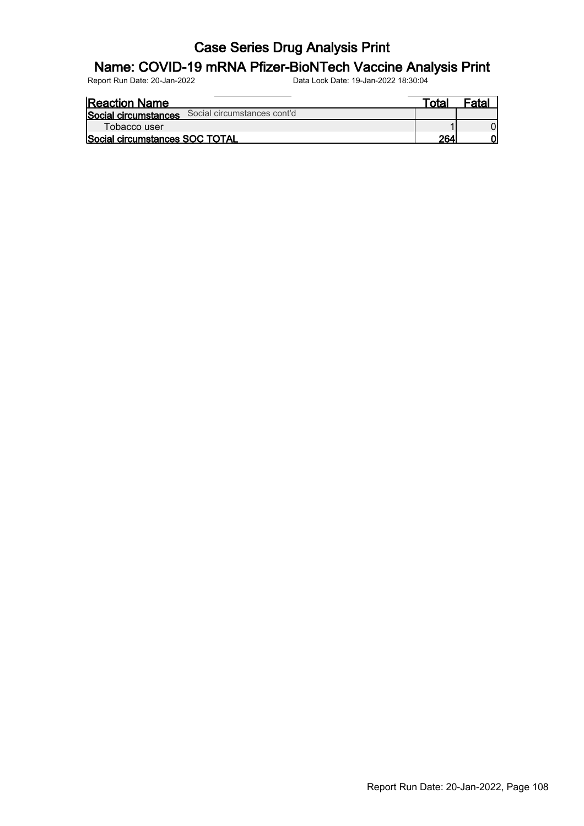## Name: COVID-19 mRNA Pfizer-BioNTech Vaccine Analysis Print

| <b>Reaction Name</b>                             | $\tau$ otar | -nta |
|--------------------------------------------------|-------------|------|
| Social circumstances Social circumstances cont'd |             |      |
| Tobacco user                                     |             |      |
| <b>Social circumstances SOC TOTAL</b>            | 264         |      |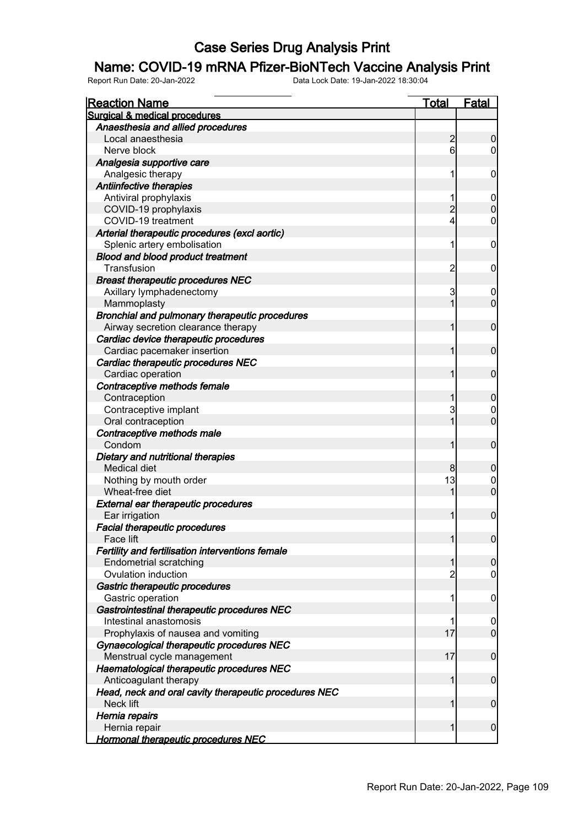#### Name: COVID-19 mRNA Pfizer-BioNTech Vaccine Analysis Print

| <u>Reaction Name</u>                                  | <u>Total</u>   | <b>Fatal</b>                         |
|-------------------------------------------------------|----------------|--------------------------------------|
| Surgical & medical procedures                         |                |                                      |
| Anaesthesia and allied procedures                     |                |                                      |
| Local anaesthesia                                     | $\overline{c}$ | $\boldsymbol{0}$                     |
| Nerve block                                           | 6              | $\overline{0}$                       |
| Analgesia supportive care                             |                |                                      |
| Analgesic therapy                                     | 1              | 0                                    |
| Antiinfective therapies                               |                |                                      |
| Antiviral prophylaxis                                 | 1              | $\mathbf 0$                          |
| COVID-19 prophylaxis                                  | $\overline{2}$ | $\mathbf 0$                          |
| COVID-19 treatment                                    | 4              | $\mathbf 0$                          |
| Arterial therapeutic procedures (excl aortic)         |                |                                      |
| Splenic artery embolisation                           | 1              | $\mathbf 0$                          |
| <b>Blood and blood product treatment</b>              |                |                                      |
| Transfusion                                           | $\overline{c}$ | $\mathbf 0$                          |
| <b>Breast therapeutic procedures NEC</b>              |                |                                      |
| Axillary lymphadenectomy                              | 3              | $\mathbf 0$                          |
| Mammoplasty                                           | 1              | $\overline{0}$                       |
| Bronchial and pulmonary therapeutic procedures        |                |                                      |
| Airway secretion clearance therapy                    | 1              | $\mathbf 0$                          |
| Cardiac device therapeutic procedures                 |                |                                      |
| Cardiac pacemaker insertion                           | 1              | $\mathbf 0$                          |
| Cardiac therapeutic procedures NEC                    |                |                                      |
| Cardiac operation                                     | 1              | $\mathbf 0$                          |
| Contraceptive methods female                          |                |                                      |
| Contraception                                         | 1              | $\mathbf 0$                          |
| Contraceptive implant                                 | 3              | $\begin{matrix} 0 \\ 0 \end{matrix}$ |
| Oral contraception                                    | 1              |                                      |
| Contraceptive methods male                            |                |                                      |
| Condom                                                | 1              | $\mathbf 0$                          |
| Dietary and nutritional therapies                     |                |                                      |
| <b>Medical diet</b>                                   | 8              | $\boldsymbol{0}$                     |
| Nothing by mouth order                                | 13             | $\begin{matrix}0\\0\end{matrix}$     |
| Wheat-free diet                                       | 1              |                                      |
| <b>External ear therapeutic procedures</b>            |                |                                      |
| Ear irrigation                                        | 1              | $\mathbf 0$                          |
| <b>Facial therapeutic procedures</b>                  |                |                                      |
| Face lift                                             | 1              | 0                                    |
| Fertility and fertilisation interventions female      |                |                                      |
| <b>Endometrial scratching</b>                         | 1              | $\boldsymbol{0}$                     |
| Ovulation induction                                   | $\overline{c}$ | $\mathbf 0$                          |
| Gastric therapeutic procedures                        |                |                                      |
| Gastric operation                                     | 1              | $\boldsymbol{0}$                     |
| Gastrointestinal therapeutic procedures NEC           |                |                                      |
| Intestinal anastomosis                                | 1              | $\boldsymbol{0}$                     |
| Prophylaxis of nausea and vomiting                    | 17             | $\overline{0}$                       |
| Gynaecological therapeutic procedures NEC             |                |                                      |
| Menstrual cycle management                            | 17             | $\mathbf 0$                          |
| Haematological therapeutic procedures NEC             |                |                                      |
| Anticoagulant therapy                                 | 1              | $\mathbf 0$                          |
| Head, neck and oral cavity therapeutic procedures NEC |                |                                      |
| Neck lift                                             | 1              | $\mathbf 0$                          |
| Hernia repairs                                        |                |                                      |
| Hernia repair                                         | 1              | $\mathbf 0$                          |
| <b>Hormonal therapeutic procedures NEC</b>            |                |                                      |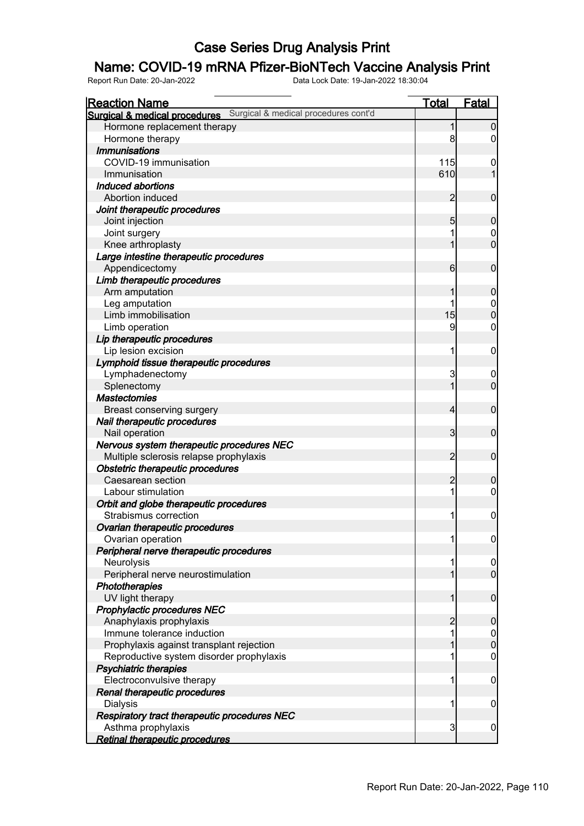#### Name: COVID-19 mRNA Pfizer-BioNTech Vaccine Analysis Print

| <b>Reaction Name</b>                                                          | <u>Total</u>   | <b>Fatal</b>   |
|-------------------------------------------------------------------------------|----------------|----------------|
| <b>Surgical &amp; medical procedures</b> Surgical & medical procedures cont'd |                |                |
| Hormone replacement therapy                                                   |                | 0              |
| Hormone therapy                                                               | 8              | 0              |
| <b>Immunisations</b>                                                          |                |                |
| COVID-19 immunisation                                                         | 115            | 0              |
| Immunisation                                                                  | 610            |                |
| Induced abortions                                                             |                |                |
| Abortion induced                                                              | $\overline{c}$ | $\mathbf 0$    |
| Joint therapeutic procedures                                                  |                |                |
| Joint injection                                                               | 5              | 0              |
| Joint surgery                                                                 | 1              | 0              |
| Knee arthroplasty                                                             |                | $\overline{0}$ |
| Large intestine therapeutic procedures                                        |                |                |
| Appendicectomy                                                                | 6              | $\mathbf 0$    |
| Limb therapeutic procedures                                                   |                |                |
| Arm amputation                                                                |                | 0              |
| Leg amputation                                                                |                | $\mathbf 0$    |
| Limb immobilisation                                                           | 15             | 0              |
| Limb operation                                                                | 9              | 0              |
| Lip therapeutic procedures                                                    |                |                |
| Lip lesion excision                                                           | 1              | 0              |
| Lymphoid tissue therapeutic procedures                                        |                |                |
| Lymphadenectomy                                                               | 3              | 0              |
| Splenectomy                                                                   | 1              | $\mathbf 0$    |
| <b>Mastectomies</b>                                                           |                |                |
|                                                                               | 4              |                |
| Breast conserving surgery                                                     |                | $\mathbf 0$    |
| Nail therapeutic procedures                                                   |                |                |
| Nail operation                                                                | 3              | $\mathbf 0$    |
| Nervous system therapeutic procedures NEC                                     |                |                |
| Multiple sclerosis relapse prophylaxis                                        | 2              | $\mathbf 0$    |
| Obstetric therapeutic procedures                                              |                |                |
| Caesarean section                                                             | 2              | 0              |
| Labour stimulation                                                            | 1              | 0              |
| Orbit and globe therapeutic procedures                                        |                |                |
| Strabismus correction                                                         | 1              | 0              |
| Ovarian therapeutic procedures                                                |                |                |
| Ovarian operation                                                             | 1              | $\overline{0}$ |
| Peripheral nerve therapeutic procedures                                       |                |                |
| Neurolysis                                                                    | 1              | $\mathbf 0$    |
| Peripheral nerve neurostimulation                                             | 1              | $\overline{0}$ |
| Phototherapies                                                                |                |                |
| UV light therapy                                                              | 1              | $\mathbf 0$    |
| Prophylactic procedures NEC                                                   |                |                |
| Anaphylaxis prophylaxis                                                       | 2              | 0              |
| Immune tolerance induction                                                    | 1              | $\mathbf 0$    |
| Prophylaxis against transplant rejection                                      | 1              | $\mathbf 0$    |
| Reproductive system disorder prophylaxis                                      | 1              | $\mathbf 0$    |
| Psychiatric therapies                                                         |                |                |
| Electroconvulsive therapy                                                     | 1              | 0              |
| Renal therapeutic procedures                                                  |                |                |
| <b>Dialysis</b>                                                               | 1              | 0              |
| Respiratory tract therapeutic procedures NEC                                  |                |                |
| Asthma prophylaxis                                                            | 3              | $\mathbf 0$    |
| <b>Retinal therapeutic procedures</b>                                         |                |                |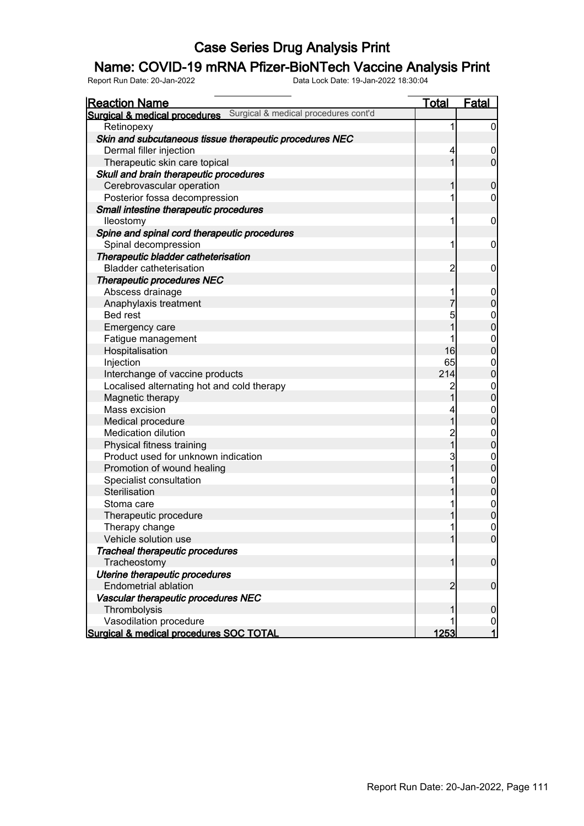#### Name: COVID-19 mRNA Pfizer-BioNTech Vaccine Analysis Print

| <b>Reaction Name</b>                                                  | <u>Total</u>   | <b>Fatal</b>     |
|-----------------------------------------------------------------------|----------------|------------------|
| Surgical & medical procedures cont'd<br>Surgical & medical procedures |                |                  |
| Retinopexy                                                            | 1              | $\overline{0}$   |
| Skin and subcutaneous tissue therapeutic procedures NEC               |                |                  |
| Dermal filler injection                                               | 4              | $\boldsymbol{0}$ |
| Therapeutic skin care topical                                         | 1              | $\overline{0}$   |
| Skull and brain therapeutic procedures                                |                |                  |
| Cerebrovascular operation                                             | 1              | $\mathbf 0$      |
| Posterior fossa decompression                                         | 1              | 0                |
| Small intestine therapeutic procedures                                |                |                  |
| lleostomy                                                             | 1              | $\mathbf 0$      |
| Spine and spinal cord therapeutic procedures                          |                |                  |
| Spinal decompression                                                  | 1              | 0                |
| Therapeutic bladder catheterisation                                   |                |                  |
| <b>Bladder catheterisation</b>                                        | $\overline{c}$ | 0                |
| <b>Therapeutic procedures NEC</b>                                     |                |                  |
| Abscess drainage                                                      |                | $\mathbf 0$      |
| Anaphylaxis treatment                                                 | $\overline{7}$ | $\overline{0}$   |
| Bed rest                                                              | 5              | $\mathbf 0$      |
| Emergency care                                                        | 1              | $\overline{0}$   |
| Fatigue management                                                    |                | $\mathbf 0$      |
| Hospitalisation                                                       | 16             | $\overline{0}$   |
| Injection                                                             | 65             | $\mathbf 0$      |
| Interchange of vaccine products                                       | 214            | $\overline{0}$   |
| Localised alternating hot and cold therapy                            | $\overline{c}$ | $\mathbf 0$      |
| Magnetic therapy                                                      | $\overline{1}$ | $\overline{0}$   |
| Mass excision                                                         | 4              | $\mathbf 0$      |
| Medical procedure                                                     | $\overline{1}$ | $\overline{0}$   |
| <b>Medication dilution</b>                                            |                | $\mathbf 0$      |
| Physical fitness training                                             | 2<br>1         | $\overline{0}$   |
| Product used for unknown indication                                   | 3              | $\mathbf 0$      |
| Promotion of wound healing                                            | $\overline{1}$ | $\overline{0}$   |
| Specialist consultation                                               |                | $\mathbf{0}$     |
| Sterilisation                                                         | 1              | $\overline{0}$   |
| Stoma care                                                            | 1              | $\overline{0}$   |
| Therapeutic procedure                                                 |                | $\overline{0}$   |
| Therapy change                                                        | 1              | $\mathbf 0$      |
| Vehicle solution use                                                  | 1              | 0                |
| Tracheal therapeutic procedures                                       |                |                  |
| Tracheostomy                                                          | 1              | $\boldsymbol{0}$ |
| Uterine therapeutic procedures                                        |                |                  |
| <b>Endometrial ablation</b>                                           | $\overline{2}$ | $\boldsymbol{0}$ |
| Vascular therapeutic procedures NEC                                   |                |                  |
| Thrombolysis                                                          |                | $\mathbf 0$      |
| Vasodilation procedure                                                |                | $\overline{0}$   |
| Surgical & medical procedures SOC TOTAL                               | 1253           | 1                |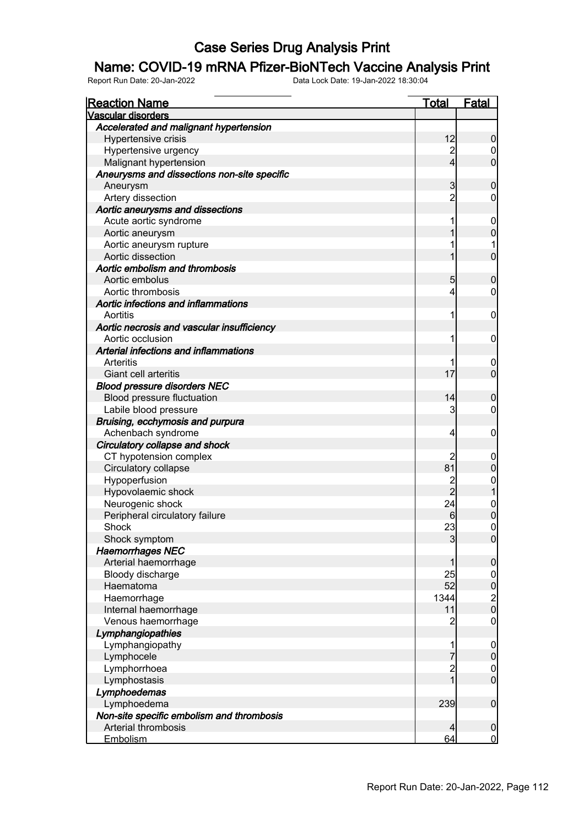#### Name: COVID-19 mRNA Pfizer-BioNTech Vaccine Analysis Print

| <b>Reaction Name</b>                        | <u>Total</u>   | <b>Fatal</b>                                 |
|---------------------------------------------|----------------|----------------------------------------------|
| <b>Vascular disorders</b>                   |                |                                              |
| Accelerated and malignant hypertension      |                |                                              |
| Hypertensive crisis                         | 12             | $\boldsymbol{0}$                             |
| Hypertensive urgency                        | $\overline{c}$ | $\boldsymbol{0}$                             |
| Malignant hypertension                      | $\overline{4}$ | $\overline{0}$                               |
| Aneurysms and dissections non-site specific |                |                                              |
| Aneurysm                                    | 3              | $\mathbf 0$                                  |
| Artery dissection                           | $\overline{2}$ | $\mathbf 0$                                  |
| Aortic aneurysms and dissections            |                |                                              |
| Acute aortic syndrome                       | 1              | $\mathbf 0$                                  |
| Aortic aneurysm                             | 1              | $\mathbf 0$                                  |
| Aortic aneurysm rupture                     | 1              | 1                                            |
| Aortic dissection                           | 1              | $\overline{0}$                               |
| Aortic embolism and thrombosis              |                |                                              |
| Aortic embolus                              | 5              | $\mathbf 0$                                  |
| Aortic thrombosis                           | 4              | $\mathbf 0$                                  |
| Aortic infections and inflammations         |                |                                              |
| Aortitis                                    | 1              | 0                                            |
| Aortic necrosis and vascular insufficiency  |                |                                              |
| Aortic occlusion                            | 1              | 0                                            |
| Arterial infections and inflammations       |                |                                              |
| Arteritis                                   | 1              | $\mathbf 0$                                  |
| Giant cell arteritis                        | 17             | $\overline{0}$                               |
| <b>Blood pressure disorders NEC</b>         |                |                                              |
| Blood pressure fluctuation                  | 14             | $\mathbf 0$                                  |
| Labile blood pressure                       | 3              | $\mathbf 0$                                  |
| Bruising, ecchymosis and purpura            |                |                                              |
| Achenbach syndrome                          | 4              | 0                                            |
| Circulatory collapse and shock              |                |                                              |
| CT hypotension complex                      | 2              | 0                                            |
| Circulatory collapse                        | 81             | $\mathbf 0$                                  |
| Hypoperfusion                               | $\overline{c}$ | $\mathbf{0}$                                 |
| Hypovolaemic shock                          | $\overline{2}$ | $\overline{1}$                               |
| Neurogenic shock                            | 24             | $\begin{matrix}0\\0\end{matrix}$             |
| Peripheral circulatory failure              | 6              |                                              |
| Shock                                       | 23             | $\mathbf 0$                                  |
| Shock symptom                               | $\overline{3}$ | 0                                            |
| <b>Haemorrhages NEC</b>                     |                |                                              |
| Arterial haemorrhage                        | 1              | $\mathbf 0$                                  |
| Bloody discharge                            | 25             | $\begin{array}{c}\n0 \\ 0 \\ 0\n\end{array}$ |
| Haematoma                                   | 52             |                                              |
| Haemorrhage                                 | 1344           |                                              |
| Internal haemorrhage                        | 11             |                                              |
| Venous haemorrhage                          | $\overline{c}$ | $\pmb{0}$                                    |
| Lymphangiopathies                           |                |                                              |
| Lymphangiopathy                             | 1              | $\boldsymbol{0}$                             |
| Lymphocele                                  | 7              | $\mathbf 0$                                  |
| Lymphorrhoea                                | $\frac{2}{1}$  | $\begin{matrix} 0 \\ 0 \end{matrix}$         |
| Lymphostasis                                |                |                                              |
| Lymphoedemas                                |                |                                              |
| Lymphoedema                                 | 239            | $\boldsymbol{0}$                             |
| Non-site specific embolism and thrombosis   |                |                                              |
| Arterial thrombosis                         | 4              | $\boldsymbol{0}$                             |
| Embolism                                    | 64             | $\overline{0}$                               |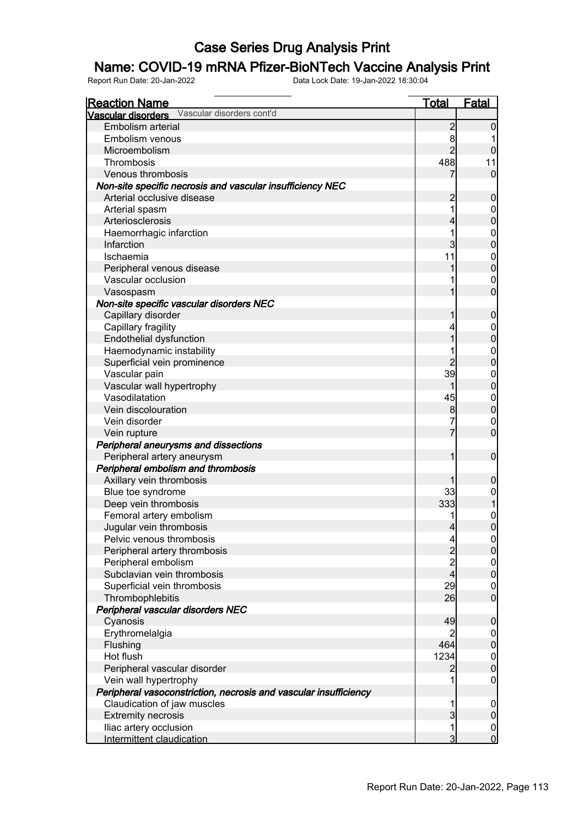#### Name: COVID-19 mRNA Pfizer-BioNTech Vaccine Analysis Print

| <b>Reaction Name</b>                                             | <b>Total</b>                               | <b>Fatal</b>                         |
|------------------------------------------------------------------|--------------------------------------------|--------------------------------------|
| Vascular disorders cont'd<br>Vascular disorders                  |                                            |                                      |
| Embolism arterial                                                | $\overline{2}$                             | 0                                    |
| Embolism venous                                                  | 8                                          |                                      |
| Microembolism                                                    | $\overline{2}$                             | $\mathbf 0$                          |
| Thrombosis                                                       | 488                                        | 11                                   |
| Venous thrombosis                                                | 7                                          | $\mathbf 0$                          |
| Non-site specific necrosis and vascular insufficiency NEC        |                                            |                                      |
| Arterial occlusive disease                                       | $\overline{c}$                             | $\boldsymbol{0}$                     |
| Arterial spasm                                                   | 1                                          | 0                                    |
| Arteriosclerosis                                                 | 4                                          | $\mathbf 0$                          |
| Haemorrhagic infarction                                          | 1                                          | $\mathbf 0$                          |
| Infarction                                                       | 3                                          | $\overline{0}$                       |
| Ischaemia                                                        | 11                                         | $\mathbf 0$                          |
| Peripheral venous disease                                        | 1                                          | $\mathbf 0$                          |
| Vascular occlusion                                               |                                            | 0                                    |
| Vasospasm                                                        |                                            | $\overline{0}$                       |
| Non-site specific vascular disorders NEC                         |                                            |                                      |
| Capillary disorder                                               | 1                                          | $\mathbf 0$                          |
| Capillary fragility                                              | 4                                          | 0                                    |
| <b>Endothelial dysfunction</b>                                   | 1                                          | $\mathbf 0$                          |
| Haemodynamic instability                                         |                                            | $\mathbf 0$                          |
| Superficial vein prominence                                      | $\overline{2}$                             | $\mathbf 0$                          |
| Vascular pain                                                    | 39                                         | $\mathbf 0$                          |
| Vascular wall hypertrophy                                        | 1                                          | $\mathbf 0$                          |
| Vasodilatation                                                   | 45                                         | $\mathbf 0$                          |
| Vein discolouration                                              | $\bf{8}$                                   | $\mathbf 0$                          |
| Vein disorder                                                    |                                            | $\mathbf 0$                          |
| Vein rupture                                                     | 7                                          | $\overline{0}$                       |
| Peripheral aneurysms and dissections                             |                                            |                                      |
| Peripheral artery aneurysm                                       | 1                                          | $\mathbf 0$                          |
| Peripheral embolism and thrombosis                               |                                            |                                      |
| Axillary vein thrombosis                                         | 1                                          | $\boldsymbol{0}$                     |
| Blue toe syndrome                                                | 33                                         | 0                                    |
| Deep vein thrombosis                                             | 333                                        |                                      |
| Femoral artery embolism                                          |                                            | $\mathbf 0$                          |
| Jugular vein thrombosis                                          | $\overline{4}$                             | $\overline{0}$                       |
| Pelvic venous thrombosis                                         | $\overline{a}$                             | 0                                    |
| Peripheral artery thrombosis                                     |                                            | $\overline{0}$                       |
| Peripheral embolism                                              | $\begin{array}{c} 2 \\ 2 \\ 4 \end{array}$ |                                      |
| Subclavian vein thrombosis                                       |                                            | $\begin{matrix} 0 \\ 0 \end{matrix}$ |
| Superficial vein thrombosis                                      | 29                                         | $\boldsymbol{0}$                     |
| Thrombophlebitis                                                 | 26                                         | $\overline{0}$                       |
| Peripheral vascular disorders NEC                                |                                            |                                      |
| Cyanosis                                                         | 49                                         | $\mathbf 0$                          |
| Erythromelalgia                                                  | $\overline{2}$                             | $\overline{0}$                       |
| Flushing                                                         | 464                                        | $\boldsymbol{0}$                     |
| Hot flush                                                        | 1234                                       |                                      |
| Peripheral vascular disorder                                     | $\overline{2}$                             | $\begin{matrix} 0 \\ 0 \end{matrix}$ |
| Vein wall hypertrophy                                            | 1                                          | $\mathbf 0$                          |
| Peripheral vasoconstriction, necrosis and vascular insufficiency |                                            |                                      |
| Claudication of jaw muscles                                      | 1                                          | $\overline{0}$                       |
| <b>Extremity necrosis</b>                                        | $\overline{3}$                             | $\mathbf 0$                          |
| Iliac artery occlusion                                           | 1                                          | $\overline{0}$                       |
| Intermittent claudication                                        | 3                                          | $\overline{0}$                       |